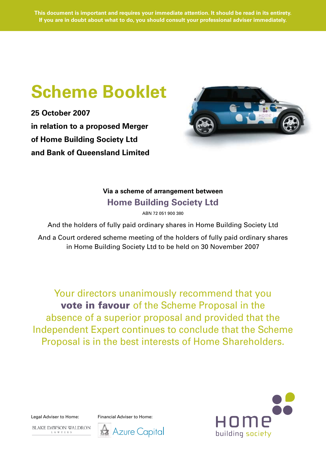# **Scheme Booklet**

**25 October 2007 in relation to a proposed Merger of Home Building Society Ltd and Bank of Queensland Limited**



# **Via a scheme of arrangement between Home Building Society Ltd**

ABN 72 051 900 380

And the holders of fully paid ordinary shares in Home Building Society Ltd

And a Court ordered scheme meeting of the holders of fully paid ordinary shares in Home Building Society Ltd to be held on 30 November 2007

Your directors unanimously recommend that you vote in favour of the Scheme Proposal in the absence of a superior proposal and provided that the Independent Expert continues to conclude that the Scheme Proposal is in the best interests of Home Shareholders.

**BLAKE DAWSON WALDRON** 

 $L\hskip2pt$  A  $\hbox{W\hskip2pt Y}\hskip2pt$  E  $\hbox{R\hskip2pt}$  S

Legal Adviser to Home: Financial Adviser to Home:



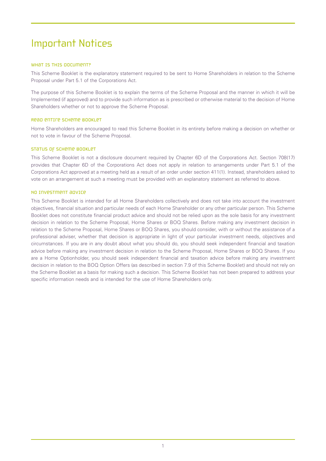# Important Notices

# WHAT IS THIS DOCUMENT?

This Scheme Booklet is the explanatory statement required to be sent to Home Shareholders in relation to the Scheme Proposal under Part 5.1 of the Corporations Act.

The purpose of this Scheme Booklet is to explain the terms of the Scheme Proposal and the manner in which it will be Implemented (if approved) and to provide such information as is prescribed or otherwise material to the decision of Home Shareholders whether or not to approve the Scheme Proposal.

# Read entire Scheme Booklet

Home Shareholders are encouraged to read this Scheme Booklet in its entirety before making a decision on whether or not to vote in favour of the Scheme Proposal.

#### STATUS OF SCHEME BOOKLET

This Scheme Booklet is not a disclosure document required by Chapter 6D of the Corporations Act. Section 708(17) provides that Chapter 6D of the Corporations Act does not apply in relation to arrangements under Part 5.1 of the Corporations Act approved at a meeting held as a result of an order under section 411(1). Instead, shareholders asked to vote on an arrangement at such a meeting must be provided with an explanatory statement as referred to above.

#### No investment advice

This Scheme Booklet is intended for all Home Shareholders collectively and does not take into account the investment objectives, financial situation and particular needs of each Home Shareholder or any other particular person. This Scheme Booklet does not constitute financial product advice and should not be relied upon as the sole basis for any investment decision in relation to the Scheme Proposal, Home Shares or BOQ Shares. Before making any investment decision in relation to the Scheme Proposal, Home Shares or BOQ Shares, you should consider, with or without the assistance of a professional adviser, whether that decision is appropriate in light of your particular investment needs, objectives and circumstances. If you are in any doubt about what you should do, you should seek independent financial and taxation advice before making any investment decision in relation to the Scheme Proposal, Home Shares or BOQ Shares. If you are a Home Optionholder, you should seek independent financial and taxation advice before making any investment decision in relation to the BOQ Option Offers (as described in section 7.9 of this Scheme Booklet) and should not rely on the Scheme Booklet as a basis for making such a decision. This Scheme Booklet has not been prepared to address your specific information needs and is intended for the use of Home Shareholders only.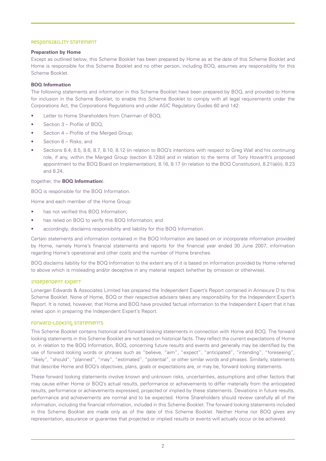#### Responsibility Statement

#### **Preparation by Home**

Except as outlined below, this Scheme Booklet has been prepared by Home as at the date of this Scheme Booklet and Home is responsible for this Scheme Booklet and no other person, including BOQ, assumes any responsibility for this Scheme Booklet.

### **BOQ Information**

The following statements and information in this Scheme Booklet have been prepared by BOQ, and provided to Home for inclusion in the Scheme Booklet, to enable this Scheme Booklet to comply with all legal requirements under the Corporations Act, the Corporations Regulations and under ASIC Regulatory Guides 60 and 142:

- Letter to Home Shareholders from Chairman of BOQ;
- Section 3 Profile of BOQ:
- Section 4 Profile of the Merged Group;
- Section 6 Risks; and
- Sections 8.4, 8.5, 8.6, 8.7, 8.10, 8.12 (in relation to BOQ's intentions with respect to Greg Wall and his continuing role, if any, within the Merged Group (section 8.12(b)) and in relation to the terms of Tony Howarth's proposed appointment to the BOQ Board on Implementation), 8.16, 8.17 (in relation to the BOQ Constitution), 8.21(a)(ii), 8.23 and 8.24,

#### (together, the **BOQ Information**).

BOQ is responsible for the BOQ Information.

Home and each member of the Home Group:

- has not verified this BOQ Information;
- has relied on BOQ to verify this BOQ Information; and
- accordingly, disclaims responsibility and liability for this BOQ Information.

Certain statements and information contained in the BOQ Information are based on or incorporate information provided by Home, namely Home's financial statements and reports for the financial year ended 30 June 2007, information regarding Home's operational and other costs and the number of Home branches.

BOQ disclaims liability for the BOQ Information to the extent any of it is based on information provided by Home referred to above which is misleading and/or deceptive in any material respect (whether by omission or otherwise).

#### Independent Expert

Lonergan Edwards & Associates Limited has prepared the Independent Expert's Report contained in Annexure D to this Scheme Booklet. None of Home, BOQ or their respective advisers takes any responsibility for the Independent Expert's Report. It is noted, however, that Home and BOQ have provided factual information to the Independent Expert that it has relied upon in preparing the Independent Expert's Report.

#### Forward-looking statements

This Scheme Booklet contains historical and forward looking statements in connection with Home and BOQ. The forward looking statements in this Scheme Booklet are not based on historical facts. They reflect the current expectations of Home or, in relation to the BOQ Information, BOQ, concerning future results and events and generally may be identified by the use of forward looking words or phrases such as "believe, "aim", "expect", "anticipated", "intending", "foreseeing", "likely", "should", "planned", "may", "estimated", "potential", or other similar words and phrases. Similarly, statements that describe Home and BOQ's objectives, plans, goals or expectations are, or may be, forward looking statements.

These forward looking statements involve known and unknown risks, uncertainties, assumptions and other factors that may cause either Home or BOQ's actual results, performance or achievements to differ materially from the anticipated results, performance or achievements expressed, projected or implied by these statements. Deviations in future results, performance and achievements are normal and to be expected. Home Shareholders should review carefully all of the information, including the financial information, included in this Scheme Booklet. The forward looking statements included in this Scheme Booklet are made only as of the date of this Scheme Booklet. Neither Home nor BOQ gives any representation, assurance or guarantee that projected or implied results or events will actually occur or be achieved.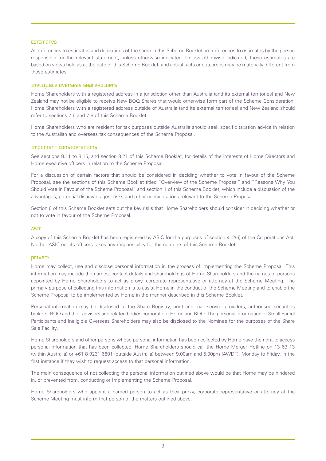#### Estimates

All references to estimates and derivations of the same in this Scheme Booklet are references to estimates by the person responsible for the relevant statement, unless otherwise indicated. Unless otherwise indicated, these estimates are based on views held as at the date of this Scheme Booklet, and actual facts or outcomes may be materially different from those estimates.

#### Ineligible Overseas Shareholders

Home Shareholders with a registered address in a jurisdiction other than Australia (and its external territories) and New Zealand may not be eligible to receive New BOQ Shares that would otherwise form part of the Scheme Consideration. Home Shareholders with a registered address outside of Australia (and its external territories) and New Zealand should refer to sections 7.6 and 7.8 of this Scheme Booklet.

Home Shareholders who are resident for tax purposes outside Australia should seek specific taxation advice in relation to the Australian and overseas tax consequences of the Scheme Proposal.

#### Important considerations

See sections 8.11 to 8.15, and section 8.21 of this Scheme Booklet, for details of the interests of Home Directors and Home executive officers in relation to the Scheme Proposal.

For a discussion of certain factors that should be considered in deciding whether to vote in favour of the Scheme Proposal, see the sections of this Scheme Booklet titled "Overview of the Scheme Proposal" and "Reasons Why You Should Vote in Favour of the Scheme Proposal" and section 1 of this Scheme Booklet, which include a discussion of the advantages, potential disadvantages, risks and other considerations relevant to the Scheme Proposal.

Section 6 of this Scheme Booklet sets out the key risks that Home Shareholders should consider in deciding whether or not to vote in favour of the Scheme Proposal.

#### ASIC

A copy of this Scheme Booklet has been registered by ASIC for the purposes of section 412(6) of the Corporations Act. Neither ASIC nor its officers takes any responsibility for the contents of this Scheme Booklet.

#### privacy

Home may collect, use and disclose personal information in the process of Implementing the Scheme Proposal. This information may include the names, contact details and shareholdings of Home Shareholders and the names of persons appointed by Home Shareholders to act as proxy, corporate representative or attorney at the Scheme Meeting. The primary purpose of collecting this information is to assist Home in the conduct of the Scheme Meeting and to enable the Scheme Proposal to be implemented by Home in the manner described in this Scheme Booklet.

Personal information may be disclosed to the Share Registry, print and mail service providers, authorised securities brokers, BOQ and their advisers and related bodies corporate of Home and BOQ. The personal information of Small Parcel Participants and Ineligible Overseas Shareholders may also be disclosed to the Nominee for the purposes of the Share Sale Facility.

Home Shareholders and other persons whose personal information has been collected by Home have the right to access personal information that has been collected. Home Shareholders should call the Home Merger Hotline on 13 63 13 (within Australia) or +61 8 9231 6601 (outside Australia) between 9.00am and 5.00pm (AWDT), Monday to Friday, in the first instance if they wish to request access to that personal information.

The main consequence of not collecting the personal information outlined above would be that Home may be hindered in, or prevented from, conducting or Implementing the Scheme Proposal.

Home Shareholders who appoint a named person to act as their proxy, corporate representative or attorney at the Scheme Meeting must inform that person of the matters outlined above.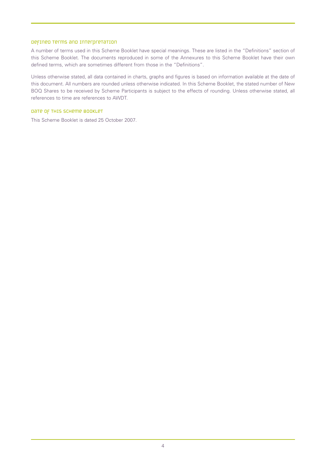### Defined terms and interpretation

A number of terms used in this Scheme Booklet have special meanings. These are listed in the "Definitions" section of this Scheme Booklet. The documents reproduced in some of the Annexures to this Scheme Booklet have their own defined terms, which are sometimes different from those in the "Definitions".

Unless otherwise stated, all data contained in charts, graphs and figures is based on information available at the date of this document. All numbers are rounded unless otherwise indicated. In this Scheme Booklet, the stated number of New BOQ Shares to be received by Scheme Participants is subject to the effects of rounding. Unless otherwise stated, all references to time are references to AWDT.

# Date of this Scheme Booklet

This Scheme Booklet is dated 25 October 2007.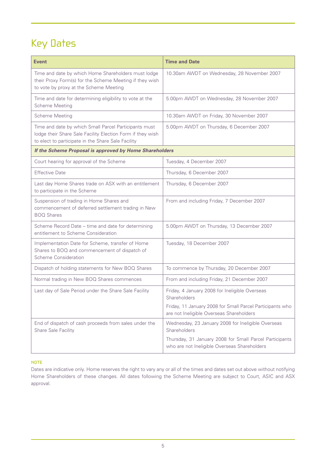# Key Dates

| <b>Event</b>                                                                                                                                                              | <b>Time and Date</b>                                                                                    |  |  |
|---------------------------------------------------------------------------------------------------------------------------------------------------------------------------|---------------------------------------------------------------------------------------------------------|--|--|
| Time and date by which Home Shareholders must lodge<br>their Proxy Form(s) for the Scheme Meeting if they wish<br>to vote by proxy at the Scheme Meeting                  | 10.30am AWDT on Wednesday, 28 November 2007                                                             |  |  |
| Time and date for determining eligibility to vote at the<br><b>Scheme Meeting</b>                                                                                         | 5.00pm AWDT on Wednesday, 28 November 2007                                                              |  |  |
| <b>Scheme Meeting</b>                                                                                                                                                     | 10.30am AWDT on Friday, 30 November 2007                                                                |  |  |
| Time and date by which Small Parcel Participants must<br>lodge their Share Sale Facility Election Form if they wish<br>to elect to participate in the Share Sale Facility | 5.00pm AWDT on Thursday, 6 December 2007                                                                |  |  |
| If the Scheme Proposal is approved by Home Shareholders                                                                                                                   |                                                                                                         |  |  |
| Court hearing for approval of the Scheme                                                                                                                                  | Tuesday, 4 December 2007                                                                                |  |  |
| <b>Effective Date</b>                                                                                                                                                     | Thursday, 6 December 2007                                                                               |  |  |
| Last day Home Shares trade on ASX with an entitlement<br>to participate in the Scheme                                                                                     | Thursday, 6 December 2007                                                                               |  |  |
| Suspension of trading in Home Shares and<br>commencement of deferred settlement trading in New<br><b>BOQ Shares</b>                                                       | From and including Friday, 7 December 2007                                                              |  |  |
| Scheme Record Date - time and date for determining<br>entitlement to Scheme Consideration                                                                                 | 5.00pm AWDT on Thursday, 13 December 2007                                                               |  |  |
| Implementation Date for Scheme, transfer of Home<br>Shares to BOQ and commencement of dispatch of<br>Scheme Consideration                                                 | Tuesday, 18 December 2007                                                                               |  |  |
| Dispatch of holding statements for New BOQ Shares                                                                                                                         | To commence by Thursday, 20 December 2007                                                               |  |  |
| Normal trading in New BOQ Shares commences                                                                                                                                | From and including Friday, 21 December 2007                                                             |  |  |
| Last day of Sale Period under the Share Sale Facility                                                                                                                     | Friday, 4 January 2008 for Ineligible Overseas<br>Shareholders                                          |  |  |
|                                                                                                                                                                           | Friday, 11 January 2008 for Small Parcel Participants who<br>are not Ineligible Overseas Shareholders   |  |  |
| End of dispatch of cash proceeds from sales under the<br>Share Sale Facility                                                                                              | Wednesday, 23 January 2008 for Ineligible Overseas<br>Shareholders                                      |  |  |
|                                                                                                                                                                           | Thursday, 31 January 2008 for Small Parcel Participants<br>who are not Ineligible Overseas Shareholders |  |  |

# NOTE

Dates are indicative only. Home reserves the right to vary any or all of the times and dates set out above without notifying Home Shareholders of these changes. All dates following the Scheme Meeting are subject to Court, ASIC and ASX approval.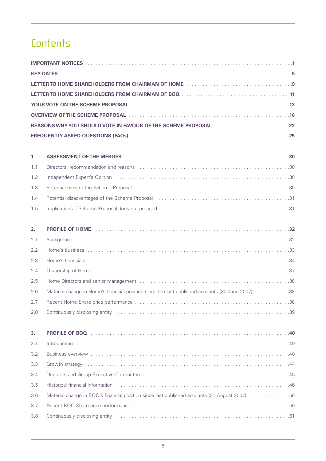# **Contents**

| KEY DATES A A A A LOCAL AND A LOCAL A LOCAL AND LOCAL A LOCAL AND LOCAL A LOCAL A LOCAL AND LOCAL A LOCAL A LOCAL A LOCAL AND LOCAL A LOCAL A LOCAL AND LOCAL A LOCAL AND LOCAL A LOCAL A LOCAL AND LOCAL A LOCAL AND LOCAL A |  |
|-------------------------------------------------------------------------------------------------------------------------------------------------------------------------------------------------------------------------------|--|
|                                                                                                                                                                                                                               |  |
|                                                                                                                                                                                                                               |  |
| YOUR VOTE ON THE SCHEME PROPOSAL ACCOMODIATION CONTROL CONTROL AND THE SCHEME PROPOSAL                                                                                                                                        |  |
| OVERVIEW OF THE SCHEME PROPOSAL ACCORDING TO THE SCHEME PROPOSAL ACCORDING TO ACCOUNT A CONTROL CONTROL OF THE                                                                                                                |  |
|                                                                                                                                                                                                                               |  |
| FREQUENTLY ASKED QUESTIONS (FAQs) And a contract the contract of the contract of the contract of the contract of the contract of the contract of the contract of the contract of the contract of the contract of the contract |  |

| 2.  |                                                                                                  |
|-----|--------------------------------------------------------------------------------------------------|
| 2.1 |                                                                                                  |
| 2.2 |                                                                                                  |
| 2.3 |                                                                                                  |
| 2.4 |                                                                                                  |
| 2.5 |                                                                                                  |
| 2.6 | Material change in Home's financial position since the last published accounts (30 June 2007) 38 |
| 2.7 |                                                                                                  |
| 2.8 |                                                                                                  |
|     |                                                                                                  |
|     |                                                                                                  |
| 3.  |                                                                                                  |
| 3.1 |                                                                                                  |
| 3.2 |                                                                                                  |
| 3.3 |                                                                                                  |
| 3.4 |                                                                                                  |
| 3.5 |                                                                                                  |
| 3.6 | Material change in BOQ's financial position since last published accounts (31 August 2007) 50    |
| 3.7 |                                                                                                  |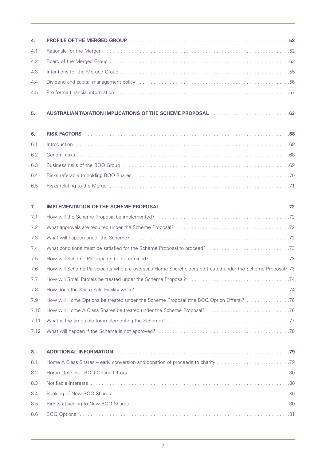| 4.   |                                                                                                                                                                                                                                |
|------|--------------------------------------------------------------------------------------------------------------------------------------------------------------------------------------------------------------------------------|
| 4.1  |                                                                                                                                                                                                                                |
| 4.2  |                                                                                                                                                                                                                                |
| 4.3  |                                                                                                                                                                                                                                |
| 4.4  |                                                                                                                                                                                                                                |
| 4.5  | Fro forma financial information in the context of the context of the context of the context of the context of the context of the context of the context of the context of the context of the context of the context of the con |
| 5.   | AUSTRALIAN TAXATION IMPLICATIONS OF THE SCHEME PROPOSAL [1][[[[[[[[[[[[[[[[[[[[[[]]]]]]]]]                                                                                                                                     |
| 6.   |                                                                                                                                                                                                                                |
| 6.1  | $\blacksquare$                                                                                                                                                                                                                 |
| 6.2  |                                                                                                                                                                                                                                |
| 6.3  |                                                                                                                                                                                                                                |
| 6.4  |                                                                                                                                                                                                                                |
| 6.5  |                                                                                                                                                                                                                                |
| 7.   | IMPLEMENTATION OF THE SCHEME PROPOSAL NARROW AND CONTROL AND AN INCOMERCIAL ASSESSMENT AT A LOCAL TRANSPORTER THE SCHEME PROPOSAL NARROW AND THE SCHEME PROPOSAL NARROW AND THE SCHEME PROPOSAL NARROW AND THE SCHEME PROPOSAL |
| 7.1  |                                                                                                                                                                                                                                |
| 7.2  |                                                                                                                                                                                                                                |
| 7.3  |                                                                                                                                                                                                                                |
| 7.4  |                                                                                                                                                                                                                                |
| 7.5  |                                                                                                                                                                                                                                |
| 7.6  | How will Scheme Participants who are overseas Home Shareholders be treated under the Scheme Proposal? 73                                                                                                                       |
|      |                                                                                                                                                                                                                                |
| 7.8  |                                                                                                                                                                                                                                |
| 7.9  | How will Home Options be treated under the Scheme Proposal (the BOQ Option Offers)? 76                                                                                                                                         |
| 7.10 |                                                                                                                                                                                                                                |
| 7.11 |                                                                                                                                                                                                                                |
| 7.12 |                                                                                                                                                                                                                                |
| 8.   |                                                                                                                                                                                                                                |
| 8.1  | Home A Class Shares – early conversion and donation of proceeds to charity 79                                                                                                                                                  |
| 8.2  |                                                                                                                                                                                                                                |
| 8.3  |                                                                                                                                                                                                                                |
| 8.4  |                                                                                                                                                                                                                                |
| 8.5  |                                                                                                                                                                                                                                |
| 8.6  |                                                                                                                                                                                                                                |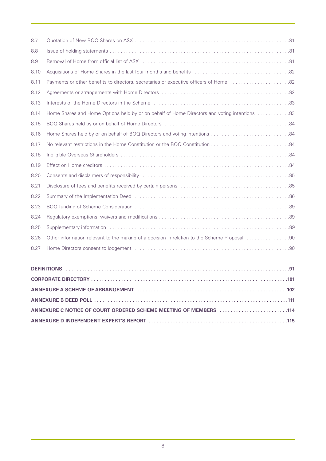| 8.7  |                                                                                               |
|------|-----------------------------------------------------------------------------------------------|
| 8.8  |                                                                                               |
| 8.9  |                                                                                               |
| 8.10 |                                                                                               |
| 8.11 |                                                                                               |
| 8.12 |                                                                                               |
| 8.13 |                                                                                               |
| 8.14 | Bome Shares and Home Options held by or on behalf of Home Directors and voting intentions  83 |
| 8.15 |                                                                                               |
| 8.16 |                                                                                               |
| 8.17 |                                                                                               |
| 8.18 |                                                                                               |
| 8.19 |                                                                                               |
| 8.20 |                                                                                               |
| 8.21 |                                                                                               |
| 8.22 |                                                                                               |
| 8.23 |                                                                                               |
| 8.24 |                                                                                               |
| 8.25 |                                                                                               |
| 8.26 |                                                                                               |
| 8.27 |                                                                                               |
|      |                                                                                               |
|      |                                                                                               |
|      |                                                                                               |

| ANNEXURE C NOTICE OF COURT ORDERED SCHEME MEETING OF MEMBERS 114 |  |
|------------------------------------------------------------------|--|
|                                                                  |  |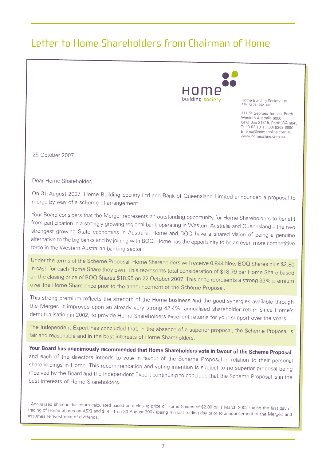# Letter to Home Shareholders from Chairman of Home



Home Building Society Ltd ABN 72 051 900 380

111 St Georges Terrace, Perth Western Australia 6000 GPO Box S1315, Perth WA 6845 T: 13 63 13 F: (08) 9263 6699 E: email@homeonline.com.au www.homeonline.com.au

25 October 2007

Dear Home Shareholder,

On <sup>31</sup> August 2007, Home Building Society Ltd and Bank of Queensland Limited announced <sup>a</sup> proposal to merge by way of <sup>a</sup> scheme of arrangement.

Your Board considers that the Merger represents an outstanding opportunity for Home Shareholders to benefit from participation in <sup>a</sup> strongly growing regional bank operating in Western Australia and Queensland – the two strongest growing State economies in Australia. Home and BOQ have <sup>a</sup> shared vision of being <sup>a</sup> genuine alternative to the big banks and by joining with BOQ, Home has the opportunity to be an even more competitive force in the Western Australian banking sector.

Under the terms of the Scheme Proposal, Home Shareholders will receive 0.844 New BOQ Shares plus \$2.80 in cash for each Home Share they own. This represents total consideration of \$18.79 per Home Share based on the closing price of BOQ Shares \$18.95 on <sup>22</sup> October 2007. This price represents <sup>a</sup> strong 33% premium over the Home Share price prior to the announcement of the Scheme Proposal.

This strong premium reflects the strength of the Home business and the good synergies available through the Merger. It improves upon an already very strong 42.4%<sup>1</sup> annualised shareholder return since Home's demutualisation in 2002, to provide Home Shareholders excellent returns for your support over the years.

The Independent Expert has concluded that, in the absence of <sup>a</sup> superior proposal, the Scheme Proposal is fair and reasonable and in the best interests of Home Shareholders.

Your Board has unanimously recommended that Home Shareholders vote in favour of the Scheme Proposal, and each of the directors intends to vote in favour of the Scheme Proposal in relation to their personal shareholdings in Home. This recommendation and voting intention is subject to no superior proposal being received by the Board and the Independent Expert continuing to conclude that the Scheme Proposal is in the best interests of Home Shareholders.

<sup>1</sup> Annualised shareholder return calculated based on <sup>a</sup> closing price of Home Shares of \$2.80 on <sup>1</sup> March <sup>2002</sup> (being the first day of trading of Home Shares on ASX) and \$14.11 on <sup>30</sup> August <sup>2007</sup> (being the last trading day prior to announcement of the Merger) and assumes reinvestment of dividends.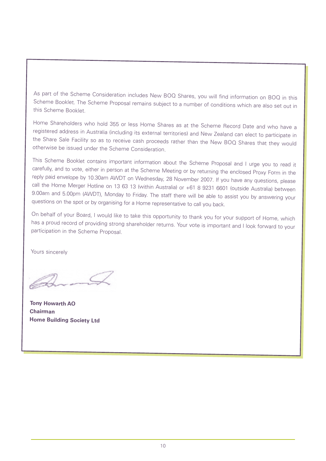As part of the Scheme Consideration includes New BOQ Shares, you will find information on BOQ in this Scheme Booklet. The Scheme Proposal remains subject to <sup>a</sup> number of conditions which are also set out in this Scheme Booklet.

Home Shareholders who hold <sup>355</sup> or less Home Shares as at the Scheme Record Date and who have <sup>a</sup> registered address in Australia (including its external territories) and New Zealand can elect to participate in the Share Sale Facility so as to receive cash proceeds rather than the New BOQ Shares that they would otherwise be issued under the Scheme Consideration.

This Scheme Booklet contains important information about the Scheme Proposal and <sup>I</sup> urge you to read it carefully, and to vote, either in person at the Scheme Meeting or by returning the enclosed Proxy Form in the reply paid envelope by 10.30am AWDT on Wednesday, <sup>28</sup> November 2007. If you have any questions, please call the Home Merger Hotline on <sup>13</sup> <sup>63</sup> <sup>13</sup> (within Australia) or +61 <sup>8</sup> <sup>9231</sup> <sup>6601</sup> (outside Australia) between 9.00am and 5.00pm (AWDT), Monday to Friday. The staff there will be able to assist you by answering your questions on the spot or by organising for <sup>a</sup> Home representative to call you back.

On behalf of your Board, <sup>I</sup> would like to take this opportunity to thank you for your support of Home, which has <sup>a</sup> proud record of providing strong shareholder returns. Your vote is important and <sup>I</sup> look forward to your participation in the Scheme Proposal.

Yours sincerely

**Tony Howarth AO Chairman Home Building Society Ltd**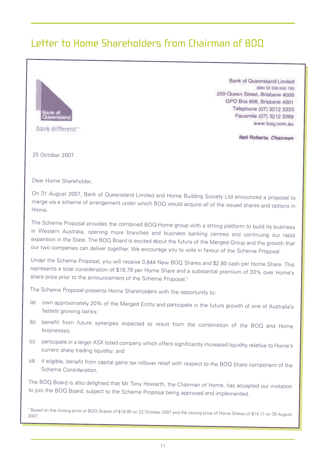# Letter to Home Shareholders from Chairman of BOQ

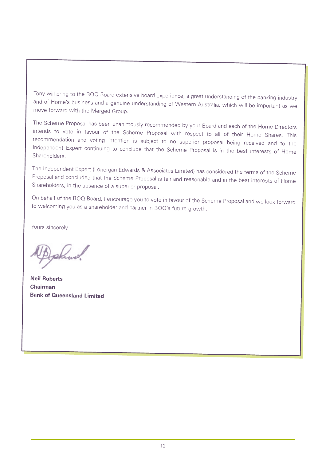Tony will bring to the BOQ Board extensive board experience, <sup>a</sup> great understanding of the banking industry and of Home's business and <sup>a</sup> genuine understanding of Western Australia, which will be important as we move forward with the Merged Group.

The Scheme Proposal has been unanimously recommended by your Board and each of the Home Directors intends to vote in favour of the Scheme Proposal with respect to all of their Home Shares. This recommendation and voting intention is subject to no superior proposal being received and to the Independent Expert continuing to conclude that the Scheme Proposal is in the best interests of Home **Shareholders** 

The Independent Expert (Lonergan Edwards & Associates Limited) has considered the terms of the Scheme Proposal and concluded that the Scheme Proposal is fair and reasonable and in the best interests of Home Shareholders, in the absence of <sup>a</sup> superior proposal.

On behalf of the BOQ Board, <sup>I</sup> encourage you to vote in favour of the Scheme Proposal and we look forward to welcoming you as <sup>a</sup> shareholder and partner in BOQ's future growth.

Yours sincerely

akura

**Neil Roberts Chairman Bank of Queensland Limited**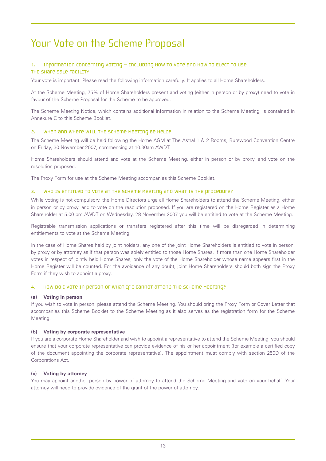# Your Vote on the Scheme Proposal

# 1. Information concerning voting – including How to Vote and How to Elect to use the Share Sale Facility

Your vote is important. Please read the following information carefully. It applies to all Home Shareholders.

At the Scheme Meeting, 75% of Home Shareholders present and voting (either in person or by proxy) need to vote in favour of the Scheme Proposal for the Scheme to be approved.

The Scheme Meeting Notice, which contains additional information in relation to the Scheme Meeting, is contained in Annexure C to this Scheme Booklet.

# 2. WHEN and WHETE WILL THE SCHEME MEETING BE HELD?

The Scheme Meeting will be held following the Home AGM at The Astral 1 & 2 Rooms, Burswood Convention Centre on Friday, 30 November 2007, commencing at 10.30am AWDT.

Home Shareholders should attend and vote at the Scheme Meeting, either in person or by proxy, and vote on the resolution proposed.

The Proxy Form for use at the Scheme Meeting accompanies this Scheme Booklet.

#### 3. Who is entitled to vote at the Scheme Meeting and what is the procedure?

While voting is not compulsory, the Home Directors urge all Home Shareholders to attend the Scheme Meeting, either in person or by proxy, and to vote on the resolution proposed. If you are registered on the Home Register as a Home Shareholder at 5.00 pm AWDT on Wednesday, 28 November 2007 you will be entitled to vote at the Scheme Meeting.

Registrable transmission applications or transfers registered after this time will be disregarded in determining entitlements to vote at the Scheme Meeting.

In the case of Home Shares held by joint holders, any one of the joint Home Shareholders is entitled to vote in person, by proxy or by attorney as if that person was solely entitled to those Home Shares. If more than one Home Shareholder votes in respect of jointly held Home Shares, only the vote of the Home Shareholder whose name appears first in the Home Register will be counted. For the avoidance of any doubt, joint Home Shareholders should both sign the Proxy Form if they wish to appoint a proxy.

#### 4. How do I vote in person or what If I cannot attend the scheme Meeting?

#### **(a) Voting in person**

If you wish to vote in person, please attend the Scheme Meeting. You should bring the Proxy Form or Cover Letter that accompanies this Scheme Booklet to the Scheme Meeting as it also serves as the registration form for the Scheme Meeting.

# **(b) Voting by corporate representative**

If you are a corporate Home Shareholder and wish to appoint a representative to attend the Scheme Meeting, you should ensure that your corporate representative can provide evidence of his or her appointment (for example a certified copy of the document appointing the corporate representative). The appointment must comply with section 250D of the Corporations Act.

#### **(c) Voting by attorney**

You may appoint another person by power of attorney to attend the Scheme Meeting and vote on your behalf. Your attorney will need to provide evidence of the grant of the power of attorney.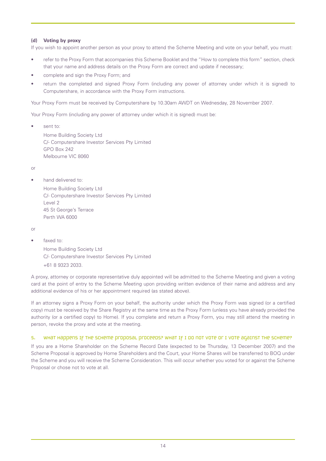# **(d) Voting by proxy**

If you wish to appoint another person as your proxy to attend the Scheme Meeting and vote on your behalf, you must:

- refer to the Proxy Form that accompanies this Scheme Booklet and the "How to complete this form" section, check that your name and address details on the Proxy Form are correct and update if necessary;
- complete and sign the Proxy Form; and
- return the completed and signed Proxy Form (including any power of attorney under which it is signed) to Computershare, in accordance with the Proxy Form instructions.

Your Proxy Form must be received by Computershare by 10.30am AWDT on Wednesday, 28 November 2007.

Your Proxy Form (including any power of attorney under which it is signed) must be:

sent to:

Home Building Society Ltd C/- Computershare Investor Services Pty Limited GPO Box 242 Melbourne VIC 8060

or

hand delivered to:

Home Building Society Ltd C/- Computershare Investor Services Pty Limited Level 2 45 St George's Terrace Perth WA 6000

or

• faxed to:

Home Building Society Ltd C/- Computershare Investor Services Pty Limited +61 8 9323 2033.

A proxy, attorney or corporate representative duly appointed will be admitted to the Scheme Meeting and given a voting card at the point of entry to the Scheme Meeting upon providing written evidence of their name and address and any additional evidence of his or her appointment required (as stated above).

If an attorney signs a Proxy Form on your behalf, the authority under which the Proxy Form was signed (or a certified copy) must be received by the Share Registry at the same time as the Proxy Form (unless you have already provided the authority (or a certified copy) to Home). If you complete and return a Proxy Form, you may still attend the meeting in person, revoke the proxy and vote at the meeting.

# 5. What Happens IF THE SCHEME proposal proceeds? What IF I do not vote or I vote against the Scheme?

If you are a Home Shareholder on the Scheme Record Date (expected to be Thursday, 13 December 2007) and the Scheme Proposal is approved by Home Shareholders and the Court, your Home Shares will be transferred to BOQ under the Scheme and you will receive the Scheme Consideration. This will occur whether you voted for or against the Scheme Proposal or chose not to vote at all.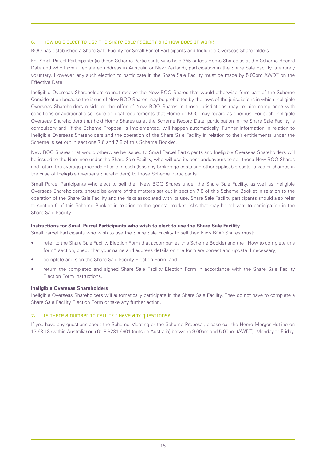# 6. How do I elect to use the Share Sale Facility and how does it work?

BOQ has established a Share Sale Facility for Small Parcel Participants and Ineligible Overseas Shareholders.

For Small Parcel Participants (ie those Scheme Participants who hold 355 or less Home Shares as at the Scheme Record Date and who have a registered address in Australia or New Zealand), participation in the Share Sale Facility is entirely voluntary. However, any such election to participate in the Share Sale Facility must be made by 5.00pm AWDT on the Effective Date.

Ineligible Overseas Shareholders cannot receive the New BOQ Shares that would otherwise form part of the Scheme Consideration because the issue of New BOQ Shares may be prohibited by the laws of the jurisdictions in which Ineligible Overseas Shareholders reside or the offer of New BOQ Shares in those jurisdictions may require compliance with conditions or additional disclosure or legal requirements that Home or BOQ may regard as onerous. For such Ineligible Overseas Shareholders that hold Home Shares as at the Scheme Record Date, participation in the Share Sale Facility is compulsory and, if the Scheme Proposal is Implemented, will happen automatically. Further information in relation to Ineligible Overseas Shareholders and the operation of the Share Sale Facility in relation to their entitlements under the Scheme is set out in sections 7.6 and 7.8 of this Scheme Booklet.

New BOQ Shares that would otherwise be issued to Small Parcel Participants and Ineligible Overseas Shareholders will be issued to the Nominee under the Share Sale Facility, who will use its best endeavours to sell those New BOQ Shares and return the average proceeds of sale in cash (less any brokerage costs and other applicable costs, taxes or charges in the case of Ineligible Overseas Shareholders) to those Scheme Participants.

Small Parcel Participants who elect to sell their New BOQ Shares under the Share Sale Facility, as well as Ineligible Overseas Shareholders, should be aware of the matters set out in section 7.8 of this Scheme Booklet in relation to the operation of the Share Sale Facility and the risks associated with its use. Share Sale Facility participants should also refer to section 6 of this Scheme Booklet in relation to the general market risks that may be relevant to participation in the Share Sale Facility.

# **Instructions for Small Parcel Participants who wish to elect to use the Share Sale Facility**

Small Parcel Participants who wish to use the Share Sale Facility to sell their New BOQ Shares must:

- refer to the Share Sale Facility Election Form that accompanies this Scheme Booklet and the "How to complete this form" section, check that your name and address details on the form are correct and update if necessary;
- complete and sign the Share Sale Facility Election Form; and
- return the completed and signed Share Sale Facility Election Form in accordance with the Share Sale Facility Election Form instructions.

#### **Ineligible Overseas Shareholders**

Ineligible Overseas Shareholders will automatically participate in the Share Sale Facility. They do not have to complete a Share Sale Facility Election Form or take any further action.

### 7. Is there a number to call if I have any questions?

If you have any questions about the Scheme Meeting or the Scheme Proposal, please call the Home Merger Hotline on 13 63 13 (within Australia) or +61 8 9231 6601 (outside Australia) between 9.00am and 5.00pm (AWDT), Monday to Friday.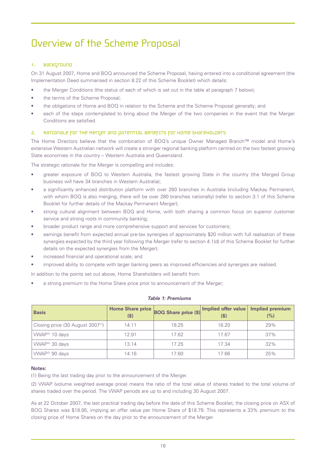# Overview of the Scheme Proposal

# 1. Background

On 31 August 2007, Home and BOQ announced the Scheme Proposal, having entered into a conditional agreement (the Implementation Deed summarised in section 8.22 of this Scheme Booklet) which details:

- the Merger Conditions (the status of each of which is set out in the table at paragraph 7 below);
- the terms of the Scheme Proposal;
- the obligations of Home and BOQ in relation to the Scheme and the Scheme Proposal generally; and
- each of the steps contemplated to bring about the Merger of the two companies in the event that the Merger Conditions are satisfied.

# 2. Rationale for the Merger and potential benefits for Home Shareholders

The Home Directors believe that the combination of BOQ's unique Owner Managed Branch™ model and Home's extensive Western Australian network will create a stronger regional banking platform centred on the two fastest growing State economies in the country – Western Australia and Queensland.

The strategic rationale for the Merger is compelling and includes:

- greater exposure of BOQ to Western Australia, the fastest growing State in the country (the Merged Group business will have 34 branches in Western Australia);
- a significantly enhanced distribution platform with over 260 branches in Australia (including Mackay Permanent, with whom BOQ is also merging, there will be over 280 branches nationally) (refer to section 3.1 of this Scheme Booklet for further details of the Mackay Permanent Merger);
- strong cultural alignment between BOQ and Home, with both sharing a common focus on superior customer service and strong roots in community banking;
- broader product range and more comprehensive support and services for customers;
- earnings benefit from expected annual pre-tax synergies of approximately \$20 million with full realisation of these synergies expected by the third year following the Merger (refer to section 4.1(d) of this Scheme Booklet for further details on the expected synergies from the Merger);
- increased financial and operational scale; and
- improved ability to compete with larger banking peers as improved efficiencies and synergies are realised.

In addition to the points set out above, Home Shareholders will benefit from:

a strong premium to the Home Share price prior to announcement of the Merger;

| <b>Basis</b>                                   | (S)   | Home Share price BOQ Share price (\$) | Implied offer value<br>(S) | <b>Implied premium</b><br>(%) |
|------------------------------------------------|-------|---------------------------------------|----------------------------|-------------------------------|
| Closing price (30 August 2007 <sup>(1)</sup> ) | 14.11 | 18.25                                 | 18.20                      | 29%                           |
| VWAP <sup>(2)</sup> 10 days                    | 12.91 | 17.62                                 | 17.67                      | 37%                           |
| VWAP <sup>(2)</sup> 30 days                    | 13.14 | 17.25                                 | 17.34                      | 32%                           |
| VWAP <sup>(2)</sup> 90 days                    | 14.16 | 17.60                                 | 17.66                      | 25%                           |

#### *Table 1: Premiums*

#### **Notes:**

(1) Being the last trading day prior to the announcement of the Merger.

(2) VWAP (volume weighted average price) means the ratio of the total value of shares traded to the total volume of shares traded over the period. The VWAP periods are up to and including 30 August 2007.

As at 22 October 2007, the last practical trading day before the date of this Scheme Booklet, the closing price on ASX of BOQ Shares was \$18.95, implying an offer value per Home Share of \$18.79. This represents a 33% premium to the closing price of Home Shares on the day prior to the announcement of the Merger.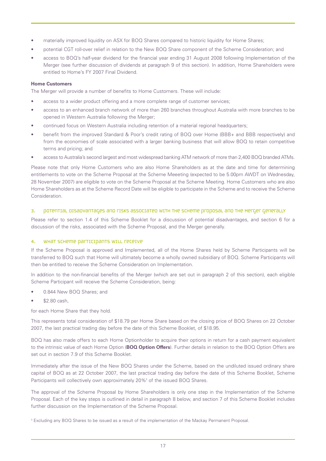- materially improved liquidity on ASX for BOQ Shares compared to historic liquidity for Home Shares;
- potential CGT roll-over relief in relation to the New BOQ Share component of the Scheme Consideration; and
- access to BOQ's half-year dividend for the financial year ending 31 August 2008 following Implementation of the Merger (see further discussion of dividends at paragraph 9 of this section). In addition, Home Shareholders were entitled to Home's FY 2007 Final Dividend.

# **Home Customers**

The Merger will provide a number of benefits to Home Customers. These will include:

- access to a wider product offering and a more complete range of customer services;
- access to an enhanced branch network of more than 260 branches throughout Australia with more branches to be opened in Western Australia following the Merger;
- continued focus on Western Australia including retention of a material regional headquarters;
- benefit from the improved Standard & Poor's credit rating of BOQ over Home (BBB+ and BBB respectively) and from the economies of scale associated with a larger banking business that will allow BOQ to retain competitive terms and pricing; and
- access to Australia's second largest and most widespread banking ATM network of more than 2,400 BOQ branded ATMs.

Please note that only Home Customers who are also Home Shareholders as at the date and time for determining entitlements to vote on the Scheme Proposal at the Scheme Meeeting (expected to be 5.00pm AWDT on Wednesday, 28 November 2007) are eligible to vote on the Scheme Proposal at the Scheme Meeting. Home Customers who are also Home Shareholders as at the Scheme Record Date will be eligible to participate in the Scheme and to receive the Scheme Consideration.

#### 3. potential disadvantages and risks associated with the scheme proposal and the Merger generally

Please refer to section 1.4 of this Scheme Booklet for a discussion of potential disadvantages, and section 6 for a discussion of the risks, associated with the Scheme Proposal, and the Merger generally.

# 4. WHAT SCHEME PARTICIPANTS WILL RECEIVE

If the Scheme Proposal is approved and Implemented, all of the Home Shares held by Scheme Participants will be transferred to BOQ such that Home will ultimately become a wholly owned subsidiary of BOQ. Scheme Participants will then be entitled to receive the Scheme Consideration on Implementation.

In addition to the non-financial benefits of the Merger (which are set out in paragraph 2 of this section), each eligible Scheme Participant will receive the Scheme Consideration, being:

- 0.844 New BOQ Shares; and
- \$2.80 cash,

for each Home Share that they hold.

This represents total consideration of \$18.79 per Home Share based on the closing price of BOQ Shares on 22 October 2007, the last practical trading day before the date of this Scheme Booklet, of \$18.95.

BOQ has also made offers to each Home Optionholder to acquire their options in return for a cash payment equivalent to the intrinsic value of each Home Option (**BOQ Option Offers**). Further details in relation to the BOQ Option Offers are set out in section 7.9 of this Scheme Booklet.

Immediately after the issue of the New BOQ Shares under the Scheme, based on the undiluted issued ordinary share capital of BOQ as at 22 October 2007, the last practical trading day before the date of this Scheme Booklet, Scheme Participants will collectively own approximately 20%<sup>3</sup> of the issued BOQ Shares.

The approval of the Scheme Proposal by Home Shareholders is only one step in the Implementation of the Scheme Proposal. Each of the key steps is outlined in detail in paragraph 8 below, and section 7 of this Scheme Booklet includes further discussion on the Implementation of the Scheme Proposal.

<sup>3</sup> Excluding any BOQ Shares to be issued as a result of the implementation of the Mackay Permanent Proposal.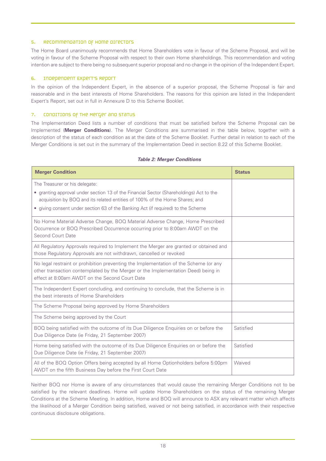### 5. Recommendation of Home Directors

The Home Board unanimously recommends that Home Shareholders vote in favour of the Scheme Proposal, and will be voting in favour of the Scheme Proposal with respect to their own Home shareholdings. This recommendation and voting intention are subject to there being no subsequent superior proposal and no change in the opinion of the Independent Expert.

# 6. Independent Expert's Report

In the opinion of the Independent Expert, in the absence of a superior proposal, the Scheme Proposal is fair and reasonable and in the best interests of Home Shareholders. The reasons for this opinion are listed in the Independent Expert's Report, set out in full in Annexure D to this Scheme Booklet.

#### 7. CONDITIONS OF THE METGET AND STATUS

The Implementation Deed lists a number of conditions that must be satisfied before the Scheme Proposal can be Implemented (**Merger Conditions**). The Merger Conditions are summarised in the table below, together with a description of the status of each condition as at the date of the Scheme Booklet. Further detail in relation to each of the Merger Conditions is set out in the summary of the Implementation Deed in section 8.22 of this Scheme Booklet.

| <b>Merger Condition</b>                                                                                                                                                                                                                                                                      | <b>Status</b> |
|----------------------------------------------------------------------------------------------------------------------------------------------------------------------------------------------------------------------------------------------------------------------------------------------|---------------|
| The Treasurer or his delegate:<br>• granting approval under section 13 of the Financial Sector (Shareholdings) Act to the<br>acquisition by BOQ and its related entities of 100% of the Home Shares; and<br>• giving consent under section 63 of the Banking Act (if required) to the Scheme |               |
| No Home Material Adverse Change, BOQ Material Adverse Change, Home Prescribed<br>Occurrence or BOQ Prescribed Occurrence occurring prior to 8:00am AWDT on the<br><b>Second Court Date</b>                                                                                                   |               |
| All Regulatory Approvals required to Implement the Merger are granted or obtained and<br>those Regulatory Approvals are not withdrawn, cancelled or revoked                                                                                                                                  |               |
| No legal restraint or prohibition preventing the Implementation of the Scheme (or any<br>other transaction contemplated by the Merger or the Implementation Deed) being in<br>effect at 8:00am AWDT on the Second Court Date                                                                 |               |
| The Independent Expert concluding, and continuing to conclude, that the Scheme is in<br>the best interests of Home Shareholders                                                                                                                                                              |               |
| The Scheme Proposal being approved by Home Shareholders                                                                                                                                                                                                                                      |               |
| The Scheme being approved by the Court                                                                                                                                                                                                                                                       |               |
| BOQ being satisfied with the outcome of its Due Diligence Enquiries on or before the<br>Due Diligence Date (ie Friday, 21 September 2007)                                                                                                                                                    | Satisfied     |
| Home being satisfied with the outcome of its Due Diligence Enquiries on or before the<br>Due Diligence Date (ie Friday, 21 September 2007)                                                                                                                                                   | Satisfied     |
| All of the BOQ Option Offers being accepted by all Home Optionholders before 5:00pm<br>AWDT on the fifth Business Day before the First Court Date                                                                                                                                            | Waived        |

# *Table 2: Merger Conditions*

Neither BOQ nor Home is aware of any circumstances that would cause the remaining Merger Conditions not to be satisfied by the relevant deadlines. Home will update Home Shareholders on the status of the remaining Merger Conditions at the Scheme Meeting. In addition, Home and BOQ will announce to ASX any relevant matter which affects the likelihood of a Merger Condition being satisfied, waived or not being satisfied, in accordance with their respective continuous disclosure obligations.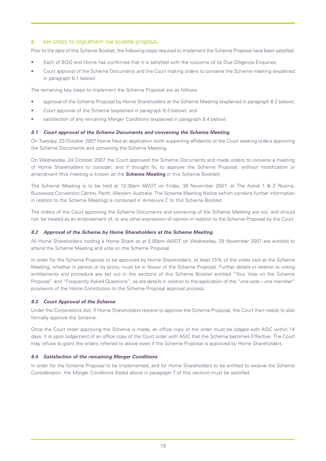# 8. Key steps to implement the scheme proposal

Prior to the date of this Scheme Booklet, the following steps required to Implement the Scheme Proposal have been satisfied.

- Each of BOQ and Home has confirmed that it is satisfied with the outcome of its Due Diligence Enquiries.
- Court approval of the Scheme Documents and the Court making orders to convene the Scheme meeting (explained in paragraph 8.1 below).

The remaining key steps to implement the Scheme Proposal are as follows:

- approval of the Scheme Proposal by Home Shareholders at the Scheme Meeting (explained in paragraph 8.2 below);
- Court approval of the Scheme (explained in paragraph 8.3 below); and
- satisfaction of any remaining Merger Conditions (explained in paragraph 8.4 below).

# *8.1 Court approval of the Scheme Documents and convening the Scheme Meeting*

On Tuesday, 23 October 2007 Home filed an application (with supporting affidavits) at the Court seeking orders approving the Scheme Documents and convening the Scheme Meeting.

On Wednesday, 24 October 2007 the Court approved the Scheme Documents and made orders to convene a meeting of Home Shareholders to consider, and if thought fit, to approve the Scheme Proposal, without modification or amendment (this meeting is known as the **Scheme Meeting** in this Scheme Booklet).

The Scheme Meeting is to be held at 10.30am AWDT on Friday, 30 November 2007, at The Astral 1 & 2 Rooms, Burswood Convention Centre, Perth, Western Australia. The Scheme Meeting Notice (which contains further information in relation to the Scheme Meeting) is contained in Annexure C to this Scheme Booklet.

The orders of the Court approving the Scheme Documents and convening of the Scheme Meeting are not, and should not, be treated as an endorsement of, or any other expression of opinion in relation to the Scheme Proposal by the Court.

# *8.2 Approval of the Scheme by Home Shareholders at the Scheme Meeting*

All Home Shareholders holding a Home Share as at 5.00pm AWDT on Wednesday, 28 November 2007 are entitled to attend the Scheme Meeting and vote on the Scheme Proposal.

In order for the Scheme Proposal to be approved by Home Shareholders, at least 75% of the votes cast at the Scheme Meeting, whether in person or by proxy, must be in favour of the Scheme Proposal. Further details in relation to voting entitlements and procedure are set out in the sections of this Scheme Booklet entitled "Your Vote on the Scheme Proposal" and "Frequently Asked Questions", as are details in relation to the application of the "*one vote – one member*" provisions of the Home Constitution to the Scheme Proposal approval process.

# *8.3 Court Approval of the Scheme*

Under the Corporations Act, if Home Shareholders resolve to approve the Scheme Proposal, the Court then needs to also formally approve the Scheme.

Once the Court order approving the Scheme is made, an office copy of the order must be lodged with ASIC within 14 days. It is upon lodgement of an office copy of the Court order with ASIC that the Scheme becomes Effective. The Court may refuse to grant the orders referred to above even if the Scheme Proposal is approved by Home Shareholders.

# *8.4 Satisfaction of the remaining Merger Conditions*

In order for the Scheme Proposal to be Implemented, and for Home Shareholders to be entitled to receive the Scheme Consideration, the Merger Conditions (listed above in paragraph 7 of this section) must be satisfied.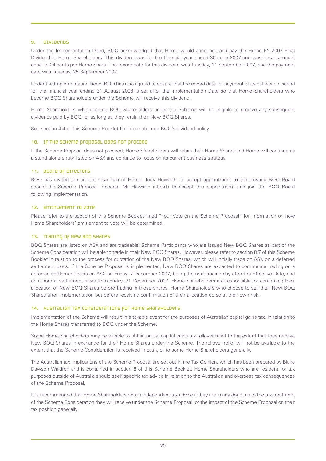#### 9. Dividends

Under the Implementation Deed, BOQ acknowledged that Home would announce and pay the Home FY 2007 Final Dividend to Home Shareholders. This dividend was for the financial year ended 30 June 2007 and was for an amount equal to 24 cents per Home Share. The record date for this dividend was Tuesday, 11 September 2007, and the payment date was Tuesday, 25 September 2007.

Under the Implementation Deed, BOQ has also agreed to ensure that the record date for payment of its half-year dividend for the financial year ending 31 August 2008 is set after the Implementation Date so that Home Shareholders who become BOQ Shareholders under the Scheme will receive this dividend.

Home Shareholders who become BOQ Shareholders under the Scheme will be eligible to receive any subsequent dividends paid by BOQ for as long as they retain their New BOQ Shares.

See section 4.4 of this Scheme Booklet for information on BOQ's dividend policy.

# 10. IF THE SCHEME proposal does not proceed

If the Scheme Proposal does not proceed, Home Shareholders will retain their Home Shares and Home will continue as a stand alone entity listed on ASX and continue to focus on its current business strategy.

#### 11. Board of directors

BOQ has invited the current Chairman of Home, Tony Howarth, to accept appointment to the existing BOQ Board should the Scheme Proposal proceed. Mr Howarth intends to accept this appointment and join the BOQ Board following Implementation.

#### 12. ENTITLEMENT TO VOTE

Please refer to the section of this Scheme Booklet titled "Your Vote on the Scheme Proposal" for information on how Home Shareholders' entitlement to vote will be determined.

# 13. Trading of New BOQ Shares

BOQ Shares are listed on ASX and are tradeable. Scheme Participants who are issued New BOQ Shares as part of the Scheme Consideration will be able to trade in their New BOQ Shares. However, please refer to section 8.7 of this Scheme Booklet in relation to the process for quotation of the New BOQ Shares, which will initially trade on ASX on a deferred settlement basis. If the Scheme Proposal is implemented, New BOQ Shares are expected to commence trading on a deferred settlement basis on ASX on Friday, 7 December 2007, being the next trading day after the Effective Date, and on a normal settlement basis from Friday, 21 December 2007. Home Shareholders are responsible for confirming their allocation of New BOQ Shares before trading in those shares. Home Shareholders who choose to sell their New BOQ Shares after Implementation but before receiving confirmation of their allocation do so at their own risk.

# 14. Australian tax considerations for Home Shareholders

Implementation of the Scheme will result in a taxable event for the purposes of Australian capital gains tax, in relation to the Home Shares transferred to BOQ under the Scheme.

Some Home Shareholders may be eligible to obtain partial capital gains tax rollover relief to the extent that they receive New BOQ Shares in exchange for their Home Shares under the Scheme. The rollover relief will not be available to the extent that the Scheme Consideration is received in cash, or to some Home Shareholders generally.

The Australian tax implications of the Scheme Proposal are set out in the Tax Opinion, which has been prepared by Blake Dawson Waldron and is contained in section 5 of this Scheme Booklet. Home Shareholders who are resident for tax purposes outside of Australia should seek specific tax advice in relation to the Australian and overseas tax consequences of the Scheme Proposal.

It is recommended that Home Shareholders obtain independent tax advice if they are in any doubt as to the tax treatment of the Scheme Consideration they will receive under the Scheme Proposal, or the impact of the Scheme Proposal on their tax position generally.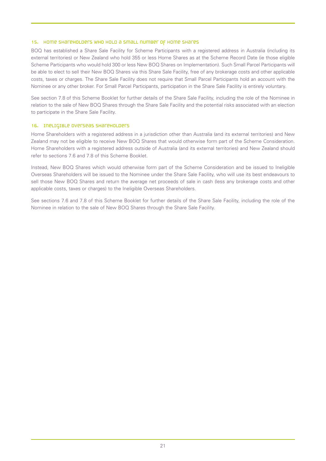#### 15. Home Shareholders who hold a small number of Home Shares

BOQ has established a Share Sale Facility for Scheme Participants with a registered address in Australia (including its external territories) or New Zealand who hold 355 or less Home Shares as at the Scheme Record Date (ie those eligible Scheme Participants who would hold 300 or less New BOQ Shares on Implementation). Such Small Parcel Participants will be able to elect to sell their New BOQ Shares via this Share Sale Facility, free of any brokerage costs and other applicable costs, taxes or charges. The Share Sale Facility does not require that Small Parcel Participants hold an account with the Nominee or any other broker. For Small Parcel Participants, participation in the Share Sale Facility is entirely voluntary.

See section 7.8 of this Scheme Booklet for further details of the Share Sale Facility, including the role of the Nominee in relation to the sale of New BOQ Shares through the Share Sale Facility and the potential risks associated with an election to participate in the Share Sale Facility.

# 16. Ineligible Overseas Shareholders

Home Shareholders with a registered address in a jurisdiction other than Australia (and its external territories) and New Zealand may not be eligible to receive New BOQ Shares that would otherwise form part of the Scheme Consideration. Home Shareholders with a registered address outside of Australia (and its external territories) and New Zealand should refer to sections 7.6 and 7.8 of this Scheme Booklet.

Instead, New BOQ Shares which would otherwise form part of the Scheme Consideration and be issued to Ineligible Overseas Shareholders will be issued to the Nominee under the Share Sale Facility, who will use its best endeavours to sell those New BOQ Shares and return the average net proceeds of sale in cash (less any brokerage costs and other applicable costs, taxes or charges) to the Ineligible Overseas Shareholders.

See sections 7.6 and 7.8 of this Scheme Booklet for further details of the Share Sale Facility, including the role of the Nominee in relation to the sale of New BOQ Shares through the Share Sale Facility.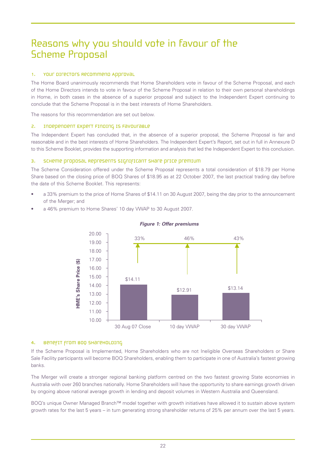# Reasons why you should vote in favour of the Scheme Proposal

# 1. Your directors Recommend Approval

The Home Board unanimously recommends that Home Shareholders vote in favour of the Scheme Proposal, and each of the Home Directors intends to vote in favour of the Scheme Proposal in relation to their own personal shareholdings in Home, in both cases in the absence of a superior proposal and subject to the Independent Expert continuing to conclude that the Scheme Proposal is in the best interests of Home Shareholders.

The reasons for this recommendation are set out below.

# 2. Independent Expert Finding is Favourable

The Independent Expert has concluded that, in the absence of a superior proposal, the Scheme Proposal is fair and reasonable and in the best interests of Home Shareholders. The Independent Expert's Report, set out in full in Annexure D to this Scheme Booklet, provides the supporting information and analysis that led the Independent Expert to this conclusion.

# 3. SCHeme proposal Represents Significant Share price premium

The Scheme Consideration offered under the Scheme Proposal represents a total consideration of \$18.79 per Home Share based on the closing price of BOQ Shares of \$18.95 as at 22 October 2007, the last practical trading day before the date of this Scheme Booklet. This represents:

- a 33% premium to the price of Home Shares of \$14.11 on 30 August 2007, being the day prior to the announcement of the Merger; and
- a 46% premium to Home Shares' 10 day VWAP to 30 August 2007.



# *Figure 1: Offer premiums*

# 4. Benefit from BOQ Shareholding

If the Scheme Proposal is Implemented, Home Shareholders who are not Ineligible Overseas Shareholders or Share Sale Facility participants will become BOQ Shareholders, enabling them to participate in one of Australia's fastest growing banks.

The Merger will create a stronger regional banking platform centred on the two fastest growing State economies in Australia with over 260 branches nationally. Home Shareholders will have the opportunity to share earnings growth driven by ongoing above national average growth in lending and deposit volumes in Western Australia and Queensland.

BOQ's unique Owner Managed Branch™ model together with growth initiatives have allowed it to sustain above system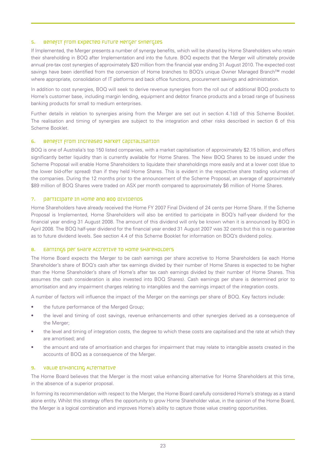#### 5. Benefit from Expected Future Merger Synergies

If Implemented, the Merger presents a number of synergy benefits, which will be shared by Home Shareholders who retain their shareholding in BOQ after Implementation and into the future. BOQ expects that the Merger will ultimately provide annual pre-tax cost synergies of approximately \$20 million from the financial year ending 31 August 2010. The expected cost savings have been identified from the conversion of Home branches to BOQ's unique Owner Managed Branch™ model where appropriate, consolidation of IT platforms and back office functions, procurement savings and administration.

In addition to cost synergies, BOQ will seek to derive revenue synergies from the roll out of additional BOQ products to Home's customer base, including margin lending, equipment and debtor finance products and a broad range of business banking products for small to medium enterprises.

Further details in relation to synergies arising from the Merger are set out in section 4.1(d) of this Scheme Booklet. The realisation and timing of synergies are subject to the integration and other risks described in section 6 of this Scheme Booklet.

# 6. Benefit from Increased Market Capitalisation

BOQ is one of Australia's top 150 listed companies, with a market capitalisation of approximately \$2.15 billion, and offers significantly better liquidity than is currently available for Home Shares. The New BOQ Shares to be issued under the Scheme Proposal will enable Home Shareholders to liquidate their shareholdings more easily and at a lower cost (due to the lower bid-offer spread) than if they held Home Shares. This is evident in the respective share trading volumes of the companies. During the 12 months prior to the announcement of the Scheme Proposal, an average of approximately \$89 million of BOQ Shares were traded on ASX per month compared to approximately \$6 million of Home Shares.

# 7. Participate in Home and BOQ Dividends

Home Shareholders have already received the Home FY 2007 Final Dividend of 24 cents per Home Share. If the Scheme Proposal is Implemented, Home Shareholders will also be entitled to participate in BOQ's half-year dividend for the financial year ending 31 August 2008. The amount of this dividend will only be known when it is announced by BOQ in April 2008. The BOQ half-year dividend for the financial year ended 31 August 2007 was 32 cents but this is no guarantee as to future dividend levels. See section 4.4 of this Scheme Booklet for information on BOQ's dividend policy.

#### 8. Earnings per share Accretive to Home Shareholders

The Home Board expects the Merger to be cash earnings per share accretive to Home Shareholders (ie each Home Shareholder's share of BOQ's cash after tax earnings divided by their number of Home Shares is expected to be higher than the Home Shareholder's share of Home's after tax cash earnings divided by their number of Home Shares. This assumes the cash consideration is also invested into BOQ Shares). Cash earnings per share is determined prior to amortisation and any impairment charges relating to intangibles and the earnings impact of the integration costs.

A number of factors will influence the impact of the Merger on the earnings per share of BOQ. Key factors include:

- the future performance of the Merged Group;
- the level and timing of cost savings, revenue enhancements and other synergies derived as a consequence of the Merger;
- the level and timing of integration costs, the degree to which these costs are capitalised and the rate at which they are amortised; and
- the amount and rate of amortisation and charges for impairment that may relate to intangible assets created in the accounts of BOQ as a consequence of the Merger.

# 9. Value Enhancing Alternative

The Home Board believes that the Merger is the most value enhancing alternative for Home Shareholders at this time, in the absence of a superior proposal.

In forming its recommendation with respect to the Merger, the Home Board carefully considered Home's strategy as a stand alone entity. Whilst this strategy offers the opportunity to grow Home Shareholder value, in the opinion of the Home Board, the Merger is a logical combination and improves Home's ability to capture those value creating opportunities.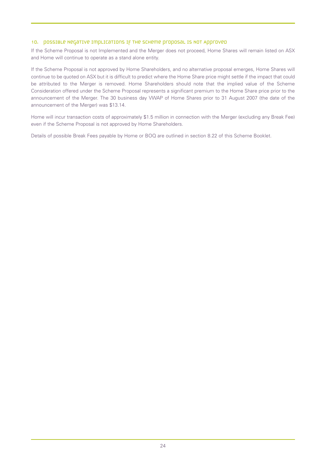### 10. possible Negative Implications if the Scheme proposal is Not Approved

If the Scheme Proposal is not Implemented and the Merger does not proceed, Home Shares will remain listed on ASX and Home will continue to operate as a stand alone entity.

If the Scheme Proposal is not approved by Home Shareholders, and no alternative proposal emerges, Home Shares will continue to be quoted on ASX but it is difficult to predict where the Home Share price might settle if the impact that could be attributed to the Merger is removed. Home Shareholders should note that the implied value of the Scheme Consideration offered under the Scheme Proposal represents a significant premium to the Home Share price prior to the announcement of the Merger. The 30 business day VWAP of Home Shares prior to 31 August 2007 (the date of the announcement of the Merger) was \$13.14.

Home will incur transaction costs of approximately \$1.5 million in connection with the Merger (excluding any Break Fee) even if the Scheme Proposal is not approved by Home Shareholders.

Details of possible Break Fees payable by Home or BOQ are outlined in section 8.22 of this Scheme Booklet.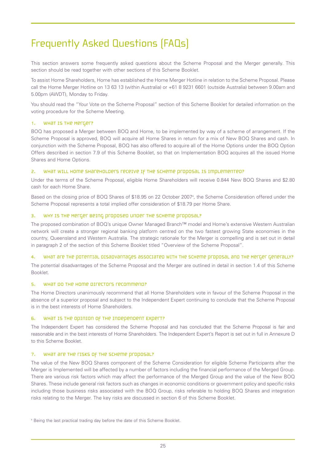# Frequently Asked Questions (FAQs)

This section answers some frequently asked questions about the Scheme Proposal and the Merger generally. This section should be read together with other sections of this Scheme Booklet.

To assist Home Shareholders, Home has established the Home Merger Hotline in relation to the Scheme Proposal. Please call the Home Merger Hotline on 13 63 13 (within Australia) or +61 8 9231 6601 (outside Australia) between 9.00am and 5.00pm (AWDT), Monday to Friday.

You should read the "Your Vote on the Scheme Proposal" section of this Scheme Booklet for detailed information on the voting procedure for the Scheme Meeting.

# 1. WHAT IS THE METGET?

BOQ has proposed a Merger between BOQ and Home, to be implemented by way of a scheme of arrangement. If the Scheme Proposal is approved, BOQ will acquire all Home Shares in return for a mix of New BOQ Shares and cash. In conjunction with the Scheme Proposal, BOQ has also offered to acquire all of the Home Options under the BOQ Option Offers described in section 7.9 of this Scheme Booklet, so that on Implementation BOQ acquires all the issued Home Shares and Home Options.

# 2. WHAT WILL HOME SHAREHOLDERS RECEIVE IF THE SCHEME PROPOSAL IS IMPLEMENTED?

Under the terms of the Scheme Proposal, eligible Home Shareholders will receive 0.844 New BOQ Shares and \$2.80 cash for each Home Share.

Based on the closing price of BOQ Shares of \$18.95 on 22 October 20074 , the Scheme Consideration offered under the Scheme Proposal represents a total implied offer consideration of \$18.79 per Home Share.

#### 3. WHY IS THE METGET BEING proposed under the Scheme proposal?

The proposed combination of BOQ's unique Owner Managed Branch™ model and Home's extensive Western Australian network will create a stronger regional banking platform centred on the two fastest growing State economies in the country, Queensland and Western Australia. The strategic rationale for the Merger is compelling and is set out in detail in paragraph 2 of the section of this Scheme Booklet titled "Overview of the Scheme Proposal".

# 4. What are the potential disadvantages associated with the scheme proposal and the Merger Generally?

The potential disadvantages of the Scheme Proposal and the Merger are outlined in detail in section 1.4 of this Scheme Booklet.

#### 5. WHAT DO THE HOME DIFECTORS RECOMMEND?

The Home Directors unanimously recommend that all Home Shareholders vote in favour of the Scheme Proposal in the absence of a superior proposal and subject to the Independent Expert continuing to conclude that the Scheme Proposal is in the best interests of Home Shareholders.

# 6. What is the opinion of the Independent Expert?

The Independent Expert has considered the Scheme Proposal and has concluded that the Scheme Proposal is fair and reasonable and in the best interests of Home Shareholders. The Independent Expert's Report is set out in full in Annexure D to this Scheme Booklet.

#### 7. WHAT Are THE FISKS OF THE SCHEME Proposal?

The value of the New BOQ Shares component of the Scheme Consideration for eligible Scheme Participants after the Merger is Implemented will be affected by a number of factors including the financial performance of the Merged Group. There are various risk factors which may affect the performance of the Merged Group and the value of the New BOQ Shares. These include general risk factors such as changes in economic conditions or government policy and specific risks including those business risks associated with the BOQ Group, risks referable to holding BOQ Shares and integration risks relating to the Merger. The key risks are discussed in section 6 of this Scheme Booklet.

<sup>4</sup> Being the last practical trading day before the date of this Scheme Booklet.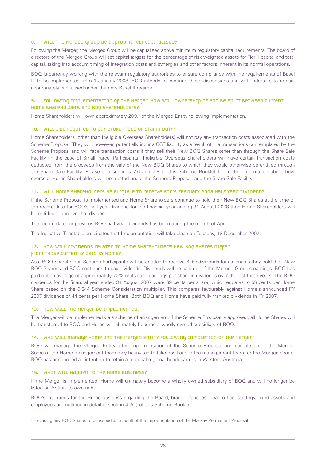#### 8. WILL THE METGED Group BE appropriately capitalised?

Following the Merger, the Merged Group will be capitalised above minimum regulatory capital requirements. The board of directors of the Merged Group will set capital targets for the percentage of risk weighted assets for Tier 1 capital and total capital, taking into account timing of integration costs and synergies and other factors inherent in its normal operations.

BOQ is currently working with the relevant regulatory authorities to ensure compliance with the requirements of Basel II, to be implemented from 1 January 2008. BOQ intends to continue these discussions and will undertake to remain appropriately capitalised under the new Basel II regime.

### 9. Following Implementation of the Merger, how will ownership of BOQ be split between current Home Shareholders and BOQ Shareholders?

Home Shareholders will own approximately 20%<sup>5</sup> of the Merged Entity following Implementation.

### 10. WILL I BE required to pay broker fees or stamp duty?

Home Shareholders (other than Ineligible Overseas Shareholders) will not pay any transaction costs associated with the Scheme Proposal. They will, however, potentially incur a CGT liability as a result of the transactions contemplated by the Scheme Proposal and will face transaction costs if they sell their New BOQ Shares other than through the Share Sale Facility (in the case of Small Parcel Participants). Ineligible Overseas Shareholders will have certain transaction costs deducted from the proceeds from the sale of the New BOQ Shares to which they would otherwise be entitled through the Share Sale Facility. Please see sections 7.6 and 7.8 of this Scheme Booklet for further information about how overseas Home Shareholders will be treated under the Scheme Proposal, and the Share Sale Facility.

#### 11. Will Home Shareholders be eligible to receive BOQ's February 2008 half year dividend?

If the Scheme Proposal is Implemented and Home Shareholders continue to hold their New BOQ Shares at the time of the record date for BOQ's half-year dividend for the financial year ending 31 August 2008 then Home Shareholders will be entitled to receive that dividend.

The record date for previous BOQ half-year dividends has been during the month of April.

The Indicative Timetable anticipates that Implementation will take place on Tuesday, 18 December 2007.

### 12. How will dividends related to Home shareholders' New Boq shares differ from those currently paid by Home?

As a BOQ Shareholder, Scheme Participants will be entitled to receive BOQ dividends for as long as they hold their New BOQ Shares and BOQ continues to pay dividends. Dividends will be paid out of the Merged Group's earnings. BOQ has paid out an average of approximately 70% of its cash earnings per share in dividends over the last three years. The BOQ dividends for the financial year ended 31 August 2007 were 69 cents per share, which equates to 58 cents per Home Share based on the 0.844 Scheme Consideration multiplier. This compares favourably against Home's announced FY 2007 dividends of 44 cents per Home Share. Both BOQ and Home have paid fully franked dividends in FY 2007.

### 13. How WILL THE METGET BE IMPLEMENTED?

The Merger will be Implemented via a scheme of arrangement. If the Scheme Proposal is approved, all Home Shares will be transferred to BOQ and Home will ultimately become a wholly owned subsidiary of BOQ.

#### 14. Who will manage Home and the Merged Entity following completion of the Merger?

BOQ will manage the Merged Entity after Implementation of the Scheme Proposal and completion of the Merger. Some of the Home management team may be invited to take positions in the management team for the Merged Group. BOQ has announced an intention to retain a material regional headquarters in Western Australia.

#### 15. WHAT WILL HAppen TO THE HOME BUSINESS?

If the Merger is Implemented, Home will ultimately become a wholly owned subsidiary of BOQ and will no longer be listed on ASX in its own right.

BOQ's intentions for the Home business regarding the Board, brand, branches, head office, strategy, fixed assets and employees are outlined in detail in section 4.3(b) of this Scheme Booklet.

<sup>5</sup> Excluding any BOQ Shares to be issued as a result of the implementation of the Mackay Permanent Proposal.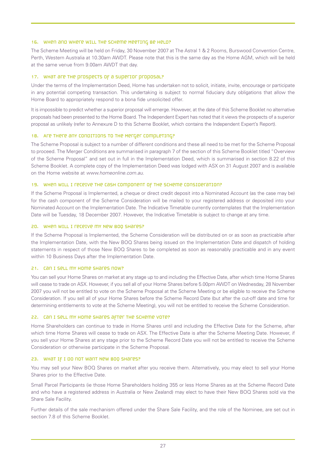#### 16. WHen and where will the scheme Meeting be held?

The Scheme Meeting will be held on Friday, 30 November 2007 at The Astral 1 & 2 Rooms, Burswood Convention Centre, Perth, Western Australia at 10.30am AWDT. Please note that this is the same day as the Home AGM, which will be held at the same venue from 9.00am AWDT that day.

#### 17. WHAT are the prospects of a superior proposal?

Under the terms of the Implementation Deed, Home has undertaken not to solicit, initiate, invite, encourage or participate in any potential competing transaction. This undertaking is subject to normal fiduciary duty obligations that allow the Home Board to appropriately respond to a bona fide unsolicited offer.

It is impossible to predict whether a superior proposal will emerge. However, at the date of this Scheme Booklet no alternative proposals had been presented to the Home Board. The Independent Expert has noted that it views the prospects of a superior proposal as unlikely (refer to Annexure D to this Scheme Booklet, which contains the Independent Expert's Report).

### 18. Are there any conditions to the Merger completing?

The Scheme Proposal is subject to a number of different conditions and these all need to be met for the Scheme Proposal to proceed. The Merger Conditions are summarised in paragraph 7 of the section of this Scheme Booklet titled "Overview of the Scheme Proposal" and set out in full in the Implementation Deed, which is summarised in section 8.22 of this Scheme Booklet. A complete copy of the Implementation Deed was lodged with ASX on 31 August 2007 and is available on the Home website at *www.homeonline.com.au*.

### 19. When will I receive the cash component of the Scheme Consideration?

If the Scheme Proposal is Implemented, a cheque or direct credit deposit into a Nominated Account (as the case may be) for the cash component of the Scheme Consideration will be mailed to your registered address or deposited into your Nominated Account on the Implementation Date. The Indicative Timetable currently contemplates that the Implementation Date will be Tuesday, 18 December 2007. However, the Indicative Timetable is subject to change at any time.

### 20. When will I receive my New BOQ Shares?

If the Scheme Proposal is Implemented, the Scheme Consideration will be distributed on or as soon as practicable after the Implementation Date, with the New BOQ Shares being issued on the Implementation Date and dispatch of holding statements in respect of those New BOQ Shares to be completed as soon as reasonably practicable and in any event within 10 Business Days after the Implementation Date.

#### 21. Can I sell my Home Shares now?

You can sell your Home Shares on market at any stage up to and including the Effective Date, after which time Home Shares will cease to trade on ASX. However, if you sell all of your Home Shares before 5.00pm AWDT on Wednesday, 28 November 2007 you will not be entitled to vote on the Scheme Proposal at the Scheme Meeting or be eligible to receive the Scheme Consideration. If you sell all of your Home Shares before the Scheme Record Date (but after the cut-off date and time for determining entitlements to vote at the Scheme Meeting), you will not be entitled to receive the Scheme Consideration.

#### 22. Can I sell my Home Shares after the Scheme vote?

Home Shareholders can continue to trade in Home Shares until and including the Effective Date for the Scheme, after which time Home Shares will cease to trade on ASX. The Effective Date is after the Scheme Meeting Date. However, if you sell your Home Shares at any stage prior to the Scheme Record Date you will not be entitled to receive the Scheme Consideration or otherwise participate in the Scheme Proposal.

#### 23. What if I do not want New BOQ Shares?

You may sell your New BOQ Shares on market after you receive them. Alternatively, you may elect to sell your Home Shares prior to the Effective Date.

Small Parcel Participants (ie those Home Shareholders holding 355 or less Home Shares as at the Scheme Record Date and who have a registered address in Australia or New Zealand) may elect to have their New BOQ Shares sold via the Share Sale Facility.

Further details of the sale mechanism offered under the Share Sale Facility, and the role of the Nominee, are set out in section 7.8 of this Scheme Booklet.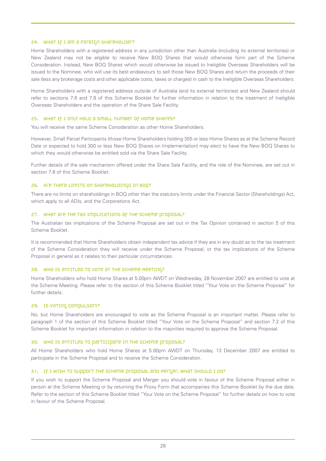#### 24. WHAT IF I am a FOreIGN SHATEHOLDET?

Home Shareholders with a registered address in any jurisdiction other than Australia (including its external territories) or New Zealand may not be eligible to receive New BOQ Shares that would otherwise form part of the Scheme Consideration. Instead, New BOQ Shares which would otherwise be issued to Ineligible Overseas Shareholders will be issued to the Nominee, who will use its best endeavours to sell those New BOQ Shares and return the proceeds of their sale (less any brokerage costs and other applicable costs, taxes or charges) in cash to the Ineligible Overseas Shareholders.

Home Shareholders with a registered address outside of Australia (and its external territories) and New Zealand should refer to sections 7.6 and 7.8 of this Scheme Booklet for further information in relation to the treatment of Ineligible Overseas Shareholders and the operation of the Share Sale Facility.

#### 25. What if I only hold a small number of Home Shares?

You will receive the same Scheme Consideration as other Home Shareholders.

However, Small Parcel Participants (those Home Shareholders holding 355 or less Home Shares as at the Scheme Record Date or expected to hold 300 or less New BOQ Shares on Implementation) may elect to have the New BOQ Shares to which they would otherwise be entitled sold via the Share Sale Facility.

Further details of the sale mechanism offered under the Share Sale Facility, and the role of the Nominee, are set out in section 7.8 of this Scheme Booklet.

#### 26. Are there limits on shareholdings in BOQ?

There are no limits on shareholdings in BOQ other than the statutory limits under the Financial Sector (Shareholdings) Act, which apply to all ADIs, and the Corporations Act.

#### 27. WHAT Are THE TAX IMPLICATIONS OF THE SCHEME Proposal?

The Australian tax implications of the Scheme Proposal are set out in the Tax Opinion contained in section 5 of this Scheme Booklet.

It is recommended that Home Shareholders obtain independent tax advice if they are in any doubt as to the tax treatment of the Scheme Consideration they will receive under the Scheme Proposal, or the tax implications of the Scheme Proposal in general as it relates to their particular circumstances.

#### 28. Who is entitled to vote at the Scheme Meeting?

Home Shareholders who hold Home Shares at 5.00pm AWDT on Wednesday, 28 November 2007 are entitled to vote at the Scheme Meeting. Please refer to the section of this Scheme Booklet titled "Your Vote on the Scheme Proposal" for further details.

#### 29. Is voting compulsory?

No, but Home Shareholders are encouraged to vote as the Scheme Proposal is an important matter. Please refer to paragraph 1 of the section of this Scheme Booklet titled "Your Vote on the Scheme Proposal" and section 7.2 of this Scheme Booklet for important information in relation to the majorities required to approve the Scheme Proposal.

#### 30. WHO IS ENTITLED TO PATTICIPATE IN THE SCHEME PROPOSAL?

All Home Shareholders who hold Home Shares at 5.00pm AWDT on Thursday, 13 December 2007 are entitled to participate in the Scheme Proposal and to receive the Scheme Consideration.

### 31. IF I WISH TO SUPPOFT THE SCHEME PROPOSAL and Merger, WHAT SHOULD I DO?

If you wish to support the Scheme Proposal and Merger you should vote in favour of the Scheme Proposal either in person at the Scheme Meeting or by returning the Proxy Form that accompanies this Scheme Booklet by the due date. Refer to the section of this Scheme Booklet titled "Your Vote on the Scheme Proposal" for further details on how to vote in favour of the Scheme Proposal.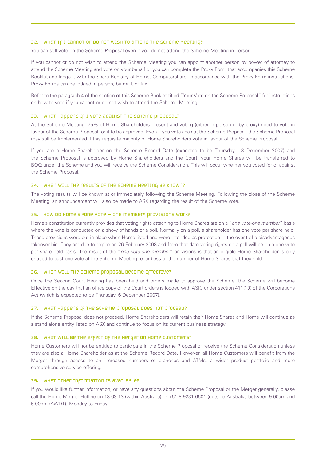#### 32. What if I cannot or do not wish to attend the Scheme Meeting?

You can still vote on the Scheme Proposal even if you do not attend the Scheme Meeting in person.

If you cannot or do not wish to attend the Scheme Meeting you can appoint another person by power of attorney to attend the Scheme Meeting and vote on your behalf or you can complete the Proxy Form that accompanies this Scheme Booklet and lodge it with the Share Registry of Home, Computershare, in accordance with the Proxy Form instructions. Proxy Forms can be lodged in person, by mail, or fax.

Refer to the paragraph 4 of the section of this Scheme Booklet titled "Your Vote on the Scheme Proposal" for instructions on how to vote if you cannot or do not wish to attend the Scheme Meeting.

#### 33. WHat Happens IF I vote against the Scheme proposal?

At the Scheme Meeting, 75% of Home Shareholders present and voting (either in person or by proxy) need to vote in favour of the Scheme Proposal for it to be approved. Even if you vote against the Scheme Proposal, the Scheme Proposal may still be Implemented if this requisite majority of Home Shareholders vote in favour of the Scheme Proposal.

If you are a Home Shareholder on the Scheme Record Date (expected to be Thursday, 13 December 2007) and the Scheme Proposal is approved by Home Shareholders and the Court, your Home Shares will be transferred to BOQ under the Scheme and you will receive the Scheme Consideration. This will occur whether you voted for or against the Scheme Proposal.

#### 34. WHEN WILL THE FESULTS OF THE SCHEME MEETING BE KNOWN?

The voting results will be known at or immediately following the Scheme Meeting. Following the close of the Scheme Meeting, an announcement will also be made to ASX regarding the result of the Scheme vote.

#### 35. How do Home's "one vote – one member" provisions work?

Home's constitution currently provides that voting rights attaching to Home Shares are on a "*one vote-one member*" basis where the vote is conducted on a show of hands or a poll. Normally on a poll, a shareholder has one vote per share held. These provisions were put in place when Home listed and were intended as protection in the event of a disadvantageous takeover bid. They are due to expire on 26 February 2008 and from that date voting rights on a poll will be on a one vote per share held basis. The result of the "*one vote-one member*" provisions is that an eligible Home Shareholder is only entitled to cast one vote at the Scheme Meeting regardless of the number of Home Shares that they hold.

#### 36. WHEN WILL THE SCHEME Proposal become Effective?

Once the Second Court Hearing has been held and orders made to approve the Scheme, the Scheme will become Effective on the day that an office copy of the Court orders is lodged with ASIC under section 411(10) of the Corporations Act (which is expected to be Thursday, 6 December 2007).

#### 37. WHAT Happens IF THE SCHEME proposal does not proceed?

If the Scheme Proposal does not proceed, Home Shareholders will retain their Home Shares and Home will continue as a stand alone entity listed on ASX and continue to focus on its current business strategy.

#### 38. What will be the effect of the Merger on Home Customers?

Home Customers will not be entitled to participate in the Scheme Proposal or receive the Scheme Consideration unless they are also a Home Shareholder as at the Scheme Record Date. However, all Home Customers will benefit from the Merger through access to an increased numbers of branches and ATMs, a wider product portfolio and more comprehensive service offering.

#### 39. What other information is available?

If you would like further information, or have any questions about the Scheme Proposal or the Merger generally, please call the Home Merger Hotline on 13 63 13 (within Australia) or +61 8 9231 6601 (outside Australia) between 9.00am and 5.00pm (AWDT), Monday to Friday.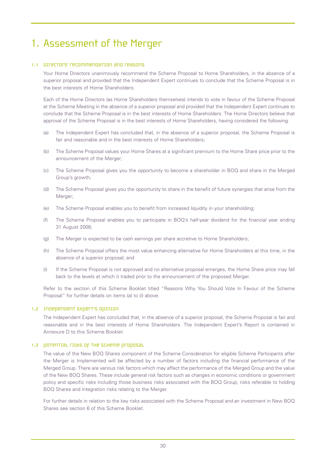# 1. Assessment of the Merger

# 1.1 Directors' recommendation and reasons

Your Home Directors unanimously recommend the Scheme Proposal to Home Shareholders, in the absence of a superior proposal and provided that the Independent Expert continues to conclude that the Scheme Proposal is in the best interests of Home Shareholders.

Each of the Home Directors (as Home Shareholders themselves) intends to vote in favour of the Scheme Proposal at the Scheme Meeting in the absence of a superior proposal and provided that the Independent Expert continues to conclude that the Scheme Proposal is in the best interests of Home Shareholders. The Home Directors believe that approval of the Scheme Proposal is in the best interests of Home Shareholders, having considered the following.

- (a) The Independent Expert has concluded that, in the absence of a superior proposal, the Scheme Proposal is fair and reasonable and in the best interests of Home Shareholders;
- (b) The Scheme Proposal values your Home Shares at a significant premium to the Home Share price prior to the announcement of the Merger;
- (c) The Scheme Proposal gives you the opportunity to become a shareholder in BOQ and share in the Merged Group's growth;
- (d) The Scheme Proposal gives you the opportunity to share in the benefit of future synergies that arise from the Merger;
- (e) The Scheme Proposal enables you to benefit from increased liquidity in your shareholding;
- (f) The Scheme Proposal enables you to participate in BOQ's half-year dividend for the financial year ending 31 August 2008;
- (g) The Merger is expected to be cash earnings per share accretive to Home Shareholders;
- (h) The Scheme Proposal offers the most value enhancing alternative for Home Shareholders at this time, in the absence of a superior proposal; and
- (i) If the Scheme Proposal is not approved and no alternative proposal emerges, the Home Share price may fall back to the levels at which it traded prior to the announcement of the proposed Merger.

Refer to the section of this Scheme Booklet titled "Reasons Why You Should Vote In Favour of the Scheme Proposal" for further details on items (a) to (i) above.

# 1.2 Independent Expert's Opinion

The Independent Expert has concluded that, in the absence of a superior proposal, the Scheme Proposal is fair and reasonable and in the best interests of Home Shareholders. The Independent Expert's Report is contained in Annexure D to this Scheme Booklet.

# 1.3 potential risks of the Scheme proposal

The value of the New BOQ Shares component of the Scheme Consideration for eligible Scheme Participants after the Merger is Implemented will be affected by a number of factors including the financial performance of the Merged Group. There are various risk factors which may affect the performance of the Merged Group and the value of the New BOQ Shares. These include general risk factors such as changes in economic conditions or government policy and specific risks including those business risks associated with the BOQ Group, risks referable to holding BOQ Shares and integration risks relating to the Merger.

For further details in relation to the key risks associated with the Scheme Proposal and an investment in New BOQ Shares see section 6 of this Scheme Booklet.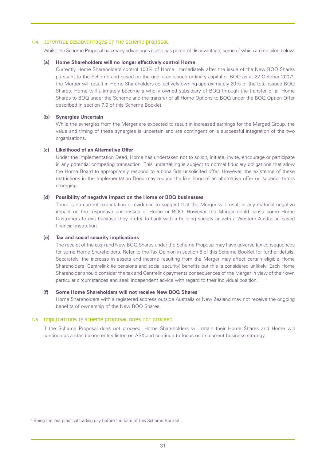#### 1.4 potential disadvantages of the scheme proposal

Whilst the Scheme Proposal has many advantages it also has potential disadvantage, some of which are detailed below.

#### **(a) Home Shareholders will no longer effectively control Home**

Currently Home Shareholders control 100% of Home. Immediately after the issue of the New BOQ Shares pursuant to the Scheme and based on the undiluted issued ordinary capital of BOQ as at 22 October 2007<sup>6</sup>, the Merger will result in Home Shareholders collectively owning approximately 20% of the total issued BOQ Shares. Home will ultimately become a wholly owned subsidiary of BOQ through the transfer of all Home Shares to BOQ under the Scheme and the transfer of all Home Options to BOQ under the BOQ Option Offer described in section 7.9 of this Scheme Booklet.

### **(b) Synergies Uncertain**

While the synergies from the Merger are expected to result in increased earnings for the Merged Group, the value and timing of these synergies is uncertain and are contingent on a successful integration of the two organisations.

#### **(c) Likelihood of an Alternative Offer**

Under the Implementation Deed, Home has undertaken not to solicit, initiate, invite, encourage or participate in any potential competing transaction. This undertaking is subject to normal fiduciary obligations that allow the Home Board to appropriately respond to a bona fide unsolicited offer. However, the existence of these restrictions in the Implementation Deed may reduce the likelihood of an alternative offer on superior terms emerging.

#### **(d) Possibility of negative impact on the Home or BOQ businesses**

There is no current expectation or evidence to suggest that the Merger will result in any material negative impact on the respective businesses of Home or BOQ. However the Merger could cause some Home Customers to exit because they prefer to bank with a building society or with a Western Australian based financial institution.

#### **(e) Tax and social security implications**

The receipt of the cash and New BOQ Shares under the Scheme Proposal may have adverse tax consequences for some Home Shareholders. Refer to the Tax Opinion in section 5 of this Scheme Booklet for further details. Separately, the increase in assets and income resulting from the Merger may affect certain eligible Home Shareholders' Centrelink (ie pensions and social security) benefits but this is considered unlikely. Each Home Shareholder should consider the tax and Centrelink payments consequences of the Merger in view of their own particular circumstances and seek independent advice with regard to their individual position.

#### **(f) Some Home Shareholders will not receive New BOQ Shares**

Home Shareholders with a registered address outside Australia or New Zealand may not receive the ongoing benefits of ownership of the New BOQ Shares.

# 1.5 Implications IF Scheme proposal does not proceed

If the Scheme Proposal does not proceed, Home Shareholders will retain their Home Shares and Home will continue as a stand alone entity listed on ASX and continue to focus on its current business strategy.

<sup>6</sup> Being the last practical trading day before the date of this Scheme Booklet.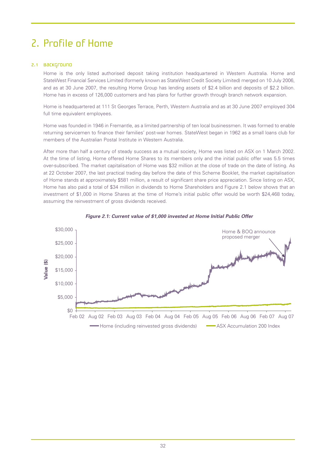# 2. Profile of Home

# 2.1 Background

Home is the only listed authorised deposit taking institution headquartered in Western Australia. Home and StateWest Financial Services Limited (formerly known as StateWest Credit Society Limited) merged on 10 July 2006, and as at 30 June 2007, the resulting Home Group has lending assets of \$2.4 billion and deposits of \$2.2 billion. Home has in excess of 126,000 customers and has plans for further growth through branch network expansion.

Home is headquartered at 111 St Georges Terrace, Perth, Western Australia and as at 30 June 2007 employed 304 full time equivalent employees.

Home was founded in 1946 in Fremantle, as a limited partnership of ten local businessmen. It was formed to enable returning servicemen to finance their families' post-war homes. StateWest began in 1962 as a small loans club for members of the Australian Postal Institute in Western Australia.

After more than half a century of steady success as a mutual society, Home was listed on ASX on 1 March 2002. At the time of listing, Home offered Home Shares to its members only and the initial public offer was 5.5 times over-subscribed. The market capitalisation of Home was \$32 million at the close of trade on the date of listing. As at 22 October 2007, the last practical trading day before the date of this Scheme Booklet, the market capitalisation of Home stands at approximately \$581 million, a result of significant share price appreciation. Since listing on ASX, Home has also paid a total of \$34 million in dividends to Home Shareholders and Figure 2.1 below shows that an investment of \$1,000 in Home Shares at the time of Home's initial public offer would be worth \$24,468 today, assuming the reinvestment of gross dividends received.



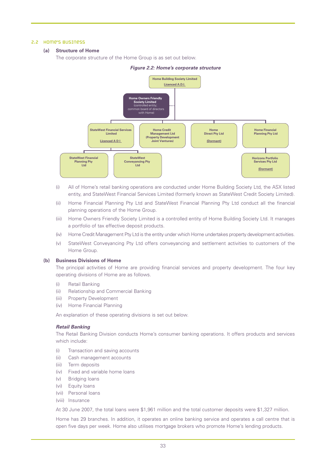#### 2.2 Home's business

### **(a) Structure of Home**

The corporate structure of the Home Group is as set out below.



#### *Figure 2.2: Home's corporate structure*

- (i) All of Home's retail banking operations are conducted under Home Building Society Ltd, the ASX listed entity, and StateWest Financial Services Limited (formerly known as StateWest Credit Society Limited).
- (ii) Home Financial Planning Pty Ltd and StateWest Financial Planning Pty Ltd conduct all the financial planning operations of the Home Group.
- (iii) Home Owners Friendly Society Limited is a controlled entity of Home Building Society Ltd. It manages a portfolio of tax effective deposit products.
- (iv) Home Credit Management Pty Ltd is the entity under which Home undertakes property development activities.
- (v) StateWest Conveyancing Pty Ltd offers conveyancing and settlement activities to customers of the Home Group.

### **(b) Business Divisions of Home**

The principal activities of Home are providing financial services and property development. The four key operating divisions of Home are as follows.

- (i) Retail Banking
- (ii) Relationship and Commercial Banking
- (iii) Property Development
- (iv) Home Financial Planning

An explanation of these operating divisions is set out below.

# *Retail Banking*

The Retail Banking Division conducts Home's consumer banking operations. It offers products and services which include:

- (i) Transaction and saving accounts
- (ii) Cash management accounts
- (iii) Term deposits
- (iv) Fixed and variable home loans
- (v) Bridging loans
- (vi) Equity loans
- (vii) Personal loans
- (viii) Insurance

At 30 June 2007, the total loans were \$1,961 million and the total customer deposits were \$1,327 million.

Home has 29 branches. In addition, it operates an online banking service and operates a call centre that is open five days per week. Home also utilises mortgage brokers who promote Home's lending products.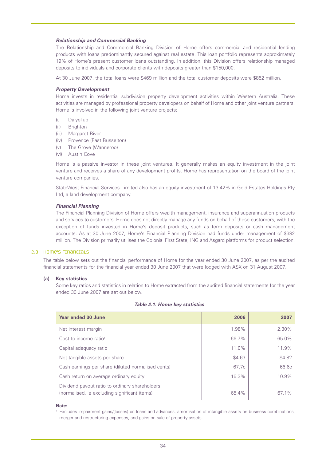#### *Relationship and Commercial Banking*

The Relationship and Commercial Banking Division of Home offers commercial and residential lending products with loans predominantly secured against real estate. This loan portfolio represents approximately 19% of Home's present customer loans outstanding. In addition, this Division offers relationship managed deposits to individuals and corporate clients with deposits greater than \$150,000.

At 30 June 2007, the total loans were \$469 million and the total customer deposits were \$852 million.

#### *Property Development*

Home invests in residential subdivision property development activities within Western Australia. These activities are managed by professional property developers on behalf of Home and other joint venture partners. Home is involved in the following joint venture projects:

- (i) Dalyellup
- (ii) Brighton
- (iii) Margaret River
- (iv) Provence (East Busselton)
- (v) The Grove (Wanneroo)
- (vi) Austin Cove

Home is a passive investor in these joint ventures. It generally makes an equity investment in the joint venture and receives a share of any development profits. Home has representation on the board of the joint venture companies.

StateWest Financial Services Limited also has an equity investment of 13.42% in Gold Estates Holdings Pty Ltd, a land development company.

#### *Financial Planning*

The Financial Planning Division of Home offers wealth management, insurance and superannuation products and services to customers. Home does not directly manage any funds on behalf of these customers, with the exception of funds invested in Home's deposit products, such as term deposits or cash management accounts. As at 30 June 2007, Home's Financial Planning Division had funds under management of \$382 million. The Division primarily utilises the Colonial First State, ING and Asgard platforms for product selection.

#### 2.3 Home's financials

The table below sets out the financial performance of Home for the year ended 30 June 2007, as per the audited financial statements for the financial year ended 30 June 2007 that were lodged with ASX on 31 August 2007.

# **(a) Key statistics**

Some key ratios and statistics in relation to Home extracted from the audited financial statements for the year ended 30 June 2007 are set out below.

| Year ended 30 June                                                                             | 2006   | 2007   |
|------------------------------------------------------------------------------------------------|--------|--------|
| Net interest margin                                                                            | 1.98%  | 2.30%  |
| Cost to income ratio <sup>1</sup>                                                              | 66.7%  | 65.0%  |
| Capital adequacy ratio                                                                         | 11.0%  | 11.9%  |
| Net tangible assets per share                                                                  | \$4.63 | \$4.82 |
| Cash earnings per share (diluted normalised cents)                                             | 67.7c  | 66.6c  |
| Cash return on average ordinary equity                                                         | 16.3%  | 10.9%  |
| Dividend payout ratio to ordinary shareholders<br>(normalised, ie excluding significant items) | 65.4%  | 67.1%  |

#### *Table 2.1: Home key statistics*

#### **Note:**

<sup>1</sup> Excludes impairment gains/(losses) on loans and advances, amortisation of intangible assets on business combinations, merger and restructuring expenses, and gains on sale of property assets.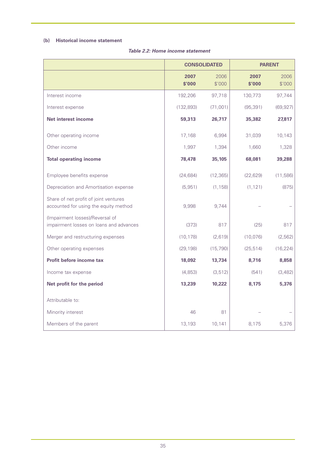# **(b) Historical income statement**

|                                                                                | <b>CONSOLIDATED</b> |                | <b>PARENT</b>  |                |
|--------------------------------------------------------------------------------|---------------------|----------------|----------------|----------------|
|                                                                                | 2007<br>\$'000      | 2006<br>\$'000 | 2007<br>\$'000 | 2006<br>\$'000 |
| Interest income                                                                | 192,206             | 97,718         | 130,773        | 97,744         |
| Interest expense                                                               | (132, 893)          | (71,001)       | (95, 391)      | (69, 927)      |
| <b>Net interest income</b>                                                     | 59,313              | 26,717         | 35,382         | 27,817         |
| Other operating income                                                         | 17,168              | 6,994          | 31,039         | 10,143         |
| Other income                                                                   | 1,997               | 1,394          | 1,660          | 1,328          |
| <b>Total operating income</b>                                                  | 78,478              | 35,105         | 68,081         | 39,288         |
| Employee benefits expense                                                      | (24, 684)           | (12, 365)      | (22, 629)      | (11,586)       |
| Depreciation and Amortisation expense                                          | (5,951)             | (1, 158)       | (1, 121)       | (875)          |
| Share of net profit of joint ventures<br>accounted for using the equity method | 9,998               | 9,744          |                |                |
| (Impairment losses)/Reversal of<br>impairment losses on loans and advances     | (373)               | 817            | (25)           | 817            |
| Merger and restructuring expenses                                              | (10, 178)           | (2,619)        | (10,076)       | (2, 562)       |
| Other operating expenses                                                       | (29, 198)           | (15, 790)      | (25, 514)      | (16, 224)      |
| Profit before income tax                                                       | 18,092              | 13,734         | 8,716          | 8,858          |
| Income tax expense                                                             | (4, 853)            | (3, 512)       | (541)          | (3,482)        |
| Net profit for the period                                                      | 13,239              | 10,222         | 8,175          | 5,376          |
| Attributable to:                                                               |                     |                |                |                |
| Minority interest                                                              | 46                  | 81             |                |                |
| Members of the parent                                                          | 13,193              | 10,141         | 8,175          | 5,376          |

# *Table 2.2: Home income statement*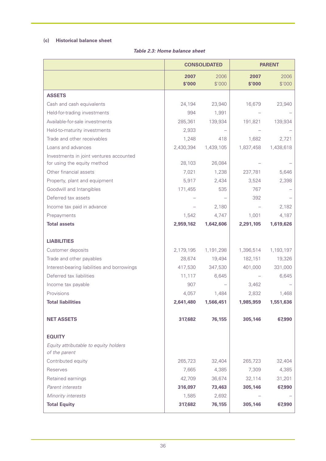# **(c) Historical balance sheet**

|                                                                        | <b>CONSOLIDATED</b> |                | <b>PARENT</b>  |                |
|------------------------------------------------------------------------|---------------------|----------------|----------------|----------------|
|                                                                        | 2007<br>\$'000      | 2006<br>\$'000 | 2007<br>\$'000 | 2006<br>\$'000 |
| <b>ASSETS</b>                                                          |                     |                |                |                |
| Cash and cash equivalents                                              | 24,194              | 23,940         | 16,679         | 23,940         |
| Held-for-trading investments                                           | 994                 | 1,991          |                |                |
| Available-for-sale investments                                         | 285,361             | 139,934        | 191,821        | 139,934        |
| Held-to-maturity investments                                           | 2,933               |                |                |                |
| Trade and other receivables                                            | 1,248               | 418            | 1,682          | 2,721          |
| Loans and advances                                                     | 2,430,394           | 1,439,105      | 1,837,458      | 1,438,618      |
| Investments in joint ventures accounted<br>for using the equity method | 28,103              | 26,084         |                |                |
| Other financial assets                                                 | 7,021               | 1,238          | 237,781        | 5,646          |
|                                                                        | 5,917               |                | 3,524          | 2,398          |
| Property, plant and equipment<br>Goodwill and Intangibles              |                     | 2,434<br>535   | 767            |                |
| Deferred tax assets                                                    | 171,455             |                | 392            |                |
| Income tax paid in advance                                             |                     |                |                | 2,182          |
| Prepayments                                                            | 1,542               | 2,180<br>4,747 | 1,001          | 4,187          |
| <b>Total assets</b>                                                    | 2,959,162           | 1,642,606      | 2,291,105      | 1,619,626      |
|                                                                        |                     |                |                |                |
| <b>LIABILITIES</b>                                                     |                     |                |                |                |
| Customer deposits                                                      | 2,179,195           | 1,191,298      | 1,396,514      | 1,193,197      |
| Trade and other payables                                               | 28,674              | 19,494         | 182,151        | 19,326         |
| Interest-bearing liabilities and borrowings                            | 417,530             | 347,530        | 401,000        | 331,000        |
| Deferred tax liabilities                                               | 11,117              | 6,645          |                | 6,645          |
| Income tax payable                                                     | 907                 |                | 3,462          |                |
| Provisions                                                             | 4,057               | 1,484          | 2,832          | 1,468          |
| <b>Total liabilities</b>                                               | 2,641,480           | 1,566,451      | 1,985,959      | 1,551,636      |
| <b>NET ASSETS</b>                                                      | 317,682             | 76,155         | 305,146        | 67,990         |
| <b>EQUITY</b>                                                          |                     |                |                |                |
| Equity attributable to equity holders<br>of the parent                 |                     |                |                |                |
| Contributed equity                                                     | 265,723             | 32,404         | 265,723        | 32,404         |
| Reserves                                                               | 7,665               | 4,385          | 7,309          | 4,385          |
| Retained earnings                                                      | 42,709              | 36,674         | 32,114         | 31,201         |
| Parent interests                                                       | 316,097             | 73,463         | 305,146        | 67,990         |
| Minority interests                                                     | 1,585               | 2,692          |                |                |
| <b>Total Equity</b>                                                    | 317,682             | 76,155         | 305,146        | 67,990         |
|                                                                        |                     |                |                |                |

# *Table 2.3: Home balance sheet*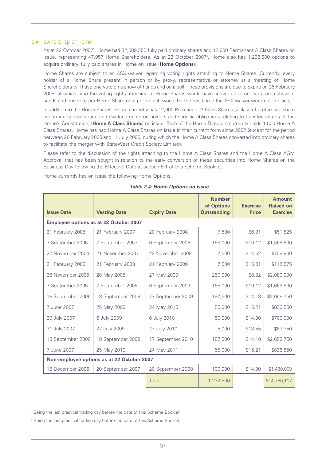#### 2.4 Ownership of Home

As at 22 October 20077 , Home had 32,689,355 fully paid ordinary shares and 12,000 Permanent A Class Shares on issue, representing 47,957 Home Shareholders. As at 22 October 20078 , Home also has 1,232,500 options to acquire ordinary, fully paid shares in Home on issue (**Home Options**).

Home Shares are subject to an ASX waiver regarding voting rights attaching to Home Shares. Currently, every holder of a Home Share present in person or by proxy, representative or attorney at a meeting of Home Shareholders will have one vote on a show of hands and on a poll. These provisions are due to expire on 26 February 2008, at which time the voting rights attaching to Home Shares would have converted to one vote on a show of hands and one vote per Home Share on a poll (which would be the position if the ASX waiver were not in place).

In addition to the Home Shares, Home currently has 12,000 Permanent A Class Shares (a class of preference share conferring special voting and dividend rights on holders and specific obligations relating to transfer, as detailed in Home's Constitution) (**Home A Class Shares**) on issue. Each of the Home Directors currently holds 1,500 Home A Class Shares. Home has had Home A Class Shares on issue in their current form since 2002 (except for the period between 26 February 2006 and 11 July 2006, during which the Home A Class Shares converted into ordinary shares to facilitate the merger with StateWest Credit Society Limited).

Please refer to the discussion of the rights attaching to the Home A Class Shares and the Home A Class AGM Approval that has been sought in relation to the early conversion of these securities into Home Shares on the Business Day following the Effective Date at section 8.1 of this Scheme Booklet.

Home currently has on issue the following Home Options.

|                                            |                                               |                    | <b>Number</b><br>of Options | <b>Exercise</b> | <b>Amount</b><br><b>Raised on</b> |
|--------------------------------------------|-----------------------------------------------|--------------------|-----------------------------|-----------------|-----------------------------------|
| <b>Issue Date</b>                          | <b>Vesting Date</b>                           | <b>Expiry Date</b> | <b>Outstanding</b>          | <b>Price</b>    | <b>Exercise</b>                   |
|                                            | <b>Employee options as at 22 October 2007</b> |                    |                             |                 |                                   |
| 21 February 2005                           | 21 February 2007                              | 20 February 2008   | 7,500                       | \$6.91          | \$51,825                          |
| 7 September 2005                           | 7 September 2007                              | 6 September 2008   | 155,000                     | \$10.12         | \$1,568,600                       |
| 22 November 2004                           | 21 November 2007                              | 22 November 2008   | 7,500                       | \$14.52         | \$108,900                         |
| 21 February 2005                           | 21 February 2008                              | 21 February 2009   | 7,500                       | \$15.01         | \$112,575                         |
| 28 November 2005                           | 28 May 2008                                   | 27 May 2009        | 250,000                     | \$8.32          | \$2,080,000                       |
| 7 September 2005                           | 7 September 2008                              | 6 September 2009   | 165,000                     | \$10.12         | \$1,669,800                       |
| 18 September 2006                          | 18 September 2008                             | 17 September 2009  | 187,500                     | \$14.18         | \$2,658,750                       |
| 7 June 2007                                | 25 May 2009                                   | 24 May 2010        | 55,000                      | \$15.21         | \$836,550                         |
| 20 July 2007                               | 6 July 2009                                   | 6 July 2010        | 50,000                      | \$14.00         | \$700,000                         |
| 31 July 2007                               | 27 July 2009                                  | 27 July 2010       | 5,000                       | \$13.55         | \$67,750                          |
| 18 September 2006                          | 18 September 2009                             | 17 September 2010  | 187,500                     | \$14.18         | \$2,658,750                       |
| 7 June 2007                                | 25 May 2010                                   | 24 May 2011        | 55,000                      | \$15.21         | \$836,550                         |
| Non-employee options as at 22 October 2007 |                                               |                    |                             |                 |                                   |
| 18 December 2006                           | 20 September 2007                             | 20 September 2008  | 100,000<br>\$14.30          |                 | \$1,430,000                       |
|                                            |                                               | Total              | 1,232,500                   |                 | \$14,780,117                      |

*Table 2.4: Home Options on issue*

<sup>7</sup> Being the last practical trading day before the date of this Scheme Booklet.

<sup>8</sup> Being the last practical trading day before the date of this Scheme Booklet.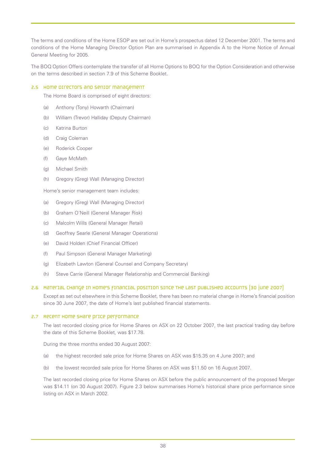The terms and conditions of the Home ESOP are set out in Home's prospectus dated 12 December 2001. The terms and conditions of the Home Managing Director Option Plan are summarised in Appendix A to the Home Notice of Annual General Meeting for 2005.

The BOQ Option Offers contemplate the transfer of all Home Options to BOQ for the Option Consideration and otherwise on the terms described in section 7.9 of this Scheme Booklet.

# 2.5 Home Directors and senior management

The Home Board is comprised of eight directors:

- (a) Anthony (Tony) Howarth (Chairman)
- (b) William (Trevor) Halliday (Deputy Chairman)
- (c) Katrina Burton
- (d) Craig Coleman
- (e) Roderick Cooper
- (f) Gaye McMath
- (g) Michael Smith
- (h) Gregory (Greg) Wall (Managing Director)

Home's senior management team includes:

- (a) Gregory (Greg) Wall (Managing Director)
- (b) Graham O'Neill (General Manager Risk)
- (c) Malcolm Wills (General Manager Retail)
- (d) Geoffrey Searle (General Manager Operations)
- (e) David Holden (Chief Financial Officer)
- (f) Paul Simpson (General Manager Marketing)
- (g) Elizabeth Lawton (General Counsel and Company Secretary)
- (h) Steve Carrie (General Manager Relationship and Commercial Banking)

## 2.6 Material change in Home's financial position since the last published accounts (30 June 2007)

Except as set out elsewhere in this Scheme Booklet, there has been no material change in Home's financial position since 30 June 2007, the date of Home's last published financial statements.

## 2.7 Recent Home Share price performance

The last recorded closing price for Home Shares on ASX on 22 October 2007, the last practical trading day before the date of this Scheme Booklet, was \$17.78.

During the three months ended 30 August 2007:

- (a) the highest recorded sale price for Home Shares on ASX was \$15.35 on 4 June 2007; and
- (b) the lowest recorded sale price for Home Shares on ASX was \$11.50 on 16 August 2007.

The last recorded closing price for Home Shares on ASX before the public announcement of the proposed Merger was \$14.11 (on 30 August 2007). Figure 2.3 below summarises Home's historical share price performance since listing on ASX in March 2002.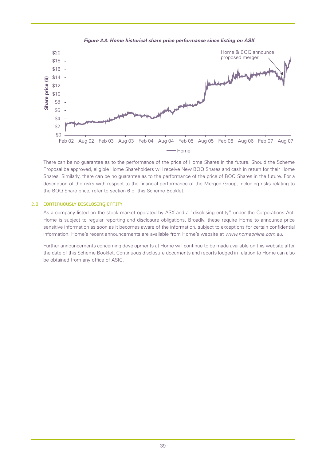



There can be no guarantee as to the performance of the price of Home Shares in the future. Should the Scheme Proposal be approved, eligible Home Shareholders will receive New BOQ Shares and cash in return for their Home Shares. Similarly, there can be no guarantee as to the performance of the price of BOQ Shares in the future. For a description of the risks with respect to the financial performance of the Merged Group, including risks relating to the BOQ Share price, refer to section 6 of this Scheme Booklet.

## 2.8 CONTINUOUSLY DISCLOSING ENTITY

As a company listed on the stock market operated by ASX and a "disclosing entity" under the Corporations Act, Home is subject to regular reporting and disclosure obligations. Broadly, these require Home to announce price sensitive information as soon as it becomes aware of the information, subject to exceptions for certain confidential information. Home's recent announcements are available from Home's website at *www.homeonline.com.au*.

Further announcements concerning developments at Home will continue to be made available on this website after the date of this Scheme Booklet. Continuous disclosure documents and reports lodged in relation to Home can also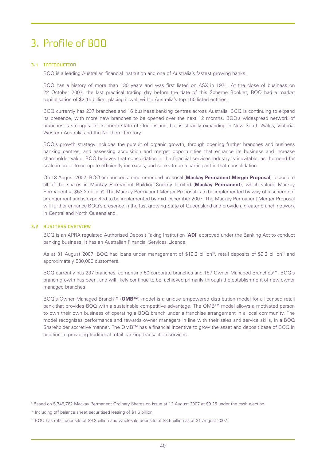# 3. Profile of BOQ

# 3.1 Introduction

BOQ is a leading Australian financial institution and one of Australia's fastest growing banks.

BOQ has a history of more than 130 years and was first listed on ASX in 1971. At the close of business on 22 October 2007, the last practical trading day before the date of this Scheme Booklet, BOQ had a market capitalisation of \$2.15 billion, placing it well within Australia's top 150 listed entities.

BOQ currently has 237 branches and 16 business banking centres across Australia. BOQ is continuing to expand its presence, with more new branches to be opened over the next 12 months. BOQ's widespread network of branches is strongest in its home state of Queensland, but is steadily expanding in New South Wales, Victoria, Western Australia and the Northern Territory.

BOQ's growth strategy includes the pursuit of organic growth, through opening further branches and business banking centres, and assessing acquisition and merger opportunities that enhance its business and increase shareholder value. BOQ believes that consolidation in the financial services industry is inevitable, as the need for scale in order to compete efficiently increases, and seeks to be a participant in that consolidation.

On 13 August 2007, BOQ announced a recommended proposal (**Mackay Permanent Merger Proposal**) to acquire all of the shares in Mackay Permanent Building Society Limited (**Mackay Permanent**), which valued Mackay Permanent at \$53.2 million<sup>9</sup>. The Mackay Permanent Merger Proposal is to be implemented by way of a scheme of arrangement and is expected to be implemented by mid-December 2007. The Mackay Permanent Merger Proposal will further enhance BOQ's presence in the fast growing State of Queensland and provide a greater branch network in Central and North Queensland.

## 3.2 Business overview

BOQ is an APRA regulated Authorised Deposit Taking Institution (**ADI**) approved under the Banking Act to conduct banking business. It has an Australian Financial Services Licence.

As at 31 August 2007, BOQ had loans under management of \$19.2 billion<sup>10</sup>, retail deposits of \$9.2 billion<sup>11</sup> and approximately 530,000 customers.

BOQ currently has 237 branches, comprising 50 corporate branches and 187 Owner Managed Branches™. BOQ's branch growth has been, and will likely continue to be, achieved primarily through the establishment of new owner managed branches.

BOQ's Owner Managed Branch™ (**OMB™**) model is a unique empowered distribution model for a licensed retail bank that provides BOQ with a sustainable competitive advantage. The OMB™ model allows a motivated person to own their own business of operating a BOQ branch under a franchise arrangement in a local community. The model recognises performance and rewards owner managers in line with their sales and service skills, in a BOQ Shareholder accretive manner. The OMB™ has a financial incentive to grow the asset and deposit base of BOQ in addition to providing traditional retail banking transaction services.

<sup>9</sup> Based on 5,748,762 Mackay Permanent Ordinary Shares on issue at 12 August 2007 at \$9.25 under the cash election.

<sup>10</sup> Including off balance sheet securitised leasing of \$1.6 billion.

<sup>11</sup> BOQ has retail deposits of \$9.2 billion and wholesale deposits of \$3.5 billion as at 31 August 2007.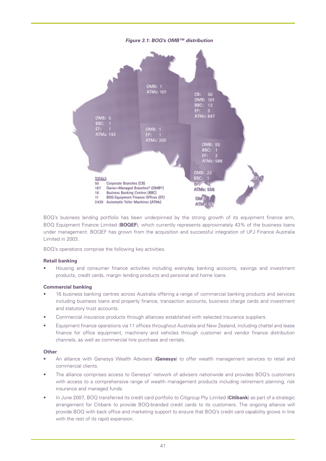

BOQ's business lending portfolio has been underpinned by the strong growth of its equipment finance arm, BOQ Equipment Finance Limited (**BOQEF**), which currently represents approximately 43% of the business loans under management. BOQEF has grown from the acquisition and successful integration of UFJ Finance Australia Limited in 2003.

BOQ's operations comprise the following key activities.

# **Retail banking**

• Housing and consumer finance activities including everyday banking accounts, savings and investment products, credit cards, margin lending products and personal and home loans.

# **Commercial banking**

- 16 business banking centres across Australia offering a range of commercial banking products and services including business loans and property finance, transaction accounts, business charge cards and investment and statutory trust accounts.
- Commercial insurance products through alliances established with selected insurance suppliers.
- Equipment finance operations via 11 offices throughout Australia and New Zealand, including chattel and lease finance for office equipment, machinery and vehicles through customer and vendor finance distribution channels, as well as commercial hire purchase and rentals.

#### **Other**

- An alliance with Genesys Wealth Advisers (**Genesys**) to offer wealth management services to retail and commercial clients.
- The alliance comprises access to Genesys' network of advisers nationwide and provides BOQ's customers with access to a comprehensive range of wealth management products including retirement planning, risk insurance and managed funds.
- In June 2007, BOQ transferred its credit card portfolio to Citigroup Pty Limited (**Citibank**) as part of a strategic arrangement for Citibank to provide BOQ-branded credit cards to its customers. The ongoing alliance will provide BOQ with back office and marketing support to ensure that BOQ's credit card capability grows in line with the rest of its rapid expansion.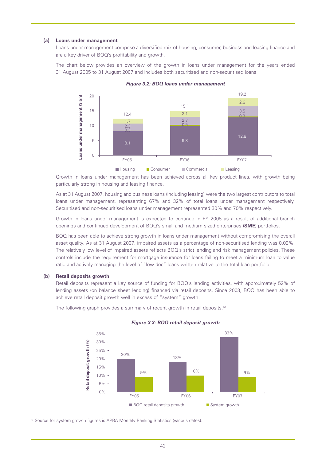#### **(a) Loans under management**

Loans under management comprise a diversified mix of housing, consumer, business and leasing finance and are a key driver of BOQ's profitability and growth.

The chart below provides an overview of the growth in loans under management for the years ended 31 August 2005 to 31 August 2007 and includes both securitised and non-securitised loans.





Growth in loans under management has been achieved across all key product lines, with growth being particularly strong in housing and leasing finance.

As at 31 August 2007, housing and business loans (including leasing) were the two largest contributors to total loans under management, representing 67% and 32% of total loans under management respectively. Securitised and non-securitised loans under management represented 30% and 70% respectively.

Growth in loans under management is expected to continue in FY 2008 as a result of additional branch openings and continued development of BOQ's small and medium sized enterprises (**SME**) portfolios.

BOQ has been able to achieve strong growth in loans under management without compromising the overall asset quality. As at 31 August 2007, impaired assets as a percentage of non-securitised lending was 0.09%. The relatively low level of impaired assets reflects BOQ's strict lending and risk management policies. These controls include the requirement for mortgage insurance for loans failing to meet a minimum loan to value ratio and actively managing the level of "low doc" loans written relative to the total loan portfolio.

## **(b) Retail deposits growth**

Retail deposits represent a key source of funding for BOQ's lending activities, with approximately 52% of lending assets (on balance sheet lending) financed via retail deposits. Since 2003, BOQ has been able to achieve retail deposit growth well in excess of "system" growth.

The following graph provides a summary of recent growth in retail deposits.<sup>12</sup>



#### *Figure 3.3: BOQ retail deposit growth*

<sup>12</sup> Source for system growth figures is APRA Monthly Banking Statistics (various dates).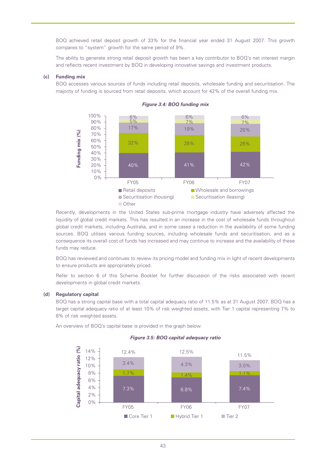BOQ achieved retail deposit growth of 33% for the financial year ended 31 August 2007. This growth compares to "system" growth for the same period of 9%.

The ability to generate strong retail deposit growth has been a key contributor to BOQ's net interest margin and reflects recent investment by BOQ in developing innovative savings and investment products.

## **(c) Funding mix**

BOQ accesses various sources of funds including retail deposits, wholesale funding and securitisation. The majority of funding is sourced from retail deposits, which account for 42% of the overall funding mix.



*Figure 3.4: BOQ funding mix*

Recently, developments in the United States sub-prime mortgage industry have adversely affected the liquidity of global credit markets. This has resulted in an increase in the cost of wholesale funds throughout global credit markets, including Australia, and in some cases a reduction in the availability of some funding sources. BOQ utilises various funding sources, including wholesale funds and securitisation, and as a consequence its overall cost of funds has increased and may continue to increase and the availability of these funds may reduce.

BOQ has reviewed and continues to review its pricing model and funding mix in light of recent developments to ensure products are appropriately priced.

Refer to section 6 of this Scheme Booklet for further discussion of the risks associated with recent developments in global credit markets.

#### **(d) Regulatory capital**

BOQ has a strong capital base with a total capital adequacy ratio of 11.5% as at 31 August 2007. BOQ has a target capital adequacy ratio of at least 10% of risk weighted assets, with Tier 1 capital representing 7% to 8% of risk weighted assets.

An overview of BOQ's capital base is provided in the graph below.



#### *Figure 3.5: BOQ capital adequacy ratio*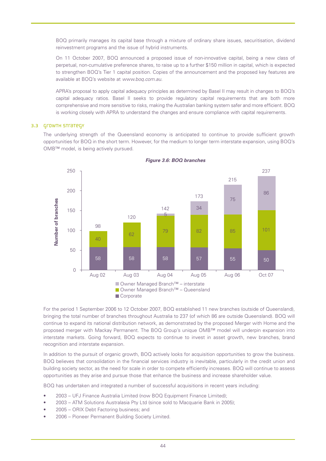BOQ primarily manages its capital base through a mixture of ordinary share issues, securitisation, dividend reinvestment programs and the issue of hybrid instruments.

On 11 October 2007, BOQ announced a proposed issue of non-innovative capital, being a new class of perpetual, non-cumulative preference shares, to raise up to a further \$150 million in capital, which is expected to strengthen BOQ's Tier 1 capital position. Copies of the announcement and the proposed key features are available at BOQ's website at *www.boq.com.au*.

APRA's proposal to apply capital adequacy principles as determined by Basel II may result in changes to BOQ's capital adequacy ratios. Basel II seeks to provide regulatory capital requirements that are both more comprehensive and more sensitive to risks, making the Australian banking system safer and more efficient. BOQ is working closely with APRA to understand the changes and ensure compliance with capital requirements.

# 3.3 Growth strategy

The underlying strength of the Queensland economy is anticipated to continue to provide sufficient growth opportunities for BOQ in the short term. However, for the medium to longer term interstate expansion, using BOQ's OMB™ model, is being actively pursued.



*Figure 3.6: BOQ branches*

For the period 1 September 2006 to 12 October 2007, BOQ established 11 new branches (outside of Queensland), bringing the total number of branches throughout Australia to 237 (of which 86 are outside Queensland). BOQ will continue to expand its national distribution network, as demonstrated by the proposed Merger with Home and the proposed merger with Mackay Permanent. The BOQ Group's unique OMB™ model will underpin expansion into interstate markets. Going forward, BOQ expects to continue to invest in asset growth, new branches, brand recognition and interstate expansion.

In addition to the pursuit of organic growth, BOQ actively looks for acquisition opportunities to grow the business. BOQ believes that consolidation in the financial services industry is inevitable, particularly in the credit union and building society sector, as the need for scale in order to compete efficiently increases. BOQ will continue to assess opportunities as they arise and pursue those that enhance the business and increase shareholder value.

BOQ has undertaken and integrated a number of successful acquisitions in recent years including:

- 2003 UFJ Finance Australia Limited (now BOQ Equipment Finance Limited);
- 2003 ATM Solutions Australasia Pty Ltd (since sold to Macquarie Bank in 2005);
- 2005 ORIX Debt Factoring business; and
-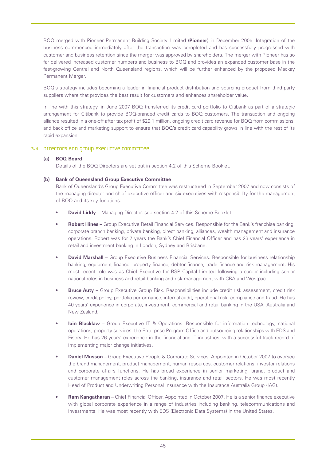BOQ merged with Pioneer Permanent Building Society Limited (**Pioneer**) in December 2006. Integration of the business commenced immediately after the transaction was completed and has successfully progressed with customer and business retention since the merger was approved by shareholders. The merger with Pioneer has so far delivered increased customer numbers and business to BOQ and provides an expanded customer base in the fast-growing Central and North Queensland regions, which will be further enhanced by the proposed Mackay Permanent Merger.

BOQ's strategy includes becoming a leader in financial product distribution and sourcing product from third party suppliers where that provides the best result for customers and enhances shareholder value.

In line with this strategy, in June 2007 BOQ transferred its credit card portfolio to Citibank as part of a strategic arrangement for Citibank to provide BOQ-branded credit cards to BOQ customers. The transaction and ongoing alliance resulted in a one-off after tax profit of \$29.1 million, ongoing credit card revenue for BOQ from commissions, and back office and marketing support to ensure that BOQ's credit card capability grows in line with the rest of its rapid expansion.

# 3.4 Directors and Group Executive Committee

# **(a) BOQ Board**

Details of the BOQ Directors are set out in section 4.2 of this Scheme Booklet.

# **(b) Bank of Queensland Group Executive Committee**

Bank of Queensland's Group Executive Committee was restructured in September 2007 and now consists of the managing director and chief executive officer and six executives with responsibility for the management of BOQ and its key functions.

- **David Liddy** Managing Director, see section 4.2 of this Scheme Booklet.
- **Robert Hines –** Group Executive Retail Financial Services. Responsible for the Bank's franchise banking, corporate branch banking, private banking, direct banking, alliances, wealth management and insurance operations. Robert was for 7 years the Bank's Chief Financial Officer and has 23 years' experience in retail and investment banking in London, Sydney and Brisbane.
- **David Marshall –** Group Executive Business Financial Services. Responsible for business relationship banking, equipment finance, property finance, debtor finance, trade finance and risk management. His most recent role was as Chief Executive for BSP Capital Limited following a career including senior national roles in business and retail banking and risk management with CBA and Westpac.
- **Bruce Auty –** Group Executive Group Risk. Responsibilities include credit risk assessment, credit risk review, credit policy, portfolio performance, internal audit, operational risk, compliance and fraud. He has 40 years' experience in corporate, investment, commercial and retail banking in the USA, Australia and New Zealand.
- **lain Blacklaw -** Group Executive IT & Operations. Responsible for information technology, national operations, property services, the Enterprise Program Office and outsourcing relationships with EDS and Fiserv. He has 26 years' experience in the financial and IT industries, with a successful track record of implementing major change initiatives.
- **Daniel Musson** Group Executive People & Corporate Services. Appointed in October 2007 to oversee the brand management, product management, human resources, customer relations, investor relations and corporate affairs functions. He has broad experience in senior marketing, brand, product and customer management roles across the banking, insurance and retail sectors. He was most recently Head of Product and Underwriting Personal Insurance with the Insurance Australia Group (IAG).
- **Ram Kangatharan** Chief Financial Officer. Appointed in October 2007. He is a senior finance executive with global corporate experience in a range of industries including banking, telecommunications and investments. He was most recently with EDS (Electronic Data Systems) in the United States.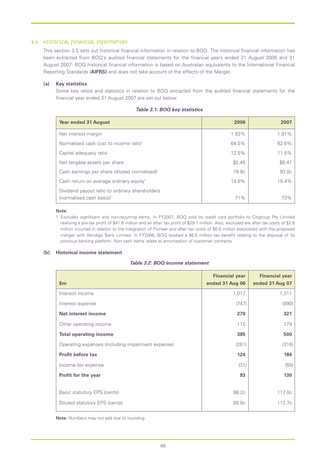# 3.5 Historical financial information

This section 3.5 sets out historical financial information in relation to BOQ. The historical financial information has been extracted from BOQ's audited financial statements for the financial years ended 31 August 2006 and 31 August 2007. BOQ historical financial information is based on Australian equivalents to the International Financial Reporting Standards (**AIFRS)** and does not take account of the effects of the Merger.

## **(a) Key statistics**

Some key ratios and statistics in relation to BOQ extracted from the audited financial statements for the financial year ended 31 August 2007 are set out below.

| <b>Year ended 31 August</b>                                                            | 2006   | 2007   |
|----------------------------------------------------------------------------------------|--------|--------|
| Net interest margin                                                                    | 1.83%  | 1.81%  |
| Normalised cash cost to income ratio <sup>1</sup>                                      | 64.5%  | 62.6%  |
| Capital adequacy ratio                                                                 | 12.5%  | 11.5%  |
| Net tangible assets per share                                                          | \$5.45 | \$6.41 |
| Cash earnings per share (diluted normalised) <sup>1</sup>                              | 79.8c  | 93.0c  |
| Cash return on average ordinary equity <sup>1</sup>                                    | 14.6%  | 15.4%  |
| Dividend payout ratio to ordinary shareholders<br>(normalised cash basis) <sup>1</sup> | 71%    | 73%    |

## *Table 3.1: BOQ key statistics*

#### **Note:**

1 Excludes significant and non-recurring items. In FY2007, BOQ sold its credit card portfolio to Citigroup Pty Limited realising a pre-tax profit of \$41.6 million and an after tax profit of \$29.1 million. Also, excluded are after tax costs of \$2.8 million incurred in relation to the integration of Pioneer and after tax costs of \$0.6 million associated with the proposed merger with Bendigo Bank Limited. In FY2006, BOQ booked a \$6.5 million tax benefit relating to the disposal of its previous banking platform. Non cash items relate to amortisation of customer contracts.

## **(b) Historical income statement**

## *Table 3.2: BOQ income statement*

| $\mathbf{Sm}$                                     | <b>Financial year</b><br>ended 31 Aug 06 | <b>Financial year</b><br>ended 31 Aug 07 |
|---------------------------------------------------|------------------------------------------|------------------------------------------|
| Interest income                                   | 1,017                                    | 1,311                                    |
| Interest expense                                  | (747)                                    | (990)                                    |
| Net interest income                               | 270                                      | 321                                      |
| Other operating income                            | 115                                      | 179                                      |
| <b>Total operating income</b>                     | 385                                      | 500                                      |
| Operating expenses (including impairment expense) | (261)                                    | (316)                                    |
| <b>Profit before tax</b>                          | 124                                      | 184                                      |
| Income tax expense                                | (31)                                     | (55)                                     |
| <b>Profit for the year</b>                        | 93                                       | 130                                      |
|                                                   |                                          |                                          |
| Basic statutory EPS (cents)                       | 88.2c                                    | 117.0c                                   |
| Diluted statutory EPS (cents)                     | 85.0c                                    | 112.7c                                   |

**Note:** Numbers may not add due to rounding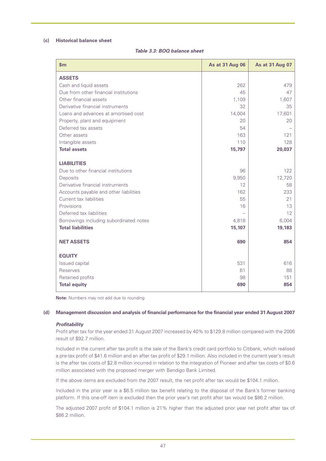## **(c) Historical balance sheet**

| \$m\$                                   | <b>As at 31 Aug 06</b> | As at 31 Aug 07 |
|-----------------------------------------|------------------------|-----------------|
| <b>ASSETS</b>                           |                        |                 |
| Cash and liquid assets                  | 262                    | 479             |
| Due from other financial institutions   | 45                     | 47              |
| Other financial assets                  | 1,109                  | 1,607           |
| Derivative financial instruments        | 32                     | 35              |
| Loans and advances at amortised cost    | 14,004                 | 17,601          |
| Property, plant and equipment           | 20                     | 20              |
| Deferred tax assets                     | 54                     |                 |
| Other assets                            | 163                    | 121             |
| Intangible assets                       | 110                    | 128             |
| <b>Total assets</b>                     | 15,797                 | 20,037          |
| <b>LIABILITIES</b>                      |                        |                 |
| Due to other financial institutions     | 96                     | 122             |
| Deposits                                | 9,950                  | 12,720          |
| Derivative financial instruments        | 12                     | 58              |
| Accounts payable and other liabilities  | 162                    | 233             |
| Current tax liabilities                 | 55                     | 21              |
| Provisions                              | 16                     | 13              |
| Deferred tax liabilities                |                        | 12              |
| Borrowings including subordinated notes | 4,818                  | 6,004           |
| <b>Total liabilities</b>                | 15,107                 | 19,183          |
| <b>NET ASSETS</b>                       | 690                    | 854             |
|                                         |                        |                 |
| <b>EQUITY</b>                           |                        |                 |
| Issued capital                          | 531                    | 616             |
| Reserves                                | 61                     | 88              |
| Retained profits                        | 98                     | 151             |
| <b>Total equity</b>                     | 690                    | 854             |

**Note:** Numbers may not add due to rounding

## **(d) Management discussion and analysis of financial performance for the financial year ended 31 August 2007**

#### *Profitability*

Profit after tax for the year ended 31 August 2007 increased by 40% to \$129.8 million compared with the 2006 result of \$92.7 million.

Included in the current after tax profit is the sale of the Bank's credit card portfolio to Citibank, which realised a pre-tax profit of \$41.6 million and an after tax profit of \$29.1 million. Also included in the current year's result is the after tax costs of \$2.8 million incurred in relation to the integration of Pioneer and after tax costs of \$0.6 million associated with the proposed merger with Bendigo Bank Limited.

If the above items are excluded from the 2007 result, the net profit after tax would be \$104.1 million.

Included in the prior year is a \$6.5 million tax benefit relating to the disposal of the Bank's former banking platform. If this one-off item is excluded then the prior year's net profit after tax would be \$86.2 million.

The adjusted 2007 profit of \$104.1 million is 21% higher than the adjusted prior year net profit after tax of \$86.2 million.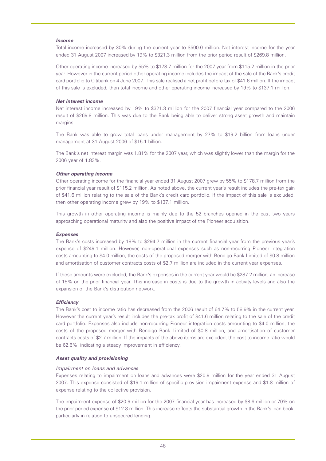## *Income*

Total income increased by 30% during the current year to \$500.0 million. Net interest income for the year ended 31 August 2007 increased by 19% to \$321.3 million from the prior period result of \$269.8 million.

Other operating income increased by 55% to \$178.7 million for the 2007 year from \$115.2 million in the prior year. However in the current period other operating income includes the impact of the sale of the Bank's credit card portfolio to Citibank on 4 June 2007. This sale realised a net profit before tax of \$41.6 million. If the impact of this sale is excluded, then total income and other operating income increased by 19% to \$137.1 million.

## *Net interest income*

Net interest income increased by 19% to \$321.3 million for the 2007 financial year compared to the 2006 result of \$269.8 million. This was due to the Bank being able to deliver strong asset growth and maintain margins.

The Bank was able to grow total loans under management by 27% to \$19.2 billion from loans under management at 31 August 2006 of \$15.1 billion.

The Bank's net interest margin was 1.81% for the 2007 year, which was slightly lower than the margin for the 2006 year of 1.83%.

## *Other operating income*

Other operating income for the financial year ended 31 August 2007 grew by 55% to \$178.7 million from the prior financial year result of \$115.2 million. As noted above, the current year's result includes the pre-tax gain of \$41.6 million relating to the sale of the Bank's credit card portfolio. If the impact of this sale is excluded, then other operating income grew by 19% to \$137.1 million.

This growth in other operating income is mainly due to the 52 branches opened in the past two years approaching operational maturity and also the positive impact of the Pioneer acquisition.

#### *Expenses*

The Bank's costs increased by 18% to \$294.7 million in the current financial year from the previous year's expense of \$249.1 million. However, non-operational expenses such as non-recurring Pioneer integration costs amounting to \$4.0 million, the costs of the proposed merger with Bendigo Bank Limited of \$0.8 million and amortisation of customer contracts costs of \$2.7 million are included in the current year expenses.

If these amounts were excluded, the Bank's expenses in the current year would be \$287.2 million, an increase of 15% on the prior financial year. This increase in costs is due to the growth in activity levels and also the expansion of the Bank's distribution network.

#### *Efficiency*

The Bank's cost to income ratio has decreased from the 2006 result of 64.7% to 58.9% in the current year. However the current year's result includes the pre-tax profit of \$41.6 million relating to the sale of the credit card portfolio. Expenses also include non-recurring Pioneer integration costs amounting to \$4.0 million, the costs of the proposed merger with Bendigo Bank Limited of \$0.8 million, and amortisation of customer contracts costs of \$2.7 million. If the impacts of the above items are excluded, the cost to income ratio would be 62.6%, indicating a steady improvement in efficiency.

#### *Asset quality and provisioning*

## *Impairment on loans and advances*

Expenses relating to impairment on loans and advances were \$20.9 million for the year ended 31 August 2007. This expense consisted of \$19.1 million of specific provision impairment expense and \$1.8 million of expense relating to the collective provision.

The impairment expense of \$20.9 million for the 2007 financial year has increased by \$8.6 million or 70% on the prior period expense of \$12.3 million. This increase reflects the substantial growth in the Bank's loan book, particularly in relation to unsecured lending.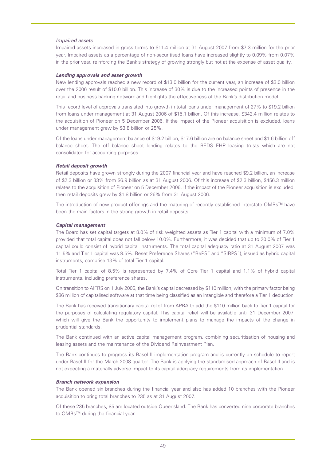## *Impaired assets*

Impaired assets increased in gross terms to \$11.4 million at 31 August 2007 from \$7.3 million for the prior year. Impaired assets as a percentage of non-securitised loans have increased slightly to 0.09% from 0.07% in the prior year, reinforcing the Bank's strategy of growing strongly but not at the expense of asset quality.

#### *Lending approvals and asset growth*

New lending approvals reached a new record of \$13.0 billion for the current year, an increase of \$3.0 billion over the 2006 result of \$10.0 billion. This increase of 30% is due to the increased points of presence in the retail and business banking network and highlights the effectiveness of the Bank's distribution model.

This record level of approvals translated into growth in total loans under management of 27% to \$19.2 billion from loans under management at 31 August 2006 of \$15.1 billion. Of this increase, \$342.4 million relates to the acquisition of Pioneer on 5 December 2006. If the impact of the Pioneer acquisition is excluded, loans under management grew by \$3.8 billion or 25%.

Of the loans under management balance of \$19.2 billion, \$17.6 billion are on balance sheet and \$1.6 billion off balance sheet. The off balance sheet lending relates to the REDS EHP leasing trusts which are not consolidated for accounting purposes.

#### *Retail deposit growth*

Retail deposits have grown strongly during the 2007 financial year and have reached \$9.2 billion, an increase of \$2.3 billion or 33% from \$6.9 billion as at 31 August 2006. Of this increase of \$2.3 billion, \$456.3 million relates to the acquisition of Pioneer on 5 December 2006. If the impact of the Pioneer acquisition is excluded, then retail deposits grew by \$1.8 billion or 26% from 31 August 2006.

The introduction of new product offerings and the maturing of recently established interstate OMBs™ have been the main factors in the strong growth in retail deposits.

#### *Capital management*

The Board has set capital targets at 8.0% of risk weighted assets as Tier 1 capital with a minimum of 7.0% provided that total capital does not fall below 10.0%. Furthermore, it was decided that up to 20.0% of Tier 1 capital could consist of hybrid capital instruments. The total capital adequacy ratio at 31 August 2007 was 11.5% and Tier 1 capital was 8.5%. Reset Preference Shares ("RePS" and "SIRPS"), issued as hybrid capital instruments, comprise 13% of total Tier 1 capital.

Total Tier 1 capital of 8.5% is represented by 7.4% of Core Tier 1 capital and 1.1% of hybrid capital instruments, including preference shares.

On transition to AIFRS on 1 July 2006, the Bank's capital decreased by \$110 million, with the primary factor being \$86 million of capitalised software at that time being classified as an intangible and therefore a Tier 1 deduction.

The Bank has received transitionary capital relief from APRA to add the \$110 million back to Tier 1 capital for the purposes of calculating regulatory capital. This capital relief will be available until 31 December 2007, which will give the Bank the opportunity to implement plans to manage the impacts of the change in prudential standards.

The Bank continued with an active capital management program, combining securitisation of housing and leasing assets and the maintenance of the Dividend Reinvestment Plan.

The Bank continues to progress its Basel II implementation program and is currently on schedule to report under Basel II for the March 2008 quarter. The Bank is applying the standardised approach of Basel II and is not expecting a materially adverse impact to its capital adequacy requirements from its implementation.

#### *Branch network expansion*

The Bank opened six branches during the financial year and also has added 10 branches with the Pioneer acquisition to bring total branches to 235 as at 31 August 2007.

Of these 235 branches, 85 are located outside Queensland. The Bank has converted nine corporate branches to OMBs™ during the financial year.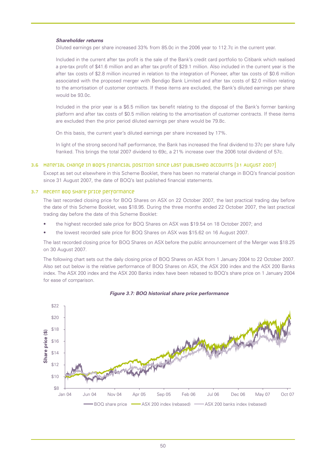## *Shareholder returns*

Diluted earnings per share increased 33% from 85.0c in the 2006 year to 112.7c in the current year.

Included in the current after tax profit is the sale of the Bank's credit card portfolio to Citibank which realised a pre-tax profit of \$41.6 million and an after tax profit of \$29.1 million. Also included in the current year is the after tax costs of \$2.8 million incurred in relation to the integration of Pioneer, after tax costs of \$0.6 million associated with the proposed merger with Bendigo Bank Limited and after tax costs of \$2.0 million relating to the amortisation of customer contracts. If these items are excluded, the Bank's diluted earnings per share would be 93.0c.

Included in the prior year is a \$6.5 million tax benefit relating to the disposal of the Bank's former banking platform and after tax costs of \$0.5 million relating to the amortisation of customer contracts. If these items are excluded then the prior period diluted earnings per share would be 79.8c.

On this basis, the current year's diluted earnings per share increased by 17%.

In light of the strong second half performance, the Bank has increased the final dividend to 37c per share fully franked. This brings the total 2007 dividend to 69c, a 21% increase over the 2006 total dividend of 57c.

## 3.6 Material change in BOQ's financial position since last published accounts (31 August 2007)

Except as set out elsewhere in this Scheme Booklet, there has been no material change in BOQ's financial position since 31 August 2007, the date of BOQ's last published financial statements.

#### 3.7 Recent BOQ Share price performance

The last recorded closing price for BOQ Shares on ASX on 22 October 2007, the last practical trading day before the date of this Scheme Booklet, was \$18.95. During the three months ended 22 October 2007, the last practical trading day before the date of this Scheme Booklet:

- the highest recorded sale price for BOQ Shares on ASX was \$19.54 on 18 October 2007; and
- the lowest recorded sale price for BOQ Shares on ASX was \$15.62 on 16 August 2007.

The last recorded closing price for BOQ Shares on ASX before the public announcement of the Merger was \$18.25 on 30 August 2007.

The following chart sets out the daily closing price of BOQ Shares on ASX from 1 January 2004 to 22 October 2007. Also set out below is the relative performance of BOQ Shares on ASX, the ASX 200 index and the ASX 200 Banks index. The ASX 200 index and the ASX 200 Banks index have been rebased to BOQ's share price on 1 January 2004 for ease of comparison.



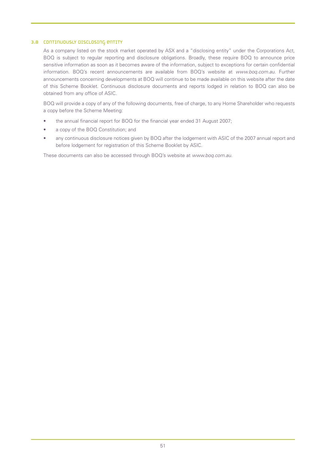# 3.8 Continuously disclosing entity

As a company listed on the stock market operated by ASX and a "disclosing entity" under the Corporations Act, BOQ is subject to regular reporting and disclosure obligations. Broadly, these require BOQ to announce price sensitive information as soon as it becomes aware of the information, subject to exceptions for certain confidential information. BOQ's recent announcements are available from BOQ's website at *www.boq.com.au*. Further announcements concerning developments at BOQ will continue to be made available on this website after the date of this Scheme Booklet. Continuous disclosure documents and reports lodged in relation to BOQ can also be obtained from any office of ASIC.

BOQ will provide a copy of any of the following documents, free of charge, to any Home Shareholder who requests a copy before the Scheme Meeting:

- the annual financial report for BOQ for the financial year ended 31 August 2007;
- a copy of the BOQ Constitution; and
- any continuous disclosure notices given by BOQ after the lodgement with ASIC of the 2007 annual report and before lodgement for registration of this Scheme Booklet by ASIC.

These documents can also be accessed through BOQ's website at *www.boq.com.au*.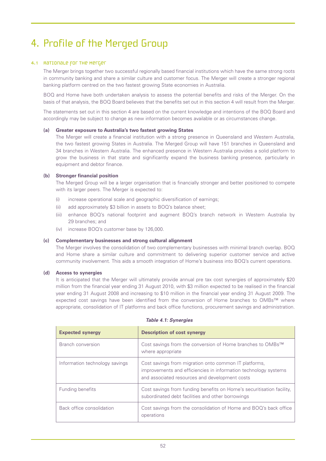# 4. Profile of the Merged Group

# 4.1 Rationale for the Merger

The Merger brings together two successful regionally based financial institutions which have the same strong roots in community banking and share a similar culture and customer focus. The Merger will create a stronger regional banking platform centred on the two fastest growing State economies in Australia.

BOQ and Home have both undertaken analysis to assess the potential benefits and risks of the Merger. On the basis of that analysis, the BOQ Board believes that the benefits set out in this section 4 will result from the Merger.

The statements set out in this section 4 are based on the current knowledge and intentions of the BOQ Board and accordingly may be subject to change as new information becomes available or as circumstances change.

## **(a) Greater exposure to Australia's two fastest growing States**

The Merger will create a financial institution with a strong presence in Queensland and Western Australia, the two fastest growing States in Australia. The Merged Group will have 151 branches in Queensland and 34 branches in Western Australia. The enhanced presence in Western Australia provides a solid platform to grow the business in that state and significantly expand the business banking presence, particularly in equipment and debtor finance.

## **(b) Stronger financial position**

The Merged Group will be a larger organisation that is financially stronger and better positioned to compete with its larger peers. The Merger is expected to:

- (i) increase operational scale and geographic diversification of earnings;
- (ii) add approximately \$3 billion in assets to BOQ's balance sheet;
- (iii) enhance BOQ's national footprint and augment BOQ's branch network in Western Australia by 29 branches; and
- (iv) increase BOQ's customer base by 126,000.

#### **(c) Complementary businesses and strong cultural alignment**

The Merger involves the consolidation of two complementary businesses with minimal branch overlap. BOQ and Home share a similar culture and commitment to delivering superior customer service and active community involvement. This aids a smooth integration of Home's business into BOQ's current operations.

# **(d) Access to synergies**

It is anticipated that the Merger will ultimately provide annual pre tax cost synergies of approximately \$20 million from the financial year ending 31 August 2010, with \$3 million expected to be realised in the financial year ending 31 August 2008 and increasing to \$10 million in the financial year ending 31 August 2009. The expected cost savings have been identified from the conversion of Home branches to OMBs™ where appropriate, consolidation of IT platforms and back office functions, procurement savings and administration.

| <b>Expected synergy</b>        | <b>Description of cost synergy</b>                                                                                                                                         |
|--------------------------------|----------------------------------------------------------------------------------------------------------------------------------------------------------------------------|
| Branch conversion              | Cost savings from the conversion of Home branches to OMBs™<br>where appropriate                                                                                            |
| Information technology savings | Cost savings from migration onto common IT platforms,<br>improvements and efficiencies in information technology systems<br>and associated resources and development costs |
| Funding benefits               | Cost savings from funding benefits on Home's securitisation facility,<br>subordinated debt facilities and other borrowings                                                 |
| Back office consolidation      | Cost savings from the consolidation of Home and BOQ's back office<br>operations                                                                                            |

#### *Table 4.1: Synergies*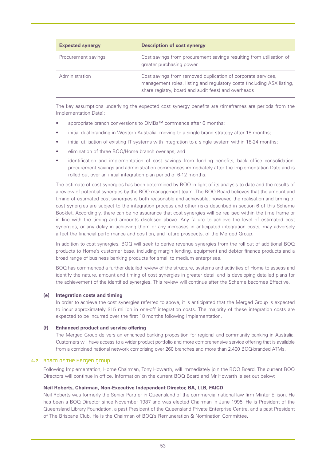| <b>Expected synergy</b> | <b>Description of cost synergy</b>                                                                                                                                                              |
|-------------------------|-------------------------------------------------------------------------------------------------------------------------------------------------------------------------------------------------|
| Procurement savings     | Cost savings from procurement savings resulting from utilisation of<br>greater purchasing power                                                                                                 |
| Administration          | Cost savings from removed duplication of corporate services,<br>management roles, listing and regulatory costs (including ASX listing,  <br>share registry, board and audit fees) and overheads |

The key assumptions underlying the expected cost synergy benefits are (timeframes are periods from the Implementation Date):

- appropriate branch conversions to OMBs™ commence after 6 months;
- initial dual branding in Western Australia, moving to a single brand strategy after 18 months;
- initial utilisation of existing IT systems with integration to a single system within 18-24 months;
- elimination of three BOQ/Home branch overlaps; and
- identification and implementation of cost savings from funding benefits, back office consolidation, procurement savings and administration commences immediately after the Implementation Date and is rolled out over an initial integration plan period of 6-12 months.

The estimate of cost synergies has been determined by BOQ in light of its analysis to date and the results of a review of potential synergies by the BOQ management team. The BOQ Board believes that the amount and timing of estimated cost synergies is both reasonable and achievable, however, the realisation and timing of cost synergies are subject to the integration process and other risks described in section 6 of this Scheme Booklet. Accordingly, there can be no assurance that cost synergies will be realised within the time frame or in line with the timing and amounts disclosed above. Any failure to achieve the level of estimated cost synergies, or any delay in achieving them or any increases in anticipated integration costs, may adversely affect the financial performance and position, and future prospects, of the Merged Group.

In addition to cost synergies, BOQ will seek to derive revenue synergies from the roll out of additional BOQ products to Home's customer base, including margin lending, equipment and debtor finance products and a broad range of business banking products for small to medium enterprises.

BOQ has commenced a further detailed review of the structure, systems and activities of Home to assess and identify the nature, amount and timing of cost synergies in greater detail and is developing detailed plans for the achievement of the identified synergies. This review will continue after the Scheme becomes Effective.

#### **(e) Integration costs and timing**

In order to achieve the cost synergies referred to above, it is anticipated that the Merged Group is expected to incur approximately \$15 million in one-off integration costs. The majority of these integration costs are expected to be incurred over the first 18 months following Implementation.

#### **(f) Enhanced product and service offering**

The Merged Group delivers an enhanced banking proposition for regional and community banking in Australia. Customers will have access to a wider product portfolio and more comprehensive service offering that is available from a combined national network comprising over 260 branches and more than 2,400 BOQ-branded ATMs.

#### 4.2 Board of the Merged Group

Following Implementation, Home Chairman, Tony Howarth, will immediately join the BOQ Board. The current BOQ Directors will continue in office. Information on the current BOQ Board and Mr Howarth is set out below:

# **Neil Roberts, Chairman, Non-Executive Independent Director, BA, LLB, FAICD**

Neil Roberts was formerly the Senior Partner in Queensland of the commercial national law firm Minter Ellison. He has been a BOQ Director since November 1987 and was elected Chairman in June 1995. He is President of the Queensland Library Foundation, a past President of the Queensland Private Enterprise Centre, and a past President of The Brisbane Club. He is the Chairman of BOQ's Remuneration & Nomination Committee.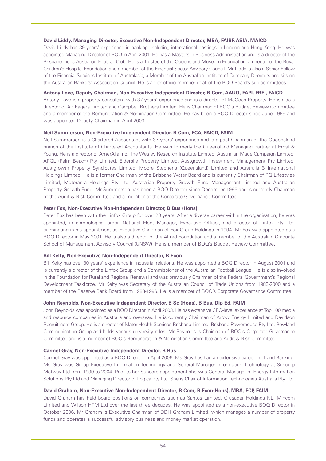## **David Liddy, Managing Director, Executive Non-Independent Director, MBA, FAIBF, ASIA, MAICD**

David Liddy has 39 years' experience in banking, including international postings in London and Hong Kong. He was appointed Managing Director of BOQ in April 2001. He has a Masters in Business Administration and is a director of the Brisbane Lions Australian Football Club. He is a Trustee of the Queensland Museum Foundation, a director of the Royal Children's Hospital Foundation and a member of the Financial Sector Advisory Council. Mr Liddy is also a Senior Fellow of the Financial Services Institute of Australasia, a Member of the Australian Institute of Company Directors and sits on the Australian Bankers' Association Council. He is an ex-officio member of all of the BOQ Board's sub-committees.

## **Antony Love, Deputy Chairman, Non-Executive Independent Director, B Com, AAUQ, FAPI, FREI, FAICD**

Antony Love is a property consultant with 37 years' experience and is a director of McGees Property. He is also a director of AP Eagers Limited and Campbell Brothers Limited. He is Chairman of BOQ's Budget Review Committee and a member of the Remuneration & Nomination Committee. He has been a BOQ Director since June 1995 and was appointed Deputy Chairman in April 2003.

## **Neil Summerson, Non-Executive Independent Director, B Com, FCA, FAICD, FAIM**

Neil Summerson is a Chartered Accountant with 37 years' experience and is a past Chairman of the Queensland branch of the Institute of Chartered Accountants. He was formerly the Queensland Managing Partner at Ernst & Young. He is a director of AmerAlia Inc, The Wesley Research Institute Limited, Australian Made Campaign Limited, APGL (Palm Beach) Pty Limited, Elderslie Property Limited, Austgrowth Investment Management Pty Limited, Austgrowth Property Syndicates Limited, Moore Stephens (Queensland) Limited and Australia & International Holdings Limited. He is a former Chairman of the Brisbane Water Board and is currently Chairman of PQ Lifestyles Limited, Motorama Holdings Pty Ltd, Australian Property Growth Fund Management Limited and Australian Property Growth Fund. Mr Summerson has been a BOQ Director since December 1996 and is currently Chairman of the Audit & Risk Committee and a member of the Corporate Governance Committee.

#### **Peter Fox, Non-Executive Non-Independent Director, B Bus (Hons)**

Peter Fox has been with the Linfox Group for over 20 years. After a diverse career within the organisation, he was appointed, in chronological order, National Fleet Manager, Executive Officer, and director of Linfox Pty Ltd, culminating in his appointment as Executive Chairman of Fox Group Holdings in 1994. Mr Fox was appointed as a BOQ Director in May 2001. He is also a director of the Alfred Foundation and a member of the Australian Graduate School of Management Advisory Council (UNSW). He is a member of BOQ's Budget Review Committee.

## **Bill Kelty, Non-Executive Non-Independent Director, B Econ**

Bill Kelty has over 30 years' experience in industrial relations. He was appointed a BOQ Director in August 2001 and is currently a director of the Linfox Group and a Commissioner of the Australian Football League. He is also involved in the Foundation for Rural and Regional Renewal and was previously Chairman of the Federal Government's Regional Development Taskforce. Mr Kelty was Secretary of the Australian Council of Trade Unions from 1983-2000 and a member of the Reserve Bank Board from 1988-1996. He is a member of BOQ's Corporate Governance Committee.

# **John Reynolds, Non-Executive Independent Director, B Sc (Hons), B Bus, Dip Ed, FAIM**

John Reynolds was appointed as a BOQ Director in April 2003. He has extensive CEO-level experience at Top 100 media and resource companies in Australia and overseas. He is currently Chairman of Arrow Energy Limited and Davidson Recruitment Group. He is a director of Mater Health Services Brisbane Limited, Brisbane Powerhouse Pty Ltd, Rowland Communication Group and holds various university roles. Mr Reynolds is Chairman of BOQ's Corporate Governance Committee and is a member of BOQ's Remuneration & Nomination Committee and Audit & Risk Committee.

## **Carmel Gray, Non-Executive Independent Director, B Bus**

Carmel Gray was appointed as a BOQ Director in April 2006. Ms Gray has had an extensive career in IT and Banking. Ms Gray was Group Executive Information Technology and General Manager Information Technology at Suncorp Metway Ltd from 1999 to 2004. Prior to her Suncorp appointment she was General Manager of Energy Information Solutions Pty Ltd and Managing Director of Logica Pty Ltd. She is Chair of Information Technologies Australia Pty Ltd.

# **David Graham, Non-Executive Non-Independent Director, B Com, B.Econ(Hons), MBA, FCP, FAIM**

David Graham has held board positions on companies such as Santos Limited, Crusader Holdings NL, Mincom Limited and Wilson HTM Ltd over the last three decades. He was appointed as a non-executive BOQ Director in October 2006. Mr Graham is Executive Chairman of DDH Graham Limited, which manages a number of property funds and operates a successful advisory business and money market operation.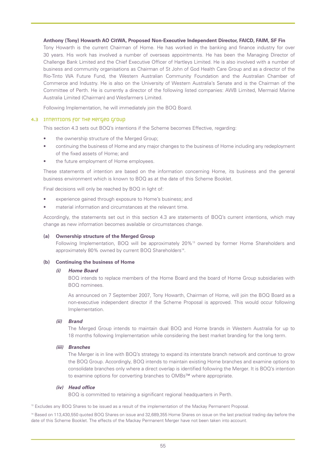## **Anthony (Tony) Howarth AO CitWA, Proposed Non-Executive Independent Director, FAICD, FAIM, SF Fin**

Tony Howarth is the current Chairman of Home. He has worked in the banking and finance industry for over 30 years. His work has involved a number of overseas appointments. He has been the Managing Director of Challenge Bank Limited and the Chief Executive Officer of Hartleys Limited. He is also involved with a number of business and community organisations as Chairman of St John of God Health Care Group and as a director of the Rio-Tinto WA Future Fund, the Western Australian Community Foundation and the Australian Chamber of Commerce and Industry. He is also on the University of Western Australia's Senate and is the Chairman of the Committee of Perth. He is currently a director of the following listed companies: AWB Limited, Mermaid Marine Australia Limited (Chairman) and Wesfarmers Limited.

Following Implementation, he will immediately join the BOQ Board.

## 4.3 Intentions for the Merged Group

This section 4.3 sets out BOQ's intentions if the Scheme becomes Effective, regarding:

- the ownership structure of the Merged Group;
- continuing the business of Home and any major changes to the business of Home including any redeployment of the fixed assets of Home; and
- the future employment of Home employees.

These statements of intention are based on the information concerning Home, its business and the general business environment which is known to BOQ as at the date of this Scheme Booklet.

Final decisions will only be reached by BOQ in light of:

- experience gained through exposure to Home's business; and
- material information and circumstances at the relevant time.

Accordingly, the statements set out in this section 4.3 are statements of BOQ's current intentions, which may change as new information becomes available or circumstances change.

#### **(a) Ownership structure of the Merged Group**

Following Implementation, BOQ will be approximately 20%13 owned by former Home Shareholders and approximately 80% owned by current BOQ Shareholders<sup>14</sup>.

#### **(b) Continuing the business of Home**

# *(i) Home Board*

BOQ intends to replace members of the Home Board and the board of Home Group subsidiaries with BOQ nominees.

As announced on 7 September 2007, Tony Howarth, Chairman of Home, will join the BOQ Board as a non-executive independent director if the Scheme Proposal is approved. This would occur following Implementation.

#### *(ii) Brand*

The Merged Group intends to maintain dual BOQ and Home brands in Western Australia for up to 18 months following Implementation while considering the best market branding for the long term.

#### *(iii) Branches*

The Merger is in line with BOQ's strategy to expand its interstate branch network and continue to grow the BOQ Group. Accordingly, BOQ intends to maintain existing Home branches and examine options to consolidate branches only where a direct overlap is identified following the Merger. It is BOQ's intention to examine options for converting branches to OMBs™ where appropriate.

#### *(iv) Head office*

BOQ is committed to retaining a significant regional headquarters in Perth.

<sup>13</sup> Excludes any BOQ Shares to be issued as a result of the implementation of the Mackay Permanent Proposal.

<sup>14</sup> Based on 113,430,550 quoted BOQ Shares on issue and 32,689,355 Home Shares on issue on the last practical trading day before the date of this Scheme Booklet. The effects of the Mackay Permanent Merger have not been taken into account.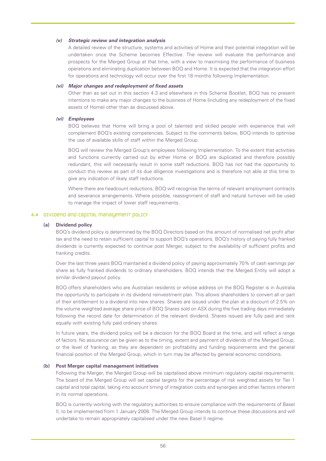#### *(v) Strategic review and integration analysis*

A detailed review of the structure, systems and activities of Home and their potential integration will be undertaken once the Scheme becomes Effective. The review will evaluate the performance and prospects for the Merged Group at that time, with a view to maximising the performance of business operations and eliminating duplication between BOQ and Home. It is expected that the integration effort for operations and technology will occur over the first 18 months following Implementation.

#### *(vi) Major changes and redeployment of fixed assets*

Other than as set out in this section 4.3 and elsewhere in this Scheme Booklet, BOQ has no present intentions to make any major changes to the business of Home (including any redeployment of the fixed assets of Home) other than as discussed above.

# *(vi) Employees*

BOQ believes that Home will bring a pool of talented and skilled people with experience that will complement BOQ's existing competencies. Subject to the comments below, BOQ intends to optimise the use of available skills of staff within the Merged Group.

BOQ will review the Merged Group's employees following Implementation. To the extent that activities and functions currently carried out by either Home or BOQ are duplicated and therefore possibly redundant, this will necessarily result in some staff reductions. BOQ has not had the opportunity to conduct this review as part of its due diligence investigations and is therefore not able at this time to give any indication of likely staff reductions.

Where there are headcount reductions, BOQ will recognise the terms of relevant employment contracts and severance arrangements. Where possible, reassignment of staff and natural turnover will be used to manage the impact of lower staff requirements.

#### 4.4 Dividend and capital management policy

# **(a) Dividend policy**

BOQ's dividend policy is determined by the BOQ Directors based on the amount of normalised net profit after tax and the need to retain sufficient capital to support BOQ's operations. BOQ's history of paying fully franked dividends is currently expected to continue post Merger, subject to the availability of sufficient profits and franking credits.

Over the last three years BOQ maintained a dividend policy of paying approximately 70% of cash earnings per share as fully franked dividends to ordinary shareholders. BOQ intends that the Merged Entity will adopt a similar dividend payout policy.

BOQ offers shareholders who are Australian residents or whose address on the BOQ Register is in Australia the opportunity to participate in its dividend reinvestment plan. This allows shareholders to convert all or part of their entitlement to a dividend into new shares. Shares are issued under the plan at a discount of 2.5% on the volume weighted average share price of BOQ Shares sold on ASX during the five trading days immediately following the record date for determination of the relevant dividend. Shares issued are fully paid and rank equally with existing fully paid ordinary shares.

In future years, the dividend policy will be a decision for the BOQ Board at the time, and will reflect a range of factors. No assurance can be given as to the timing, extent and payment of dividends of the Merged Group, or the level of franking, as they are dependent on profitability and funding requirements and the general financial position of the Merged Group, which in turn may be affected by general economic conditions.

## **(b) Post Merger capital management initiatives**

Following the Merger, the Merged Group will be capitalised above minimum regulatory capital requirements. The board of the Merged Group will set capital targets for the percentage of risk weighted assets for Tier 1 capital and total capital, taking into account timing of integration costs and synergies and other factors inherent in its normal operations.

BOQ is currently working with the regulatory authorities to ensure compliance with the requirements of Basel II, to be implemented from 1 January 2008. The Merged Group intends to continue these discussions and will undertake to remain appropriately capitalised under the new Basel II regime.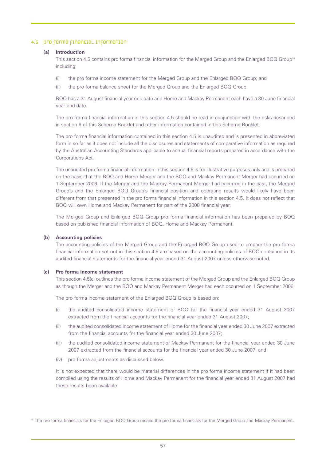## 4.5 pro forma financial information

#### **(a) Introduction**

This section 4.5 contains pro forma financial information for the Merged Group and the Enlarged BOQ Group<sup>15</sup> including:

- (i) the pro forma income statement for the Merged Group and the Enlarged BOQ Group; and
- (ii) the pro forma balance sheet for the Merged Group and the Enlarged BOQ Group.

BOQ has a 31 August financial year end date and Home and Mackay Permanent each have a 30 June financial year end date.

The pro forma financial information in this section 4.5 should be read in conjunction with the risks described in section 6 of this Scheme Booklet and other information contained in this Scheme Booklet.

The pro forma financial information contained in this section 4.5 is unaudited and is presented in abbreviated form in so far as it does not include all the disclosures and statements of comparative information as required by the Australian Accounting Standards applicable to annual financial reports prepared in accordance with the Corporations Act.

The unaudited pro forma financial information in this section 4.5 is for illustrative purposes only and is prepared on the basis that the BOQ and Home Merger and the BOQ and Mackay Permanent Merger had occurred on 1 September 2006. If the Merger and the Mackay Permanent Merger had occurred in the past, the Merged Group's and the Enlarged BOQ Group's financial position and operating results would likely have been different from that presented in the pro forma financial information in this section 4.5. It does not reflect that BOQ will own Home and Mackay Permanent for part of the 2008 financial year.

The Merged Group and Enlarged BOQ Group pro forma financial information has been prepared by BOQ based on published financial information of BOQ, Home and Mackay Permanent.

#### **(b) Accounting policies**

The accounting policies of the Merged Group and the Enlarged BOQ Group used to prepare the pro forma financial information set out in this section 4.5 are based on the accounting policies of BOQ contained in its audited financial statements for the financial year ended 31 August 2007 unless otherwise noted.

## **(c) Pro forma income statement**

This section 4.5(c) outlines the pro forma income statement of the Merged Group and the Enlarged BOQ Group as though the Merger and the BOQ and Mackay Permanent Merger had each occurred on 1 September 2006.

The pro forma income statement of the Enlarged BOQ Group is based on:

- (i) the audited consolidated income statement of BOQ for the financial year ended 31 August 2007 extracted from the financial accounts for the financial year ended 31 August 2007;
- (ii) the audited consolidated income statement of Home for the financial year ended 30 June 2007 extracted from the financial accounts for the financial year ended 30 June 2007;
- (iii) the audited consolidated income statement of Mackay Permanent for the financial year ended 30 June 2007 extracted from the financial accounts for the financial year ended 30 June 2007; and
- (iv) pro forma adjustments as discussed below.

It is not expected that there would be material differences in the pro forma income statement if it had been compiled using the results of Home and Mackay Permanent for the financial year ended 31 August 2007 had these results been available.

<sup>15</sup> The pro forma financials for the Enlarged BOQ Group means the pro forma financials for the Merged Group and Mackay Permanent.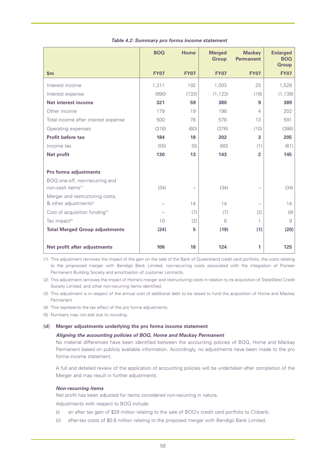|                                                                      | <b>BOQ</b>  | Home        | <b>Merged</b><br><b>Group</b> | <b>Mackay</b><br><b>Permanent</b> | <b>Enlarged</b><br><b>BOQ</b><br><b>Group</b> |
|----------------------------------------------------------------------|-------------|-------------|-------------------------------|-----------------------------------|-----------------------------------------------|
| $\mathsf{sm}$                                                        | <b>FY07</b> | <b>FY07</b> | <b>FY07</b>                   | <b>FY07</b>                       | <b>FY07</b>                                   |
| Interest income                                                      | 1,311       | 192         | 1,503                         | 25                                | 1,528                                         |
| Interest expense                                                     | (990)       | (133)       | (1, 123)                      | (16)                              | (1, 139)                                      |
| Net interest income                                                  | 321         | 59          | 380                           | 9                                 | 389                                           |
| Other income                                                         | 179         | 19          | 198                           | 4                                 | 202                                           |
| Total income after interest expense                                  | 500         | 78          | 578                           | 13                                | 591                                           |
| Operating expenses                                                   | (316)       | (60)        | (376)                         | (10)                              | (386)                                         |
| <b>Profit before tax</b>                                             | 184         | 18          | 202                           | 3                                 | 205                                           |
| Income tax                                                           | (55)        | (5)         | (60)                          | (1)                               | (61)                                          |
| <b>Net profit</b>                                                    | 130         | 13          | 143                           | $\overline{2}$                    | 145                                           |
|                                                                      |             |             |                               |                                   |                                               |
| Pro forma adjustments                                                |             |             |                               |                                   |                                               |
| BOQ one-off, non-recurring and                                       |             |             |                               |                                   |                                               |
| non-cash items <sup>(1)</sup>                                        | (34)        |             | (34)                          | $\overline{\phantom{0}}$          | (34)                                          |
| Merger and restructuring costs,<br>& other adjustments <sup>2)</sup> |             | 14          | 14                            |                                   | 14                                            |
| Cost of acquisition funding <sup>(3)</sup>                           |             | (7)         | (7)                           | (2)                               | (9)                                           |
| Tax impact <sup>(4)</sup>                                            | 10          | (2)         | 8                             | 1                                 | 9                                             |
| <b>Total Merged Group adjustments</b>                                | (24)        | 5           | (19)                          | (1)                               | (20)                                          |
|                                                                      |             |             |                               |                                   |                                               |
| Net profit after adjustments                                         | 106         | 18          | 124                           | 1                                 | 125                                           |

## *Table 4.2: Summary pro forma income statement*

(1) This adjustment removes the impact of the gain on the sale of the Bank of Queensland credit card portfolio, the costs relating to the proposoed merger with Bendigo Bank Limited, non-recurring costs associated with the integration of Pioneer Permanent Building Society and amortisation of customer contracts.

(2) This adjustment removes the impact of Home's merger and restructuring costs in relation to its acquisition of StateWest Credit Society Limited, and other non-recurring items identified.

- (3) This adjustment is in respect of the annual cost of additional debt to be raised to fund the acquisition of Home and Mackay Permanent.
- (4) This represents the tax effect of the pro forma adjustments.
- (5) Numbers may not add due to rounding.

# **(d) Merger adjustments underlying the pro forma income statement**

# *Aligning the accounting policies of BOQ, Home and Mackay Permanent*

No material differences have been identified between the accounting policies of BOQ, Home and Mackay Permanent based on publicly available information. Accordingly, no adjustments have been made to the pro forma income statement.

A full and detailed review of the application of accounting policies will be undertaken after completion of the Merger and may result in further adjustments.

# *Non-recurring items*

Net profit has been adjusted for items considered non-recurring in nature.

Adjustments with respect to BOQ include:

- (i) an after tax gain of \$29 million relating to the sale of BOQ's credit card portfolio to Citibank;
- (ii) after-tax costs of \$0.6 million relating to the proposed merger with Bendigo Bank Limited;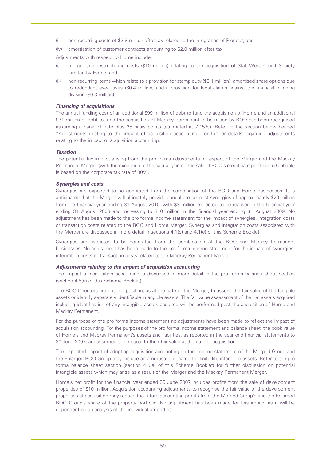- (iii) non-recurring costs of \$2.8 million after tax related to the integration of Pioneer; and
- (iv) amortisation of customer contracts amounting to \$2.0 million after tax.

Adjustments with respect to Home include:

- (i) merger and restructuring costs (\$10 million) relating to the acquisition of StateWest Credit Society Limited by Home; and
- (ii) non-recurring items which relate to a provision for stamp duty (\$3.1 million), amortised share options due to redundant executives (\$0.4 million) and a provision for legal claims against the financial planning division (\$0.3 million).

### *Financing of acquisitions*

The annual funding cost of an additional \$99 million of debt to fund the acquisition of Home and an additional \$31 million of debt to fund the acquisition of Mackay Permanent to be raised by BOQ has been recognised assuming a bank bill rate plus 25 basis points (estimated at 7.15%). Refer to the section below headed "Adjustments relating to the impact of acquisition accounting" for further details regarding adjustments relating to the impact of acquisition accounting.

#### *Taxation*

The potential tax impact arising from the pro forma adjustments in respect of the Merger and the Mackay Permanent Merger (with the exception of the capital gain on the sale of BOQ's credit card portfolio to Citibank) is based on the corporate tax rate of 30%.

## *Synergies and costs*

Synergies are expected to be generated from the combination of the BOQ and Home businesses. It is anticipated that the Merger will ultimately provide annual pre-tax cost synergies of approximately \$20 million from the financial year ending 31 August 2010, with \$3 million expected to be realised in the financial year ending 31 August 2008 and increasing to \$10 million in the financial year ending 31 August 2009. No adjustment has been made to the pro forma income statement for the impact of synergies, integration costs or transaction costs related to the BOQ and Home Merger. Synergies and integration costs associated with the Merger are discussed in more detail in sections 4.1(d) and 4.1(e) of this Scheme Booklet.

Synergies are expected to be generated from the combination of the BOQ and Mackay Permanent businesses. No adjustment has been made to the pro forma income statement for the impact of synergies, integration costs or transaction costs related to the Mackay Permanent Merger.

#### *Adjustments relating to the impact of acquisition accounting*

The impact of acquisition accounting is discussed in more detail in the pro forma balance sheet section (section 4.5(e) of this Scheme Booklet).

The BOQ Directors are not in a position, as at the date of the Merger, to assess the fair value of the tangible assets or identify separately identifiable intangible assets. The fair value assessment of the net assets acquired including identification of any intangible assets acquired will be performed post the acquisition of Home and Mackay Permanent.

For the purpose of the pro forma income statement no adjustments have been made to reflect the impact of acquisition accounting. For the purposes of the pro forma income statement and balance sheet, the book value of Home's and Mackay Permanent's assets and liabilities, as reported in the year end financial statements to 30 June 2007, are assumed to be equal to their fair value at the date of acquisition.

The expected impact of adopting acquisition accounting on the income statement of the Merged Group and the Enlarged BOQ Group may include an amortisation charge for finite life intangible assets. Refer to the pro forma balance sheet section (section 4.5(e) of this Scheme Booklet) for further discussion on potential intangible assets which may arise as a result of the Merger and the Mackay Permanent Merger.

Home's net profit for the financial year ended 30 June 2007 includes profits from the sale of development properties of \$10 million. Acquisition accounting adjustments to recognise the fair value of the development properties at acquisition may reduce the future accounting profits from the Merged Group's and the Enlarged BOQ Group's share of the property portfolio. No adjustment has been made for this impact as it will be dependent on an analysis of the individual properties.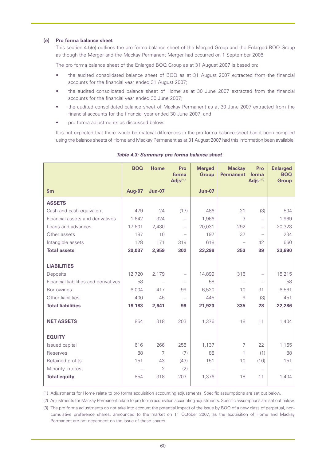## **(e) Pro forma balance sheet**

This section 4.5(e) outlines the pro forma balance sheet of the Merged Group and the Enlarged BOQ Group as though the Merger and the Mackay Permanent Merger had occurred on 1 September 2006.

The pro forma balance sheet of the Enlarged BOQ Group as at 31 August 2007 is based on:

- the audited consolidated balance sheet of BOQ as at 31 August 2007 extracted from the financial accounts for the financial year ended 31 August 2007;
- the audited consolidated balance sheet of Home as at 30 June 2007 extracted from the financial accounts for the financial year ended 30 June 2007;
- the audited consolidated balance sheet of Mackay Permanent as at 30 June 2007 extracted from the financial accounts for the financial year ended 30 June 2007; and
- pro forma adjustments as discussed below.

It is not expected that there would be material differences in the pro forma balance sheet had it been compiled using the balance sheets of Home and Mackay Permanent as at 31 August 2007 had this information been available.

|                                       | <b>BOQ</b>    | <b>Home</b>    | Pro<br>forma<br>Adjs(1)(3) | <b>Merged</b><br><b>Group</b> | <b>Mackay</b><br><b>Permanent</b> | Pro<br>forma<br>Adjs $(2)(3)$ | <b>Enlarged</b><br><b>BOQ</b><br><b>Group</b> |
|---------------------------------------|---------------|----------------|----------------------------|-------------------------------|-----------------------------------|-------------------------------|-----------------------------------------------|
| \$m\$                                 | <b>Aug-07</b> | <b>Jun-07</b>  |                            | <b>Jun-07</b>                 |                                   |                               |                                               |
| <b>ASSETS</b>                         |               |                |                            |                               |                                   |                               |                                               |
| Cash and cash equivalent              | 479           | 24             | (17)                       | 486                           | 21                                | (3)                           | 504                                           |
| Financial assets and derivatives      | 1,642         | 324            | $\overline{\phantom{0}}$   | 1,966                         | 3                                 | $\overline{\phantom{0}}$      | 1,969                                         |
| Loans and advances                    | 17,601        | 2,430          | $\overline{\phantom{0}}$   | 20,031                        | 292                               | $\overline{\phantom{0}}$      | 20,323                                        |
| Other assets                          | 187           | 10             |                            | 197                           | 37                                | $\overline{\phantom{0}}$      | 234                                           |
| Intangible assets                     | 128           | 171            | 319                        | 618                           | $\overline{\phantom{0}}$          | 42                            | 660                                           |
| <b>Total assets</b>                   | 20,037        | 2,959          | 302                        | 23,299                        | 353                               | 39                            | 23,690                                        |
|                                       |               |                |                            |                               |                                   |                               |                                               |
| <b>LIABILITIES</b>                    |               |                |                            |                               |                                   |                               |                                               |
| Deposits                              | 12,720        | 2,179          | $\overline{\phantom{0}}$   | 14,899                        | 316                               |                               | 15,215                                        |
| Financial liabilities and derivatives | 58            |                | $\overline{\phantom{0}}$   | 58                            | $\overline{\phantom{0}}$          | $\overline{\phantom{0}}$      | 58                                            |
| <b>Borrowings</b>                     | 6,004         | 417            | 99                         | 6,520                         | 10                                | 31                            | 6,561                                         |
| Other liabilities                     | 400           | 45             |                            | 445                           | 9                                 | (3)                           | 451                                           |
| <b>Total liabilities</b>              | 19,183        | 2.641          | 99                         | 21,923                        | 335                               | 28                            | 22,286                                        |
|                                       |               |                |                            |                               |                                   |                               |                                               |
| <b>NET ASSETS</b>                     | 854           | 318            | 203                        | 1,376                         | 18                                | 11                            | 1,404                                         |
|                                       |               |                |                            |                               |                                   |                               |                                               |
| <b>EQUITY</b>                         |               |                |                            |                               |                                   |                               |                                               |
| <b>Issued capital</b>                 | 616           | 266            | 255                        | 1,137                         | 7                                 | 22                            | 1,165                                         |
| Reserves                              | 88            | $\overline{7}$ | (7)                        | 88                            | $\mathbf{1}$                      | (1)                           | 88                                            |
| Retained profits                      | 151           | 43             | (43)                       | 151                           | 10                                | (10)                          | 151                                           |
| Minority interest                     |               | $\overline{2}$ | (2)                        |                               |                                   |                               |                                               |
| <b>Total equity</b>                   | 854           | 318            | 203                        | 1,376                         | 18                                | 11                            | 1,404                                         |
|                                       |               |                |                            |                               |                                   |                               |                                               |

*Table 4.3: Summary pro forma balance sheet*

(1) Adjustments for Home relate to pro forma acquisition accounting adjustments. Specific assumptions are set out below.

(2) Adjustments for Mackay Permanent relate to pro forma acquisition accounting adjustments. Specific assumptions are set out below.

(3) The pro forma adjustments do not take into account the potential impact of the issue by BOQ of a new class of perpetual, noncumulative preference shares, announced to the market on 11 October 2007, as the acquisition of Home and Mackay Permanent are not dependent on the issue of these shares.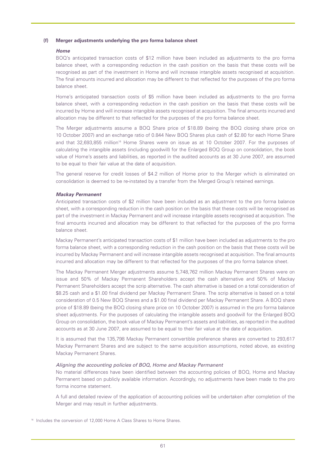## **(f) Merger adjustments underlying the pro forma balance sheet**

## *Home*

BOQ's anticipated transaction costs of \$12 million have been included as adjustments to the pro forma balance sheet, with a corresponding reduction in the cash position on the basis that these costs will be recognised as part of the investment in Home and will increase intangible assets recognised at acquisition. The final amounts incurred and allocation may be different to that reflected for the purposes of the pro forma balance sheet.

Home's anticipated transaction costs of \$5 million have been included as adjustments to the pro forma balance sheet, with a corresponding reduction in the cash position on the basis that these costs will be incurred by Home and will increase intangible assets recognised at acquisition. The final amounts incurred and allocation may be different to that reflected for the purposes of the pro forma balance sheet.

The Merger adjustments assume a BOQ Share price of \$18.89 (being the BOQ closing share price on 10 October 2007) and an exchange ratio of 0.844 New BOQ Shares plus cash of \$2.80 for each Home Share and that 32,693,855 million<sup>16</sup> Home Shares were on issue as at 10 October 2007. For the purposes of calculating the intangible assets (including goodwill) for the Enlarged BOQ Group on consolidation, the book value of Home's assets and liabilities, as reported in the audited accounts as at 30 June 2007, are assumed to be equal to their fair value at the date of acquisition.

The general reserve for credit losses of \$4.2 million of Home prior to the Merger which is eliminated on consolidation is deemed to be re-instated by a transfer from the Merged Group's retained earnings.

## *Mackay Permanent*

Anticipated transaction costs of \$2 million have been included as an adjustment to the pro forma balance sheet, with a corresponding reduction in the cash position on the basis that these costs will be recognised as part of the investment in Mackay Permanent and will increase intangible assets recognised at acquisition. The final amounts incurred and allocation may be different to that reflected for the purposes of the pro forma balance sheet.

Mackay Permanent's anticipated transaction costs of \$1 million have been included as adjustments to the pro forma balance sheet, with a corresponding reduction in the cash position on the basis that these costs will be incurred by Mackay Permanent and will increase intangible assets recognised at acquisition. The final amounts incurred and allocation may be different to that reflected for the purposes of the pro forma balance sheet.

The Mackay Permanent Merger adjustments assume 5,748,762 million Mackay Permanent Shares were on issue and 50% of Mackay Permanent Shareholders accept the cash alternative and 50% of Mackay Permanent Shareholders accept the scrip alternative. The cash alternative is based on a total consideration of \$8.25 cash and a \$1.00 final dividend per Mackay Permanent Share. The scrip alternative is based on a total consideration of 0.5 New BOQ Shares and a \$1.00 final dividend per Mackay Permanent Share. A BOQ share price of \$18.89 (being the BOQ closing share price on 10 October 2007) is assumed in the pro forma balance sheet adjustments. For the purposes of calculating the intangible assets and goodwill for the Enlarged BOQ Group on consolidation, the book value of Mackay Permanent's assets and liabilities, as reported in the audited accounts as at 30 June 2007, are assumed to be equal to their fair value at the date of acquisition.

It is assumed that the 135,798 Mackay Permanent convertible preference shares are converted to 293,617 Mackay Permanent Shares and are subject to the same acquisition assumptions, noted above, as existing Mackay Permanent Shares.

# *Aligning the accounting policies of BOQ, Home and Mackay Permanent*

No material differences have been identified between the accounting policies of BOQ, Home and Mackay Permanent based on publicly available information. Accordingly, no adjustments have been made to the pro forma income statement.

A full and detailed review of the application of accounting policies will be undertaken after completion of the Merger and may result in further adjustments.

<sup>16</sup> Includes the conversion of 12,000 Home A Class Shares to Home Shares.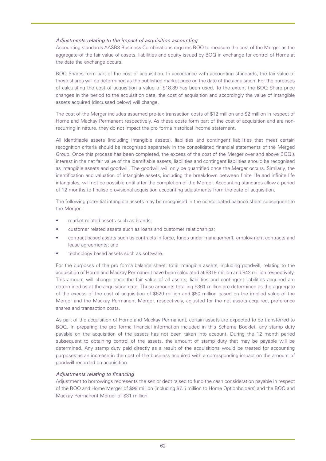# *Adjustments relating to the impact of acquisition accounting*

Accounting standards AASB3 Business Combinations requires BOQ to measure the cost of the Merger as the aggregate of the fair value of assets, liabilities and equity issued by BOQ in exchange for control of Home at the date the exchange occurs.

BOQ Shares form part of the cost of acquisition. In accordance with accounting standards, the fair value of these shares will be determined as the published market price on the date of the acquisition. For the purposes of calculating the cost of acquisition a value of \$18.89 has been used. To the extent the BOQ Share price changes in the period to the acquisition date, the cost of acquisition and accordingly the value of intangible assets acquired (discussed below) will change.

The cost of the Merger includes assumed pre-tax transaction costs of \$12 million and \$2 million in respect of Home and Mackay Permanent respectively. As these costs form part of the cost of acquisition and are nonrecurring in nature, they do not impact the pro forma historical income statement.

All identifiable assets (including intangible assets), liabilities and contingent liabilities that meet certain recognition criteria should be recognised separately in the consolidated financial statements of the Merged Group. Once this process has been completed, the excess of the cost of the Merger over and above BOQ's interest in the net fair value of the identifiable assets, liabilities and contingent liabilities should be recognised as intangible assets and goodwill. The goodwill will only be quantified once the Merger occurs. Similarly, the identification and valuation of intangible assets, including the breakdown between finite life and infinite life intangibles, will not be possible until after the completion of the Merger. Accounting standards allow a period of 12 months to finalise provisional acquisition accounting adjustments from the date of acquisition.

The following potential intangible assets may be recognised in the consolidated balance sheet subsequent to the Merger:

- market related assets such as brands;
- customer related assets such as loans and customer relationships;
- contract based assets such as contracts in force, funds under management, employment contracts and lease agreements; and
- technology based assets such as software.

For the purposes of the pro forma balance sheet, total intangible assets, including goodwill, relating to the acquisition of Home and Mackay Permanent have been calculated at \$319 million and \$42 million respectively. This amount will change once the fair value of all assets, liabilities and contingent liabilities acquired are determined as at the acquisition date. These amounts totalling \$361 million are determined as the aggregate of the excess of the cost of acquisition of \$620 million and \$60 million based on the implied value of the Merger and the Mackay Permanent Merger, respectively, adjusted for the net assets acquired, preference shares and transaction costs.

As part of the acquisition of Home and Mackay Permanent, certain assets are expected to be transferred to BOQ. In preparing the pro forma financial information included in this Scheme Booklet, any stamp duty payable on the acquisition of the assets has not been taken into account. During the 12 month period subsequent to obtaining control of the assets, the amount of stamp duty that may be payable will be determined. Any stamp duty paid directly as a result of the acquisitions would be treated for accounting purposes as an increase in the cost of the business acquired with a corresponding impact on the amount of goodwill recorded on acquisition.

# *Adjustments relating to financing*

Adjustment to borrowings represents the senior debt raised to fund the cash consideration payable in respect of the BOQ and Home Merger of \$99 million (including \$7.5 million to Home Optionholders) and the BOQ and Mackay Permanent Merger of \$31 million.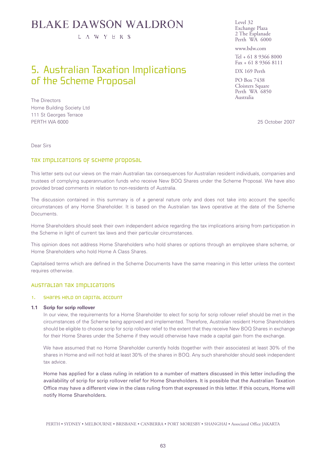# **BLAKE DAWSON WALDRON**

L A W Y E R S

# 5. Australian Taxation Implications of the Scheme Proposal

The Directors Home Building Society Ltd 111 St Georges Terrace PERTH WA 6000 25 October 2007

Level 32 Exchange Plaza 2 The Esplanade Perth WA 6000

www.bdw.com

Tel + 61 8 9366 8000 Fax + 61 8 9366 8111

DX 169 Perth

PO Box 7438 Cloisters Square Perth WA 6850 Australia

Dear Sirs

# Tax Implications of Scheme proposal

This letter sets out our views on the main Australian tax consequences for Australian resident individuals, companies and trustees of complying superannuation funds who receive New BOQ Shares under the Scheme Proposal. We have also provided broad comments in relation to non-residents of Australia.

The discussion contained in this summary is of a general nature only and does not take into account the specific circumstances of any Home Shareholder. It is based on the Australian tax laws operative at the date of the Scheme Documents.

Home Shareholders should seek their own independent advice regarding the tax implications arising from participation in the Scheme in light of current tax laws and their particular circumstances.

This opinion does not address Home Shareholders who hold shares or options through an employee share scheme, or Home Shareholders who hold Home A Class Shares.

Capitalised terms which are defined in the Scheme Documents have the same meaning in this letter unless the context requires otherwise.

# Australian tax implications

## 1. Shares held on capital account

#### **1.1 Scrip for scrip rollover**

In our view, the requirements for a Home Shareholder to elect for scrip for scrip rollover relief should be met in the circumstances of the Scheme being approved and implemented. Therefore, Australian resident Home Shareholders should be eligible to choose scrip for scrip rollover relief to the extent that they receive New BOQ Shares in exchange for their Home Shares under the Scheme if they would otherwise have made a capital gain from the exchange.

We have assumed that no Home Shareholder currently holds (together with their associates) at least 30% of the shares in Home and will not hold at least 30% of the shares in BOQ. Any such shareholder should seek independent tax advice.

Home has applied for a class ruling in relation to a number of matters discussed in this letter including the availability of scrip for scrip rollover relief for Home Shareholders. It is possible that the Australian Taxation Office may have a different view in the class ruling from that expressed in this letter. If this occurs, Home will notify Home Shareholders.

PERTH • SYDNEY • MELBOURNE • BRISBANE • CANBERRA • PORT MORESBY • SHANGHAI • Associated Office JAKARTA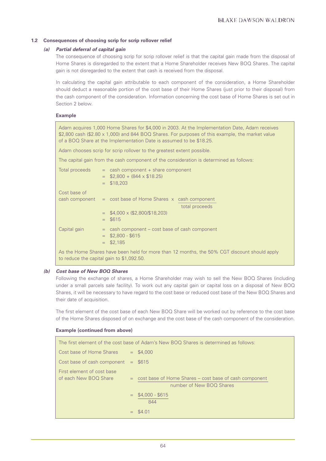# **1.2 Consequences of choosing scrip for scrip rollover relief**

## *(a) Partial deferral of capital gain*

The consequence of choosing scrip for scrip rollover relief is that the capital gain made from the disposal of Home Shares is disregarded to the extent that a Home Shareholder receives New BOQ Shares. The capital gain is not disregarded to the extent that cash is received from the disposal.

In calculating the capital gain attributable to each component of the consideration, a Home Shareholder should deduct a reasonable portion of the cost base of their Home Shares (just prior to their disposal) from the cash component of the consideration. Information concerning the cost base of Home Shares is set out in Section 2 below.

## **Example**

Adam acquires 1,000 Home Shares for \$4,000 in 2003. At the Implementation Date, Adam receives \$2,800 cash (\$2.80 x 1,000) and 844 BOQ Shares. For purposes of this example, the market value of a BOQ Share at the Implementation Date is assumed to be \$18.25.

Adam chooses scrip for scrip rollover to the greatest extent possible.

The capital gain from the cash component of the consideration is determined as follows:

| Total proceeds<br>$=$ \$2,800 + (844 x \$18.25)<br>\$18,203<br>$=$                                                                                                                                                                                                                               | $=$ cash component $+$ share component                         |
|--------------------------------------------------------------------------------------------------------------------------------------------------------------------------------------------------------------------------------------------------------------------------------------------------|----------------------------------------------------------------|
| Cost base of                                                                                                                                                                                                                                                                                     |                                                                |
|                                                                                                                                                                                                                                                                                                  | cash component $=$ cost base of Home Shares $x$ cash component |
|                                                                                                                                                                                                                                                                                                  | total proceeds                                                 |
| $=$ \$4,000 x (\$2,800/\$18,203)                                                                                                                                                                                                                                                                 |                                                                |
| $=$ \$615                                                                                                                                                                                                                                                                                        |                                                                |
| Capital gain                                                                                                                                                                                                                                                                                     | $=$ cash component $-$ cost base of cash component             |
| $=$ \$2,800 - \$615                                                                                                                                                                                                                                                                              |                                                                |
| $=$ \$2,185                                                                                                                                                                                                                                                                                      |                                                                |
| $\mathbf{A}$ and $\mathbf{A}$ and $\mathbf{A}$ and $\mathbf{A}$ and $\mathbf{A}$ and $\mathbf{A}$ and $\mathbf{A}$ and $\mathbf{A}$ and $\mathbf{A}$ and $\mathbf{A}$ and $\mathbf{A}$ and $\mathbf{A}$ and $\mathbf{A}$ and $\mathbf{A}$ and $\mathbf{A}$ and $\mathbf{A}$ and $\mathbf{A}$ and |                                                                |

As the Home Shares have been held for more than 12 months, the 50% CGT discount should apply to reduce the capital gain to \$1,092.50.

## *(b) Cost base of New BOQ Shares*

Following the exchange of shares, a Home Shareholder may wish to sell the New BOQ Shares (including under a small parcels sale facility). To work out any capital gain or capital loss on a disposal of New BOQ Shares, it will be necessary to have regard to the cost base or reduced cost base of the New BOQ Shares and their date of acquisition.

The first element of the cost base of each New BOQ Share will be worked out by reference to the cost base of the Home Shares disposed of on exchange and the cost base of the cash component of the consideration.

#### **Example (continued from above)**

| The first element of the cost base of Adam's New BOO Shares is determined as follows: |     |                                                                                          |  |  |
|---------------------------------------------------------------------------------------|-----|------------------------------------------------------------------------------------------|--|--|
| Cost base of Home Shares                                                              |     | $=$ \$4,000                                                                              |  |  |
| Cost base of cash component $= $615$                                                  |     |                                                                                          |  |  |
| First element of cost base<br>of each New BOO Share                                   |     | $=$ cost base of Home Shares $-$ cost base of cash component<br>number of New BOO Shares |  |  |
|                                                                                       |     | $=$ \$4,000 - \$615<br>844                                                               |  |  |
|                                                                                       | $=$ | \$4.01                                                                                   |  |  |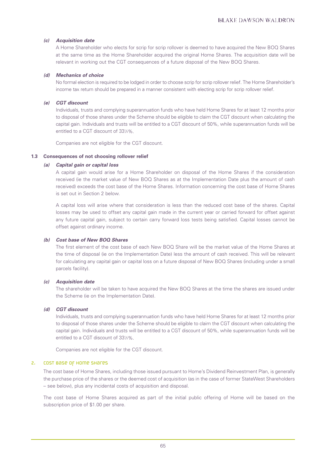# *(c) Acquisition date*

A Home Shareholder who elects for scrip for scrip rollover is deemed to have acquired the New BOQ Shares at the same time as the Home Shareholder acquired the original Home Shares. The acquisition date will be relevant in working out the CGT consequences of a future disposal of the New BOQ Shares.

# *(d) Mechanics of choice*

No formal election is required to be lodged in order to choose scrip for scrip rollover relief. The Home Shareholder's income tax return should be prepared in a manner consistent with electing scrip for scrip rollover relief.

# *(e) CGT discount*

Individuals, trusts and complying superannuation funds who have held Home Shares for at least 12 months prior to disposal of those shares under the Scheme should be eligible to claim the CGT discount when calculating the capital gain. Individuals and trusts will be entitled to a CGT discount of 50%, while superannuation funds will be entitled to a CGT discount of 331 ⁄3%.

Companies are not eligible for the CGT discount.

# **1.3 Consequences of not choosing rollover relief**

# *(a) Capital gain or capital loss*

A capital gain would arise for a Home Shareholder on disposal of the Home Shares if the consideration received (ie the market value of New BOQ Shares as at the Implementation Date plus the amount of cash received) exceeds the cost base of the Home Shares. Information concerning the cost base of Home Shares is set out in Section 2 below.

A capital loss will arise where that consideration is less than the reduced cost base of the shares. Capital losses may be used to offset any capital gain made in the current year or carried forward for offset against any future capital gain, subject to certain carry forward loss tests being satisfied. Capital losses cannot be offset against ordinary income.

# *(b) Cost base of New BOQ Shares*

The first element of the cost base of each New BOQ Share will be the market value of the Home Shares at the time of disposal (ie on the Implementation Date) less the amount of cash received. This will be relevant for calculating any capital gain or capital loss on a future disposal of New BOQ Shares (including under a small parcels facility).

# *(c) Acquisition date*

The shareholder will be taken to have acquired the New BOQ Shares at the time the shares are issued under the Scheme (ie on the Implementation Date).

# *(d) CGT discount*

Individuals, trusts and complying superannuation funds who have held Home Shares for at least 12 months prior to disposal of those shares under the Scheme should be eligible to claim the CGT discount when calculating the capital gain. Individuals and trusts will be entitled to a CGT discount of 50%, while superannuation funds will be entitled to a CGT discount of 331 ⁄3%.

Companies are not eligible for the CGT discount.

# 2. Cost base of Home Shares

The cost base of Home Shares, including those issued pursuant to Home's Dividend Reinvestment Plan, is generally the purchase price of the shares or the deemed cost of acquisition (as in the case of former StateWest Shareholders – see below), plus any incidental costs of acquisition and disposal.

The cost base of Home Shares acquired as part of the initial public offering of Home will be based on the subscription price of \$1.00 per share.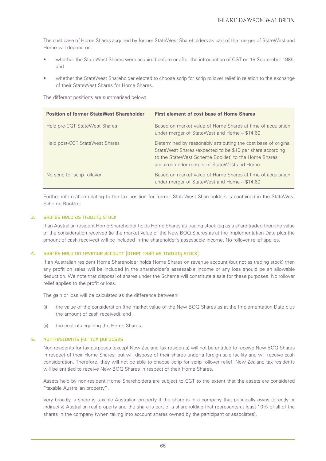The cost base of Home Shares acquired by former StateWest Shareholders as part of the merger of StateWest and Home will depend on:

- whether the StateWest Shares were acquired before or after the introduction of CGT on 19 September 1985; and
- whether the StateWest Shareholder elected to choose scrip for scrip rollover relief in relation to the exchange of their StateWest Shares for Home Shares.

The different positions are summarised below:

| <b>Position of former StateWest Shareholder</b> | <b>First element of cost base of Home Shares</b>                                                                                                                                                                                  |
|-------------------------------------------------|-----------------------------------------------------------------------------------------------------------------------------------------------------------------------------------------------------------------------------------|
| Held pre-CGT StateWest Shares                   | Based on market value of Home Shares at time of acquisition<br>under merger of StateWest and Home - \$14.60                                                                                                                       |
| Held post-CGT StateWest Shares                  | Determined by reasonably attributing the cost base of original<br>StateWest Shares (expected to be \$10 per share according<br>to the StateWest Scheme Booklet) to the Home Shares<br>acquired under merger of StateWest and Home |
| No scrip for scrip rollover                     | Based on market value of Home Shares at time of acquisition<br>under merger of StateWest and Home - \$14.60                                                                                                                       |

Further information relating to the tax position for former StateWest Shareholders is contained in the StateWest Scheme Booklet.

## 3. Shares held as trading stock

If an Australian resident Home Shareholder holds Home Shares as trading stock (eg as a share trader) then the value of the consideration received (ie the market value of the New BOQ Shares as at the Implementation Date plus the amount of cash received) will be included in the shareholder's assessable income. No rollover relief applies.

# 4. Shares held on revenue account (other than as trading stock)

If an Australian resident Home Shareholder holds Home Shares on revenue account (but not as trading stock) then any profit on sales will be included in the shareholder's assessable income or any loss should be an allowable deduction. We note that disposal of shares under the Scheme will constitute a sale for these purposes. No rollover relief applies to the profit or loss.

The gain or loss will be calculated as the difference between:

- (i) the value of the consideration (the market value of the New BOQ Shares as at the Implementation Date plus the amount of cash received); and
- (ii) the cost of acquiring the Home Shares.

#### 5. Non-residents for tax purposes

Non-residents for tax purposes (except New Zealand tax residents) will not be entitled to receive New BOQ Shares in respect of their Home Shares, but will dispose of their shares under a foreign sale facility and will receive cash consideration. Therefore, they will not be able to choose scrip for scrip rollover relief. New Zealand tax residents will be entitled to receive New BOQ Shares in respect of their Home Shares.

Assets held by non-resident Home Shareholders are subject to CGT to the extent that the assets are considered "taxable Australian property".

Very broadly, a share is taxable Australian property if the share is in a company that principally owns (directly or indirectly) Australian real property and the share is part of a shareholding that represents at least 10% of all of the shares in the company (when taking into account shares owned by the participant or associates).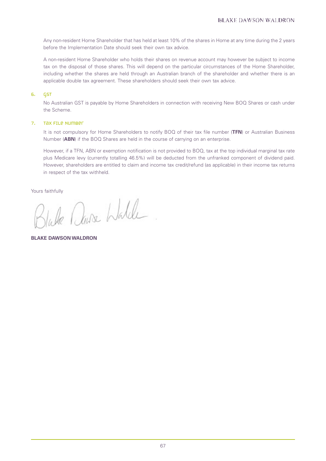Any non-resident Home Shareholder that has held at least 10% of the shares in Home at any time during the 2 years before the Implementation Date should seek their own tax advice.

A non-resident Home Shareholder who holds their shares on revenue account may however be subject to income tax on the disposal of those shares. This will depend on the particular circumstances of the Home Shareholder, including whether the shares are held through an Australian branch of the shareholder and whether there is an applicable double tax agreement. These shareholders should seek their own tax advice.

# 6. GST

No Australian GST is payable by Home Shareholders in connection with receiving New BOQ Shares or cash under the Scheme.

# 7. Tax File Number

It is not compulsory for Home Shareholders to notify BOQ of their tax file number (**TFN**) or Australian Business Number (**ABN**) if the BOQ Shares are held in the course of carrying on an enterprise.

However, if a TFN, ABN or exemption notification is not provided to BOQ, tax at the top individual marginal tax rate plus Medicare levy (currently totalling 46.5%) will be deducted from the unfranked component of dividend paid. However, shareholders are entitled to claim and income tax credit/refund (as applicable) in their income tax returns in respect of the tax withheld.

Yours faithfully

ause Walde

**BLAKE DAWSON WALDRON**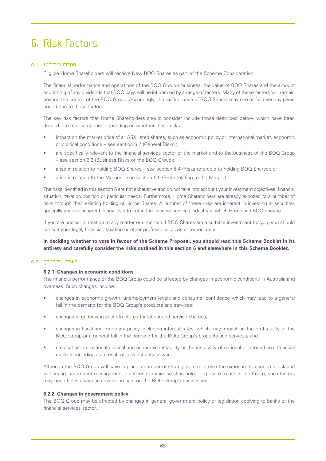# 6. Risk Factors

# 6.1 Introduction

Eligible Home Shareholders will receive New BOQ Shares as part of the Scheme Consideration.

The financial performance and operations of the BOQ Group's business, the value of BOQ Shares and the amount and timing of any dividends that BOQ pays will be influenced by a range of factors. Many of these factors will remain beyond the control of the BOQ Group. Accordingly, the market price of BOQ Shares may rise or fall over any given period due to these factors.

The key risk factors that Home Shareholders should consider include those described below, which have been divided into four categories depending on whether those risks:

- impact on the market price of all ASX listed shares, such as economic policy or international market, economic or political conditions – see section 6.2 (General Risks);
- are specifically relevant to the financial services sector of the market and to the business of the BOQ Group – see section 6.3 (Business Risks of the BOQ Group);
- arise in relation to holding BOQ Shares see section 6.4 (Risks referable to holding BOQ Shares); or
- arise in relation to the Merger see section 6.5 (Risks relating to the Merger).

The risks identified in this section 6 are not exhaustive and do not take into account your investment objectives, financial situation, taxation position or particular needs. Furthermore, Home Shareholders are already exposed to a number of risks through their existing holding of Home Shares. A number of these risks are inherent in investing in securities generally and also inherent in any investment in the financial services industry in which Home and BOQ operate.

If you are unclear in relation to any matter or uncertain if BOQ Shares are a suitable investment for you, you should consult your legal, financial, taxation or other professional adviser immediately.

# **In deciding whether to vote in favour of the Scheme Proposal, you should read this Scheme Booklet in its entirety and carefully consider the risks outlined in this section 6 and elsewhere in this Scheme Booklet.**

#### 6.2 General risks

# **6.2.1 Changes in economic conditions**

The financial performance of the BOQ Group could be affected by changes in economic conditions in Australia and overseas. Such changes include:

- changes in economic growth, unemployment levels and consumer confidence which may lead to a general fall in the demand for the BOQ Group's products and services;
- changes in underlying cost structures for labour and service charges;
- changes in fiscal and monetary policy, including interest rates, which may impact on the profitability of the BOQ Group or a general fall in the demand for the BOQ Group's products and services; and
- national or international political and economic instability or the instability of national or international financial markets including as a result of terrorist acts or war.

Although the BOQ Group will have in place a number of strategies to minimise the exposure to economic risk and will engage in prudent management practices to minimise shareholder exposure to risk in the future, such factors may nonetheless have an adverse impact on the BOQ Group's businesses.

#### **6.2.2 Changes in government policy**

The BOQ Group may be affected by changes in general government policy or legislation applying to banks or the financial services sector.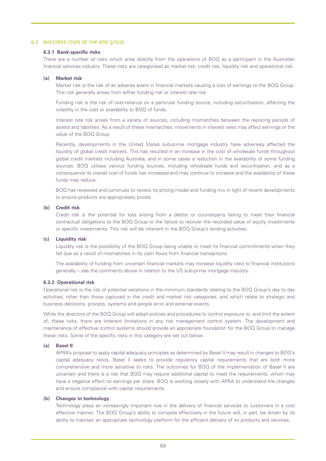#### 6.3 Business risks of the BOQ Group

## **6.3.1 Bank-specific risks**

There are a number of risks which arise directly from the operations of BOQ as a participant in the Australian financial services industry. These risks are categorised as market risk, credit risk, liquidity risk and operational risk.

#### **(a) Market risk**

Market risk is the risk of an adverse event in financial markets causing a loss of earnings to the BOQ Group. This risk generally arises from either funding risk or interest rate risk.

Funding risk is the risk of over-reliance on a particular funding source, including securitisation, affecting the volatility in the cost or availability to BOQ of funds.

Interest rate risk arises from a variety of sources, including mismatches between the repricing periods of assets and liabilities. As a result of these mismatches, movements in interest rates may affect earnings or the value of the BOQ Group.

Recently, developments in the United States sub-prime mortgage industry have adversely affected the liquidity of global credit markets. This has resulted in an increase in the cost of wholesale funds throughout global credit markets including Australia, and in some cases a reduction in the availability of some funding sources. BOQ utilises various funding sources, including wholesale funds and securitisation, and as a consequence its overall cost of funds has increased and may continue to increase and the availability of these funds may reduce.

BOQ has reviewed and continues to review its pricing model and funding mix in light of recent developments to ensure products are appropriately priced.

#### **(b) Credit risk**

Credit risk is the potential for loss arising from a debtor or counterparty failing to meet their financial contractual obligations to the BOQ Group or the failure to recover the recorded value of equity investments or specific investments. This risk will be inherent in the BOQ Group's lending activities.

#### **(c) Liquidity risk**

Liquidity risk is the possibility of the BOQ Group being unable to meet its financial commitments when they fall due as a result of mismatches in its cash flows from financial transactions.

The availability of funding from uncertain financial markets may increase liquidity risks to financial institutions generally – see the comments above in relation to the US sub-prime mortgage industry.

#### **6.3.2 Operational risk**

Operational risk is the risk of potential variations in the minimum standards relating to the BOQ Group's day to day activities, other than those captured in the credit and market risk categories, and which relate to strategic and business decisions, process, systems and people error and external events.

While the directors of the BOQ Group will adopt policies and procedures to control exposure to, and limit the extent of, these risks, there are inherent limitations in any risk management control system. The development and maintenance of effective control systems should provide an appropriate foundation for the BOQ Group to manage these risks. Some of the specific risks in this category are set out below.

# **(a) Basel II**

APRA's proposal to apply capital adequacy principles as determined by Basel II may result in changes to BOQ's capital adequacy ratios. Basel II seeks to provide regulatory capital requirements that are both more comprehensive and more sensitive to risks. The outcomes for BOQ of the implementation of Basel II are uncertain and there is a risk that BOQ may require additional capital to meet the requirements, which may have a negative effect on earnings per share. BOQ is working closely with APRA to understand the changes and ensure compliance with capital requirements.

## **(b) Changes in technology**

Technology plays an increasingly important role in the delivery of financial services to customers in a cost effective manner. The BOQ Group's ability to compete effectively in the future will, in part, be driven by its ability to maintain an appropriate technology platform for the efficient delivery of its products and services.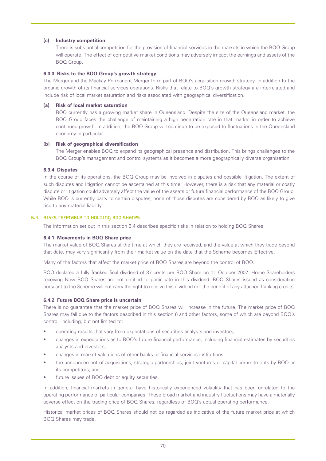# **(c) Industry competition**

There is substantial competition for the provision of financial services in the markets in which the BOQ Group will operate. The effect of competitive market conditions may adversely impact the earnings and assets of the BOQ Group.

## **6.3.3 Risks to the BOQ Group's growth strategy**

The Merger and the Mackay Permanent Merger form part of BOQ's acquisition growth strategy, in addition to the organic growth of its financial services operations. Risks that relate to BOQ's growth strategy are interrelated and include risk of local market saturation and risks associated with geographical diversification.

## **(a) Risk of local market saturation**

BOQ currently has a growing market share in Queensland. Despite the size of the Queensland market, the BOQ Group faces the challenge of maintaining a high penetration rate in that market in order to achieve continued growth. In addition, the BOQ Group will continue to be exposed to fluctuations in the Queensland economy in particular.

## **(b) Risk of geographical diversification**

The Merger enables BOQ to expand its geographical presence and distribution. This brings challenges to the BOQ Group's management and control systems as it becomes a more geographically diverse organisation.

## **6.3.4 Disputes**

In the course of its operations, the BOQ Group may be involved in disputes and possible litigation. The extent of such disputes and litigation cannot be ascertained at this time. However, there is a risk that any material or costly dispute or litigation could adversely affect the value of the assets or future financial performance of the BOQ Group. While BOQ is currently party to certain disputes, none of those disputes are considered by BOQ as likely to give rise to any material liability.

## 6.4 Risks referable to holding BOQ Shares

The information set out in this section 6.4 describes specific risks in relation to holding BOQ Shares.

#### **6.4.1 Movements in BOQ Share price**

The market value of BOQ Shares at the time at which they are received, and the value at which they trade beyond that date, may vary significantly from their market value on the date that the Scheme becomes Effective.

Many of the factors that affect the market price of BOQ Shares are beyond the control of BOQ.

BOQ declared a fully franked final dividend of 37 cents per BOQ Share on 11 October 2007. Home Shareholders receiving New BOQ Shares are not entitled to participate in this dividend. BOQ Shares issued as consideration pursuant to the Scheme will not carry the right to receive this dividend nor the benefit of any attached franking credits.

#### **6.4.2 Future BOQ Share price is uncertain**

There is no guarantee that the market price of BOQ Shares will increase in the future. The market price of BOQ Shares may fall due to the factors described in this section 6 and other factors, some of which are beyond BOQ's control, including, but not limited to:

- operating results that vary from expectations of securities analysts and investors;
- changes in expectations as to BOQ's future financial performance, including financial estimates by securities analysts and investors;
- changes in market valuations of other banks or financial services institutions;
- the announcement of acquisitions, strategic partnerships, joint ventures or capital commitments by BOQ or its competitors; and
- future issues of BOQ debt or equity securities.

In addition, financial markets in general have historically experienced volatility that has been unrelated to the operating performance of particular companies. These broad market and industry fluctuations may have a materially adverse effect on the trading price of BOQ Shares, regardless of BOQ's actual operating performance.

Historical market prices of BOQ Shares should not be regarded as indicative of the future market price at which BOQ Shares may trade.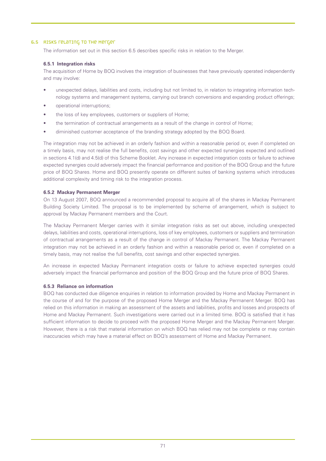## 6.5 Risks relating to the Merger

The information set out in this section 6.5 describes specific risks in relation to the Merger.

## **6.5.1 Integration risks**

The acquisition of Home by BOQ involves the integration of businesses that have previously operated independently and may involve:

- unexpected delays, liabilities and costs, including but not limited to, in relation to integrating information technology systems and management systems, carrying out branch conversions and expanding product offerings;
- operational interruptions;
- the loss of key employees, customers or suppliers of Home;
- the termination of contractual arrangements as a result of the change in control of Home;
- diminished customer acceptance of the branding strategy adopted by the BOQ Board.

The integration may not be achieved in an orderly fashion and within a reasonable period or, even if completed on a timely basis, may not realise the full benefits, cost savings and other expected synergies expected and outlined in sections 4.1(d) and 4.5(d) of this Scheme Booklet. Any increase in expected integration costs or failure to achieve expected synergies could adversely impact the financial performance and position of the BOQ Group and the future price of BOQ Shares. Home and BOQ presently operate on different suites of banking systems which introduces additional complexity and timing risk to the integration process.

# **6.5.2 Mackay Permanent Merger**

On 13 August 2007, BOQ announced a recommended proposal to acquire all of the shares in Mackay Permanent Building Society Limited. The proposal is to be implemented by scheme of arrangement, which is subject to approval by Mackay Permanent members and the Court.

The Mackay Permanent Merger carries with it similar integration risks as set out above, including unexpected delays, liabilities and costs, operational interruptions, loss of key employees, customers or suppliers and termination of contractual arrangements as a result of the change in control of Mackay Permanent. The Mackay Permanent integration may not be achieved in an orderly fashion and within a reasonable period or, even if completed on a timely basis, may not realise the full benefits, cost savings and other expected synergies.

An increase in expected Mackay Permanent integration costs or failure to achieve expected synergies could adversely impact the financial performance and position of the BOQ Group and the future price of BOQ Shares.

# **6.5.3 Reliance on information**

BOQ has conducted due diligence enquiries in relation to information provided by Home and Mackay Permanent in the course of and for the purpose of the proposed Home Merger and the Mackay Permanent Merger. BOQ has relied on this information in making an assessment of the assets and liabilities, profits and losses and prospects of Home and Mackay Permanent. Such investigations were carried out in a limited time. BOQ is satisfied that it has sufficient information to decide to proceed with the proposed Home Merger and the Mackay Permanent Merger. However, there is a risk that material information on which BOQ has relied may not be complete or may contain inaccuracies which may have a material effect on BOQ's assessment of Home and Mackay Permanent.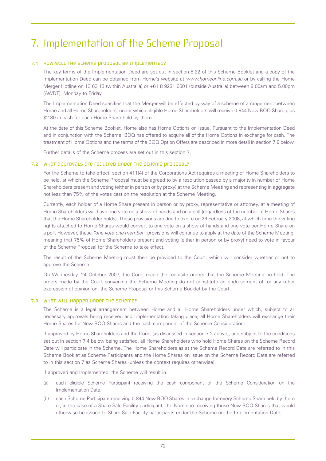# 7. Implementation of the Scheme Proposal

## 7.1 HOW WILL THE SCHEME Proposal be implemented?

The key terms of the Implementation Deed are set out in section 8.22 of this Scheme Booklet and a copy of the Implementation Deed can be obtained from Home's website at *www.homeonline.com.au* or by calling the Home Merger Hotline on 13 63 13 (within Australia) or +61 8 9231 6601 (outside Australia) between 9.00am and 5.00pm (AWDT), Monday to Friday.

The Implementation Deed specifies that the Merger will be effected by way of a scheme of arrangement between Home and all Home Shareholders, under which eligible Home Shareholders will receive 0.844 New BOQ Share plus \$2.80 in cash for each Home Share held by them.

At the date of this Scheme Booklet, Home also has Home Options on issue. Pursuant to the Implementation Deed and in conjunction with the Scheme, BOQ has offered to acquire all of the Home Options in exchange for cash. The treatment of Home Options and the terms of the BOQ Option Offers are described in more detail in section 7.9 below.

Further details of the Scheme process are set out in this section 7.

#### 7.2 WHat approvals are required under the Scheme proposal?

For the Scheme to take effect, section 411(4) of the Corporations Act requires a meeting of Home Shareholders to be held, at which the Scheme Proposal must be agreed to by a resolution passed by a majority in number of Home Shareholders present and voting (either in person or by proxy) at the Scheme Meeting and representing in aggregate not less than 75% of the votes cast on the resolution at the Scheme Meeting.

Currently, each holder of a Home Share present in person or by proxy, representative or attorney, at a meeting of Home Shareholders will have one vote on a show of hands and on a poll (regardless of the number of Home Shares that the Home Shareholder holds). These provisions are due to expire on 26 February 2008, at which time the voting rights attached to Home Shares would convert to one vote on a show of hands and one vote per Home Share on a poll. However, these *"one vote-one member"* provisions will continue to apply at the date of the Scheme Meeting, meaning that 75% of Home Shareholders present and voting (either in person or by proxy) need to vote in favour of the Scheme Proposal for the Scheme to take effect.

The result of the Scheme Meeting must then be provided to the Court, which will consider whether or not to approve the Scheme.

On Wednesday, 24 October 2007, the Court made the requisite orders that the Scheme Meeting be held. The orders made by the Court convening the Scheme Meeting do not constitute an endorsement of, or any other expression of opinion on, the Scheme Proposal or this Scheme Booklet by the Court.

#### 7.3 What will happen under the Scheme?

The Scheme is a legal arrangement between Home and all Home Shareholders under which, subject to all necessary approvals being received and Implementation taking place, all Home Shareholders will exchange their Home Shares for New BOQ Shares and the cash component of the Scheme Consideration.

If approved by Home Shareholders and the Court (as discussed in section 7.2 above), and subject to the conditions set out in section 7.4 below being satisfied, all Home Shareholders who hold Home Shares on the Scheme Record Date will participate in the Scheme. The Home Shareholders as at the Scheme Record Date are referred to in this Scheme Booklet as Scheme Participants and the Home Shares on issue on the Scheme Record Date are referred to in this section 7 as Scheme Shares (unless the context requires otherwise).

If approved and Implemented, the Scheme will result in:

- (a) each eligible Scheme Participant receiving the cash component of the Scheme Consideration on the Implementation Date;
- (b) each Scheme Participant receiving 0.844 New BOQ Shares in exchange for every Scheme Share held by them or, in the case of a Share Sale Facility participant, the Nominee receiving those New BOQ Shares that would otherwise be issued to Share Sale Facility participants under the Scheme on the Implementation Date;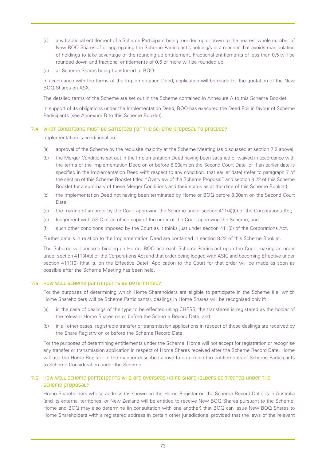- (c) any fractional entitlement of a Scheme Participant being rounded up or down to the nearest whole number of New BOQ Shares after aggregating the Scheme Participant's holding/s in a manner that avoids manipulation of holdings to take advantage of the rounding up entitlement. Fractional entitlements of less than 0.5 will be rounded down and fractional entitlements of 0.5 or more will be rounded up;
- (d) all Scheme Shares being transferred to BOQ.

In accordance with the terms of the Implementation Deed, application will be made for the quotation of the New BOQ Shares on ASX.

The detailed terms of the Scheme are set out in the Scheme contained in Annexure A to this Scheme Booklet.

In support of its obligations under the Implementation Deed, BOQ has executed the Deed Poll in favour of Scheme Participants (see Annexure B to this Scheme Booklet).

## 7.4 WHAT CONDITIONS MUST BE SATISFIED FOR THE SCHEME PROPOSAL TO PROCEED?

Implementation is conditional on:

- (a) approval of the Scheme by the requisite majority at the Scheme Meeting (as discussed at section 7.2 above);
- (b) the Merger Conditions set out in the Implementation Deed having been satisfied or waived in accordance with the terms of the Implementation Deed on or before 8.00am on the Second Court Date (or if an earlier date is specified in the Implementation Deed with respect to any condition, that earlier date) (refer to paragraph 7 of the section of this Scheme Booklet titled "Overview of the Scheme Proposal" and section 8.22 of this Scheme Booklet for a summary of these Merger Conditions and their status as at the date of this Scheme Booklet);
- (c) the Implementation Deed not having been terminated by Home or BOQ before 8.00am on the Second Court Date;
- (d) the making of an order by the Court approving the Scheme under section 411(4)(b) of the Corporations Act;
- (e) lodgement with ASIC of an office copy of the order of the Court approving the Scheme; and
- (f) such other conditions imposed by the Court as it thinks just under section 411(6) of the Corporations Act.

Further details in relation to the Implementation Deed are contained in section 8.22 of this Scheme Booklet.

The Scheme will become binding on Home, BOQ and each Scheme Participant upon the Court making an order under section 411(4)(b) of the Corporations Act and that order being lodged with ASIC and becoming Effective under section 411(10) (that is, on the Effective Date). Application to the Court for that order will be made as soon as possible after the Scheme Meeting has been held.

#### 7.5 How will Scheme participants be determined?

For the purposes of determining which Home Shareholders are eligible to participate in the Scheme (i.e. which Home Shareholders will be Scheme Participants), dealings in Home Shares will be recognised only if:

- (a) in the case of dealings of the type to be effected using CHESS, the transferee is registered as the holder of the relevant Home Shares on or before the Scheme Record Date; and
- (b) in all other cases, registrable transfer or transmission applications in respect of those dealings are received by the Share Registry on or before the Scheme Record Date.

For the purposes of determining entitlements under the Scheme, Home will not accept for registration or recognise any transfer or transmission application in respect of Home Shares received after the Scheme Record Date. Home will use the Home Register in the manner described above to determine the entitlements of Scheme Participants to Scheme Consideration under the Scheme.

## 7.6 How will Scheme Participants who are overseas Home Shareholders be treated under the SCHeme proposal?

Home Shareholders whose address (as shown on the Home Register on the Scheme Record Date) is in Australia (and its external territories) or New Zealand will be entitled to receive New BOQ Shares pursuant to the Scheme. Home and BOQ may also determine (in consultation with one another) that BOQ can issue New BOQ Shares to Home Shareholders with a registered address in certain other jurisdictions, provided that the laws of the relevant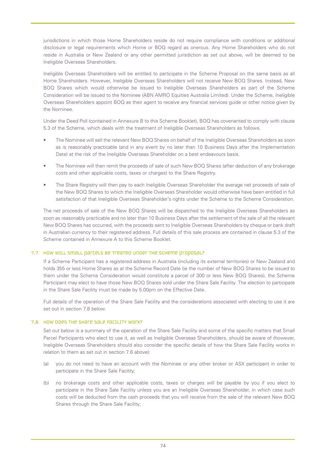jurisdictions in which those Home Shareholders reside do not require compliance with conditions or additional disclosure or legal requirements which Home or BOQ regard as onerous. Any Home Shareholders who do not reside in Australia or New Zealand or any other permitted jurisdiction as set out above, will be deemed to be Ineligible Overseas Shareholders.

Ineligible Overseas Shareholders will be entitled to participate in the Scheme Proposal on the same basis as all Home Shareholders. However, Ineligible Overseas Shareholders will not receive New BOQ Shares. Instead, New BOQ Shares which would otherwise be issued to Ineligible Overseas Shareholders as part of the Scheme Consideration will be issued to the Nominee (ABN AMRO Equities Australia Limited). Under the Scheme, Ineligible Overseas Shareholders appoint BOQ as their agent to receive any financial services guide or other notice given by the Nominee.

Under the Deed Poll (contained in Annexure B to this Scheme Booklet), BOQ has covenanted to comply with clause 5.3 of the Scheme, which deals with the treatment of Ineligible Overseas Shareholders as follows.

- The Nominee will sell the relevant New BOQ Shares on behalf of the Ineligible Overseas Shareholders as soon as is reasonably practicable (and in any event by no later than 10 Business Days after the Implementation Date) at the risk of the Ineligible Overseas Shareholder on a best endeavours basis.
- The Nominee will then remit the proceeds of sale of such New BOQ Shares (after deduction of any brokerage costs and other applicable costs, taxes or charges) to the Share Registry.
- The Share Registry will then pay to each Ineligible Overseas Shareholder the average net proceeds of sale of the New BOQ Shares to which the Ineligible Overseas Shareholder would otherwise have been entitled in full satisfaction of that Ineligible Overseas Shareholder's rights under the Scheme to the Scheme Consideration.

The net proceeds of sale of the New BOQ Shares will be dispatched to the Ineligible Overseas Shareholders as soon as reasonably practicable and no later than 10 Business Days after the settlement of the sale of all the relevant New BOQ Shares has occurred, with the proceeds sent to Ineligible Overseas Shareholders by cheque or bank draft in Australian currency to their registered address. Full details of this sale process are contained in clause 5.3 of the Scheme contained in Annexure A to this Scheme Booklet.

## 7.7 How WILL Small parcels be treated under the scheme proposal?

If a Scheme Participant has a registered address in Australia (including its external territories) or New Zealand and holds 355 or less Home Shares as at the Scheme Record Date (ie the number of New BOQ Shares to be issued to them under the Scheme Consideration would constitute a parcel of 300 or less New BOQ Shares), the Scheme Participant may elect to have those New BOQ Shares sold under the Share Sale Facility. The election to participate in the Share Sale Facility must be made by 5.00pm on the Effective Date.

Full details of the operation of the Share Sale Facility and the considerations associated with electing to use it are set out in section 7.8 below.

#### 7.8 How does the Share Sale Facility work?

Set out below is a summary of the operation of the Share Sale Facility and some of the specific matters that Small Parcel Participants who elect to use it, as well as Ineligible Overseas Shareholders, should be aware of (however, Ineligible Overseas Shareholders should also consider the specific details of how the Share Sale Facility works in relation to them as set out in section 7.6 above):

- (a) you do not need to have an account with the Nominee or any other broker or ASX participant in order to participate in the Share Sale Facility;
- (b) no brokerage costs and other applicable costs, taxes or charges will be payable by you if you elect to participate in the Share Sale Facility unless you are an Ineligible Overseas Shareholder, in which case such costs will be deducted from the cash proceeds that you will receive from the sale of the relevant New BOQ Shares through the Share Sale Facility;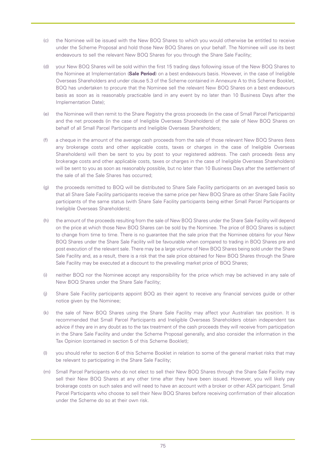- (c) the Nominee will be issued with the New BOQ Shares to which you would otherwise be entitled to receive under the Scheme Proposal and hold those New BOQ Shares on your behalf. The Nominee will use its best endeavours to sell the relevant New BOQ Shares for you through the Share Sale Facility;
- (d) your New BOQ Shares will be sold within the first 15 trading days following issue of the New BOQ Shares to the Nominee at Implementation (**Sale Period**) on a best endeavours basis. However, in the case of Ineligible Overseas Shareholders and under clause 5.3 of the Scheme contained in Annexure A to this Scheme Booklet, BOQ has undertaken to procure that the Nominee sell the relevant New BOQ Shares on a best endeavours basis as soon as is reasonably practicable (and in any event by no later than 10 Business Days after the Implementation Date);
- (e) the Nominee will then remit to the Share Registry the gross proceeds (in the case of Small Parcel Participants) and the net proceeds (in the case of Ineligible Overseas Shareholders) of the sale of New BOQ Shares on behalf of all Small Parcel Participants and Ineligible Overseas Shareholders;
- (f) a cheque in the amount of the average cash proceeds from the sale of those relevant New BOQ Shares (less any brokerage costs and other applicable costs, taxes or charges in the case of Ineligible Overseas Shareholders) will then be sent to you by post to your registered address. The cash proceeds (less any brokerage costs and other applicable costs, taxes or charges in the case of Ineligible Overseas Shareholders) will be sent to you as soon as reasonably possible, but no later than 10 Business Days after the settlement of the sale of all the Sale Shares has occurred;
- (g) the proceeds remitted to BOQ will be distributed to Share Sale Facility participants on an averaged basis so that all Share Sale Facility participants receive the same price per New BOQ Share as other Share Sale Facility participants of the same status (with Share Sale Facility participants being either Small Parcel Participants or Ineligible Overseas Shareholders);
- (h) the amount of the proceeds resulting from the sale of New BOQ Shares under the Share Sale Facility will depend on the price at which those New BOQ Shares can be sold by the Nominee. The price of BOQ Shares is subject to change from time to time. There is no guarantee that the sale price that the Nominee obtains for your New BOQ Shares under the Share Sale Facility will be favourable when compared to trading in BOQ Shares pre and post execution of the relevant sale. There may be a large volume of New BOQ Shares being sold under the Share Sale Facility and, as a result, there is a risk that the sale price obtained for New BOQ Shares through the Share Sale Facility may be executed at a discount to the prevailing market price of BOQ Shares;
- (i) neither BOQ nor the Nominee accept any responsibility for the price which may be achieved in any sale of New BOQ Shares under the Share Sale Facility;
- (j) Share Sale Facility participants appoint BOQ as their agent to receive any financial services guide or other notice given by the Nominee;
- (k) the sale of New BOQ Shares using the Share Sale Facility may affect your Australian tax position. It is recommended that Small Parcel Participants and Ineligible Overseas Shareholders obtain independent tax advice if they are in any doubt as to the tax treatment of the cash proceeds they will receive from participation in the Share Sale Facility and under the Scheme Proposal generally, and also consider the information in the Tax Opinion (contained in section 5 of this Scheme Booklet);
- (l) you should refer to section 6 of this Scheme Booklet in relation to some of the general market risks that may be relevant to participating in the Share Sale Facility;
- (m) Small Parcel Participants who do not elect to sell their New BOQ Shares through the Share Sale Facility may sell their New BOQ Shares at any other time after they have been issued. However, you will likely pay brokerage costs on such sales and will need to have an account with a broker or other ASX participant. Small Parcel Participants who choose to sell their New BOQ Shares before receiving confirmation of their allocation under the Scheme do so at their own risk.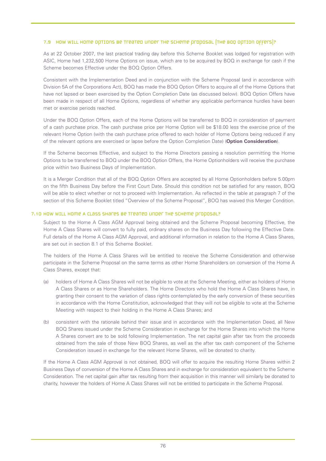## 7.9 How will Home options be treated under the scheme proposal (the BOQ Option Offers)?

As at 22 October 2007, the last practical trading day before this Scheme Booklet was lodged for registration with ASIC, Home had 1,232,500 Home Options on issue, which are to be acquired by BOQ in exchange for cash if the Scheme becomes Effective under the BOQ Option Offers.

Consistent with the Implementation Deed and in conjunction with the Scheme Proposal (and in accordance with Division 5A of the Corporations Act), BOQ has made the BOQ Option Offers to acquire all of the Home Options that have not lapsed or been exercised by the Option Completion Date (as discussed below). BOQ Option Offers have been made in respect of all Home Options, regardless of whether any applicable performance hurdles have been met or exercise periods reached.

Under the BOQ Option Offers, each of the Home Options will be transferred to BOQ in consideration of payment of a cash purchase price. The cash purchase price per Home Option will be \$18.00 less the exercise price of the relevant Home Option (with the cash purchase price offered to each holder of Home Options being reduced if any of the relevant options are exercised or lapse before the Option Completion Date) (**Option Consideration**).

If the Scheme becomes Effective, and subject to the Home Directors passing a resolution permitting the Home Options to be transferred to BOQ under the BOQ Option Offers, the Home Optionholders will receive the purchase price within two Business Days of Implementation.

It is a Merger Condition that all of the BOQ Option Offers are accepted by all Home Optionholders before 5.00pm on the fifth Business Day before the First Court Date. Should this condition not be satisfied for any reason, BOQ will be able to elect whether or not to proceed with Implementation. As reflected in the table at paragraph 7 of the section of this Scheme Booklet titled "Overview of the Scheme Proposal", BOQ has waived this Merger Condition.

## 7.10 HOW WILL HOME A CLASS SHATES BE TREATED UNDER THE SCHEME PROPOSAL?

Subject to the Home A Class AGM Approval being obtained and the Scheme Proposal becoming Effective, the Home A Class Shares will convert to fully paid, ordinary shares on the Business Day following the Effective Date. Full details of the Home A Class AGM Approval, and additional information in relation to the Home A Class Shares, are set out in section 8.1 of this Scheme Booklet.

The holders of the Home A Class Shares will be entitled to receive the Scheme Consideration and otherwise participate in the Scheme Proposal on the same terms as other Home Shareholders on conversion of the Home A Class Shares, except that:

- (a) holders of Home A Class Shares will not be eligible to vote at the Scheme Meeting, either as holders of Home A Class Shares or as Home Shareholders. The Home Directors who hold the Home A Class Shares have, in granting their consent to the variation of class rights contemplated by the early conversion of these securities in accordance with the Home Constitution, acknowledged that they will not be eligible to vote at the Scheme Meeting with respect to their holding in the Home A Class Shares; and
- (b) consistent with the rationale behind their issue and in accordance with the Implementation Deed, all New BOQ Shares issued under the Scheme Consideration in exchange for the Home Shares into which the Home A Shares convert are to be sold following Implementation. The net capital gain after tax from the proceeds obtained from the sale of those New BOQ Shares, as well as the after tax cash component of the Scheme Consideration issued in exchange for the relevant Home Shares, will be donated to charity.

If the Home A Class AGM Approval is not obtained, BOQ will offer to acquire the resulting Home Shares within 2 Business Days of conversion of the Home A Class Shares and in exchange for consideration equivalent to the Scheme Consideration. The net capital gain after tax resulting from their acquisition in this manner will similarly be donated to charity, however the holders of Home A Class Shares will not be entitled to participate in the Scheme Proposal.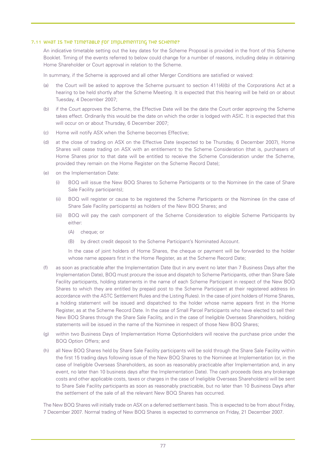#### 7.11 What is the timetable for implementing the Scheme?

An indicative timetable setting out the key dates for the Scheme Proposal is provided in the front of this Scheme Booklet. Timing of the events referred to below could change for a number of reasons, including delay in obtaining Home Shareholder or Court approval in relation to the Scheme.

In summary, if the Scheme is approved and all other Merger Conditions are satisfied or waived:

- (a) the Court will be asked to approve the Scheme pursuant to section 411(4)(b) of the Corporations Act at a hearing to be held shortly after the Scheme Meeting. It is expected that this hearing will be held on or about Tuesday, 4 December 2007;
- (b) if the Court approves the Scheme, the Effective Date will be the date the Court order approving the Scheme takes effect. Ordinarily this would be the date on which the order is lodged with ASIC. It is expected that this will occur on or about Thursday, 6 December 2007;
- (c) Home will notify ASX when the Scheme becomes Effective;
- (d) at the close of trading on ASX on the Effective Date (expected to be Thursday, 6 December 2007), Home Shares will cease trading on ASX with an entitlement to the Scheme Consideration (that is, purchasers of Home Shares prior to that date will be entitled to receive the Scheme Consideration under the Scheme, provided they remain on the Home Register on the Scheme Record Date);
- (e) on the Implementation Date:
	- (i) BOQ will issue the New BOQ Shares to Scheme Participants or to the Nominee (in the case of Share Sale Facility participants);
	- (ii) BOQ will register or cause to be registered the Scheme Participants or the Nominee (in the case of Share Sale Facility participants) as holders of the New BOQ Shares; and
	- (iii) BOQ will pay the cash component of the Scheme Consideration to eligible Scheme Participants by either:
		- (A) cheque; or
		- (B) by direct credit deposit to the Scheme Participant's Nominated Account.

In the case of joint holders of Home Shares, the cheque or payment will be forwarded to the holder whose name appears first in the Home Register, as at the Scheme Record Date;

- (f) as soon as practicable after the Implementation Date (but in any event no later than 7 Business Days after the Implementation Date), BOQ must procure the issue and dispatch to Scheme Participants, other than Share Sale Facility participants, holding statements in the name of each Scheme Participant in respect of the New BOQ Shares to which they are entitled by prepaid post to the Scheme Participant at their registered address (in accordance with the ASTC Settlement Rules and the Listing Rules). In the case of joint holders of Home Shares, a holding statement will be issued and dispatched to the holder whose name appears first in the Home Register, as at the Scheme Record Date. In the case of Small Parcel Participants who have elected to sell their New BOQ Shares through the Share Sale Facility, and in the case of Ineligible Overseas Shareholders, holding statements will be issued in the name of the Nominee in respect of those New BOQ Shares;
- (g) within two Business Days of Implementation Home Optionholders will receive the purchase price under the BOQ Option Offers; and
- (h) all New BOQ Shares held by Share Sale Facility participants will be sold through the Share Sale Facility within the first 15 trading days following issue of the New BOQ Shares to the Nominee at Implementation (or, in the case of Ineligible Overseas Shareholders, as soon as reasonably practicable after Implementation and, in any event, no later than 10 business days after the Implementation Date). The cash proceeds (less any brokerage costs and other applicable costs, taxes or charges in the case of Ineligible Overseas Shareholders) will be sent to Share Sale Facility participants as soon as reasonably practicable, but no later than 10 Business Days after the settlement of the sale of all the relevant New BOQ Shares has occurred.

The New BOQ Shares will initially trade on ASX on a deferred settlement basis. This is expected to be from about Friday, 7 December 2007. Normal trading of New BOQ Shares is expected to commence on Friday, 21 December 2007.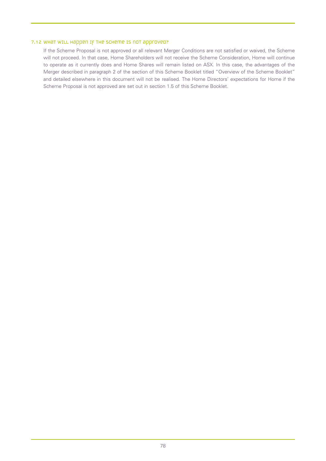## 7.12 WHAT WILL Happen IF THE SCHEME IS NOT approved?

If the Scheme Proposal is not approved or all relevant Merger Conditions are not satisfied or waived, the Scheme will not proceed. In that case, Home Shareholders will not receive the Scheme Consideration, Home will continue to operate as it currently does and Home Shares will remain listed on ASX. In this case, the advantages of the Merger described in paragraph 2 of the section of this Scheme Booklet titled "Overview of the Scheme Booklet" and detailed elsewhere in this document will not be realised. The Home Directors' expectations for Home if the Scheme Proposal is not approved are set out in section 1.5 of this Scheme Booklet.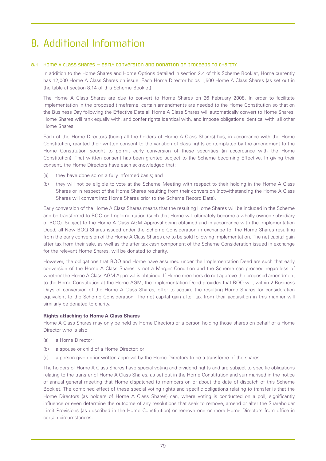## 8. Additional Information

## 8.1 Home A CLass SHares – early conversion and donation of proceeds to charity

In addition to the Home Shares and Home Options detailed in section 2.4 of this Scheme Booklet, Home currently has 12,000 Home A Class Shares on issue. Each Home Director holds 1,500 Home A Class Shares (as set out in the table at section 8.14 of this Scheme Booklet).

The Home A Class Shares are due to convert to Home Shares on 26 February 2008. In order to facilitate Implementation in the proposed timeframe, certain amendments are needed to the Home Constitution so that on the Business Day following the Effective Date all Home A Class Shares will automatically convert to Home Shares. Home Shares will rank equally with, and confer rights identical with, and impose obligations identical with, all other Home Shares.

Each of the Home Directors (being all the holders of Home A Class Shares) has, in accordance with the Home Constitution, granted their written consent to the variation of class rights contemplated by the amendment to the Home Constitution sought to permit early conversion of these securities (in accordance with the Home Constitution). That written consent has been granted subject to the Scheme becoming Effective. In giving their consent, the Home Directors have each acknowledged that:

- (a) they have done so on a fully informed basis; and
- (b) they will not be eligible to vote at the Scheme Meeting with respect to their holding in the Home A Class Shares or in respect of the Home Shares resulting from their conversion (notwithstanding the Home A Class Shares will convert into Home Shares prior to the Scheme Record Date).

Early conversion of the Home A Class Shares means that the resulting Home Shares will be included in the Scheme and be transferred to BOQ on Implementation (such that Home will ultimately become a wholly owned subsidiary of BOQ). Subject to the Home A Class AGM Approval being obtained and in accordance with the Implementation Deed, all New BOQ Shares issued under the Scheme Consideration in exchange for the Home Shares resulting from the early conversion of the Home A Class Shares are to be sold following Implementation. The net capital gain after tax from their sale, as well as the after tax cash component of the Scheme Consideration issued in exchange for the relevant Home Shares, will be donated to charity.

However, the obligations that BOQ and Home have assumed under the Implementation Deed are such that early conversion of the Home A Class Shares is not a Merger Condition and the Scheme can proceed regardless of whether the Home A Class AGM Approval is obtained. If Home members do not approve the proposed amendment to the Home Constitution at the Home AGM, the Implementation Deed provides that BOQ will, within 2 Business Days of conversion of the Home A Class Shares, offer to acquire the resulting Home Shares for consideration equivalent to the Scheme Consideration. The net capital gain after tax from their acquisition in this manner will similarly be donated to charity.

#### **Rights attaching to Home A Class Shares**

Home A Class Shares may only be held by Home Directors or a person holding those shares on behalf of a Home Director who is also:

- (a) a Home Director;
- (b) a spouse or child of a Home Director; or
- (c) a person given prior written approval by the Home Directors to be a transferee of the shares.

The holders of Home A Class Shares have special voting and dividend rights and are subject to specific obligations relating to the transfer of Home A Class Shares, as set out in the Home Constitution and summarised in the notice of annual general meeting that Home dispatched to members on or about the date of dispatch of this Scheme Booklet. The combined effect of these special voting rights and specific obligations relating to transfer is that the Home Directors (as holders of Home A Class Shares) can, where voting is conducted on a poll, significantly influence or even determine the outcome of any resolutions that seek to remove, amend or alter the Shareholder Limit Provisions (as described in the Home Constitution) or remove one or more Home Directors from office in certain circumstances.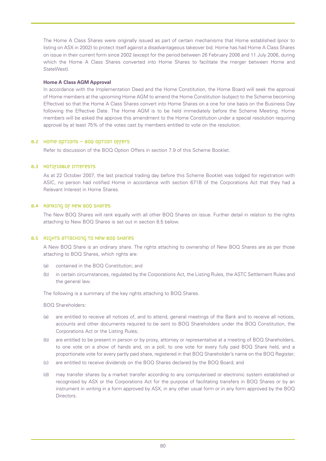The Home A Class Shares were originally issued as part of certain mechanisms that Home established (prior to listing on ASX in 2002) to protect itself against a disadvantageous takeover bid. Home has had Home A Class Shares on issue in their current form since 2002 (except for the period between 26 February 2006 and 11 July 2006, during which the Home A Class Shares converted into Home Shares to facilitate the merger between Home and StateWest).

#### **Home A Class AGM Approval**

In accordance with the Implementation Deed and the Home Constitution, the Home Board will seek the approval of Home members at the upcoming Home AGM to amend the Home Constitution (subject to the Scheme becoming Effective) so that the Home A Class Shares convert into Home Shares on a one for one basis on the Business Day following the Effective Date. The Home AGM is to be held immediately before the Scheme Meeting. Home members will be asked the approve this amendment to the Home Constitution under a special resolution requiring approval by at least 75% of the votes cast by members entitled to vote on the resolution.

## 8.2 Home Options – BOQ Option Offers

Refer to discussion of the BOQ Option Offers in section 7.9 of this Scheme Booklet.

## 8.3 Notifiable interests

As at 22 October 2007, the last practical trading day before this Scheme Booklet was lodged for registration with ASIC, no person had notified Home in accordance with section 671B of the Corporations Act that they had a Relevant Interest in Home Shares.

## 8.4 Ranking of New BOQ Shares

The New BOQ Shares will rank equally with all other BOQ Shares on issue. Further detail in relation to the rights attaching to New BOQ Shares is set out in section 8.5 below.

#### 8.5 Rights attaching to New BOQ Shares

A New BOQ Share is an ordinary share. The rights attaching to ownership of New BOQ Shares are as per those attaching to BOQ Shares, which rights are:

- (a) contained in the BOQ Constitution; and
- (b) in certain circumstances, regulated by the Corporations Act, the Listing Rules, the ASTC Settlement Rules and the general law.

The following is a summary of the key rights attaching to BOQ Shares.

BOQ Shareholders:

- (a) are entitled to receive all notices of, and to attend, general meetings of the Bank and to receive all notices, accounts and other documents required to be sent to BOQ Shareholders under the BOQ Constitution, the Corporations Act or the Listing Rules;
- (b) are entitled to be present in person or by proxy, attorney or representative at a meeting of BOQ Shareholders, to one vote on a show of hands and, on a poll, to one vote for every fully paid BOQ Share held, and a proportionate vote for every partly paid share, registered in that BOQ Shareholder's name on the BOQ Register;
- (c) are entitled to receive dividends on the BOQ Shares declared by the BOQ Board; and
- (d) may transfer shares by a market transfer according to any computerised or electronic system established or recognised by ASX or the Corporations Act for the purpose of facilitating transfers in BOQ Shares or by an instrument in writing in a form approved by ASX, in any other usual form or in any form approved by the BOQ Directors.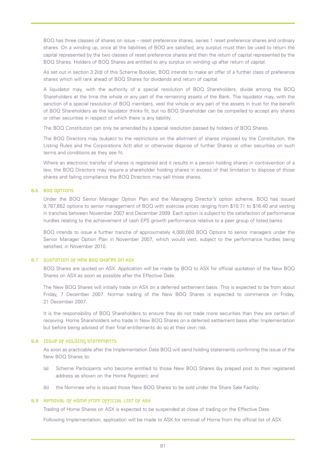BOQ has three classes of shares on issue – reset preference shares, series 1 reset preference shares and ordinary shares. On a winding up, once all the liabilities of BOQ are satisfied, any surplus must then be used to return the capital represented by the two classes of reset preference shares and then the return of capital represented by the BOQ Shares. Holders of BOQ Shares are entitled to any surplus on winding up after return of capital.

As set out in section 3.2(d) of this Scheme Booklet, BOQ intends to make an offer of a further class of preference shares which will rank ahead of BOQ Shares for dividends and return of capital.

A liquidator may, with the authority of a special resolution of BOQ Shareholders, divide among the BOQ Shareholders at the time the whole or any part of the remaining assets of the Bank. The liquidator may, with the sanction of a special resolution of BOQ members, vest the whole or any part of the assets in trust for the benefit of BOQ Shareholders as the liquidator thinks fit, but no BOQ Shareholder can be compelled to accept any shares or other securities in respect of which there is any liability.

The BOQ Constitution can only be amended by a special resolution passed by holders of BOQ Shares.

The BOQ Directors may (subject to the restrictions on the allotment of shares imposed by the Constitution, the Listing Rules and the Corporations Act) allot or otherwise dispose of further Shares or other securities on such terms and conditions as they see fit.

Where an electronic transfer of shares is registered and it results in a person holding shares in contravention of a law, the BOQ Directors may require a shareholder holding shares in excess of that limitation to dispose of those shares and failing compliance the BOQ Directors may sell those shares.

#### 8.6 BOQ Options

Under the BOQ Senior Manager Option Plan and the Managing Director's option scheme, BOQ has issued 9,787,652 options to senior management of BOQ with exercise prices ranging from \$10.71 to \$16.40 and vesting in tranches between November 2007 and December 2009. Each option is subject to the satisfaction of performance hurdles relating to the achievement of cash EPS growth performance relative to a peer group of listed banks.

BOQ intends to issue a further tranche of approximately 4,000,000 BOQ Options to senior managers under the Senior Manager Option Plan in November 2007, which would vest, subject to the performance hurdles being satisfied, in November 2010.

#### 8.7 QUOTATION OF NEW BOQ SHATES ON ASX

BOQ Shares are quoted on ASX. Application will be made by BOQ to ASX for official quotation of the New BOQ Shares on ASX as soon as possible after the Effective Date.

The New BOQ Shares will initially trade on ASX on a deferred settlement basis. This is expected to be from about Friday, 7 December 2007. Normal trading of the New BOQ Shares is expected to commence on Friday, 21 December 2007.

It is the responsibility of BOQ Shareholders to ensure they do not trade more securities than they are certain of receiving. Home Shareholders who trade in New BOQ Shares on a deferred settlement basis after Implementation but before being advised of their final entitlements do so at their own risk.

#### 8.8 Issue of holding statements

As soon as practicable after the Implementation Date BOQ will send holding statements confirming the issue of the New BOQ Shares to:

- (a) Scheme Participants who become entitled to those New BOQ Shares (by prepaid post to their registered address as shown on the Home Register); and
- (b) the Nominee who is issued those New BOQ Shares to be sold under the Share Sale Facility.

#### 8.9 Removal of Home from official list of ASX

Trading of Home Shares on ASX is expected to be suspended at close of trading on the Effective Date.

Following Implementation, application will be made to ASX for removal of Home from the official list of ASX.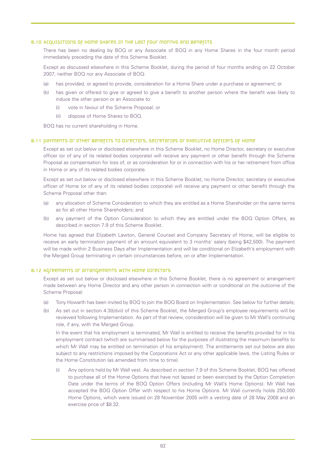#### 8.10 Acquisitions of Home shares in the Last four months and benefits

There has been no dealing by BOQ or any Associate of BOQ in any Home Shares in the four month period immediately preceding the date of this Scheme Booklet.

Except as discussed elsewhere in this Scheme Booklet, during the period of four months ending on 22 October 2007, neither BOQ nor any Associate of BOQ:

- (a) has provided, or agreed to provide, consideration for a Home Share under a purchase or agreement; or
- (b) has given or offered to give or agreed to give a benefit to another person where the benefit was likely to induce the other person or an Associate to:
	- (i) vote in favour of the Scheme Proposal; or
	- (ii) dispose of Home Shares to BOQ.

BOQ has no current shareholding in Home.

#### 8.11 payments or other benefits to directors, secretaries or executive officers of Home

Except as set out below or disclosed elsewhere in this Scheme Booklet, no Home Director, secretary or executive officer (or of any of its related bodies corporate) will receive any payment or other benefit through the Scheme Proposal as compensation for loss of, or as consideration for or in connection with his or her retirement from office in Home or any of its related bodies corporate.

Except as set out below or disclosed elsewhere in this Scheme Booklet, no Home Director, secretary or executive officer of Home (or of any of its related bodies corporate) will receive any payment or other benefit through the Scheme Proposal other than:

- (a) any allocation of Scheme Consideration to which they are entitled as a Home Shareholder on the same terms as for all other Home Shareholders; and
- (b) any payment of the Option Consideration to which they are entitled under the BOQ Option Offers, as described in section 7.9 of this Scheme Booklet.

Home has agreed that Elizabeth Lawton, General Counsel and Company Secretary of Home, will be eligible to receive an early termination payment of an amount equivalent to 3 months' salary (being \$42,500). The payment will be made within 2 Business Days after Implementation and will be conditional on Elizabeth's employment with the Merged Group terminating in certain circumstances before, on or after Implementation.

#### 8.12 Agreements or arrangements with Home Directors

Except as set out below or disclosed elsewhere in this Scheme Booklet, there is no agreement or arrangement made between any Home Director and any other person in connection with or conditional on the outcome of the Scheme Proposal:

- (a) Tony Howarth has been invited by BOQ to join the BOQ Board on Implementation. See below for further details;
- (b) As set out in section 4.3(b)(vii) of this Scheme Booklet, the Merged Group's employee requirements will be reviewed following Implementation. As part of that review, consideration will be given to Mr Wall's continuing role, if any, with the Merged Group.

In the event that his employment is terminated, Mr Wall is entitled to receive the benefits provided for in his employment contract (which are summarised below for the purposes of illustrating the maximum benefits to which Mr Wall may be entitled on termination of his employment). The entitlements set out below are also subject to any restrictions imposed by the Corporations Act or any other applicable laws, the Listing Rules or the Home Constitution (as amended from time to time).

Any options held by Mr Wall vest. As described in section 7.9 of this Scheme Booklet, BOQ has offered to purchase all of the Home Options that have not lapsed or been exercised by the Option Completion Date under the terms of the BOQ Option Offers (including Mr Wall's Home Options). Mr Wall has accepted the BOQ Option Offer with respect to his Home Options. Mr Wall currently holds 250,000 Home Options, which were issued on 28 November 2005 with a vesting date of 28 May 2008 and an exercise price of \$8.32.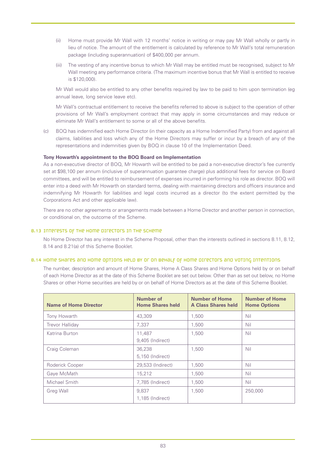- (ii) Home must provide Mr Wall with 12 months' notice in writing or may pay Mr Wall wholly or partly in lieu of notice. The amount of the entitlement is calculated by reference to Mr Wall's total remuneration package (including superannuation) of \$400,000 per annum.
- (iii) The vesting of any incentive bonus to which Mr Wall may be entitled must be recognised, subject to Mr Wall meeting any performance criteria. (The maximum incentive bonus that Mr Wall is entitled to receive is \$120,000).

Mr Wall would also be entitled to any other benefits required by law to be paid to him upon termination (eg annual leave, long service leave etc).

Mr Wall's contractual entitlement to receive the benefits referred to above is subject to the operation of other provisions of Mr Wall's employment contract that may apply in some circumstances and may reduce or eliminate Mr Wall's entitlement to some or all of the above benefits.

(c) BOQ has indemnified each Home Director (in their capacity as a Home Indemnified Party) from and against all claims, liabilities and loss which any of the Home Directors may suffer or incur by a breach of any of the representations and indemnities given by BOQ in clause 10 of the Implementation Deed.

## **Tony Howarth's appointment to the BOQ Board on Implementation**

As a non-executive director of BOQ, Mr Howarth will be entitled to be paid a non-executive director's fee currently set at \$98,100 per annum (inclusive of superannuation guarantee charge) plus additional fees for service on Board committees, and will be entitled to reimbursement of expenses incurred in performing his role as director. BOQ will enter into a deed with Mr Howarth on standard terms, dealing with maintaining directors and officers insurance and indemnifying Mr Howarth for liabilities and legal costs incurred as a director (to the extent permitted by the Corporations Act and other applicable law).

There are no other agreements or arrangements made between a Home Director and another person in connection, or conditional on, the outcome of the Scheme.

## 8.13 Interests of the Home Directors in the Scheme

No Home Director has any interest in the Scheme Proposal, other than the interests outlined in sections 8.11, 8.12, 8.14 and 8.21(a) of this Scheme Booklet.

## 8.14 Home Shares and Home Options held by or on behalf of Home Directors and voting intentions

The number, description and amount of Home Shares, Home A Class Shares and Home Options held by or on behalf of each Home Director as at the date of this Scheme Booklet are set out below. Other than as set out below, no Home Shares or other Home securities are held by or on behalf of Home Directors as at the date of this Scheme Booklet.

| <b>Name of Home Director</b> | Number of<br><b>Home Shares held</b> | <b>Number of Home</b><br><b>A Class Shares held</b> | <b>Number of Home</b><br><b>Home Options</b> |
|------------------------------|--------------------------------------|-----------------------------------------------------|----------------------------------------------|
| Tony Howarth                 | 43,309                               | 1,500                                               | Nil                                          |
| <b>Trevor Halliday</b>       | 7.337                                | 1,500                                               | <b>Nil</b>                                   |
| Katrina Burton               | 11,487<br>9,405 (Indirect)           | 1,500                                               | <b>Nil</b>                                   |
| Craig Coleman                | 36,238<br>5,150 (Indirect)           | 1.500                                               | <b>Nil</b>                                   |
| Roderick Cooper              | 29,533 (Indirect)                    | 1.500                                               | Nil                                          |
| Gaye McMath                  | 15,212                               | 1,500                                               | <b>Nil</b>                                   |
| Michael Smith                | 7,785 (Indirect)                     | 1,500                                               | Nil                                          |
| Greg Wall                    | 9,837<br>1,185 (Indirect)            | 1,500                                               | 250,000                                      |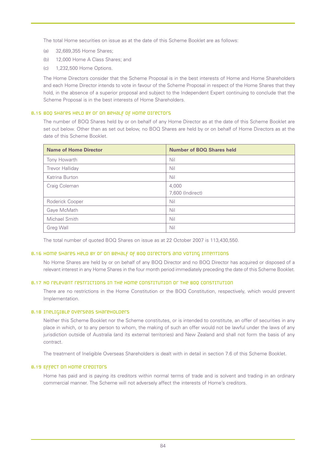The total Home securities on issue as at the date of this Scheme Booklet are as follows:

- (a) 32,689,355 Home Shares;
- (b) 12,000 Home A Class Shares; and
- (c) 1,232,500 Home Options.

The Home Directors consider that the Scheme Proposal is in the best interests of Home and Home Shareholders and each Home Director intends to vote in favour of the Scheme Proposal in respect of the Home Shares that they hold, in the absence of a superior proposal and subject to the Independent Expert continuing to conclude that the Scheme Proposal is in the best interests of Home Shareholders.

#### 8.15 BOQ Shares held by or on behalf of Home Directors

The number of BOQ Shares held by or on behalf of any Home Director as at the date of this Scheme Booklet are set out below. Other than as set out below, no BOQ Shares are held by or on behalf of Home Directors as at the date of this Scheme Booklet.

| <b>Name of Home Director</b> | <b>Number of BOQ Shares held</b> |
|------------------------------|----------------------------------|
| Tony Howarth                 | Nil                              |
| <b>Trevor Halliday</b>       | Nil                              |
| Katrina Burton               | Nil                              |
| Craig Coleman                | 4,000                            |
|                              | 7,600 (Indirect)                 |
| Roderick Cooper              | Nil                              |
| Gaye McMath                  | Nil                              |
| Michael Smith                | Nil                              |
| <b>Greg Wall</b>             | Nil                              |

The total number of quoted BOQ Shares on issue as at 22 October 2007 is 113,430,550.

#### 8.16 Home Shares held by or on behalf of BOQ Directors and voting intentions

No Home Shares are held by or on behalf of any BOQ Director and no BOQ Director has acquired or disposed of a relevant interest in any Home Shares in the four month period immediately preceding the date of this Scheme Booklet.

#### 8.17 No relevant restrictions in the Home Constitution or the BOQ Constitution

There are no restrictions in the Home Constitution or the BOQ Constitution, respectively, which would prevent Implementation.

#### 8.18 Ineligible Overseas Shareholders

Neither this Scheme Booklet nor the Scheme constitutes, or is intended to constitute, an offer of securities in any place in which, or to any person to whom, the making of such an offer would not be lawful under the laws of any jurisdiction outside of Australia (and its external territories) and New Zealand and shall not form the basis of any contract.

The treatment of Ineligible Overseas Shareholders is dealt with in detail in section 7.6 of this Scheme Booklet.

#### 8.19 Effect on Home creditors

Home has paid and is paying its creditors within normal terms of trade and is solvent and trading in an ordinary commercial manner. The Scheme will not adversely affect the interests of Home's creditors.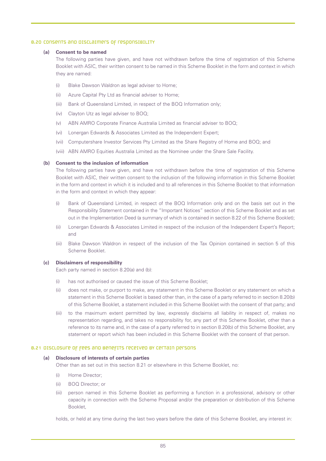#### 8.20 Consents and disclaimers of responsibility

#### **(a) Consent to be named**

The following parties have given, and have not withdrawn before the time of registration of this Scheme Booklet with ASIC, their written consent to be named in this Scheme Booklet in the form and context in which they are named:

- (i) Blake Dawson Waldron as legal adviser to Home;
- (ii) Azure Capital Pty Ltd as financial adviser to Home;
- (iii) Bank of Queensland Limited, in respect of the BOQ Information only;
- (iv) Clayton Utz as legal adviser to BOQ;
- (v) ABN AMRO Corporate Finance Australia Limited as financial adviser to BOQ;
- (vi) Lonergan Edwards & Associates Limited as the Independent Expert;
- (vii) Computershare Investor Services Pty Limited as the Share Registry of Home and BOQ; and
- (viii) ABN AMRO Equities Australia Limited as the Nominee under the Share Sale Facility.

#### **(b) Consent to the inclusion of information**

The following parties have given, and have not withdrawn before the time of registration of this Scheme Booklet with ASIC, their written consent to the inclusion of the following information in this Scheme Booklet in the form and context in which it is included and to all references in this Scheme Booklet to that information in the form and context in which they appear:

- (i) Bank of Queensland Limited, in respect of the BOQ Information only and on the basis set out in the Responsibility Statement contained in the "Important Notices" section of this Scheme Booklet and as set out in the Implementation Deed (a summary of which is contained in section 8.22 of this Scheme Booklet);
- (ii) Lonergan Edwards & Associates Limited in respect of the inclusion of the Independent Expert's Report; and
- (iii) Blake Dawson Waldron in respect of the inclusion of the Tax Opinion contained in section 5 of this Scheme Booklet.

#### **(c) Disclaimers of responsibility**

Each party named in section 8.20(a) and (b):

- (i) has not authorised or caused the issue of this Scheme Booklet;
- (ii) does not make, or purport to make, any statement in this Scheme Booklet or any statement on which a statement in this Scheme Booklet is based other than, in the case of a party referred to in section 8.20(b) of this Scheme Booklet, a statement included in this Scheme Booklet with the consent of that party; and
- (iii) to the maximum extent permitted by law, expressly disclaims all liability in respect of, makes no representation regarding, and takes no responsibility for, any part of this Scheme Booklet, other than a reference to its name and, in the case of a party referred to in section 8.20(b) of this Scheme Booklet, any statement or report which has been included in this Scheme Booklet with the consent of that person.

#### 8.21 Disclosure of fees and benefits received by certain persons

#### **(a) Disclosure of interests of certain parties**

Other than as set out in this section 8.21 or elsewhere in this Scheme Booklet, no:

- (i) Home Director;
- (ii) BOQ Director; or
- (iii) person named in this Scheme Booklet as performing a function in a professional, advisory or other capacity in connection with the Scheme Proposal and/or the preparation or distribution of this Scheme Booklet,

holds, or held at any time during the last two years before the date of this Scheme Booklet, any interest in: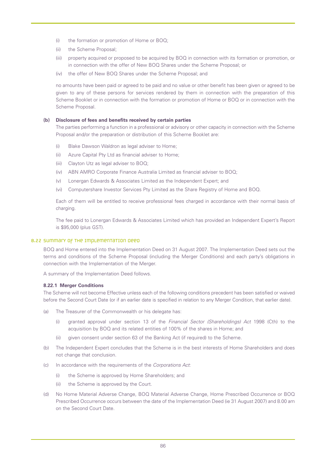- (i) the formation or promotion of Home or BOQ;
- (ii) the Scheme Proposal;
- (iii) property acquired or proposed to be acquired by BOQ in connection with its formation or promotion, or in connection with the offer of New BOQ Shares under the Scheme Proposal; or
- (iv) the offer of New BOQ Shares under the Scheme Proposal; and

no amounts have been paid or agreed to be paid and no value or other benefit has been given or agreed to be given to any of these persons for services rendered by them in connection with the preparation of this Scheme Booklet or in connection with the formation or promotion of Home or BOQ or in connection with the Scheme Proposal.

#### **(b) Disclosure of fees and benefits received by certain parties**

The parties performing a function in a professional or advisory or other capacity in connection with the Scheme Proposal and/or the preparation or distribution of this Scheme Booklet are:

- (i) Blake Dawson Waldron as legal adviser to Home;
- (ii) Azure Capital Pty Ltd as financial adviser to Home;
- (iii) Clayton Utz as legal adviser to BOQ;
- (iv) ABN AMRO Corporate Finance Australia Limited as financial adviser to BOQ;
- (v) Lonergan Edwards & Associates Limited as the Independent Expert; and
- (vi) Computershare Investor Services Pty Limited as the Share Registry of Home and BOQ.

Each of them will be entitled to receive professional fees charged in accordance with their normal basis of charging.

The fee paid to Lonergan Edwards & Associates Limited which has provided an Independent Expert's Report is \$95,000 (plus GST).

#### 8.22 Summary of the Implementation Deed

BOQ and Home entered into the Implementation Deed on 31 August 2007. The Implementation Deed sets out the terms and conditions of the Scheme Proposal (including the Merger Conditions) and each party's obligations in connection with the Implementation of the Merger.

A summary of the Implementation Deed follows.

#### **8.22.1 Merger Conditions**

The Scheme will not become Effective unless each of the following conditions precedent has been satisfied or waived before the Second Court Date (or if an earlier date is specified in relation to any Merger Condition, that earlier date).

- (a) The Treasurer of the Commonwealth or his delegate has:
	- (i) granted approval under section 13 of the *Financial Sector (Shareholdings) Act* 1998 (Cth) to the acquisition by BOQ and its related entities of 100% of the shares in Home; and
	- (ii) given consent under section 63 of the Banking Act (if required) to the Scheme.
- (b) The Independent Expert concludes that the Scheme is in the best interests of Home Shareholders and does not change that conclusion.
- (c) In accordance with the requirements of the *Corporations Act*:
	- (i) the Scheme is approved by Home Shareholders; and
	- (ii) the Scheme is approved by the Court.
- (d) No Home Material Adverse Change, BOQ Material Adverse Change, Home Prescribed Occurrence or BOQ Prescribed Occurrence occurs between the date of the Implementation Deed (ie 31 August 2007) and 8.00 am on the Second Court Date.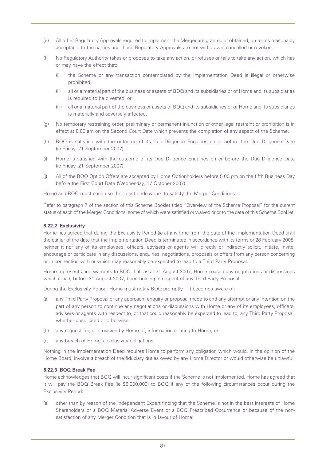- (e) All other Regulatory Approvals required to implement the Merger are granted or obtained, on terms reasonably acceptable to the parties and those Regulatory Approvals are not withdrawn, cancelled or revoked.
- (f) No Regulatory Authority takes or proposes to take any action, or refuses or fails to take any action, which has or may have the effect that:
	- (i) the Scheme or any transaction contemplated by the Implementation Deed is illegal or otherwise prohibited;
	- (ii) all or a material part of the business or assets of BOQ and its subsidiaries or of Home and its subsidiaries is required to be divested; or
	- (iii) all or a material part of the business or assets of BOQ and its subsidiaries or of Home and its subsidiaries is materially and adversely affected.
- (g) No temporary restraining order, preliminary or permanent injunction or other legal restraint or prohibition is in effect at 8.00 am on the Second Court Date which prevents the completion of any aspect of the Scheme.
- (h) BOQ is satisfied with the outcome of its Due Diligence Enquiries on or before the Due Diligence Date (ie Friday, 21 September 2007).
- (i) Home is satisfied with the outcome of its Due Diligence Enquiries on or before the Due Diligence Date (ie Friday, 21 September 2007).
- (j) All of the BOQ Option Offers are accepted by Home Optionholders before 5.00 pm on the fifth Business Day before the First Court Date (Wednesday, 17 October 2007).

Home and BOQ must each use their best endeavours to satisfy the Merger Conditions.

Refer to paragraph 7 of the section of this Scheme Booklet titled "Overview of the Scheme Proposal" for the current status of each of the Merger Conditions, some of which were satisfied or waived prior to the date of this Scheme Booklet.

#### **8.22.2 Exclusivity**

Home has agreed that during the Exclusivity Period (ie at any time from the date of the Implementation Deed until the earlier of the date that the Implementation Deed is terminated in accordance with its terms or 28 February 2008) neither it nor any of its employees, officers, advisers or agents will directly or indirectly solicit, initiate, invite, encourage or participate in any discussions, enquiries, negotiations, proposals or offers from any person concerning or in connection with or which may reasonably be expected to lead to a Third Party Proposal.

Home represents and warrants to BOQ that, as at 31 August 2007, Home ceased any negotiations or discussions which it had, before 31 August 2007, been holding in respect of any Third Party Proposal.

During the Exclusivity Period, Home must notify BOQ promptly if it becomes aware of:

- (a) any Third Party Proposal or any approach, enquiry or proposal made to and any attempt or any intention on the part of any person to continue any negotiations or discussions with Home or any of its employees, officers, advisers or agents with respect to, or that could reasonably be expected to lead to, any Third Party Proposal, whether unsolicited or otherwise;
- (b) any request for, or provision by Home of, information relating to Home; or
- (c) any breach of Home's exclusivity obligations.

Nothing in the Implementation Deed requires Home to perform any obligation which would, in the opinion of the Home Board, involve a breach of the fiduciary duties owed by any Home Director or would otherwise be unlawful.

#### **8.22.3 BOQ Break Fee**

Home acknowledges that BOQ will incur significant costs if the Scheme is not Implemented. Home has agreed that it will pay the BOQ Break Fee (ie \$5,900,000) to BOQ if any of the following circumstances occur during the Exclusivity Period:

(a) other than by reason of the Independent Expert finding that the Scheme is not in the best interests of Home Shareholders or a BOQ Material Adverse Event or a BOQ Prescribed Occurrence or because of the nonsatisfaction of any Merger Condition that is in favour of Home: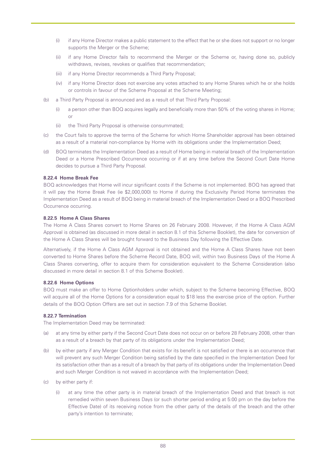- (i) if any Home Director makes a public statement to the effect that he or she does not support or no longer supports the Merger or the Scheme;
- (ii) if any Home Director fails to recommend the Merger or the Scheme or, having done so, publicly withdraws, revises, revokes or qualifies that recommendation;
- (iii) if any Home Director recommends a Third Party Proposal;
- (iv) if any Home Director does not exercise any votes attached to any Home Shares which he or she holds or controls in favour of the Scheme Proposal at the Scheme Meeting;
- (b) a Third Party Proposal is announced and as a result of that Third Party Proposal:
	- (i) a person other than BOQ acquires legally and beneficially more than 50% of the voting shares in Home; or
	- (ii) the Third Party Proposal is otherwise consummated;
- (c) the Court fails to approve the terms of the Scheme for which Home Shareholder approval has been obtained as a result of a material non-compliance by Home with its obligations under the Implementation Deed;
- (d) BOQ terminates the Implementation Deed as a result of Home being in material breach of the Implementation Deed or a Home Prescribed Occurrence occurring or if at any time before the Second Court Date Home decides to pursue a Third Party Proposal.

## **8.22.4 Home Break Fee**

BOQ acknowledges that Home will incur significant costs if the Scheme is not implemented. BOQ has agreed that it will pay the Home Break Fee (ie \$2,000,000) to Home if during the Exclusivity Period Home terminates the Implementation Deed as a result of BOQ being in material breach of the Implementation Deed or a BOQ Prescribed Occurrence occurring.

#### **8.22.5 Home A Class Shares**

The Home A Class Shares convert to Home Shares on 26 February 2008. However, if the Home A Class AGM Approval is obtained (as discussed in more detail in section 8.1 of this Scheme Booklet), the date for conversion of the Home A Class Shares will be brought forward to the Business Day following the Effective Date.

Alternatively, if the Home A Class AGM Approval is not obtained and the Home A Class Shares have not been converted to Home Shares before the Scheme Record Date, BOQ will, within two Business Days of the Home A Class Shares converting, offer to acquire them for consideration equivalent to the Scheme Consideration (also discussed in more detail in section 8.1 of this Scheme Booklet).

#### **8.22.6 Home Options**

BOQ must make an offer to Home Optionholders under which, subject to the Scheme becoming Effective, BOQ will acquire all of the Home Options for a consideration equal to \$18 less the exercise price of the option. Further details of the BOQ Option Offers are set out in section 7.9 of this Scheme Booklet.

#### **8.22.7 Termination**

The Implementation Deed may be terminated:

- (a) at any time by either party if the Second Court Date does not occur on or before 28 February 2008, other than as a result of a breach by that party of its obligations under the Implementation Deed;
- (b) by either party if any Merger Condition that exists for its benefit is not satisfied or there is an occurrence that will prevent any such Merger Condition being satisfied by the date specified in the Implementation Deed for its satisfaction other than as a result of a breach by that party of its obligations under the Implementation Deed and such Merger Condition is not waived in accordance with the Implementation Deed;
- (c) by either party if:
	- (i) at any time the other party is in material breach of the Implementation Deed and that breach is not remedied within seven Business Days (or such shorter period ending at 5:00 pm on the day before the Effective Date) of its receiving notice from the other party of the details of the breach and the other party's intention to terminate;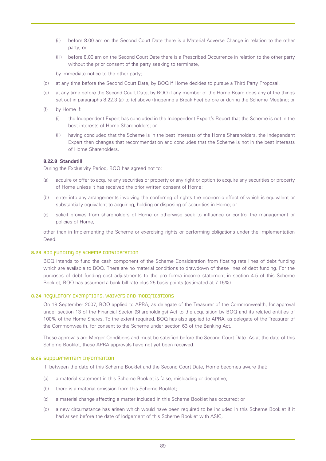- (ii) before 8.00 am on the Second Court Date there is a Material Adverse Change in relation to the other party; or
- (iii) before 8.00 am on the Second Court Date there is a Prescribed Occurrence in relation to the other party without the prior consent of the party seeking to terminate,

by immediate notice to the other party;

- (d) at any time before the Second Court Date, by BOQ if Home decides to pursue a Third Party Proposal;
- (e) at any time before the Second Court Date, by BOQ if any member of the Home Board does any of the things set out in paragraphs 8.22.3 (a) to (c) above (triggering a Break Fee) before or during the Scheme Meeting; or
- (f) by Home if:
	- (i) the Independent Expert has concluded in the Independent Expert's Report that the Scheme is not in the best interests of Home Shareholders; or
	- (ii) having concluded that the Scheme is in the best interests of the Home Shareholders, the Independent Expert then changes that recommendation and concludes that the Scheme is not in the best interests of Home Shareholders.

#### **8.22.8 Standstill**

During the Exclusivity Period, BOQ has agreed not to:

- (a) acquire or offer to acquire any securities or property or any right or option to acquire any securities or property of Home unless it has received the prior written consent of Home;
- (b) enter into any arrangements involving the conferring of rights the economic effect of which is equivalent or substantially equivalent to acquiring, holding or disposing of securities in Home; or
- (c) solicit proxies from shareholders of Home or otherwise seek to influence or control the management or policies of Home,

other than in Implementing the Scheme or exercising rights or performing obligations under the Implementation Deed.

#### 8.23 BOQ funding of Scheme Consideration

BOQ intends to fund the cash component of the Scheme Consideration from floating rate lines of debt funding which are available to BOQ. There are no material conditions to drawdown of these lines of debt funding. For the purposes of debt funding cost adjustments to the pro forma income statement in section 4.5 of this Scheme Booklet, BOQ has assumed a bank bill rate plus 25 basis points (estimated at 7.15%).

#### 8.24 Requlatory exemptions, waivers and modifications

On 18 September 2007, BOQ applied to APRA, as delegate of the Treasurer of the Commonwealth, for approval under section 13 of the Financial Sector (Shareholdings) Act to the acquisition by BOQ and its related entities of 100% of the Home Shares. To the extent required, BOQ has also applied to APRA, as delegate of the Treasurer of the Commonwealth, for consent to the Scheme under section 63 of the Banking Act.

These approvals are Merger Conditions and must be satisfied before the Second Court Date. As at the date of this Scheme Booklet, these APRA approvals have not yet been received.

## 8.25 Supplementary information

If, between the date of this Scheme Booklet and the Second Court Date, Home becomes aware that:

- (a) a material statement in this Scheme Booklet is false, misleading or deceptive;
- (b) there is a material omission from this Scheme Booklet;
- (c) a material change affecting a matter included in this Scheme Booklet has occurred; or
- (d) a new circumstance has arisen which would have been required to be included in this Scheme Booklet if it had arisen before the date of lodgement of this Scheme Booklet with ASIC,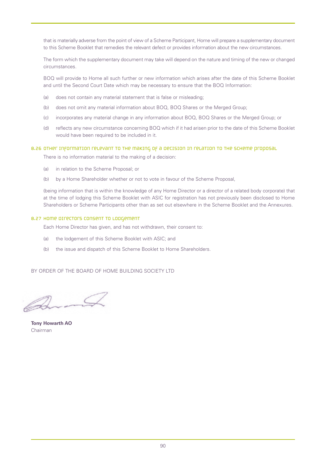that is materially adverse from the point of view of a Scheme Participant, Home will prepare a supplementary document to this Scheme Booklet that remedies the relevant defect or provides information about the new circumstances.

The form which the supplementary document may take will depend on the nature and timing of the new or changed circumstances.

BOQ will provide to Home all such further or new information which arises after the date of this Scheme Booklet and until the Second Court Date which may be necessary to ensure that the BOQ Information:

- (a) does not contain any material statement that is false or misleading;
- (b) does not omit any material information about BOQ, BOQ Shares or the Merged Group;
- (c) incorporates any material change in any information about BOQ, BOQ Shares or the Merged Group; or
- (d) reflects any new circumstance concerning BOQ which if it had arisen prior to the date of this Scheme Booklet would have been required to be included in it.

#### 8.26 OTHER INFORMATION RELEVANT TO THE MAKING OF A DECISION IN RELATION TO THE SCHEME PROPOSAL

There is no information material to the making of a decision:

- (a) in relation to the Scheme Proposal; or
- (b) by a Home Shareholder whether or not to vote in favour of the Scheme Proposal,

(being information that is within the knowledge of any Home Director or a director of a related body corporate) that at the time of lodging this Scheme Booklet with ASIC for registration has not previously been disclosed to Home Shareholders or Scheme Participants other than as set out elsewhere in the Scheme Booklet and the Annexures.

#### 8.27 HOME DIFECTOFS CONSENT TO LODGEMENT

Each Home Director has given, and has not withdrawn, their consent to:

- (a) the lodgement of this Scheme Booklet with ASIC; and
- (b) the issue and dispatch of this Scheme Booklet to Home Shareholders.

BY ORDER OF THE BOARD OF HOME BUILDING SOCIETY LTD

**Tony Howarth AO** Chairman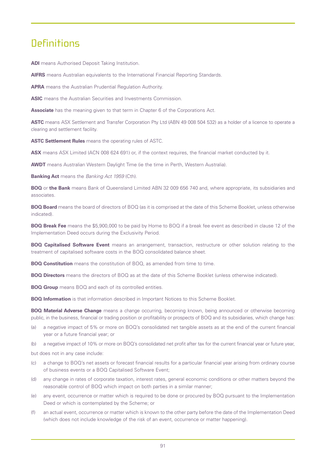## **Definitions**

**ADI** means Authorised Deposit Taking Institution.

**AIFRS** means Australian equivalents to the International Financial Reporting Standards.

**APRA** means the Australian Prudential Regulation Authority.

**ASIC** means the Australian Securities and Investments Commission.

**Associate** has the meaning given to that term in Chapter 6 of the Corporations Act.

**ASTC** means ASX Settlement and Transfer Corporation Pty Ltd (ABN 49 008 504 532) as a holder of a licence to operate a clearing and settlement facility.

**ASTC Settlement Rules** means the operating rules of ASTC.

**ASX** means ASX Limited (ACN 008 624 691) or, if the context requires, the financial market conducted by it.

**AWDT** means Australian Western Daylight Time (ie the time in Perth, Western Australia).

**Banking Act** means the *Banking Act 1959* (Cth).

**BOQ** or **the Bank** means Bank of Queensland Limited ABN 32 009 656 740 and, where appropriate, its subsidiaries and associates.

**BOQ Board** means the board of directors of BOQ (as it is comprised at the date of this Scheme Booklet, unless otherwise indicated).

**BOQ Break Fee** means the \$5,900,000 to be paid by Home to BOQ if a break fee event as described in clause 12 of the Implementation Deed occurs during the Exclusivity Period.

**BOQ Capitalised Software Event** means an arrangement, transaction, restructure or other solution relating to the treatment of capitalised software costs in the BOQ consolidated balance sheet.

**BOQ Constitution** means the constitution of BOQ, as amended from time to time.

**BOQ Directors** means the directors of BOQ as at the date of this Scheme Booklet (unless otherwise indicated).

**BOQ Group** means BOQ and each of its controlled entities.

**BOQ Information** is that information described in Important Notices to this Scheme Booklet.

**BOQ Material Adverse Change** means a change occurring, becoming known, being announced or otherwise becoming public, in the business, financial or trading position or profitability or prospects of BOQ and its subsidiaries, which change has:

- (a) a negative impact of 5% or more on BOQ's consolidated net tangible assets as at the end of the current financial year or a future financial year; or
- (b) a negative impact of 10% or more on BOQ's consolidated net profit after tax for the current financial year or future year,

but does not in any case include:

- (c) a change to BOQ's net assets or forecast financial results for a particular financial year arising from ordinary course of business events or a BOQ Capitalised Software Event;
- (d) any change in rates of corporate taxation, interest rates, general economic conditions or other matters beyond the reasonable control of BOQ which impact on both parties in a similar manner;
- (e) any event, occurrence or matter which is required to be done or procured by BOQ pursuant to the Implementation Deed or which is contemplated by the Scheme; or
- (f) an actual event, occurrence or matter which is known to the other party before the date of the Implementation Deed (which does not include knowledge of the risk of an event, occurrence or matter happening).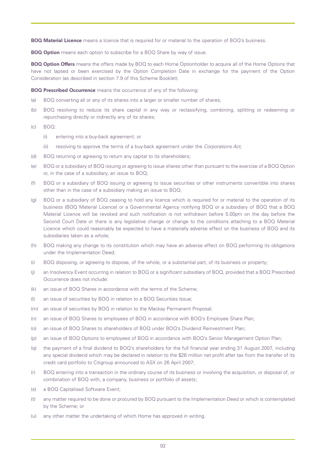**BOQ Material Licence** means a licence that is required for or material to the operation of BOQ's business.

**BOQ Option** means each option to subscribe for a BOQ Share by way of issue.

**BOQ Option Offers** means the offers made by BOQ to each Home Optionholder to acquire all of the Home Options that have not lapsed or been exercised by the Option Completion Date in exchange for the payment of the Option Consideration (as described in section 7.9 of this Scheme Booklet).

**BOQ Prescribed Occurrence** means the occurrence of any of the following:

- (a) BOQ converting all or any of its shares into a larger or smaller number of shares;
- (b) BOQ resolving to reduce its share capital in any way or reclassifying, combining, splitting or redeeming or repurchasing directly or indirectly any of its shares;
- (c) BOQ:
	- (i) entering into a buy-back agreement; or
	- (ii) resolving to approve the terms of a buy-back agreement under the *Corporations Act,*
- (d) BOQ returning or agreeing to return any capital to its shareholders;
- (e) BOQ or a subsidiary of BOQ issuing or agreeing to issue shares other than pursuant to the exercise of a BOQ Option or, in the case of a subsidiary, an issue to BOQ;
- (f) BOQ or a subsidiary of BOQ issuing or agreeing to issue securities or other instruments convertible into shares other than in the case of a subsidiary making an issue to BOQ;
- (g) BOQ or a subsidiary of BOQ ceasing to hold any licence which is required for or material to the operation of its business (BOQ Material Licence) or a Governmental Agency notifying BOQ or a subsidiary of BOQ that a BOQ Material Licence will be revoked and such notification is not withdrawn before 5.00pm on the day before the Second Court Date or there is any legislative change or change to the conditions attaching to a BOQ Material Licence which could reasonably be expected to have a materially adverse effect on the business of BOQ and its subsidiaries taken as a whole;
- (h) BOQ making any change to its constitution which may have an adverse effect on BOQ performing its obligations under the Implementation Deed;
- (i) BOQ disposing, or agreeing to dispose, of the whole, or a substantial part, of its business or property;
- (j) an Insolvency Event occurring in relation to BOQ or a significant subsidiary of BOQ, provided that a BOQ Prescribed Occurrence does not include:
- (k) an issue of BOQ Shares in accordance with the terms of the Scheme;
- (l) an issue of securities by BOQ in relation to a BOQ Securities Issue;
- (m) an issue of securities by BOQ in relation to the Mackay Permanent Proposal;
- (n) an issue of BOQ Shares to employees of BOQ in accordance with BOQ's Employee Share Plan;
- (o) an issue of BOQ Shares to shareholders of BOQ under BOQ's Dividend Reinvestment Plan;
- (p) an issue of BOQ Options to employees of BOQ in accordance with BOQ's Senior Management Option Plan;
- (q) the payment of a final dividend to BOQ's shareholders for the full financial year ending 31 August 2007, including any special dividend which may be declared in relation to the \$26 million net profit after tax from the transfer of its credit card portfolio to Citigroup announced to ASX on 26 April 2007;
- (r) BOQ entering into a transaction in the ordinary course of its business or involving the acquisition, or disposal of, or combination of BOQ with, a company, business or portfolio of assets;
- (s) a BOQ Capitalised Software Event;
- (t) any matter required to be done or procured by BOQ pursuant to the Implementation Deed or which is contemplated by the Scheme; or
- (u) any other matter the undertaking of which Home has approved in writing.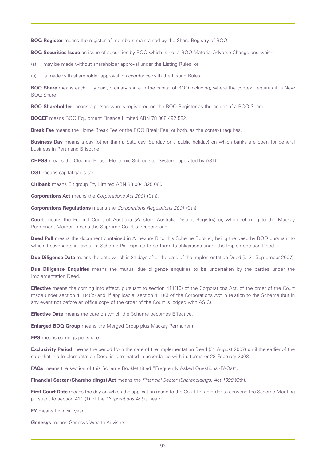**BOQ Register** means the register of members maintained by the Share Registry of BOQ.

**BOQ Securities Issue** an issue of securities by BOQ which is not a BOQ Material Adverse Change and which:

(a) may be made without shareholder approval under the Listing Rules; or

(b) is made with shareholder approval in accordance with the Listing Rules.

**BOQ Share** means each fully paid, ordinary share in the capital of BOQ including, where the context requires it, a New BOQ Share.

**BOQ Shareholder** means a person who is registered on the BOQ Register as the holder of a BOQ Share.

**BOQEF** means BOQ Equipment Finance Limited ABN 78 008 492 582.

**Break Fee** means the Home Break Fee or the BOQ Break Fee, or both, as the context requires.

**Business Day** means a day (other than a Saturday, Sunday or a public holiday) on which banks are open for general business in Perth and Brisbane.

**CHESS** means the Clearing House Electronic Subregister System, operated by ASTC.

**CGT** means capital gains tax.

**Citibank** means Citigroup Pty Limited ABN 88 004 325 080.

**Corporations Act** means the *Corporations Act 2001* (Cth).

**Corporations Regulations** means the *Corporations Regulations 2001* (Cth)

**Court** means the Federal Court of Australia (Western Australia District Registry) or, when referring to the Mackay Permanent Merger, means the Supreme Court of Queensland.

**Deed Poll** means the document contained in Annexure B to this Scheme Booklet, being the deed by BOQ pursuant to which it covenants in favour of Scheme Participants to perform its obligations under the Implementation Deed.

**Due Diligence Date** means the date which is 21 days after the date of the Implementation Deed (ie 21 September 2007).

**Due Diligence Enquiries** means the mutual due diligence enquiries to be undertaken by the parties under the Implementation Deed.

**Effective** means the coming into effect, pursuant to section 411(10) of the Corporations Act, of the order of the Court made under section 411(4)(b) and, if applicable, section 411(6) of the Corporations Act in relation to the Scheme (but in any event not before an office copy of the order of the Court is lodged with ASIC).

**Effective Date** means the date on which the Scheme becomes Effective.

**Enlarged BOQ Group** means the Merged Group plus Mackay Permanent.

**EPS** means earnings per share.

**Exclusivity Period** means the period from the date of the Implementation Deed (31 August 2007) until the earlier of the date that the Implementation Deed is terminated in accordance with its terms or 28 February 2008.

**FAQs** means the section of this Scheme Booklet titled "Frequently Asked Questions (FAQs)".

**Financial Sector (Shareholdings) Act** means the *Financial Sector (Shareholdings) Act 1998* (Cth).

**First Court Date** means the day on which the application made to the Court for an order to convene the Scheme Meeting pursuant to section 411 (1) of the *Corporations Act* is heard.

**FY** means financial year.

**Genesys** means Genesys Wealth Advisers.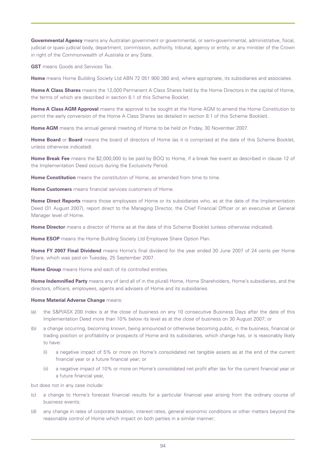**Governmental Agency** means any Australian government or governmental, or semi-governmental, administrative, fiscal, judicial or quasi judicial body, department, commission, authority, tribunal, agency or entity, or any minister of the Crown in right of the Commonwealth of Australia or any State.

**GST** means Goods and Services Tax.

**Home** means Home Building Society Ltd ABN 72 051 900 380 and, where appropriate, its subsidiaries and associates.

**Home A Class Shares** means the 12,000 Permanent A Class Shares held by the Home Directors in the capital of Home, the terms of which are described in section 8.1 of this Scheme Booklet.

**Home A Class AGM Approval** means the approval to be sought at the Home AGM to amend the Home Constitution to permit the early conversion of the Home A Class Shares (as detailed in section 8.1 of this Scheme Booklet).

Home AGM means the annual general meeting of Home to be held on Friday, 30 November 2007.

**Home Board** or **Board** means the board of directors of Home (as it is comprised at the date of this Scheme Booklet, unless otherwise indicated).

**Home Break Fee** means the \$2,000,000 to be paid by BOQ to Home, if a break fee event as described in clause 12 of the Implementation Deed occurs during the Exclusivity Period.

**Home Constitution** means the constitution of Home, as amended from time to time.

**Home Customers** means financial services customers of Home.

**Home Direct Reports** means those employees of Home or its subsidiaries who, as at the date of the Implementation Deed (31 August 2007), report direct to the Managing Director, the Chief Financial Officer or an executive at General Manager level of Home.

**Home Director** means a director of Home as at the date of this Scheme Booklet (unless otherwise indicated).

**Home ESOP** means the Home Building Society Ltd Employee Share Option Plan.

**Home FY 2007 Final Dividend** means Home's final dividend for the year ended 30 June 2007 of 24 cents per Home Share, which was paid on Tuesday, 25 September 2007.

**Home Group** means Home and each of its controlled entities.

**Home Indemnified Party** means any of (and all of in the plural) Home, Home Shareholders, Home's subsidiaries, and the directors, officers, employees, agents and advisers of Home and its subsidiaries.

#### **Home Material Adverse Change means:**

- (a) the S&P/ASX 200 Index is at the close of business on any 10 consecutive Business Days after the date of this Implementation Deed more than 10% below its level as at the close of business on 30 August 2007; or
- (b) a change occurring, becoming known, being announced or otherwise becoming public, in the business, financial or trading position or profitability or prospects of Home and its subsidiaries, which change has, or is reasonably likely to have:
	- (i) a negative impact of 5% or more on Home's consolidated net tangible assets as at the end of the current financial year or a future financial year; or
	- (ii) a negative impact of 10% or more on Home's consolidated net profit after tax for the current financial year or a future financial year,

but does not in any case include:

- (c) a change to Home's forecast financial results for a particular financial year arising from the ordinary course of business events;
- (d) any change in rates of corporate taxation, interest rates, general economic conditions or other matters beyond the reasonable control of Home which impact on both parties in a similar manner;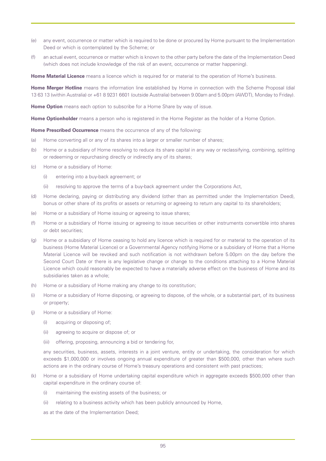- (e) any event, occurrence or matter which is required to be done or procured by Home pursuant to the Implementation Deed or which is contemplated by the Scheme; or
- (f) an actual event, occurrence or matter which is known to the other party before the date of the Implementation Deed (which does not include knowledge of the risk of an event, occurrence or matter happening).

**Home Material Licence** means a licence which is required for or material to the operation of Home's business.

**Home Merger Hotline** means the information line established by Home in connection with the Scheme Proposal (dial 13 63 13 (within Australia) or +61 8 9231 6601 (outside Australia) between 9.00am and 5.00pm (AWDT), Monday to Friday).

**Home Option** means each option to subscribe for a Home Share by way of issue.

**Home Optionholder** means a person who is registered in the Home Register as the holder of a Home Option.

**Home Prescribed Occurrence** means the occurrence of any of the following:

- (a) Home converting all or any of its shares into a larger or smaller number of shares;
- (b) Home or a subsidiary of Home resolving to reduce its share capital in any way or reclassifying, combining, splitting or redeeming or repurchasing directly or indirectly any of its shares;
- (c) Home or a subsidiary of Home:
	- (i) entering into a buy-back agreement; or
	- (ii) resolving to approve the terms of a buy-back agreement under the Corporations Act,
- (d) Home declaring, paying or distributing any dividend (other than as permitted under the Implementation Deed), bonus or other share of its profits or assets or returning or agreeing to return any capital to its shareholders;
- (e) Home or a subsidiary of Home issuing or agreeing to issue shares;
- (f) Home or a subsidiary of Home issuing or agreeing to issue securities or other instruments convertible into shares or debt securities;
- (g) Home or a subsidiary of Home ceasing to hold any licence which is required for or material to the operation of its business (Home Material Licence) or a Governmental Agency notifying Home or a subsidiary of Home that a Home Material Licence will be revoked and such notification is not withdrawn before 5.00pm on the day before the Second Court Date or there is any legislative change or change to the conditions attaching to a Home Material Licence which could reasonably be expected to have a materially adverse effect on the business of Home and its subsidiaries taken as a whole;
- (h) Home or a subsidiary of Home making any change to its constitution;
- (i) Home or a subsidiary of Home disposing, or agreeing to dispose, of the whole, or a substantial part, of its business or property;
- (j) Home or a subsidiary of Home:
	- (i) acquiring or disposing of;
	- (ii) agreeing to acquire or dispose of; or
	- (iii) offering, proposing, announcing a bid or tendering for,

any securities, business, assets, interests in a joint venture, entity or undertaking, the consideration for which exceeds \$1,000,000 or involves ongoing annual expenditure of greater than \$500,000, other than where such actions are in the ordinary course of Home's treasury operations and consistent with past practices;

- (k) Home or a subsidiary of Home undertaking capital expenditure which in aggregate exceeds \$500,000 other than capital expenditure in the ordinary course of:
	- (i) maintaining the existing assets of the business; or
	- (ii) relating to a business activity which has been publicly announced by Home,

as at the date of the Implementation Deed;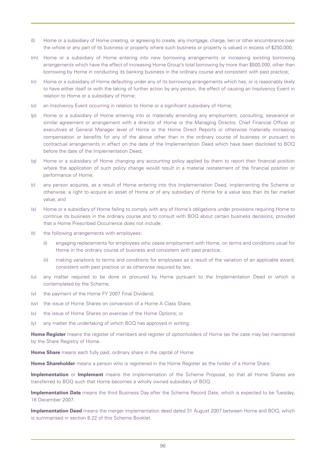- (l) Home or a subsidiary of Home creating, or agreeing to create, any mortgage, charge, lien or other encumbrance over the whole or any part of its business or property where such business or property is valued in excess of \$250,000;
- (m) Home or a subsidiary of Home entering into new borrowing arrangements or increasing existing borrowing arrangements which have the effect of increasing Home Group's total borrowing by more than \$500,000, other than borrowing by Home in conducting its banking business in the ordinary course and consistent with past practice;
- (n) Home or a subsidiary of Home defaulting under any of its borrowing arrangements which has, or is reasonably likely to have either itself or with the taking of further action by any person, the effect of causing an Insolvency Event in relation to Home or a subsidiary of Home;
- (o) an Insolvency Event occurring in relation to Home or a significant subsidiary of Home;
- (p) Home or a subsidiary of Home entering into or materially amending any employment, consulting, severance or similar agreement or arrangement with a director of Home or the Managing Director, Chief Financial Officer or executives at General Manager level of Home or the Home Direct Reports or otherwise materially increasing compensation or benefits for any of the above other than in the ordinary course of business or pursuant to contractual arrangements in effect on the date of the Implementation Deed which have been disclosed to BOQ before the date of the Implementation Deed;
- (q) Home or a subsidiary of Home changing any accounting policy applied by them to report their financial position where the application of such policy change would result in a material restatement of the financial position or performance of Home;
- (r) any person acquires, as a result of Home entering into this Implementation Deed, implementing the Scheme or otherwise, a right to acquire an asset of Home or of any subsidiary of Home for a value less than its fair market value; and
- (s) Home or a subsidiary of Home failing to comply with any of Home's obligations under provisions requiring Home to continue its business in the ordinary course and to consult with BOQ about certain business decisions, provided that a Home Prescribed Occurrence does not include:
- (t) the following arrangements with employees:
	- (i) engaging replacements for employees who cease employment with Home, on terms and conditions usual for Home in the ordinary course of business and consistent with past practice;
	- (ii) making variations to terms and conditions for employees as a result of the variation of an applicable award, consistent with past practice or as otherwise required by law;
- (u) any matter required to be done or procured by Home pursuant to the Implementation Deed or which is contemplated by the Scheme;
- (v) the payment of the Home FY 2007 Final Dividend;
- (w) the issue of Home Shares on conversion of a Home A Class Share;
- (x) the issue of Home Shares on exercise of the Home Options; or
- (y) any matter the undertaking of which BOQ has approved in writing.

**Home Register** means the register of members and register of optionholders of Home (as the case may be) maintained by the Share Registry of Home.

**Home Share** means each fully paid, ordinary share in the capital of Home.

**Home Shareholder** means a person who is registered in the Home Register as the holder of a Home Share.

**Implementation** or **Implement** means the implementation of the Scheme Proposal, so that all Home Shares are transferred to BOQ such that Home becomes a wholly owned subsidiary of BOQ.

**Implementation Date** means the third Business Day after the Scheme Record Date, which is expected to be Tuesday, 18 December 2007.

**Implementation Deed** means the merger implementation deed dated 31 August 2007 between Home and BOQ, which is summarised in section 8.22 of this Scheme Booklet.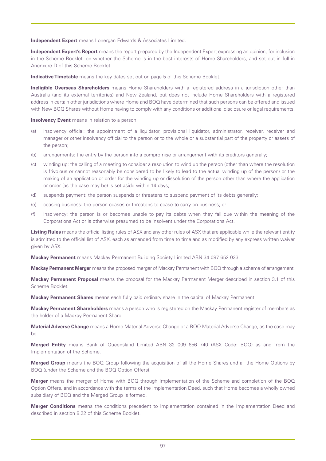**Independent Expert** means Lonergan Edwards & Associates Limited.

**Independent Expert's Report** means the report prepared by the Independent Expert expressing an opinion, for inclusion in the Scheme Booklet, on whether the Scheme is in the best interests of Home Shareholders, and set out in full in Anenxure D of this Scheme Booklet.

**Indicative Timetable** means the key dates set out on page 5 of this Scheme Booklet.

**Ineligible Overseas Shareholders** means Home Shareholders with a registered address in a jurisdiction other than Australia (and its external territories) and New Zealand, but does not include Home Shareholders with a registered address in certain other jurisdictions where Home and BOQ have determined that such persons can be offered and issued with New BOQ Shares without Home having to comply with any conditions or additional disclosure or legal requirements.

**Insolvency Event** means in relation to a person:

- (a) insolvency official: the appointment of a liquidator, provisional liquidator, administrator, receiver, receiver and manager or other insolvency official to the person or to the whole or a substantial part of the property or assets of the person;
- (b) arrangements: the entry by the person into a compromise or arrangement with its creditors generally;
- (c) winding up: the calling of a meeting to consider a resolution to wind up the person (other than where the resolution is frivolous or cannot reasonably be considered to be likely to lead to the actual winding up of the person) or the making of an application or order for the winding up or dissolution of the person other than where the application or order (as the case may be) is set aside within 14 days;
- (d) suspends payment: the person suspends or threatens to suspend payment of its debts generally;
- (e) ceasing business: the person ceases or threatens to cease to carry on business; or
- (f) insolvency: the person is or becomes unable to pay its debts when they fall due within the meaning of the Corporations Act or is otherwise presumed to be insolvent under the Corporations Act.

**Listing Rules** means the official listing rules of ASX and any other rules of ASX that are applicable while the relevant entity is admitted to the official list of ASX, each as amended from time to time and as modified by any express written waiver given by ASX.

**Mackay Permanent** means Mackay Permanent Building Society Limited ABN 34 087 652 033.

**Mackay Permanent Merger** means the proposed merger of Mackay Permanent with BOQ through a scheme of arrangement.

**Mackay Permanent Proposal** means the proposal for the Mackay Permanent Merger described in section 3.1 of this Scheme Booklet.

**Mackay Permanent Shares** means each fully paid ordinary share in the capital of Mackay Permanent.

**Mackay Permanent Shareholders** means a person who is registered on the Mackay Permanent register of members as the holder of a Mackay Permanent Share.

**Material Adverse Change** means a Home Material Adverse Change or a BOQ Material Adverse Change, as the case may be.

**Merged Entity** means Bank of Queensland Limited ABN 32 009 656 740 (ASX Code: BOQ) as and from the Implementation of the Scheme.

**Merged Group** means the BOQ Group following the acquisition of all the Home Shares and all the Home Options by BOQ (under the Scheme and the BOQ Option Offers).

**Merger** means the merger of Home with BOQ through Implementation of the Scheme and completion of the BOQ Option Offers, and in accordance with the terms of the Implementation Deed, such that Home becomes a wholly owned subsidiary of BOQ and the Merged Group is formed.

**Merger Conditions** means the conditions precedent to Implementation contained in the Implementation Deed and described in section 8.22 of this Scheme Booklet.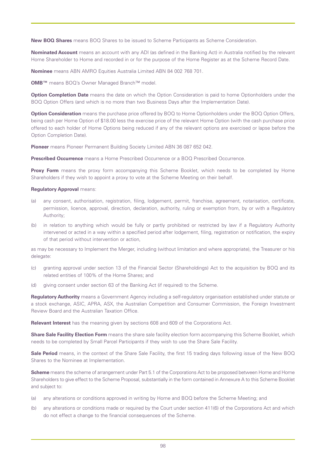**New BOQ Shares** means BOQ Shares to be issued to Scheme Participants as Scheme Consideration.

**Nominated Account** means an account with any ADI (as defined in the Banking Act) in Australia notified by the relevant Home Shareholder to Home and recorded in or for the purpose of the Home Register as at the Scheme Record Date.

**Nominee** means ABN AMRO Equities Australia Limited ABN 84 002 768 701.

**OMB™** means BOQ's Owner Managed Branch™ model.

**Option Completion Date** means the date on which the Option Consideration is paid to home Optionholders under the BOQ Option Offers (and which is no more than two Business Days after the Implementation Date).

**Option Consideration** means the purchase price offered by BOQ to Home Optionholders under the BOQ Option Offers, being cash per Home Option of \$18.00 less the exercise price of the relevant Home Option (with the cash purchase price offered to each holder of Home Options being reduced if any of the relevant options are exercised or lapse before the Option Completion Date).

**Pioneer** means Pioneer Permanent Building Society Limited ABN 36 087 652 042.

**Prescribed Occurrence** means a Home Prescribed Occurrence or a BOQ Prescribed Occurrence.

**Proxy Form** means the proxy form accompanying this Scheme Booklet, which needs to be completed by Home Shareholders if they wish to appoint a proxy to vote at the Scheme Meeting on their behalf.

#### **Regulatory Approval** means:

- (a) any consent, authorisation, registration, filing, lodgement, permit, franchise, agreement, notarisation, certificate, permission, licence, approval, direction, declaration, authority, ruling or exemption from, by or with a Regulatory Authority;
- (b) in relation to anything which would be fully or partly prohibited or restricted by law if a Regulatory Authority intervened or acted in a way within a specified period after lodgement, filing, registration or notification, the expiry of that period without intervention or action,

as may be necessary to Implement the Merger, including (without limitation and where appropriate), the Treasurer or his delegate:

- (c) granting approval under section 13 of the Financial Sector (Shareholdings) Act to the acquisition by BOQ and its related entities of 100% of the Home Shares; and
- (d) giving consent under section 63 of the Banking Act (if required) to the Scheme.

**Regulatory Authority** means a Government Agency including a self-regulatory organisation established under statute or a stock exchange, ASIC, APRA, ASX, the Australian Competition and Consumer Commission, the Foreign Investment Review Board and the Australian Taxation Office.

**Relevant Interest** has the meaning given by sections 608 and 609 of the Corporations Act.

**Share Sale Facility Election Form** means the share sale facility election form accompanying this Scheme Booklet, which needs to be completed by Small Parcel Participants if they wish to use the Share Sale Facility.

**Sale Period** means, in the context of the Share Sale Facility, the first 15 trading days following issue of the New BOQ Shares to the Nominee at Implementation.

**Scheme** means the scheme of arrangement under Part 5.1 of the Corporations Act to be proposed between Home and Home Shareholders to give effect to the Scheme Proposal, substantially in the form contained in Annexure A to this Scheme Booklet and subject to:

- (a) any alterations or conditions approved in writing by Home and BOQ before the Scheme Meeting; and
- (b) any alterations or conditions made or required by the Court under section 411(6) of the Corporations Act and which do not effect a change to the financial consequences of the Scheme.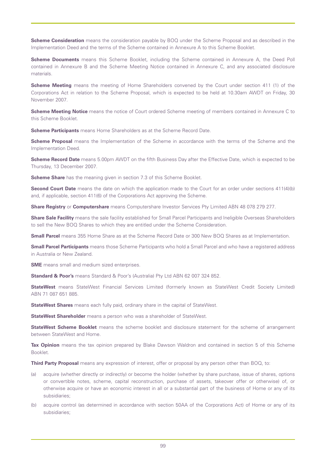**Scheme Consideration** means the consideration payable by BOQ under the Scheme Proposal and as described in the Implementation Deed and the terms of the Scheme contained in Annexure A to this Scheme Booklet.

**Scheme Documents** means this Scheme Booklet, including the Scheme contained in Annexure A, the Deed Poll contained in Annexure B and the Scheme Meeting Notice contained in Annexure C, and any associated disclosure materials.

**Scheme Meeting** means the meeting of Home Shareholders convened by the Court under section 411 (1) of the Corporations Act in relation to the Scheme Proposal, which is expected to be held at 10.30am AWDT on Friday, 30 November 2007.

**Scheme Meeting Notice** means the notice of Court ordered Scheme meeting of members contained in Annexure C to this Scheme Booklet.

**Scheme Participants** means Home Shareholders as at the Scheme Record Date.

**Scheme Proposal** means the Implementation of the Scheme in accordance with the terms of the Scheme and the Implementation Deed.

**Scheme Record Date** means 5.00pm AWDT on the fifth Business Day after the Effective Date, which is expected to be Thursday, 13 December 2007.

**Scheme Share** has the meaning given in section 7.3 of this Scheme Booklet.

**Second Court Date** means the date on which the application made to the Court for an order under sections 411(4)(b) and, if applicable, section 411(6) of the Corporations Act approving the Scheme.

**Share Registry** or **Computershare** means Computershare Investor Services Pty Limited ABN 48 078 279 277.

**Share Sale Facility** means the sale facility established for Small Parcel Participants and Ineligible Overseas Shareholders to sell the New BOQ Shares to which they are entitled under the Scheme Consideration.

**Small Parcel** means 355 Home Share as at the Scheme Record Date or 300 New BOQ Shares as at Implementation.

**Small Parcel Participants** means those Scheme Participants who hold a Small Parcel and who have a registered address in Australia or New Zealand.

**SME** means small and medium sized enterprises.

**Standard & Poor's** means Standard & Poor's (Australia) Pty Ltd ABN 62 007 324 852.

**StateWest** means StateWest Financial Services Limited (formerly known as StateWest Credit Society Limited) ABN 71 087 651 885.

**StateWest Shares** means each fully paid, ordinary share in the capital of StateWest.

**StateWest Shareholder** means a person who was a shareholder of StateWest.

**StateWest Scheme Booklet** means the scheme booklet and disclosure statement for the scheme of arrangement between StateWest and Home.

**Tax Opinion** means the tax opinion prepared by Blake Dawson Waldron and contained in section 5 of this Scheme Booklet.

**Third Party Proposal** means any expression of interest, offer or proposal by any person other than BOQ, to:

- (a) acquire (whether directly or indirectly) or become the holder (whether by share purchase, issue of shares, options or convertible notes, scheme, capital reconstruction, purchase of assets, takeover offer or otherwise) of, or otherwise acquire or have an economic interest in all or a substantial part of the business of Home or any of its subsidiaries;
- (b) acquire control (as determined in accordance with section 50AA of the Corporations Act) of Home or any of its subsidiaries;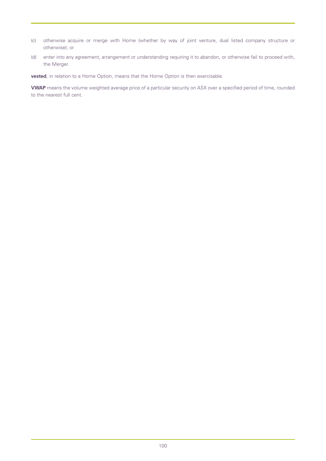- (c) otherwise acquire or merge with Home (whether by way of joint venture, dual listed company structure or otherwise); or
- (d) enter into any agreement, arrangement or understanding requiring it to abandon, or otherwise fail to proceed with, the Merger.

**vested**, in relation to a Home Option, means that the Home Option is then exercisable.

**VWAP** means the volume weighted average price of a particular security on ASX over a specified period of time, rounded to the nearest full cent.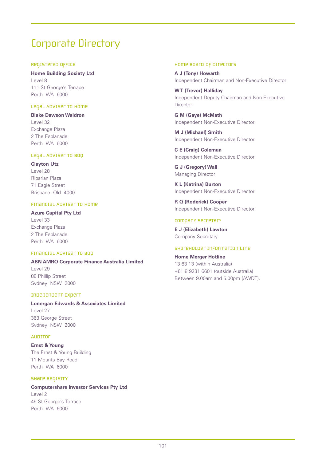# Corporate Directory

## Registered Office

**Home Building Society Ltd** Level 8 111 St George's Terrace Perth WA 6000

## Legal Adviser to Home

**Blake Dawson Waldron** Level 32 Exchange Plaza 2 The Esplanade Perth WA 6000

## Legal Adviser to BOQ

**Clayton Utz** Level 28 Riparian Plaza 71 Eagle Street Brisbane Qld 4000

## Financial Adviser to Home

**Azure Capital Pty Ltd** Level 33 Exchange Plaza 2 The Esplanade Perth WA 6000

## Financial Adviser to BOQ

**ABN AMRO Corporate Finance Australia Limited** Level 29 88 Phillip Street Sydney NSW 2000

## Independent Expert

**Lonergan Edwards & Associates Limited** Level 27 363 George Street Sydney NSW 2000

## **AUDITOR**

**Ernst & Young** The Ernst & Young Building 11 Mounts Bay Road Perth WA 6000

## Share Registry

**Computershare Investor Services Pty Ltd** Level 2 45 St George's Terrace Perth WA 6000

## Home Board of Directors

**A J (Tony) Howarth** Independent Chairman and Non-Executive Director

**W T (Trevor) Halliday** Independent Deputy Chairman and Non-Executive Director

**G M (Gaye) McMath** Independent Non-Executive Director

**M J (Michael) Smith** Independent Non-Executive Director

**C E (Craig) Coleman** Independent Non-Executive Director

**G J (Gregory) Wall** Managing Director

**K L (Katrina) Burton** Independent Non-Executive Director

**R Q (Roderick) Cooper** Independent Non-Executive Director

## company secretary

**E J (Elizabeth) Lawton** Company Secretary

## Shareholder Information Line

**Home Merger Hotline** 13 63 13 (within Australia) +61 8 9231 6601 (outside Australia) Between 9.00am and 5.00pm (AWDT).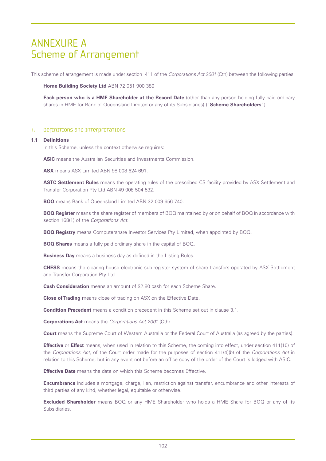## ANNEXURE A Scheme of Arrangement

This scheme of arrangement is made under section 411 of the *Corporations Act 2001* (Cth) between the following parties:

**Home Building Society Ltd** ABN 72 051 900 380

**Each person who is a HME Shareholder at the Record Date** (other than any person holding fully paid ordinary shares in HME for Bank of Queensland Limited or any of its Subsidiaries) ("**Scheme Shareholders**")

## 1. Definitions and interpretations

#### **1.1 Definitions**

In this Scheme, unless the context otherwise requires:

**ASIC** means the Australian Securities and Investments Commission.

**ASX** means ASX Limited ABN 98 008 624 691.

**ASTC Settlement Rules** means the operating rules of the prescribed CS facility provided by ASX Settlement and Transfer Corporation Pty Ltd ABN 49 008 504 532.

**BOQ** means Bank of Queensland Limited ABN 32 009 656 740.

**BOQ Register** means the share register of members of BOQ maintained by or on behalf of BOQ in accordance with section 168(1) of the *Corporations Act*.

**BOQ Registry** means Computershare Investor Services Pty Limited, when appointed by BOQ.

**BOQ Shares** means a fully paid ordinary share in the capital of BOQ.

**Business Day** means a business day as defined in the Listing Rules.

**CHESS** means the clearing house electronic sub-register system of share transfers operated by ASX Settlement and Transfer Corporation Pty Ltd.

**Cash Consideration** means an amount of \$2.80 cash for each Scheme Share.

**Close of Trading** means close of trading on ASX on the Effective Date.

**Condition Precedent** means a condition precedent in this Scheme set out in clause 3.1.

**Corporations Act** means the *Corporations Act 2001* (Cth).

**Court** means the Supreme Court of Western Australia or the Federal Court of Australia (as agreed by the parties).

**Effective** or **Effect** means, when used in relation to this Scheme, the coming into effect, under section 411(10) of the *Corporations Act*, of the Court order made for the purposes of section 411(4)(b) of the *Corporations Act* in relation to this Scheme, but in any event not before an office copy of the order of the Court is lodged with ASIC.

**Effective Date** means the date on which this Scheme becomes Effective.

**Encumbrance** includes a mortgage, charge, lien, restriction against transfer, encumbrance and other interests of third parties of any kind, whether legal, equitable or otherwise.

**Excluded Shareholder** means BOQ or any HME Shareholder who holds a HME Share for BOQ or any of its Subsidiaries.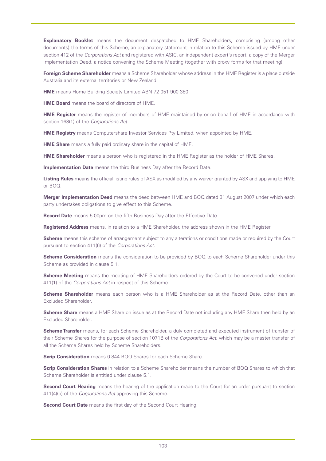**Explanatory Booklet** means the document despatched to HME Shareholders, comprising (among other documents) the terms of this Scheme, an explanatory statement in relation to this Scheme issued by HME under section 412 of the *Corporations Act* and registered with ASIC, an independent expert's report, a copy of the Merger Implementation Deed, a notice convening the Scheme Meeting (together with proxy forms for that meeting).

**Foreign Scheme Shareholder** means a Scheme Shareholder whose address in the HME Register is a place outside Australia and its external territories or New Zealand.

**HME** means Home Building Society Limited ABN 72 051 900 380.

**HME Board** means the board of directors of HME.

**HME Register** means the register of members of HME maintained by or on behalf of HME in accordance with section 168(1) of the *Corporations Act*.

**HME Registry** means Computershare Investor Services Pty Limited, when appointed by HME.

**HME Share** means a fully paid ordinary share in the capital of HME.

**HME Shareholder** means a person who is registered in the HME Register as the holder of HME Shares.

**Implementation Date** means the third Business Day after the Record Date.

**Listing Rules** means the official listing rules of ASX as modified by any waiver granted by ASX and applying to HME or BOQ.

**Merger Implementation Deed** means the deed between HME and BOQ dated 31 August 2007 under which each party undertakes obligations to give effect to this Scheme.

**Record Date** means 5.00pm on the fifth Business Day after the Effective Date.

**Registered Address** means, in relation to a HME Shareholder, the address shown in the HME Register.

**Scheme** means this scheme of arrangement subject to any alterations or conditions made or required by the Court pursuant to section 411(6) of the *Corporations Act*.

**Scheme Consideration** means the consideration to be provided by BOQ to each Scheme Shareholder under this Scheme as provided in clause 5.1.

**Scheme Meeting** means the meeting of HME Shareholders ordered by the Court to be convened under section 411(1) of the *Corporations Act* in respect of this Scheme.

**Scheme Shareholder** means each person who is a HME Shareholder as at the Record Date, other than an Excluded Shareholder.

**Scheme Share** means a HME Share on issue as at the Record Date not including any HME Share then held by an Excluded Shareholder.

**Scheme Transfer** means, for each Scheme Shareholder, a duly completed and executed instrument of transfer of their Scheme Shares for the purpose of section 1071B of the *Corporations Act*, which may be a master transfer of all the Scheme Shares held by Scheme Shareholders.

**Scrip Consideration** means 0.844 BOQ Shares for each Scheme Share.

**Scrip Consideration Shares** in relation to a Scheme Shareholder means the number of BOQ Shares to which that Scheme Shareholder is entitled under clause 5.1.

**Second Court Hearing** means the hearing of the application made to the Court for an order pursuant to section 411(4)(b) of the *Corporations Act* approving this Scheme.

**Second Court Date** means the first day of the Second Court Hearing.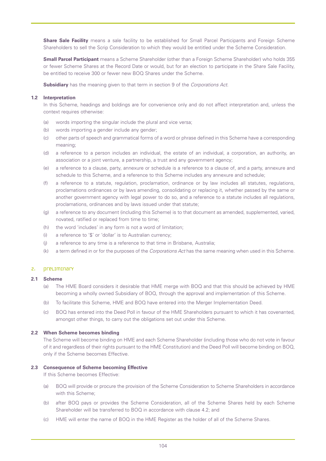**Share Sale Facility** means a sale facility to be established for Small Parcel Participants and Foreign Scheme Shareholders to sell the Scrip Consideration to which they would be entitled under the Scheme Consideration.

**Small Parcel Participant** means a Scheme Shareholder (other than a Foreign Scheme Shareholder) who holds 355 or fewer Scheme Shares at the Record Date or would, but for an election to participate in the Share Sale Facility, be entitled to receive 300 or fewer new BOQ Shares under the Scheme.

**Subsidiary** has the meaning given to that term in section 9 of the *Corporations Act*.

## **1.2 Interpretation**

In this Scheme, headings and boldings are for convenience only and do not affect interpretation and, unless the context requires otherwise:

- (a) words importing the singular include the plural and vice versa;
- (b) words importing a gender include any gender;
- (c) other parts of speech and grammatical forms of a word or phrase defined in this Scheme have a corresponding meaning;
- (d) a reference to a person includes an individual, the estate of an individual, a corporation, an authority, an association or a joint venture, a partnership, a trust and any government agency;
- (e) a reference to a clause, party, annexure or schedule is a reference to a clause of, and a party, annexure and schedule to this Scheme, and a reference to this Scheme includes any annexure and schedule;
- (f) a reference to a statute, regulation, proclamation, ordinance or by law includes all statutes, regulations, proclamations ordinances or by laws amending, consolidating or replacing it, whether passed by the same or another government agency with legal power to do so, and a reference to a statute includes all regulations, proclamations, ordinances and by laws issued under that statute;
- (g) a reference to any document (including this Scheme) is to that document as amended, supplemented, varied, novated, ratified or replaced from time to time;
- (h) the word 'includes' in any form is not a word of limitation;
- (i) a reference to '\$' or 'dollar' is to Australian currency;
- (j) a reference to any time is a reference to that time in Brisbane, Australia;
- (k) a term defined in or for the purposes of the *Corporations Act* has the same meaning when used in this Scheme.

#### 2. *DreLImInary*

#### **2.1 Scheme**

- (a) The HME Board considers it desirable that HME merge with BOQ and that this should be achieved by HME becoming a wholly owned Subsidiary of BOQ, through the approval and implementation of this Scheme.
- (b) To facilitate this Scheme, HME and BOQ have entered into the Merger Implementation Deed.
- (c) BOQ has entered into the Deed Poll in favour of the HME Shareholders pursuant to which it has covenanted, amongst other things, to carry out the obligations set out under this Scheme.

#### **2.2 When Scheme becomes binding**

The Scheme will become binding on HME and each Scheme Shareholder (including those who do not vote in favour of it and regardless of their rights pursuant to the HME Constitution) and the Deed Poll will become binding on BOQ, only if the Scheme becomes Effective.

#### **2.3 Consequence of Scheme becoming Effective**

If this Scheme becomes Effective:

- (a) BOQ will provide or procure the provision of the Scheme Consideration to Scheme Shareholders in accordance with this Scheme;
- (b) after BOQ pays or provides the Scheme Consideration, all of the Scheme Shares held by each Scheme Shareholder will be transferred to BOQ in accordance with clause 4.2; and
- (c) HME will enter the name of BOQ in the HME Register as the holder of all of the Scheme Shares.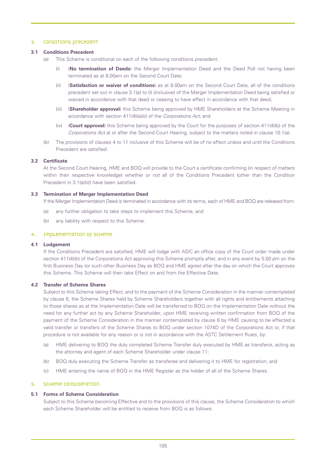#### 3. CONDITIONS precedent

#### **3.1 Conditions Precedent**

- (a) This Scheme is conditional on each of the following conditions precedent:
	- (i) (**No termination of Deeds**) the Merger Implementation Deed and the Deed Poll not having been terminated as at 8.00am on the Second Court Date;
	- (ii) (**Satisfaction or waiver of conditions**) as at 8.00am on the Second Court Date, all of the conditions precedent set out in clause 3.1(a) to (l) (inclusive) of the Merger Implementation Deed being satisfied or waived in accordance with that deed or ceasing to have effect in accordance with that deed;
	- (iii) (**Shareholder approval**) this Scheme being approved by HME Shareholders at the Scheme Meeting in accordance with section 411(4)(a)(ii) of the *Corporations Act*; and
	- (iv) (**Court approval**) this Scheme being approved by the Court for the purposes of section 411(4)(b) of the *Corporations Act* at or after the Second Court Hearing, subject to the matters noted in clause 10.1(a).
- (b) The provisions of clauses 4 to 11 inclusive of this Scheme will be of no effect unless and until the Conditions Precedent are satisfied.

#### **3.2 Certificate**

At the Second Court Hearing, HME and BOQ will provide to the Court a certificate confirming (in respect of matters within their respective knowledge) whether or not all of the Conditions Precedent (other than the Condition Precedent in 3.1(a)(ii)) have been satisfied.

## **3.3 Termination of Merger Implementation Deed**

If the Merger Implementation Deed is terminated in accordance with its terms, each of HME and BOQ are released from:

- (a) any further obligation to take steps to implement this Scheme; and
- (b) any liability with respect to this Scheme.

#### 4. Implementation of Scheme

#### **4.1 Lodgement**

If the Conditions Precedent are satisfied, HME will lodge with ASIC an office copy of the Court order made under section 411(4)(b) of the Corporations Act approving this Scheme promptly after, and in any event by 5.00 pm on the first Business Day (or such other Business Day as BOQ and HME agree) after the day on which the Court approves this Scheme. This Scheme will then take Effect on and from the Effective Date.

#### **4.2 Transfer of Scheme Shares**

Subject to this Scheme taking Effect, and to the payment of the Scheme Consideration in the manner contemplated by clause 6, the Scheme Shares held by Scheme Shareholders together with all rights and entitlements attaching to those shares as at the Implementation Date will be transferred to BOQ on the Implementation Date without the need for any further act by any Scheme Shareholder, upon HME receiving written confirmation from BOQ of the payment of the Scheme Consideration in the manner contemplated by clause 6 by HME causing to be effected a valid transfer or transfers of the Scheme Shares to BOQ under section 1074D of the Corporations Act or, if that procedure is not available for any reason or is not in accordance with the ASTC Settlement Rules, by:

- (a) HME delivering to BOQ the duly completed Scheme Transfer duly executed by HME as transferor, acting as the attorney and agent of each Scheme Shareholder under clause 11;
- (b) BOQ duly executing the Scheme Transfer as transferee and delivering it to HME for registration; and
- (c) HME entering the name of BOQ in the HME Register as the holder of all of the Scheme Shares.

## 5. Scheme Consideration

## **5.1 Forms of Scheme Consideration**

Subject to this Scheme becoming Effective and to the provisions of this clause, the Scheme Consideration to which each Scheme Shareholder will be entitled to receive from BOQ is as follows: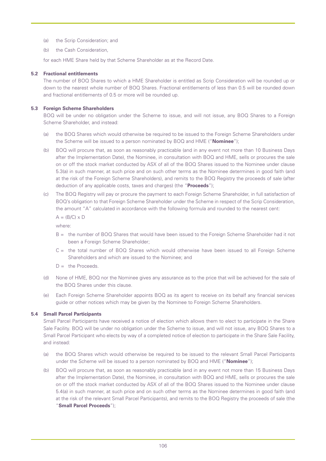- (a) the Scrip Consideration; and
- (b) the Cash Consideration,

for each HME Share held by that Scheme Shareholder as at the Record Date.

## **5.2 Fractional entitlements**

The number of BOQ Shares to which a HME Shareholder is entitled as Scrip Consideration will be rounded up or down to the nearest whole number of BOQ Shares. Fractional entitlements of less than 0.5 will be rounded down and fractional entitlements of 0.5 or more will be rounded up.

## **5.3 Foreign Scheme Shareholders**

BOQ will be under no obligation under the Scheme to issue, and will not issue, any BOQ Shares to a Foreign Scheme Shareholder, and instead:

- (a) the BOQ Shares which would otherwise be required to be issued to the Foreign Scheme Shareholders under the Scheme will be issued to a person nominated by BOQ and HME ("**Nominee**");
- (b) BOQ will procure that, as soon as reasonably practicable (and in any event not more than 10 Business Days after the Implementation Date), the Nominee, in consultation with BOQ and HME, sells or procures the sale on or off the stock market conducted by ASX of all of the BOQ Shares issued to the Nominee under clause 5.3(a) in such manner, at such price and on such other terms as the Nominee determines in good faith (and at the risk of the Foreign Scheme Shareholders), and remits to the BOQ Registry the proceeds of sale (after deduction of any applicable costs, taxes and charges) (the "**Proceeds**");
- (c) The BOQ Registry will pay or procure the payment to each Foreign Scheme Shareholder, in full satisfaction of BOQ's obligation to that Foreign Scheme Shareholder under the Scheme in respect of the Scrip Consideration, the amount "A" calculated in accordance with the following formula and rounded to the nearest cent:

 $A = (B/C) \times D$ 

where:

- B = the number of BOQ Shares that would have been issued to the Foreign Scheme Shareholder had it not been a Foreign Scheme Shareholder;
- C = the total number of BOQ Shares which would otherwise have been issued to all Foreign Scheme Shareholders and which are issued to the Nominee; and
- $D =$  the Proceeds.
- (d) None of HME, BOQ nor the Nominee gives any assurance as to the price that will be achieved for the sale of the BOQ Shares under this clause.
- (e) Each Foreign Scheme Shareholder appoints BOQ as its agent to receive on its behalf any financial services guide or other notices which may be given by the Nominee to Foreign Scheme Shareholders.

## **5.4 Small Parcel Participants**

Small Parcel Participants have received a notice of election which allows them to elect to participate in the Share Sale Facility. BOQ will be under no obligation under the Scheme to issue, and will not issue, any BOQ Shares to a Small Parcel Participant who elects by way of a completed notice of election to participate in the Share Sale Facility, and instead:

- (a) the BOQ Shares which would otherwise be required to be issued to the relevant Small Parcel Participants under the Scheme will be issued to a person nominated by BOQ and HME ("**Nominee**");
- (b) BOQ will procure that, as soon as reasonably practicable (and in any event not more than 15 Business Days after the Implementation Date), the Nominee, in consultation with BOQ and HME, sells or procures the sale on or off the stock market conducted by ASX of all of the BOQ Shares issued to the Nominee under clause 5.4(a) in such manner, at such price and on such other terms as the Nominee determines in good faith (and at the risk of the relevant Small Parcel Participants), and remits to the BOQ Registry the proceeds of sale (the "**Small Parcel Proceeds**");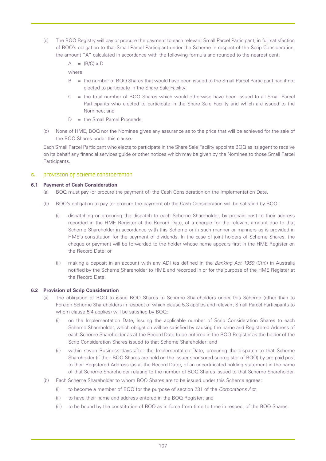(c) The BOQ Registry will pay or procure the payment to each relevant Small Parcel Participant, in full satisfaction of BOQ's obligation to that Small Parcel Participant under the Scheme in respect of the Scrip Consideration, the amount "A" calculated in accordance with the following formula and rounded to the nearest cent:

 $A = (B/C) \times D$ 

where:

- B = the number of BOQ Shares that would have been issued to the Small Parcel Participant had it not elected to participate in the Share Sale Facility;
- C = the total number of BOQ Shares which would otherwise have been issued to all Small Parcel Participants who elected to participate in the Share Sale Facility and which are issued to the Nominee; and
- $D =$  the Small Parcel Proceeds.
- (d) None of HME, BOQ nor the Nominee gives any assurance as to the price that will be achieved for the sale of the BOQ Shares under this clause.

Each Small Parcel Participant who elects to participate in the Share Sale Facility appoints BOQ as its agent to receive on its behalf any financial services guide or other notices which may be given by the Nominee to those Small Parcel Participants.

## 6. **Provision of Scheme Consideration**

#### **6.1 Payment of Cash Consideration**

- (a) BOQ must pay (or procure the payment of) the Cash Consideration on the Implementation Date.
- (b) BOQ's obligation to pay (or procure the payment of) the Cash Consideration will be satisfied by BOQ:
	- (i) dispatching or procuring the dispatch to each Scheme Shareholder, by prepaid post to their address recorded in the HME Register at the Record Date, of a cheque for the relevant amount due to that Scheme Shareholder in accordance with this Scheme or in such manner or manners as is provided in HME's constitution for the payment of dividends. In the case of joint holders of Scheme Shares, the cheque or payment will be forwarded to the holder whose name appears first in the HME Register on the Record Date; or
	- (ii) making a deposit in an account with any ADI (as defined in the *Banking Act 1959* (Cth)) in Australia notified by the Scheme Shareholder to HME and recorded in or for the purpose of the HME Register at the Record Date.

## **6.2 Provision of Scrip Consideration**

- (a) The obligation of BOQ to issue BOQ Shares to Scheme Shareholders under this Scheme (other than to Foreign Scheme Shareholders in respect of which clause 5.3 applies and relevant Small Parcel Participants to whom clause 5.4 applies) will be satisfied by BOQ:
	- (i) on the Implementation Date, issuing the applicable number of Scrip Consideration Shares to each Scheme Shareholder, which obligation will be satisfied by causing the name and Registered Address of each Scheme Shareholder as at the Record Date to be entered in the BOQ Register as the holder of the Scrip Consideration Shares issued to that Scheme Shareholder; and
	- (ii) within seven Business days after the Implementation Date, procuring the dispatch to that Scheme Shareholder (if their BOQ Shares are held on the issuer sponsored subregister of BOQ) by pre-paid post to their Registered Address (as at the Record Date), of an uncertificated holding statement in the name of that Scheme Shareholder relating to the number of BOQ Shares issued to that Scheme Shareholder.
- (b) Each Scheme Shareholder to whom BOQ Shares are to be issued under this Scheme agrees:
	- (i) to become a member of BOQ for the purpose of section 231 of the *Corporations Act*;
	- (ii) to have their name and address entered in the BOQ Register; and
	- (iii) to be bound by the constitution of BOQ as in force from time to time in respect of the BOQ Shares.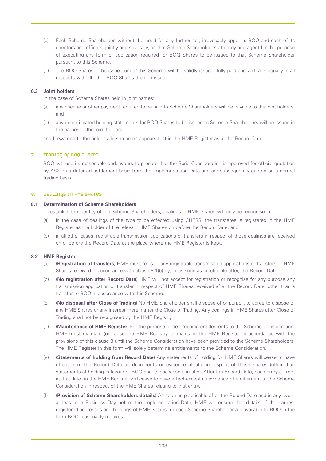- (c) Each Scheme Shareholder, without the need for any further act, irrevocably appoints BOQ and each of its directors and officers, jointly and severally, as that Scheme Shareholder's attorney and agent for the purpose of executing any form of application required for BOQ Shares to be issued to that Scheme Shareholder pursuant to this Scheme.
- (d) The BOQ Shares to be issued under this Scheme will be validly issued, fully paid and will rank equally in all respects with all other BOQ Shares then on issue.

### **6.3 Joint holders**

In the case of Scheme Shares held in joint names:

- (a) any cheque or other payment required to be paid to Scheme Shareholders will be payable to the joint holders, and
- (b) any uncertificated holding statements for BOQ Shares to be issued to Scheme Shareholders will be issued in the names of the joint holders.

and forwarded to the holder whose names appears first in the HME Register as at the Record Date.

### 7. Trading of BOQ Shares

BOQ will use its reasonable endeavours to procure that the Scrip Consideration is approved for official quotation by ASX on a deferred settlement basis from the Implementation Date and are subsequently quoted on a normal trading basis.

### 8. Dealings in HME Shares

#### **8.1 Determination of Scheme Shareholders**

To establish the identity of the Scheme Shareholders, dealings in HME Shares will only be recognised if:

- (a) in the case of dealings of the type to be effected using CHESS, the transferee is registered in the HME Register as the holder of the relevant HME Shares on before the Record Date; and
- (b) in all other cases, registrable transmission applications or transfers in respect of those dealings are received on or before the Record Date at the place where the HME Register is kept.

### **8.2 HME Register**

- (a) (**Registration of transfers**) HME must register any registrable transmission applications or transfers of HME Shares received in accordance with clause 8.1(b) by, or as soon as practicable after, the Record Date.
- (b) (**No registration after Record Date**) HME will not accept for registration or recognise for any purpose any transmission application or transfer in respect of HME Shares received after the Record Date, other than a transfer to BOQ in accordance with this Scheme.
- (c) (**No disposal after Close of Trading**) No HME Shareholder shall dispose of or purport to agree to dispose of any HME Shares or any interest therein after the Close of Trading. Any dealings in HME Shares after Close of Trading shall not be recognised by the HME Registry.
- (d) (**Maintenance of HME Register**) For the purpose of determining entitlements to the Scheme Consideration, HME must maintain (or cause the HME Registry to maintain) the HME Register in accordance with the provisions of this clause 8 until the Scheme Consideration have been provided to the Scheme Shareholders. The HME Register in this form will solely determine entitlements to the Scheme Consideration.
- (e) (**Statements of holding from Record Date**) Any statements of holding for HME Shares will cease to have effect from the Record Date as documents or evidence of title in respect of those shares (other than statements of holding in favour of BOQ and its successors in title). After the Record Date, each entry current at that date on the HME Register will cease to have effect except as evidence of entitlement to the Scheme Consideration in respect of the HME Shares relating to that entry.
- (f) (**Provision of Scheme Shareholders details**) As soon as practicable after the Record Date and in any event at least one Business Day before the Implementation Date, HME will ensure that details of the names, registered addresses and holdings of HME Shares for each Scheme Shareholder are available to BOQ in the form BOQ reasonably requires.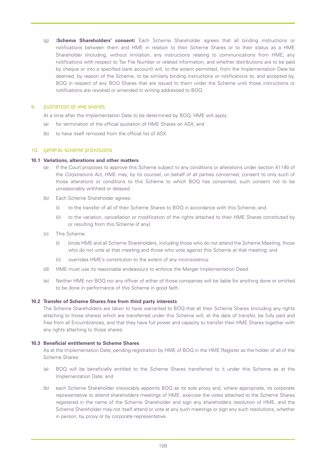(g) (**Scheme Shareholders' consent**) Each Scheme Shareholder agrees that all binding instructions or notifications between them and HME in relation to their Scheme Shares or to their status as a HME Shareholder (including, without limitation, any instructions relating to communications from HME, any notifications with respect to Tax File Number or related information, and whether distributions are to be paid by cheque or into a specified bank account) will, to the extent permitted, from the Implementation Date be deemed, by reason of the Scheme, to be similarly binding instructions or notifications to, and accepted by, BOQ in respect of any BOQ Shares that are issued to them under the Scheme until those instructions or notifications are revoked or amended in writing addressed to BOQ.

### 9. QUOTATION OF HME SHATES

At a time after the Implementation Date to be determined by BOQ, HME will apply:

- (a) for termination of the official quotation of HME Shares on ASX; and
- (b) to have itself removed from the official list of ASX.

### 10. General Scheme provisions

### **10.1 Variations, alterations and other matters**

- (a) If the Court proposes to approve this Scheme subject to any conditions or alterations under section 411(6) of the *Corporations Act*, HME may, by its counsel, on behalf of all parties concerned, consent to only such of those alterations or conditions to this Scheme to which BOQ has consented, such consent not to be unreasonably withheld or delayed.
- (b) Each Scheme Shareholder agrees:
	- (i) to the transfer of all of their Scheme Shares to BOQ in accordance with this Scheme; and
	- (ii) to the variation, cancellation or modification of the rights attached to their HME Shares constituted by or resulting from this Scheme (if any).
- (c) This Scheme:
	- (i) binds HME and all Scheme Shareholders, including those who do not attend the Scheme Meeting, those who do not vote at that meeting and those who vote against this Scheme at that meeting; and
	- (ii) overrides HME's constitution to the extent of any inconsistency.
- (d) HME must use its reasonable endeavours to enforce the Merger Implementation Deed.
- (e) Neither HME nor BOQ nor any officer of either of those companies will be liable for anything done or omitted to be done in performance of this Scheme in good faith.

### **10.2 Transfer of Scheme Shares free from third party interests**

The Scheme Shareholders are taken to have warranted to BOQ that all their Scheme Shares (including any rights attaching to those shares) which are transferred under this Scheme will, at the date of transfer, be fully paid and free from all Encumbrances, and that they have full power and capacity to transfer their HME Shares together with any rights attaching to those shares.

### **10.3 Beneficial entitlement to Scheme Shares**

As at the Implementation Date, pending registration by HME of BOQ in the HME Register as the holder of all of the Scheme Shares:

- (a) BOQ will be beneficially entitled to the Scheme Shares transferred to it under this Scheme as at the Implementation Date; and
- (b) each Scheme Shareholder irrevocably appoints BOQ as its sole proxy and, where appropriate, its corporate representative to attend shareholders meetings of HME, exercise the votes attached to the Scheme Shares registered in the name of the Scheme Shareholder and sign any shareholders resolution of HME, and the Scheme Shareholder may not itself attend or vote at any such meetings or sign any such resolutions, whether in person, by proxy or by corporate representative.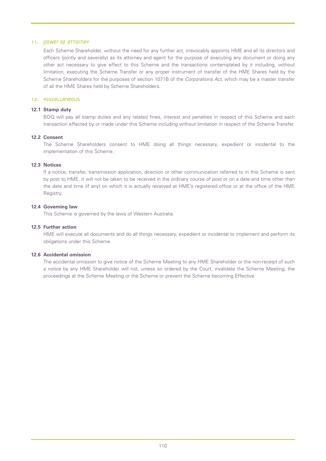### 11. power of attorney

Each Scheme Shareholder, without the need for any further act, irrevocably appoints HME and all its directors and officers (jointly and severally) as its attorney and agent for the purpose of executing any document or doing any other act necessary to give effect to this Scheme and the transactions contemplated by it including, without limitation, executing the Scheme Transfer or any proper instrument of transfer of the HME Shares held by the Scheme Shareholders for the purposes of section 1071B of the *Corporations Act*, which may be a master transfer of all the HME Shares held by Scheme Shareholders.

### 12. Miscellaneous

### **12.1 Stamp duty**

BOQ will pay all stamp duties and any related fines, interest and penalties in respect of this Scheme and each transaction effected by or made under this Scheme including without limitation in respect of the Scheme Transfer.

### **12.2 Consent**

The Scheme Shareholders consent to HME doing all things necessary, expedient or incidental to the implementation of this Scheme.

## **12.3 Notices**

If a notice, transfer, transmission application, direction or other communication referred to in this Scheme is sent by post to HME, it will not be taken to be received in the ordinary course of post or on a date and time other than the date and time (if any) on which it is actually received at HME's registered office or at the office of the HME Registry.

### **12.4 Governing law**

This Scheme is governed by the laws of Western Australia.

### **12.5 Further action**

HME will execute all documents and do all things necessary, expedient or incidental to implement and perform its obligations under this Scheme.

### **12.6 Accidental omission**

The accidental omission to give notice of the Scheme Meeting to any HME Shareholder or the non-receipt of such a notice by any HME Shareholder will not, unless so ordered by the Court, invalidate the Scheme Meeting, the proceedings at the Scheme Meeting or the Scheme or prevent the Scheme becoming Effective.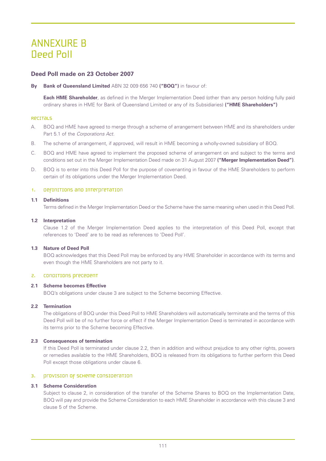## ANNEXURE B Deed Poll

## **Deed Poll made on 23 October 2007**

**By Bank of Queensland Limited** ABN 32 009 656 740 **("BOQ")** in favour of:

**Each HME Shareholder**, as defined in the Merger Implementation Deed (other than any person holding fully paid ordinary shares in HME for Bank of Queensland Limited or any of its Subsidiaries) **("HME Shareholders")**

### Recitals

- A. BOQ and HME have agreed to merge through a scheme of arrangement between HME and its shareholders under Part 5.1 of the *Corporations Act.*
- B. The scheme of arrangement, if approved, will result in HME becoming a wholly-owned subsidiary of BOQ.
- C. BOQ and HME have agreed to implement the proposed scheme of arrangement on and subject to the terms and conditions set out in the Merger Implementation Deed made on 31 August 2007 **("Merger Implementation Deed")**.
- D. BOQ is to enter into this Deed Poll for the purpose of covenanting in favour of the HME Shareholders to perform certain of its obligations under the Merger Implementation Deed.

### 1. Definitions and interpretation

### **1.1 Definitions**

Terms defined in the Merger Implementation Deed or the Scheme have the same meaning when used in this Deed Poll.

### **1.2 Interpretation**

Clause 1.2 of the Merger Implementation Deed applies to the interpretation of this Deed Poll, except that references to 'Deed' are to be read as references to 'Deed Poll'.

## **1.3 Nature of Deed Poll**

BOQ acknowledges that this Deed Poll may be enforced by any HME Shareholder in accordance with its terms and even though the HME Shareholders are not party to it.

### 2. Conditions precedent

### **2.1 Scheme becomes Effective**

BOQ's obligations under clause 3 are subject to the Scheme becoming Effective.

### **2.2 Termination**

The obligations of BOQ under this Deed Poll to HME Shareholders will automatically terminate and the terms of this Deed Poll will be of no further force or effect if the Merger Implementation Deed is terminated in accordance with its terms prior to the Scheme becoming Effective.

### **2.3 Consequences of termination**

If this Deed Poll is terminated under clause 2.2, then in addition and without prejudice to any other rights, powers or remedies available to the HME Shareholders, BOQ is released from its obligations to further perform this Deed Poll except those obligations under clause 6.

### 3. provision of scheme consideration

## **3.1 Scheme Consideration**

Subject to clause 2, in consideration of the transfer of the Scheme Shares to BOQ on the Implementation Date, BOQ will pay and provide the Scheme Consideration to each HME Shareholder in accordance with this clause 3 and clause 5 of the Scheme.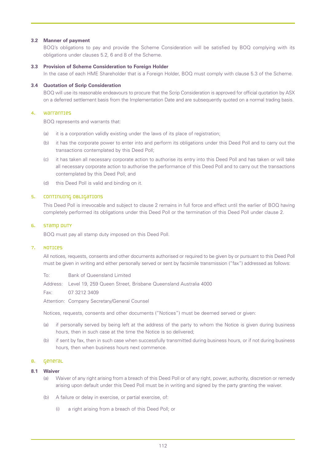### **3.2 Manner of payment**

BOQ's obligations to pay and provide the Scheme Consideration will be satisfied by BOQ complying with its obligations under clauses 5.2, 6 and 8 of the Scheme.

### **3.3 Provision of Scheme Consideration to Foreign Holder**

In the case of each HME Shareholder that is a Foreign Holder, BOQ must comply with clause 5.3 of the Scheme.

### **3.4 Quotation of Scrip Consideration**

BOQ will use its reasonable endeavours to procure that the Scrip Consideration is approved for official quotation by ASX on a deferred settlement basis from the Implementation Date and are subsequently quoted on a normal trading basis.

### 4. Warranties

BOQ represents and warrants that:

- (a) it is a corporation validly existing under the laws of its place of registration;
- (b) it has the corporate power to enter into and perform its obligations under this Deed Poll and to carry out the transactions contemplated by this Deed Poll;
- (c) it has taken all necessary corporate action to authorise its entry into this Deed Poll and has taken or will take all necessary corporate action to authorise the performance of this Deed Poll and to carry out the transactions contemplated by this Deed Poll; and
- (d) this Deed Poll is valid and binding on it.

### 5. CONTINUING OBLIGATIONS

This Deed Poll is irrevocable and subject to clause 2 remains in full force and effect until the earlier of BOQ having completely performed its obligations under this Deed Poll or the termination of this Deed Poll under clause 2.

### 6. Stamp Duty

BOQ must pay all stamp duty imposed on this Deed Poll.

### 7. Notices

All notices, requests, consents and other documents authorised or required to be given by or pursuant to this Deed Poll must be given in writing and either personally served or sent by facsimile transmission ("fax") addressed as follows:

To: Bank of Queensland Limited

Address: Level 19, 259 Queen Street, Brisbane Queensland Australia 4000

Fax: 07 3212 3409

Attention: Company Secretary/General Counsel

Notices, requests, consents and other documents ("Notices") must be deemed served or given:

- (a) if personally served by being left at the address of the party to whom the Notice is given during business hours, then in such case at the time the Notice is so delivered;
- (b) if sent by fax, then in such case when successfully transmitted during business hours, or if not during business hours, then when business hours next commence.

### 8. General

### **8.1 Waiver**

- (a) Waiver of any right arising from a breach of this Deed Poll or of any right, power, authority, discretion or remedy arising upon default under this Deed Poll must be in writing and signed by the party granting the waiver.
- (b) A failure or delay in exercise, or partial exercise, of:
	- (i) a right arising from a breach of this Deed Poll; or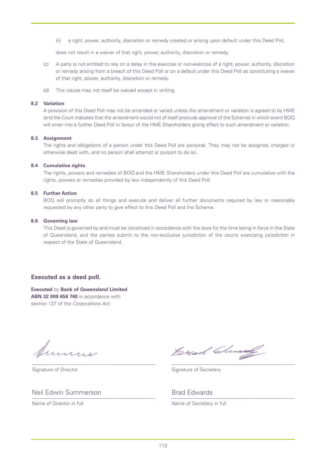(ii) a right, power, authority, discretion or remedy created or arising upon default under this Deed Poll,

does not result in a waiver of that right, power, authority, discretion or remedy.

- (c) A party is not entitled to rely on a delay in the exercise or non-exercise of a right, power, authority, discretion or remedy arising from a breach of this Deed Poll or on a default under this Deed Poll as constituting a waiver of that right, power, authority, discretion or remedy.
- (d) This clause may not itself be waived except in writing.

### **8.2 Variation**

A provision of this Deed Poll may not be amended or varied unless the amendment or variation is agreed to by HME (and the Court indicates that the amendment would not of itself preclude approval of the Scheme) in which event BOQ will enter into a further Deed Poll in favour of the HME Shareholders giving effect to such amendment or variation.

### **8.3 Assignment**

The rights and obligations of a person under this Deed Poll are personal. They may not be assigned, charged or otherwise dealt with, and no person shall attempt or purport to do so.

### **8.4 Cumulative rights**

The rights, powers and remedies of BOQ and the HME Shareholders under this Deed Poll are cumulative with the rights, powers or remedies provided by law independently of this Deed Poll.

### **8.5 Further Action**

BOQ will promptly do all things and execute and deliver all further documents required by law or reasonably requested by any other party to give effect to this Deed Poll and the Scheme.

### **8.6 Governing law**

This Deed is governed by and must be construed in accordance with the laws for the time being in force in the State of Queensland, and the parties submit to the non-exclusive jurisdiction of the courts exercising jurisdiction in respect of the State of Queensland.

## **Executed as a deed poll.**

**Executed** by **Bank of Queensland Limited ABN 32 009 656 740** in accordance with section 127 of the *Corporations Act*:

Bread Clean

Signature of Director Signature of Secretary

Neil Edwin Summerson **Brad Edwards** Brad Edwards

Name of Director in full Name of Secretary in full

\_\_\_\_\_\_\_\_\_\_\_\_\_\_\_\_\_\_\_\_\_\_\_\_\_\_\_\_\_\_\_\_\_\_\_\_\_\_\_\_\_\_\_\_\_\_\_\_\_\_ \_\_\_\_\_\_\_\_\_\_\_\_\_\_\_\_\_\_\_\_\_\_\_\_\_\_\_\_\_\_\_\_\_\_\_\_\_\_\_\_\_\_\_\_\_\_\_\_\_\_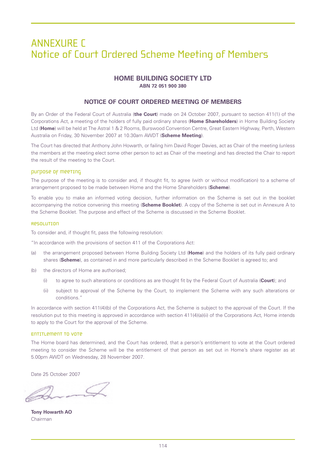## ANNEXURE C Notice of Court Ordered Scheme Meeting of Members

## **HOME BUILDING SOCIETY LTD**

**ABN 72 051 900 380**

## **NOTICE OF COURT ORDERED MEETING OF MEMBERS**

By an Order of the Federal Court of Australia (**the Court**) made on 24 October 2007, pursuant to section 411(1) of the Corporations Act, a meeting of the holders of fully paid ordinary shares (**Home Shareholders**) in Home Building Society Ltd (**Home**) will be held at The Astral 1 & 2 Rooms, Burswood Convention Centre, Great Eastern Highway, Perth, Western Australia on Friday, 30 November 2007 at 10.30am AWDT (**Scheme Meeting**).

The Court has directed that Anthony John Howarth, or failing him David Roger Davies, act as Chair of the meeting (unless the members at the meeting elect some other person to act as Chair of the meeting) and has directed the Chair to report the result of the meeting to the Court.

### Purpose of meeting

The purpose of the meeting is to consider and, if thought fit, to agree (with or without modification) to a scheme of arrangement proposed to be made between Home and the Home Shareholders (**Scheme**).

To enable you to make an informed voting decision, further information on the Scheme is set out in the booklet accompanying the notice convening this meeting (**Scheme Booklet**). A copy of the Scheme is set out in Annexure A to the Scheme Booklet. The purpose and effect of the Scheme is discussed in the Scheme Booklet.

### Resolution

To consider and, if thought fit, pass the following resolution:

"In accordance with the provisions of section 411 of the Corporations Act:

- (a) the arrangement proposed between Home Building Society Ltd (**Home**) and the holders of its fully paid ordinary shares (**Scheme**), as contained in and more particularly described in the Scheme Booklet is agreed to; and
- (b) the directors of Home are authorised:
	- (i) to agree to such alterations or conditions as are thought fit by the Federal Court of Australia (**Court**); and
	- (ii) subject to approval of the Scheme by the Court, to implement the Scheme with any such alterations or conditions."

In accordance with section 411(4)(b) of the Corporations Act, the Scheme is subject to the approval of the Court. If the resolution put to this meeting is approved in accordance with section 411(4)(a)(ii) of the Corporations Act, Home intends to apply to the Court for the approval of the Scheme.

### Entitlement to vote

The Home board has determined, and the Court has ordered, that a person's entitlement to vote at the Court ordered meeting to consider the Scheme will be the entitlement of that person as set out in Home's share register as at 5.00pm AWDT on Wednesday, 28 November 2007.

Date 25 October 2007

**Tony Howarth AO** Chairman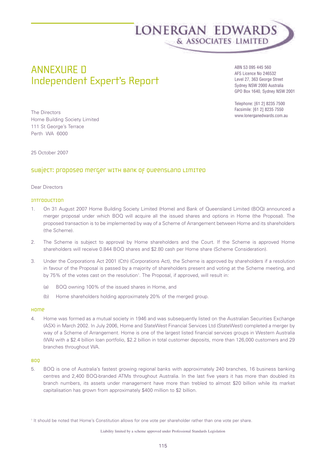

## ANNEXURE D Independent Expert's Report

ABN 53 095 445 560 AFS Licence No 246532 Level 27, 363 George Street Sydney NSW 2000 Australia GPO Box 1640, Sydney NSW 2001

Telephone: [61 2] 8235 7500 Facsimile: [61 2] 8235 7550 www.lonerganedwards.com.au

The Directors Home Building Society Limited 111 St George's Terrace Perth WA 6000

25 October 2007

## subject: proposed merger with Bank of queensland Limited

### Dear Directors

### Introduction

- 1. On 31 August 2007 Home Building Society Limited (Home) and Bank of Queensland Limited (BOQ) announced a merger proposal under which BOQ will acquire all the issued shares and options in Home (the Proposal). The proposed transaction is to be implemented by way of a Scheme of Arrangement between Home and its shareholders (the Scheme).
- 2. The Scheme is subject to approval by Home shareholders and the Court. If the Scheme is approved Home shareholders will receive 0.844 BOQ shares and \$2.80 cash per Home share (Scheme Consideration).
- 3. Under the Corporations Act 2001 (Cth) (Corporations Act), the Scheme is approved by shareholders if a resolution in favour of the Proposal is passed by a majority of shareholders present and voting at the Scheme meeting, and by 75% of the votes cast on the resolution<sup>1</sup>. The Proposal, if approved, will result in:
	- (a) BOQ owning 100% of the issued shares in Home, and
	- (b) Home shareholders holding approximately 20% of the merged group.

### Home

4. Home was formed as a mutual society in 1946 and was subsequently listed on the Australian Securities Exchange (ASX) in March 2002. In July 2006, Home and StateWest Financial Services Ltd (StateWest) completed a merger by way of a Scheme of Arrangement. Home is one of the largest listed financial services groups in Western Australia (WA) with a \$2.4 billion loan portfolio, \$2.2 billion in total customer deposits, more than 126,000 customers and 29 branches throughout WA.

### **BOO**

5. BOQ is one of Australia's fastest growing regional banks with approximately 240 branches, 16 business banking centres and 2,400 BOQ-branded ATMs throughout Australia. In the last five years it has more than doubled its branch numbers, its assets under management have more than trebled to almost \$20 billion while its market capitalisation has grown from approximately \$400 million to \$2 billion.

Liability limited by a scheme approved under Professional Standards Legislation

<sup>&</sup>lt;sup>1</sup> It should be noted that Home's Constitution allows for one vote per shareholder rather than one vote per share.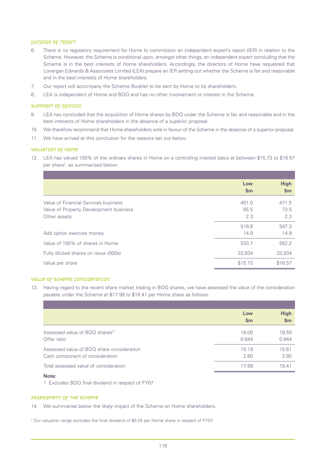### purpose of report

- 6. There is no regulatory requirement for Home to commission an independent expert's report (IER) in relation to the Scheme. However, the Scheme is conditional upon, amongst other things, an independent expert concluding that the Scheme is in the best interests of Home shareholders. Accordingly, the directors of Home have requested that Lonergan Edwards & Associates Limited (LEA) prepare an IER setting out whether the Scheme is fair and reasonable and in the best interests of Home shareholders.
- 7. Our report will accompany the Scheme Booklet to be sent by Home to its shareholders.
- 8. LEA is independent of Home and BOQ and has no other involvement or interest in the Scheme.

### Summary of opinion

- 9. LEA has concluded that the acquisition of Home shares by BOQ under the Scheme is fair and reasonable and in the best interests of Home shareholders in the absence of a superior proposal.
- 10. We therefore recommend that Home shareholders vote in favour of the Scheme in the absence of a superior proposal.
- 11. We have arrived at this conclusion for the reasons set out below.

### Valuation of Home

12. LEA has valued 100% of the ordinary shares in Home on a controlling interest basis at between \$15.73 to \$16.57 per share<sup>2</sup>, as summarised below:

|                                        | Low<br>$\mathsf{sm}$ | <b>High</b><br>\$m\$ |
|----------------------------------------|----------------------|----------------------|
| Value of Financial Services business   | 451.0                | 471.5                |
| Value of Property Development business | 65.5                 | 73.5                 |
| Other assets                           | 2.3                  | 2.3                  |
|                                        | 518.8                | 547.3                |
| Add option exercise money              | 14.9                 | 14.9                 |
| Value of 100% of shares in Home        | 533.7                | 562.2                |
| Fully diluted shares on issue (000s)   | 33,934               | 33,934               |
| Value per share                        | \$15.73              | \$16.57              |

### Value of Scheme Consideration

13. Having regard to the recent share market trading in BOQ shares, we have assessed the value of the consideration payable under the Scheme at \$17.99 to \$18.41 per Home share as follows:

|                                             | Low<br>$\mathbf{Sm}$ | <b>High</b><br>\$m |
|---------------------------------------------|----------------------|--------------------|
| Assessed value of BOQ shares <sup>(1)</sup> | 18.00                | 18.50              |
| Offer ratio                                 | 0.844                | 0.844              |
| Assessed value of BOQ share consideration   | 15.19                | 15.61              |
| Cash component of consideration             | 2.80                 | 2.80               |
| Total assessed value of consideration       | 17.99                | 18.41              |

## **Note:**

1 Excludes BOQ final dividend in respect of FY07.

### Assessment of the Scheme

14. We summarise below the likely impact of the Scheme on Home shareholders.

<sup>2</sup> Our valuation range excludes the final dividend of \$0.24 per Home share in respect of FY07.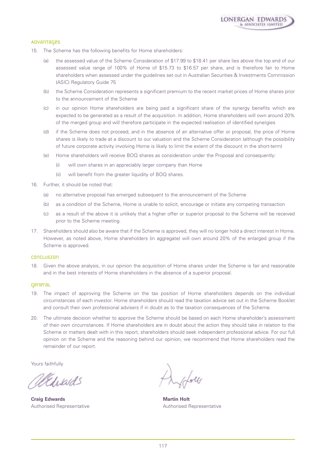

### Advantages

- 15. The Scheme has the following benefits for Home shareholders:
	- (a) the assessed value of the Scheme Consideration of \$17.99 to \$18.41 per share lies above the top end of our assessed value range of 100% of Home of \$15.73 to \$16.57 per share, and is therefore fair to Home shareholders when assessed under the guidelines set out in Australian Securities & Investments Commission (ASIC) Regulatory Guide 75
	- (b) the Scheme Consideration represents a significant premium to the recent market prices of Home shares prior to the announcement of the Scheme
	- (c) in our opinion Home shareholders are being paid a significant share of the synergy benefits which are expected to be generated as a result of the acquisition. In addition, Home shareholders will own around 20% of the merged group and will therefore participate in the expected realisation of identified synergies
	- (d) if the Scheme does not proceed, and in the absence of an alternative offer or proposal, the price of Home shares is likely to trade at a discount to our valuation and the Scheme Consideration (although the possibility of future corporate activity involving Home is likely to limit the extent of the discount in the short-term)
	- (e) Home shareholders will receive BOQ shares as consideration under the Proposal and consequently:
		- (i) will own shares in an appreciably larger company than Home
		- (ii) will benefit from the greater liquidity of BOQ shares.
- 16. Further, it should be noted that:
	- (a) no alternative proposal has emerged subsequent to the announcement of the Scheme
	- (b) as a condition of the Scheme, Home is unable to solicit, encourage or initiate any competing transaction
	- (c) as a result of the above it is unlikely that a higher offer or superior proposal to the Scheme will be received prior to the Scheme meeting.
- 17. Shareholders should also be aware that if the Scheme is approved, they will no longer hold a direct interest in Home. However, as noted above, Home shareholders (in aggregate) will own around 20% of the enlarged group if the Scheme is approved.

#### Conclusion

18. Given the above analysis, in our opinion the acquisition of Home shares under the Scheme is fair and reasonable and in the best interests of Home shareholders in the absence of a superior proposal.

#### General

- 19. The impact of approving the Scheme on the tax position of Home shareholders depends on the individual circumstances of each investor. Home shareholders should read the taxation advice set out in the Scheme Booklet and consult their own professional advisers if in doubt as to the taxation consequences of the Scheme.
- 20. The ultimate decision whether to approve the Scheme should be based on each Home shareholder's assessment of their own circumstances. If Home shareholders are in doubt about the action they should take in relation to the Scheme or matters dealt with in this report, shareholders should seek independent professional advice. For our full opinion on the Scheme and the reasoning behind our opinion, we recommend that Home shareholders read the remainder of our report.

Yours faithfully

Websards

**Craig Edwards Martin Holt** Authorised Representative Authorised Representative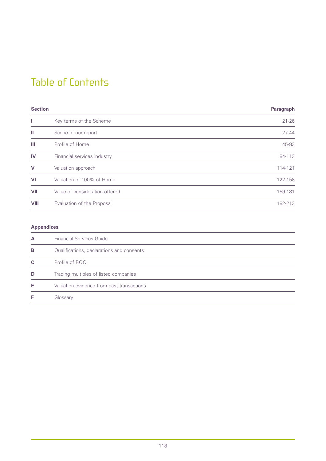## Table of Contents

| <b>Section</b> |                                | Paragraph |
|----------------|--------------------------------|-----------|
|                | Key terms of the Scheme        | $21 - 26$ |
| Ш              | Scope of our report            | $27 - 44$ |
| Ш              | Profile of Home                | 45-83     |
| IV             | Financial services industry    | 84-113    |
| $\mathbf v$    | Valuation approach             | 114-121   |
| VI             | Valuation of 100% of Home      | 122-158   |
| VII            | Value of consideration offered | 159-181   |
| VIII           | Evaluation of the Proposal     | 182-213   |

## **Appendices**

| А | <b>Financial Services Guide</b>           |
|---|-------------------------------------------|
| в | Qualifications, declarations and consents |
| C | Profile of BOQ                            |
| D | Trading multiples of listed companies     |
| Е | Valuation evidence from past transactions |
|   | Glossary                                  |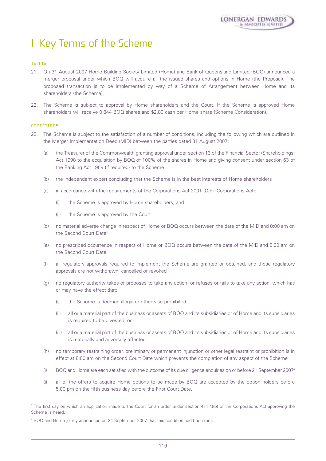## I Key Terms of the Scheme

### Terms

- 21. On 31 August 2007 Home Building Society Limited (Home) and Bank of Queensland Limited (BOQ) announced a merger proposal under which BOQ will acquire all the issued shares and options in Home (the Proposal). The proposed transaction is to be implemented by way of a Scheme of Arrangement between Home and its shareholders (the Scheme).
- 22. The Scheme is subject to approval by Home shareholders and the Court. If the Scheme is approved Home shareholders will receive 0.844 BOQ shares and \$2.80 cash per Home share (Scheme Consideration).

### **CONDITIONS**

- 23. The Scheme is subject to the satisfaction of a number of conditions, including the following which are outlined in the Merger Implementation Deed (MID) between the parties dated 31 August 2007:
	- (a) the Treasurer of the Commonwealth granting approval under section 13 of the Financial Sector (Shareholdings) Act 1998 to the acquisition by BOQ of 100% of the shares in Home and giving consent under section 63 of the Banking Act 1959 (if required) to the Scheme
	- (b) the independent expert concluding that the Scheme is in the best interests of Home shareholders
	- (c) in accordance with the requirements of the Corporations Act 2001 (Cth) (Corporations Act):
		- (i) the Scheme is approved by Home shareholders, and
		- (ii) the Scheme is approved by the Court
	- (d) no material adverse change in respect of Home or BOQ occurs between the date of the MID and 8:00 am on the Second Court Date<sup>3</sup>
	- (e) no prescribed occurrence in respect of Home or BOQ occurs between the date of the MID and 8:00 am on the Second Court Date
	- (f) all regulatory approvals required to implement the Scheme are granted or obtained, and those regulatory approvals are not withdrawn, cancelled or revoked
	- (g) no regulatory authority takes or proposes to take any action, or refuses or fails to take any action, which has or may have the effect that:
		- (i) the Scheme is deemed illegal or otherwise prohibited
		- (ii) all or a material part of the business or assets of BOQ and its subsidiaries or of Home and its subsidiaries is required to be divested, or
		- (iii) all or a material part of the business or assets of BOQ and its subsidiaries or of Home and its subsidiaries is materially and adversely affected
	- (h) no temporary restraining order, preliminary or permanent injunction or other legal restraint or prohibition is in effect at 8:00 am on the Second Court Date which prevents the completion of any aspect of the Scheme
	- (i) BOQ and Home are each satisfied with the outcome of its due diligence enquiries on or before 21 September 20074
	- (j) all of the offers to acquire Home options to be made by BOQ are accepted by the option holders before 5.00 pm on the fifth business day before the First Court Date.

<sup>&</sup>lt;sup>3</sup> The first day on which an application made to the Court for an order under section 411(4)(b) of the Corporations Act approving the Scheme is heard.

<sup>4</sup> BOQ and Home jointly announced on 24 September 2007 that this condition had been met.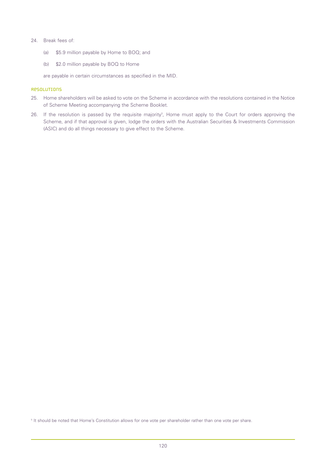### 24. Break fees of:

- (a) \$5.9 million payable by Home to BOQ; and
- (b) \$2.0 million payable by BOQ to Home

are payable in certain circumstances as specified in the MID.

### **Resolutions**

- 25. Home shareholders will be asked to vote on the Scheme in accordance with the resolutions contained in the Notice of Scheme Meeting accompanying the Scheme Booklet.
- 26. If the resolution is passed by the requisite majority<sup>3</sup>, Home must apply to the Court for orders approving the Scheme, and if that approval is given, lodge the orders with the Australian Securities & Investments Commission (ASIC) and do all things necessary to give effect to the Scheme.

<sup>5</sup> It should be noted that Home's Constitution allows for one vote per shareholder rather than one vote per share.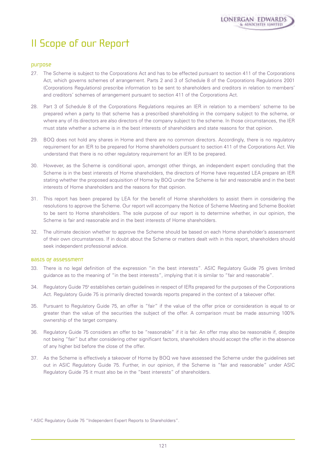# II Scope of our Report

## Purpose

- 27. The Scheme is subject to the Corporations Act and has to be effected pursuant to section 411 of the Corporations Act, which governs schemes of arrangement. Parts 2 and 3 of Schedule 8 of the Corporations Regulations 2001 (Corporations Regulations) prescribe information to be sent to shareholders and creditors in relation to members' and creditors' schemes of arrangement pursuant to section 411 of the Corporations Act.
- 28. Part 3 of Schedule 8 of the Corporations Regulations requires an IER in relation to a members' scheme to be prepared when a party to that scheme has a prescribed shareholding in the company subject to the scheme, or where any of its directors are also directors of the company subject to the scheme. In those circumstances, the IER must state whether a scheme is in the best interests of shareholders and state reasons for that opinion.
- 29. BOQ does not hold any shares in Home and there are no common directors. Accordingly, there is no regulatory requirement for an IER to be prepared for Home shareholders pursuant to section 411 of the Corporations Act. We understand that there is no other regulatory requirement for an IER to be prepared.
- 30. However, as the Scheme is conditional upon, amongst other things, an independent expert concluding that the Scheme is in the best interests of Home shareholders, the directors of Home have requested LEA prepare an IER stating whether the proposed acquisition of Home by BOQ under the Scheme is fair and reasonable and in the best interests of Home shareholders and the reasons for that opinion.
- 31. This report has been prepared by LEA for the benefit of Home shareholders to assist them in considering the resolutions to approve the Scheme. Our report will accompany the Notice of Scheme Meeting and Scheme Booklet to be sent to Home shareholders. The sole purpose of our report is to determine whether, in our opinion, the Scheme is fair and reasonable and in the best interests of Home shareholders.
- 32. The ultimate decision whether to approve the Scheme should be based on each Home shareholder's assessment of their own circumstances. If in doubt about the Scheme or matters dealt with in this report, shareholders should seek independent professional advice.

### Basis of assessment

- 33. There is no legal definition of the expression "in the best interests". ASIC Regulatory Guide 75 gives limited guidance as to the meaning of "in the best interests", implying that it is similar to "fair and reasonable".
- 34. Regulatory Guide 756 establishes certain guidelines in respect of IERs prepared for the purposes of the Corporations Act. Regulatory Guide 75 is primarily directed towards reports prepared in the context of a takeover offer.
- 35. Pursuant to Regulatory Guide 75, an offer is "fair" if the value of the offer price or consideration is equal to or greater than the value of the securities the subject of the offer. A comparison must be made assuming 100% ownership of the target company.
- 36. Regulatory Guide 75 considers an offer to be "reasonable" if it is fair. An offer may also be reasonable if, despite not being "fair" but after considering other significant factors, shareholders should accept the offer in the absence of any higher bid before the close of the offer.
- 37. As the Scheme is effectively a takeover of Home by BOQ we have assessed the Scheme under the guidelines set out in ASIC Regulatory Guide 75. Further, in our opinion, if the Scheme is "fair and reasonable" under ASIC Regulatory Guide 75 it must also be in the "best interests" of shareholders.

<sup>&</sup>lt;sup>6</sup> ASIC Regulatory Guide 75 "Independent Expert Reports to Shareholders".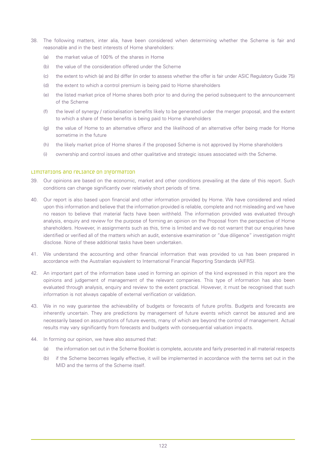- 38. The following matters, inter alia, have been considered when determining whether the Scheme is fair and reasonable and in the best interests of Home shareholders:
	- (a) the market value of 100% of the shares in Home
	- (b) the value of the consideration offered under the Scheme
	- (c) the extent to which (a) and (b) differ (in order to assess whether the offer is fair under ASIC Regulatory Guide 75)
	- (d) the extent to which a control premium is being paid to Home shareholders
	- (e) the listed market price of Home shares both prior to and during the period subsequent to the announcement of the Scheme
	- (f) the level of synergy / rationalisation benefits likely to be generated under the merger proposal, and the extent to which a share of these benefits is being paid to Home shareholders
	- (g) the value of Home to an alternative offeror and the likelihood of an alternative offer being made for Home sometime in the future
	- (h) the likely market price of Home shares if the proposed Scheme is not approved by Home shareholders
	- (i) ownership and control issues and other qualitative and strategic issues associated with the Scheme.

### Limitations and reliance on information

- 39. Our opinions are based on the economic, market and other conditions prevailing at the date of this report. Such conditions can change significantly over relatively short periods of time.
- 40. Our report is also based upon financial and other information provided by Home. We have considered and relied upon this information and believe that the information provided is reliable, complete and not misleading and we have no reason to believe that material facts have been withheld. The information provided was evaluated through analysis, enquiry and review for the purpose of forming an opinion on the Proposal from the perspective of Home shareholders. However, in assignments such as this, time is limited and we do not warrant that our enquiries have identified or verified all of the matters which an audit, extensive examination or "due diligence" investigation might disclose. None of these additional tasks have been undertaken.
- 41. We understand the accounting and other financial information that was provided to us has been prepared in accordance with the Australian equivalent to International Financial Reporting Standards (AIFRS).
- 42. An important part of the information base used in forming an opinion of the kind expressed in this report are the opinions and judgement of management of the relevant companies. This type of information has also been evaluated through analysis, enquiry and review to the extent practical. However, it must be recognised that such information is not always capable of external verification or validation.
- 43. We in no way guarantee the achievability of budgets or forecasts of future profits. Budgets and forecasts are inherently uncertain. They are predictions by management of future events which cannot be assured and are necessarily based on assumptions of future events, many of which are beyond the control of management. Actual results may vary significantly from forecasts and budgets with consequential valuation impacts.
- 44. In forming our opinion, we have also assumed that:
	- (a) the information set out in the Scheme Booklet is complete, accurate and fairly presented in all material respects
	- (b) if the Scheme becomes legally effective, it will be implemented in accordance with the terms set out in the MID and the terms of the Scheme itself.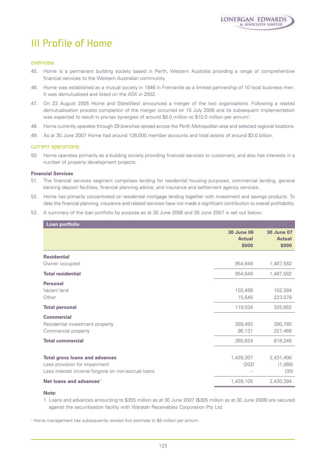# III Profile of Home

### Overview

- 45. Home is a permanent building society based in Perth, Western Australia providing a range of comprehensive financial services to the Western Australian community.
- 46. Home was established as a mutual society in 1946 in Fremantle as a limited partnership of 10 local business men. It was demutualised and listed on the ASX in 2002.
- 47. On 23 August 2005 Home and StateWest announced a merger of the two organisations. Following a related demutualisation process completion of the merger occurred on 10 July 2006 and its subsequent implementation was expected to result in pre-tax synergies of around \$8.0 million to \$10.0 million per annum<sup>7</sup>.
- 48. Home currently operates through 29 branches spread across the Perth Metropolitan area and selected regional locations.
- 49. As at 30 June 2007 Home had around 126,000 member accounts and total assets of around \$3.0 billion.

### Current operations

50. Home operates primarily as a building society providing financial services to customers, and also has interests in a number of property development projects.

### **Financial Services**

- 51. The financial services segment comprises lending for residential housing purposes, commercial lending, general banking deposit facilities, financial planning advice, and insurance and settlement agency services.
- 52. Home has primarily concentrated on residential mortgage lending together with investment and savings products. To date the financial planning, insurance and related services have not made a significant contribution to overall profitability.
- 53. A summary of the loan portfolio by purpose as at 30 June 2006 and 30 June 2007 is set out below:

| Loan portfolio                                    |                                             |                                             |
|---------------------------------------------------|---------------------------------------------|---------------------------------------------|
|                                                   | <b>30 June 06</b><br><b>Actual</b><br>\$000 | <b>30 June 07</b><br><b>Actual</b><br>\$000 |
| <b>Residential</b>                                |                                             |                                             |
| Owner occupied                                    | 954,649                                     | 1,487,582                                   |
| <b>Total residential</b>                          | 954,649                                     | 1,487,582                                   |
| <b>Personal</b>                                   |                                             |                                             |
| Vacant land                                       | 103,489                                     | 102,584                                     |
| Other                                             | 15,545                                      | 223,078                                     |
| <b>Total personal</b>                             | 119,034                                     | 325,662                                     |
| <b>Commercial</b>                                 |                                             |                                             |
| Residential investment property                   | 269,493                                     | 390,780                                     |
| Commercial property                               | 96,131                                      | 227,466                                     |
| <b>Total commercial</b>                           | 365,624                                     | 618,246                                     |
|                                                   |                                             |                                             |
| <b>Total gross loans and advances</b>             | 1,439,307                                   | 2,431,490                                   |
| Less provision for impairment                     | (202)                                       | (1,066)                                     |
| Less interest income forgone on non-accrual loans |                                             | (30)                                        |
| Net loans and advances <sup>(1)</sup>             | 1,439,105                                   | 2,430,394                                   |

### **Note:**

1 Loans and advances amounting to \$355 million as at 30 June 2007 (\$305 million as at 30 June 2006) are secured against the securitisation facility with Waratah Receivables Corporation Pty Ltd.

<sup>7</sup> Home management has subsequently revised this estimate to \$8 million per annum.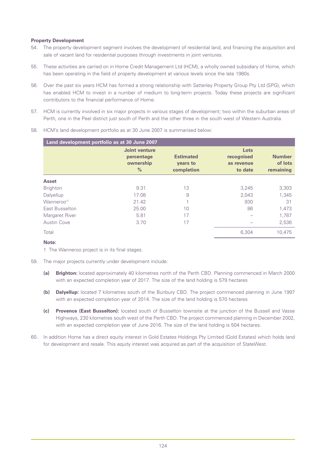### **Property Development**

- 54. The property development segment involves the development of residential land, and financing the acquisition and sale of vacant land for residential purposes through investments in joint ventures.
- 55. These activities are carried on in Home Credit Management Ltd (HCM), a wholly owned subsidiary of Home, which has been operating in the field of property development at various levels since the late 1980s.
- 56. Over the past six years HCM has formed a strong relationship with Satterley Property Group Pty Ltd (SPG), which has enabled HCM to invest in a number of medium to long-term projects. Today these projects are significant contributors to the financial performance of Home.
- 57. HCM is currently involved in six major projects in various stages of development; two within the suburban areas of Perth, one in the Peel district just south of Perth and the other three in the south west of Western Australia.

| Land development portfolio as at 30 June 2007 |                                                           |                                            |                                             |                                       |
|-----------------------------------------------|-----------------------------------------------------------|--------------------------------------------|---------------------------------------------|---------------------------------------|
|                                               | Joint venture<br>percentage<br>ownership<br>$\frac{0}{0}$ | <b>Estimated</b><br>years to<br>completion | Lots<br>recognised<br>as revenue<br>to date | <b>Number</b><br>of lots<br>remaining |
| <b>Asset</b>                                  |                                                           |                                            |                                             |                                       |
| <b>Brighton</b>                               | 9.31                                                      | 13                                         | 3,245                                       | 3,303                                 |
| Dalyellup                                     | 17.08                                                     | 9                                          | 2,043                                       | 1,345                                 |
| Wanneroo <sup>(1)</sup>                       | 21.42                                                     |                                            | 930                                         | 31                                    |
| East Busselton                                | 25.00                                                     | 10                                         | 86                                          | 1.473                                 |
| Margaret River                                | 5.81                                                      | 17                                         |                                             | 1,787                                 |
| <b>Austin Cove</b>                            | 3.70                                                      | 17                                         |                                             | 2,536                                 |
| Total                                         |                                                           |                                            | 6,304                                       | 10,475                                |

58. HCM's land development portfolio as at 30 June 2007 is summarised below:

### **Note:**

1 The Wanneroo project is in its final stages.

- 59. The major projects currently under development include:
	- **(a) Brighton:** located approximately 40 kilometres north of the Perth CBD. Planning commenced in March 2000 with an expected completion year of 2017. The size of the land holding is 579 hectares
	- **(b) Dalyellup:** located 7 kilometres south of the Bunbury CBD. The project commenced planning in June 1997 with an expected completion year of 2014. The size of the land holding is 570 hectares
	- **(c) Provence (East Busselton):** located south of Busselton townsite at the junction of the Bussell and Vasse Highways, 230 kilometres south west of the Perth CBD. The project commenced planning in December 2002, with an expected completion year of June 2016. The size of the land holding is 504 hectares.
- 60. In addition Home has a direct equity interest in Gold Estates Holdings Pty Limited (Gold Estates) which holds land for development and resale. This equity interest was acquired as part of the acquisition of StateWest.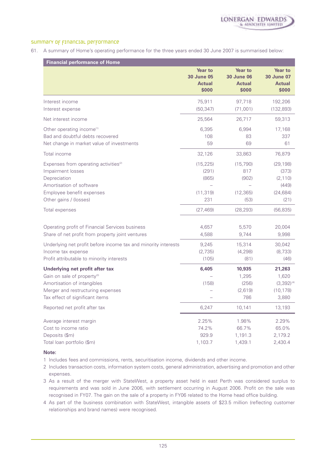

### summary of financial performance

61. A summary of Home's operating performance for the three years ended 30 June 2007 is summarised below:

| <b>Financial performance of Home</b>                                                                                                                                              |                                                               |                                                               |                                                               |
|-----------------------------------------------------------------------------------------------------------------------------------------------------------------------------------|---------------------------------------------------------------|---------------------------------------------------------------|---------------------------------------------------------------|
|                                                                                                                                                                                   | <b>Year to</b><br><b>30 June 05</b><br><b>Actual</b><br>\$000 | <b>Year to</b><br><b>30 June 06</b><br><b>Actual</b><br>\$000 | <b>Year to</b><br><b>30 June 07</b><br><b>Actual</b><br>\$000 |
| Interest income<br>Interest expense                                                                                                                                               | 75,911<br>(50, 347)                                           | 97,718<br>(71,001)                                            | 192,206<br>(132, 893)                                         |
| Net interest income                                                                                                                                                               | 25,564                                                        | 26,717                                                        | 59,313                                                        |
| Other operating income <sup>(1)</sup><br>Bad and doubtful debts recovered<br>Net change in market value of investments                                                            | 6,395<br>108<br>59                                            | 6,994<br>83<br>69                                             | 17,168<br>337<br>61                                           |
| Total income                                                                                                                                                                      | 32,126                                                        | 33,863                                                        | 76,879                                                        |
| Expenses from operating activities <sup>(2)</sup><br>Impairment losses<br>Depreciation<br>Amortisation of software<br>Employee benefit expenses<br>Other gains / (losses)         | (15, 225)<br>(291)<br>(865)<br>(11, 319)<br>231               | (15, 790)<br>817<br>(902)<br>(12, 365)<br>(53)                | (29, 198)<br>(373)<br>(2, 110)<br>(449)<br>(24, 684)<br>(21)  |
| Total expenses                                                                                                                                                                    | (27, 469)                                                     | (28, 293)                                                     | (56, 835)                                                     |
| Operating profit of Financial Services business<br>Share of net profit from property joint ventures                                                                               | 4,657<br>4,588                                                | 5,570<br>9,744                                                | 20,004<br>9,998                                               |
| Underlying net profit before income tax and minority interests<br>Income tax expense<br>Profit attributable to minority interests                                                 | 9,245<br>(2,735)<br>(105)                                     | 15,314<br>(4, 298)<br>(81)                                    | 30,042<br>(8, 733)<br>(46)                                    |
| Underlying net profit after tax<br>Gain on sale of property <sup>(3)</sup><br>Amortisation of intangibles<br>Merger and restructuring expenses<br>Tax effect of significant items | 6,405<br>(158)                                                | 10,935<br>1,295<br>(256)<br>(2,619)<br>786                    | 21,263<br>1,620<br>$(3,392)^{(4)}$<br>(10, 178)<br>3,880      |
| Reported net profit after tax                                                                                                                                                     | 6,247                                                         | 10,141                                                        | 13,193                                                        |
| Average interest margin<br>Cost to income ratio<br>Deposits (\$m)<br>Total loan portfolio (\$m)                                                                                   | 2.25%<br>74.2%<br>929.9<br>1,103.7                            | 1.98%<br>66.7%<br>1,191.3<br>1,439.1                          | 2.29%<br>65.0%<br>2,179.2<br>2,430.4                          |

### **Note:**

- 1 Includes fees and commissions, rents, securitisation income, dividends and other income.
- 2 Includes transaction costs, information system costs, general administration, advertising and promotion and other expenses.
- 3 As a result of the merger with StateWest, a property asset held in east Perth was considered surplus to requirements and was sold in June 2006, with settlement occurring in August 2006. Profit on the sale was recognised in FY07. The gain on the sale of a property in FY06 related to the Home head office building.
- 4 As part of the business combination with StateWest, intangible assets of \$23.5 million (reflecting customer relationships and brand names) were recognised.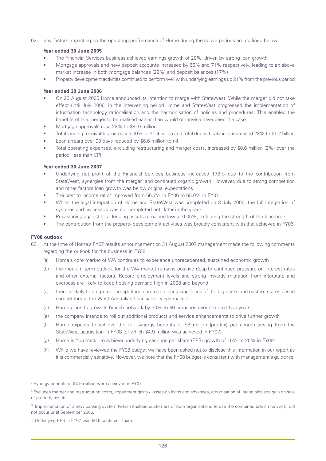62. Key factors impacting on the operating performance of Home during the above periods are outlined below:

### **Year ended 30 June 2005**

- The Financial Services business achieved earnings growth of 20%, driven by strong loan growth
- Mortgage approvals and new deposit accounts increased by 66% and 71% respectively, leading to an above market increase in both mortgage balances (29%) and deposit balances (17%)
- Property development activities continued to perform well with underlying earnings up 21% from the previous period

### **Year ended 30 June 2006**

- On 23 August 2005 Home announced its intention to merge with StateWest. While the merger did not take effect until July 2006, in the intervening period Home and StateWest progressed the implementation of information technology rationalisation and the harmonisation of policies and procedures. This enabled the benefits of the merger to be realised earlier than would otherwise have been the case
- Mortgage approvals rose 28% to \$810 million
- Total lending receivables increased 30% to \$1.4 billion and total deposit balances increased 28% to \$1.2 billion
- Loan arrears over 90 days reduced by \$6.6 million to nil
- Total operating expenses, excluding restructuring and merger costs, increased by \$0.6 million (2%) over the period, less than CPI

### **Year ended 30 June 2007**

- Underlying net profit of the Financial Services business increased 178% due to the contribution from StateWest, synergies from the merger<sup>8</sup> and continued organic growth. However, due to strong competition and other factors loan growth was below original expectations
- The cost to income ratio<sup>9</sup> improved from 66.7% in FY06 to 65.0% in FY07
- Whilst the legal integration of Home and StateWest was completed on 3 July 2006, the full integration of systems and processes was not completed until later in the year<sup>10</sup>
- Provisioning against total lending assets remained low at 0.05%, reflecting the strength of the loan book
- The contribution from the property development activities was broadly consistent with that achieved in FY06.

### **FY08 outlook**

- 63. At the time of Home's FY07 results announcement on 31 August 2007 management made the following comments regarding the outlook for the business in FY08:
	- (a) Home's core market of WA continues to experience unprecedented, sustained economic growth
	- (b) the medium term outlook for the WA market remains positive despite continued pressure on interest rates and other external factors. Record employment levels and strong inwards migration from interstate and overseas are likely to keep housing demand high in 2008 and beyond
	- (c) there is likely to be greater competition due to the increasing focus of the big banks and eastern states based competitors in the West Australian financial services market
	- (d) Home plans to grow its branch network by 30% to 40 branches over the next two years
	- (e) the company intends to roll out additional products and service enhancements to drive further growth
	- (f) Home expects to achieve the full synergy benefits of \$8 million (pre-tax) per annum arising from the StateWest acquisition in FY08 (of which \$4.9 million was achieved in FY07)
	- (g) Home is "on track" to achieve underlying earnings per share (EPS) growth of 15% to 20% in FY0811.
	- (h) While we have reviewed the FY08 budget we have been asked not to disclose this information in our report as it is commercially sensitive. However, we note that the FY08 budget is consistent with management's guidance.

<sup>&</sup>lt;sup>8</sup> Synergy benefits of \$4.9 million were achieved in FY07.

<sup>9</sup> Excludes merger and restructuring costs, impairment gains / losses on loans and advances, amortisation of intangibles and gain on sale of property assets.

<sup>10</sup> Implementation of a new banking system (which enabled customers of both organisations to use the combined branch network) did not occur until September 2006.

<sup>&</sup>lt;sup>11</sup> Underlying EPS in FY07 was 66.6 cents per share.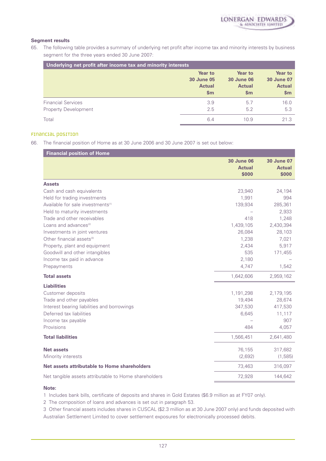

### **Segment results**

65. The following table provides a summary of underlying net profit after income tax and minority interests by business segment for the three years ended 30 June 2007:

| Underlying net profit after income tax and minority interests |                   |                   |                   |
|---------------------------------------------------------------|-------------------|-------------------|-------------------|
|                                                               | <b>Year to</b>    | <b>Year to</b>    | <b>Year to</b>    |
|                                                               | <b>30 June 05</b> | <b>30 June 06</b> | <b>30 June 07</b> |
|                                                               | <b>Actual</b>     | <b>Actual</b>     | <b>Actual</b>     |
|                                                               | \$m               | $\mathsf{sm}$     | $\mathsf{sm}$     |
| <b>Financial Services</b>                                     | 3.9               | 5.7               | 16.0              |
| <b>Property Development</b>                                   | 2.5               | 5.2               | 5.3               |
| Total                                                         | 6.4               | 10.9              | 21.3              |

## Financial position

66. The financial position of Home as at 30 June 2006 and 30 June 2007 is set out below:

| <b>Financial position of Home</b>                     |                                             |                                             |
|-------------------------------------------------------|---------------------------------------------|---------------------------------------------|
|                                                       | <b>30 June 06</b><br><b>Actual</b><br>\$000 | <b>30 June 07</b><br><b>Actual</b><br>\$000 |
| <b>Assets</b>                                         |                                             |                                             |
| Cash and cash equivalents                             | 23,940                                      | 24,194                                      |
| Held for trading investments                          | 1,991                                       | 994                                         |
| Available for sale investments <sup>(1)</sup>         | 139,934                                     | 285,361                                     |
| Held to maturity investments                          |                                             | 2,933                                       |
| Trade and other receivables                           | 418                                         | 1,248                                       |
| Loans and advances <sup>(2)</sup>                     | 1,439,105                                   | 2,430,394                                   |
| Investments in joint ventures                         | 26,084                                      | 28,103                                      |
| Other financial assets <sup>(3)</sup>                 | 1,238                                       | 7,021                                       |
| Property, plant and equipment                         | 2,434                                       | 5,917                                       |
| Goodwill and other intangibles                        | 535                                         | 171,455                                     |
| Income tax paid in advance                            | 2,180                                       |                                             |
| Prepayments                                           | 4,747                                       | 1,542                                       |
| <b>Total assets</b>                                   | 1,642,606                                   | 2,959,162                                   |
| <b>Liabilities</b>                                    |                                             |                                             |
| Customer deposits                                     | 1,191,298                                   | 2,179,195                                   |
| Trade and other payables                              | 19,494                                      | 28,674                                      |
| Interest bearing liabilities and borrowings           | 347,530                                     | 417,530                                     |
| Deferred tax liabilities                              | 6,645                                       | 11,117                                      |
| Income tax payable                                    |                                             | 907                                         |
| Provisions                                            | 484                                         | 4,057                                       |
| <b>Total liabilities</b>                              | 1,566,451                                   | 2,641,480                                   |
| <b>Net assets</b>                                     | 76,155                                      | 317,682                                     |
| Minority interests                                    | (2,692)                                     | (1, 585)                                    |
| Net assets attributable to Home shareholders          | 73,463                                      | 316,097                                     |
| Net tangible assets attributable to Home shareholders | 72,928                                      | 144,642                                     |

### **Note:**

1 Includes bank bills, certificate of deposits and shares in Gold Estates (\$6.9 million as at FY07 only).

2 The composition of loans and advances is set out in paragraph 53.

3 Other financial assets includes shares in CUSCAL (\$2.3 million as at 30 June 2007 only) and funds deposited with Australian Settlement Limited to cover settlement exposures for electronically processed debits.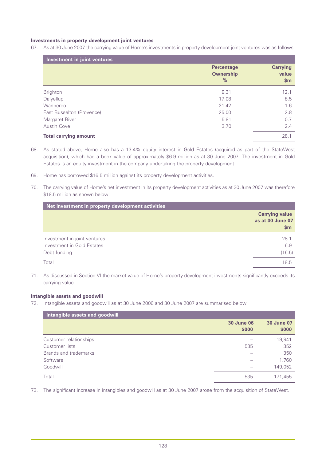### **Investments in property development joint ventures**

67. As at 30 June 2007 the carrying value of Home's investments in property development joint ventures was as follows:

| Investment in joint ventures |                                                        |                                   |  |
|------------------------------|--------------------------------------------------------|-----------------------------------|--|
|                              | <b>Percentage</b><br><b>Ownership</b><br>$\frac{0}{2}$ | <b>Carrying</b><br>value<br>\$m\$ |  |
| <b>Brighton</b>              | 9.31                                                   | 12.1                              |  |
| Dalyellup                    | 17.08                                                  | 8.5                               |  |
| Wanneroo                     | 21.42                                                  | 1.6                               |  |
| East Busselton (Provence)    | 25.00                                                  | 2.8                               |  |
| Margaret River               | 5.81                                                   | 0.7                               |  |
| <b>Austin Cove</b>           | 3.70                                                   | 2.4                               |  |
| <b>Total carrying amount</b> |                                                        | 28.1                              |  |

- 68. As stated above, Home also has a 13.4% equity interest in Gold Estates (acquired as part of the StateWest acquisition), which had a book value of approximately \$6.9 million as at 30 June 2007. The investment in Gold Estates is an equity investment in the company undertaking the property development.
- 69. Home has borrowed \$16.5 million against its property development activities.
- 70. The carrying value of Home's net investment in its property development activities as at 30 June 2007 was therefore \$18.5 million as shown below:

| Net investment in property development activities |                                                  |
|---------------------------------------------------|--------------------------------------------------|
|                                                   | <b>Carrying value</b><br>as at 30 June 07<br>\$m |
| Investment in joint ventures                      | 28.1                                             |
| Investment in Gold Estates                        | 6.9                                              |
| Debt funding                                      | (16.5)                                           |
| Total                                             | 18.5                                             |

71. As discussed in Section VI the market value of Home's property development investments significantly exceeds its carrying value.

### **Intangible assets and goodwill**

72. Intangible assets and goodwill as at 30 June 2006 and 30 June 2007 are summarised below:

| Intangible assets and goodwill |                            |                            |
|--------------------------------|----------------------------|----------------------------|
|                                | <b>30 June 06</b><br>\$000 | <b>30 June 07</b><br>\$000 |
| Customer relationships         |                            | 19,941                     |
| Customer lists                 | 535                        | 352                        |
| Brands and trademarks          |                            | 350                        |
| Software                       |                            | 1,760                      |
| Goodwill                       |                            | 149,052                    |
| Total                          | 535                        | 171,455                    |

73. The significant increase in intangibles and goodwill as at 30 June 2007 arose from the acquisition of StateWest.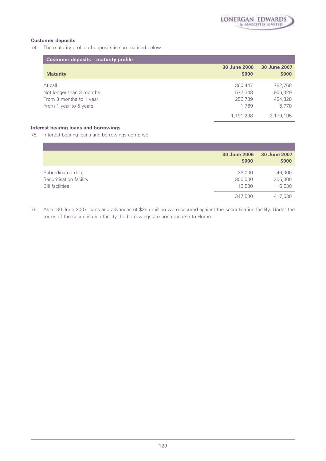## **Customer deposits**

74. The maturity profile of deposits is summarised below:

| <b>Customer deposits - maturity profile</b> |                       |                       |
|---------------------------------------------|-----------------------|-----------------------|
| <b>Maturity</b>                             | 30 June 2006<br>\$000 | 30 June 2007<br>\$000 |
| At call                                     | 360,447               | 782,768               |
| Not longer than 3 months                    | 572,343               | 906,329               |
| From 3 months to 1 year                     | 256,739               | 484,328               |
| From 1 year to 5 years                      | 1.769                 | 5.770                 |
|                                             | 1,191,298             | 2,179,195             |

## **Interest bearing loans and borrowings**

75. Interest bearing loans and borrowings comprise:

|                         | <b>30 June 2006</b><br>\$000 | 30 June 2007<br>\$000 |
|-------------------------|------------------------------|-----------------------|
| Subordinated debt       | 26,000                       | 46,000                |
| Securitisation facility | 305,000                      | 355,000               |
| <b>Bill facilities</b>  | 16,530                       | 16,530                |
|                         | 347,530                      | 417,530               |

76. As at 30 June 2007 loans and advances of \$355 million were secured against the securitisation facility. Under the terms of the securitisation facility the borrowings are non-recourse to Home.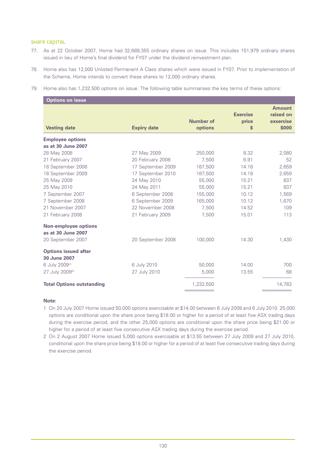### SHAre capital

- 77. As at 22 October 2007, Home had 32,689,355 ordinary shares on issue. This includes 151,979 ordinary shares issued in lieu of Home's final dividend for FY07 under the dividend reinvestment plan.
- 78. Home also has 12,000 Unlisted Permanent A Class shares which were issued in FY07. Prior to implementation of the Scheme, Home intends to convert these shares to 12,000 ordinary shares.
- 79. Home also has 1,232,500 options on issue. The following table summarises the key terms of these options:

| <b>Options on issue</b>                                                |                    |                      |                                |                                                  |
|------------------------------------------------------------------------|--------------------|----------------------|--------------------------------|--------------------------------------------------|
| <b>Vesting date</b>                                                    | <b>Expiry date</b> | Number of<br>options | <b>Exercise</b><br>price<br>\$ | <b>Amount</b><br>raised on<br>exsercise<br>\$000 |
| <b>Employee options</b>                                                |                    |                      |                                |                                                  |
| as at 30 June 2007                                                     |                    |                      |                                |                                                  |
| 28 May 2008                                                            | 27 May 2009        | 250,000              | 8.32                           | 2,080                                            |
| 21 February 2007                                                       | 20 February 2008   | 7.500                | 6.91                           | 52                                               |
| 18 September 2008                                                      | 17 September 2009  | 187,500              | 14.18                          | 2,659                                            |
| 18 September 2009                                                      | 17 September 2010  | 187,500              | 14.18                          | 2,659                                            |
| 25 May 2009                                                            | 24 May 2010        | 55,000               | 15.21                          | 837                                              |
| 25 May 2010                                                            | 24 May 2011        | 55,000               | 15.21                          | 837                                              |
| 7 September 2007                                                       | 6 September 2008   | 155,000              | 10.12                          | 1,569                                            |
| 7 September 2008                                                       | 6 September 2009   | 165,000              | 10.12                          | 1,670                                            |
| 21 November 2007                                                       | 22 November 2008   | 7.500                | 14.52                          | 109                                              |
| 21 February 2008                                                       | 21 February 2009   | 7,500                | 15.01                          | 113                                              |
| <b>Non-employee options</b><br>as at 30 June 2007<br>20 September 2007 | 20 September 2008  | 100,000              | 14.30                          | 1,430                                            |
| <b>Options issued after</b><br>30 June 2007                            |                    |                      |                                |                                                  |
| 6 July 2009(1)                                                         | 6 July 2010        | 50,000               | 14.00                          | 700                                              |
| 27 July 2009 <sup>(2)</sup>                                            | 27 July 2010       | 5,000                | 13.55                          | 68                                               |
| <b>Total Options outstanding</b>                                       |                    | 1,232,500            |                                | 14,783                                           |

### **Note:**

1 On 20 July 2007 Home issued 50,000 options exercisable at \$14.00 between 6 July 2009 and 6 July 2010. 25,000 options are conditional upon the share price being \$18.00 or higher for a period of at least five ASX trading days during the exercise period, and the other 25,000 options are conditional upon the share price being \$21.00 or higher for a period of at least five consecutive ASX trading days during the exercise period.

2 On 2 August 2007 Home issued 5,000 options exercisable at \$13.55 between 27 July 2009 and 27 July 2010, conditional upon the share price being \$18.00 or higher for a period of at least five consecutive trading days during the exercise period.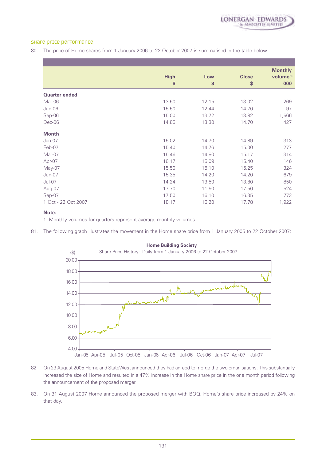

### Share price performance

80. The price of Home shares from 1 January 2006 to 22 October 2007 is summarised in the table below:

|                      | <b>High</b><br>\$ | Low<br>\$ | <b>Close</b><br>\$ | <b>Monthly</b><br>volume <sup>(1)</sup><br>000 |
|----------------------|-------------------|-----------|--------------------|------------------------------------------------|
| <b>Quarter ended</b> |                   |           |                    |                                                |
| Mar-06               | 13.50             | 12.15     | 13.02              | 269                                            |
| $Jun-06$             | 15.50             | 12.44     | 14.70              | 97                                             |
| Sep-06               | 15.00             | 13.72     | 13.82              | 1,566                                          |
| Dec-06               | 14.85             | 13.30     | 14.70              | 427                                            |
| <b>Month</b>         |                   |           |                    |                                                |
| Jan-07               | 15.02             | 14.70     | 14.89              | 313                                            |
| Feb-07               | 15.40             | 14.76     | 15.00              | 277                                            |
| Mar-07               | 15.46             | 14.80     | 15.17              | 314                                            |
| Apr-07               | 16.17             | 15.09     | 15.40              | 146                                            |
| May-07               | 15.50             | 15.10     | 15.25              | 324                                            |
| $Jun-07$             | 15.35             | 14.20     | 14.20              | 679                                            |
| $Jul-07$             | 14.24             | 13.50     | 13.80              | 850                                            |
| Aug-07               | 17.70             | 11.50     | 17.50              | 524                                            |
| Sep-07               | 17.50             | 16.10     | 16.35              | 773                                            |
| 1 Oct - 22 Oct 2007  | 18.17             | 16.20     | 17.78              | 1,922                                          |

### **Note:**

1 Monthly volumes for quarters represent average monthly volumes.

81. The following graph illustrates the movement in the Home share price from 1 January 2005 to 22 October 2007:



#### **Home Building Society**

- 82. On 23 August 2005 Home and StateWest announced they had agreed to merge the two organisations. This substantially increased the size of Home and resulted in a 47% increase in the Home share price in the one month period following the announcement of the proposed merger.
- 83. On 31 August 2007 Home announced the proposed merger with BOQ. Home's share price increased by 24% on that day.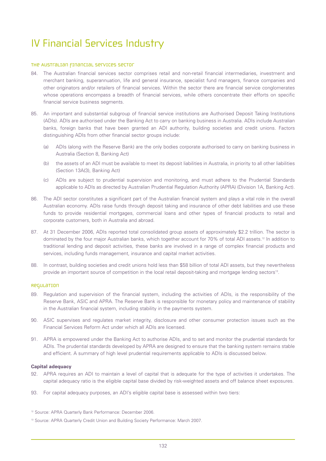# IV Financial Services Industry

### The Australian financial services sector

- 84. The Australian financial services sector comprises retail and non-retail financial intermediaries, investment and merchant banking, superannuation, life and general insurance, specialist fund managers, finance companies and other originators and/or retailers of financial services. Within the sector there are financial service conglomerates whose operations encompass a breadth of financial services, while others concentrate their efforts on specific financial service business segments.
- 85. An important and substantial subgroup of financial service institutions are Authorised Deposit Taking Institutions (ADIs). ADIs are authorised under the Banking Act to carry on banking business in Australia. ADIs include Australian banks, foreign banks that have been granted an ADI authority, building societies and credit unions. Factors distinguishing ADIs from other financial sector groups include:
	- (a) ADIs (along with the Reserve Bank) are the only bodies corporate authorised to carry on banking business in Australia (Section 8, Banking Act)
	- (b) the assets of an ADI must be available to meet its deposit liabilities in Australia, in priority to all other liabilities (Section 13A(3), Banking Act)
	- (c) ADIs are subject to prudential supervision and monitoring, and must adhere to the Prudential Standards applicable to ADIs as directed by Australian Prudential Regulation Authority (APRA) (Division 1A, Banking Act).
- 86. The ADI sector constitutes a significant part of the Australian financial system and plays a vital role in the overall Australian economy. ADIs raise funds through deposit taking and insurance of other debt liabilities and use these funds to provide residential mortgages, commercial loans and other types of financial products to retail and corporate customers, both in Australia and abroad.
- 87. At 31 December 2006, ADIs reported total consolidated group assets of approximately \$2.2 trillion. The sector is dominated by the four major Australian banks, which together account for 70% of total ADI assets.12 In addition to traditional lending and deposit activities, these banks are involved in a range of complex financial products and services, including funds management, insurance and capital market activities.
- 88. In contrast, building societies and credit unions hold less than \$58 billion of total ADI assets, but they nevertheless provide an important source of competition in the local retail deposit-taking and mortgage lending sectors<sup>13</sup>.

### Regulation

- 89. Regulation and supervision of the financial system, including the activities of ADIs, is the responsibility of the Reserve Bank, ASIC and APRA. The Reserve Bank is responsible for monetary policy and maintenance of stability in the Australian financial system, including stability in the payments system.
- 90. ASIC supervises and regulates market integrity, disclosure and other consumer protection issues such as the Financial Services Reform Act under which all ADIs are licensed.
- 91. APRA is empowered under the Banking Act to authorise ADIs, and to set and monitor the prudential standards for ADIs. The prudential standards developed by APRA are designed to ensure that the banking system remains stable and efficient. A summary of high level prudential requirements applicable to ADIs is discussed below.

### **Capital adequacy**

- 92. APRA requires an ADI to maintain a level of capital that is adequate for the type of activities it undertakes. The capital adequacy ratio is the eligible capital base divided by risk-weighted assets and off balance sheet exposures.
- 93. For capital adequacy purposes, an ADI's eligible capital base is assessed within two tiers:

<sup>12</sup> Source: APRA Quarterly Bank Performance: December 2006.

<sup>13</sup> Source: APRA Quarterly Credit Union and Building Society Performance: March 2007.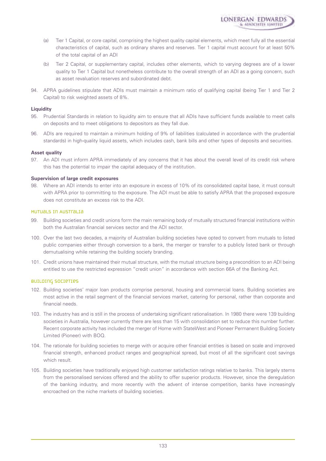

- (a) Tier 1 Capital, or core capital, comprising the highest quality capital elements, which meet fully all the essential characteristics of capital, such as ordinary shares and reserves. Tier 1 capital must account for at least 50% of the total capital of an ADI
- (b) Tier 2 Capital, or supplementary capital, includes other elements, which to varying degrees are of a lower quality to Tier 1 Capital but nonetheless contribute to the overall strength of an ADI as a going concern, such as asset revaluation reserves and subordinated debt.
- 94. APRA guidelines stipulate that ADIs must maintain a minimum ratio of qualifying capital (being Tier 1 and Tier 2 Capital) to risk weighted assets of 8%.

### **Liquidity**

- 95. Prudential Standards in relation to liquidity aim to ensure that all ADIs have sufficient funds available to meet calls on deposits and to meet obligations to depositors as they fall due.
- 96. ADIs are required to maintain a minimum holding of 9% of liabilities (calculated in accordance with the prudential standards) in high-quality liquid assets, which includes cash, bank bills and other types of deposits and securities.

### **Asset quality**

97. An ADI must inform APRA immediately of any concerns that it has about the overall level of its credit risk where this has the potential to impair the capital adequacy of the institution.

### **Supervision of large credit exposures**

Where an ADI intends to enter into an exposure in excess of 10% of its consolidated capital base, it must consult with APRA prior to committing to the exposure. The ADI must be able to satisfy APRA that the proposed exposure does not constitute an excess risk to the ADI.

### Mutuals in Australia

- 99. Building societies and credit unions form the main remaining body of mutually structured financial institutions within both the Australian financial services sector and the ADI sector.
- 100. Over the last two decades, a majority of Australian building societies have opted to convert from mutuals to listed public companies either through conversion to a bank, the merger or transfer to a publicly listed bank or through demutualising while retaining the building society branding.
- 101. Credit unions have maintained their mutual structure, with the mutual structure being a precondition to an ADI being entitled to use the restricted expression "credit union" in accordance with section 66A of the Banking Act.

### Building societies

- 102. Building societies' major loan products comprise personal, housing and commercial loans. Building societies are most active in the retail segment of the financial services market, catering for personal, rather than corporate and financial needs.
- 103. The industry has and is still in the process of undertaking significant rationalisation. In 1980 there were 139 building societies in Australia, however currently there are less than 15 with consolidation set to reduce this number further. Recent corporate activity has included the merger of Home with StateWest and Pioneer Permanent Building Society Limited (Pioneer) with BOQ.
- 104. The rationale for building societies to merge with or acquire other financial entities is based on scale and improved financial strength, enhanced product ranges and geographical spread, but most of all the significant cost savings which result.
- 105. Building societies have traditionally enjoyed high customer satisfaction ratings relative to banks. This largely stems from the personalised services offered and the ability to offer superior products. However, since the deregulation of the banking industry, and more recently with the advent of intense competition, banks have increasingly encroached on the niche markets of building societies.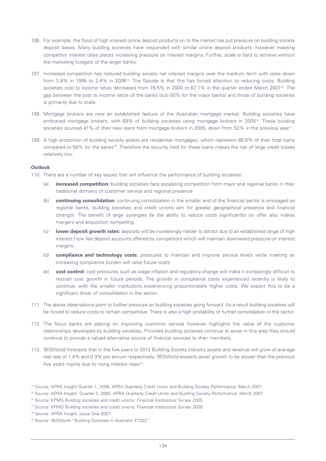- 106. For example, the flood of high interest online deposit products on to the market has put pressure on building society deposit bases. Many building societies have responded with similar online deposit products, however meeting competitor interest rates places increasing pressure on interest margins. Further, scale is hard to achieve without the marketing budgets of the larger banks.
- 107. Increased competition has reduced building society net interest margins over the medium term with rates down from 3.8% in 1995 to 2.4% in 200614. The flipside is that this has forced attention to reducing costs. Building societies cost to income ratios decreased from 78.5% in 2000 to 67.1% in the quarter ended March 2007<sup>15</sup>. The gap between the cost to income ratios of the banks (sub 50% for the major banks) and those of building societies is primarily due to scale.
- 108. Mortgage brokers are now an established feature of the Australian mortgage market. Building societies have embraced mortgage brokers, with 69% of building societies using mortgage brokers in 2005<sup>16</sup>. These building societies sourced 41% of their new loans from mortgage brokers in 2005, down from 52% in the previous year<sup>17</sup>.
- 109. A high proportion of building society assets are residential mortgages, which represent 85.6% of their total loans compared to 58% for the banks<sup>18</sup>. Therefore the security held for these loans makes the risk of large credit losses relatively low.

### **Outlook**

110. There are a number of key issues that will influence the performance of building societies:

- (a) **increased competition:** building societies face escalating competition from major and regional banks in their traditional domains of customer service and regional presence
- (b) **continuing consolidation:** continuing consolidation in the smaller end of the financial sector is envisaged as regional banks, building societies and credit unions aim for greater geographical presence and financial strength. The benefit of large synergies (ie the ability to reduce costs significantly) on offer also makes mergers and acquisition compelling
- (c) **lower deposit growth rates:** deposits will be increasingly harder to attract due to an established range of high interest / low fee deposit accounts offered by competitors which will maintain downward pressure on interest margins
- (d) **compliance and technology costs:** pressures to maintain and improve service levels while meeting an increasing compliance burden will raise future costs
- (e) **cost control:** cost pressures such as wage inflation and regulatory change will make it increasingly difficult to restrain cost growth in future periods. The growth in compliance costs experienced recently is likely to continue, with the smaller institutions experiencing proportionately higher costs. We expect this to be a significant driver of consolidation in the sector.
- 111. The above observations point to further pressure on building societies going forward. As a result building societies will be forced to reduce costs to remain competitive. There is also a high probability of further consolidation in the sector.
- 112. The focus banks are placing on improving customer service however highlights the value of the customer relationships developed by building societies. Provided building societies continue to excel in this area they should continue to provide a valued alternative source of financial services to their members.
- 113. IBISWorld forecasts that in the five years to 2012 Building Society industry assets and revenue will grow at average real rate of 1.4% and 0.9% per annum respectively. IBISWorld expects asset growth to be slower than the previous five years mainly due to rising interest rates<sup>19</sup>.

<sup>14</sup> Source: APRA Insight Quarter 1, 2006, APRA Quarterly Credit Union and Building Society Performance: March 2007.

<sup>15</sup> Source: APRA Insight, Quarter 3, 2005, APRA Quarterly Credit Union and Building Society Performance: March 2007.

<sup>16</sup> Source: KPMG Building societies and credit unions: *Financial Institutions Survey 2005*.

<sup>17</sup> Source: KPMG Building societies and credit unions: *Financial Institutions Survey 2005*.

<sup>18</sup> Source: APRA Insight, Issue One 2007.

<sup>19</sup> Source: IBISWorld "Building Societies in Australia: K7322".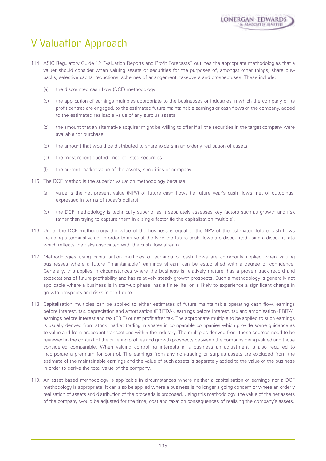## V Valuation Approach

- 114. ASIC Regulatory Guide 12 "Valuation Reports and Profit Forecasts" outlines the appropriate methodologies that a valuer should consider when valuing assets or securities for the purposes of, amongst other things, share buybacks, selective capital reductions, schemes of arrangement, takeovers and prospectuses. These include:
	- (a) the discounted cash flow (DCF) methodology
	- (b) the application of earnings multiples appropriate to the businesses or industries in which the company or its profit centres are engaged, to the estimated future maintainable earnings or cash flows of the company, added to the estimated realisable value of any surplus assets
	- (c) the amount that an alternative acquirer might be willing to offer if all the securities in the target company were available for purchase
	- (d) the amount that would be distributed to shareholders in an orderly realisation of assets
	- (e) the most recent quoted price of listed securities
	- (f) the current market value of the assets, securities or company.
- 115. The DCF method is the superior valuation methodology because:
	- (a) value is the net present value (NPV) of future cash flows (ie future year's cash flows, net of outgoings, expressed in terms of today's dollars)
	- (b) the DCF methodology is technically superior as it separately assesses key factors such as growth and risk rather than trying to capture them in a single factor (ie the capitalisation multiple).
- 116. Under the DCF methodology the value of the business is equal to the NPV of the estimated future cash flows including a terminal value. In order to arrive at the NPV the future cash flows are discounted using a discount rate which reflects the risks associated with the cash flow stream.
- 117. Methodologies using capitalisation multiples of earnings or cash flows are commonly applied when valuing businesses where a future "maintainable" earnings stream can be established with a degree of confidence. Generally, this applies in circumstances where the business is relatively mature, has a proven track record and expectations of future profitability and has relatively steady growth prospects. Such a methodology is generally not applicable where a business is in start-up phase, has a finite life, or is likely to experience a significant change in growth prospects and risks in the future.
- 118. Capitalisation multiples can be applied to either estimates of future maintainable operating cash flow, earnings before interest, tax, depreciation and amortisation (EBITDA), earnings before interest, tax and amortisation (EBITA), earnings before interest and tax (EBIT) or net profit after tax. The appropriate multiple to be applied to such earnings is usually derived from stock market trading in shares in comparable companies which provide some guidance as to value and from precedent transactions within the industry. The multiples derived from these sources need to be reviewed in the context of the differing profiles and growth prospects between the company being valued and those considered comparable. When valuing controlling interests in a business an adjustment is also required to incorporate a premium for control. The earnings from any non-trading or surplus assets are excluded from the estimate of the maintainable earnings and the value of such assets is separately added to the value of the business in order to derive the total value of the company.
- 119. An asset based methodology is applicable in circumstances where neither a capitalisation of earnings nor a DCF methodology is appropriate. It can also be applied where a business is no longer a going concern or where an orderly realisation of assets and distribution of the proceeds is proposed. Using this methodology, the value of the net assets of the company would be adjusted for the time, cost and taxation consequences of realising the company's assets.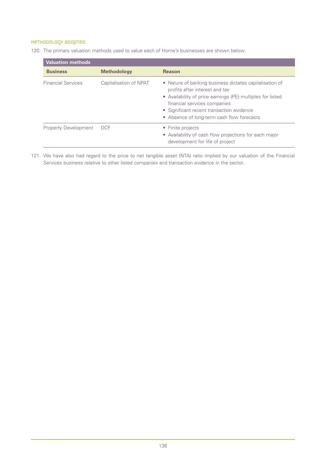## Methodology adopted

120. The primary valuation methods used to value each of Home's businesses are shown below:

| <b>Valuation methods</b>    |                        |                                                                                                                                                                                                                                                                                    |
|-----------------------------|------------------------|------------------------------------------------------------------------------------------------------------------------------------------------------------------------------------------------------------------------------------------------------------------------------------|
| <b>Business</b>             | <b>Methodology</b>     | <b>Reason</b>                                                                                                                                                                                                                                                                      |
| <b>Financial Services</b>   | Capitalisation of NPAT | • Nature of banking business dictates capitalisation of<br>profits after interest and tax<br>• Availability of price earnings (PE) multiples for listed<br>financial services companies<br>• Significant recent transaction evidence<br>• Absence of long-term cash flow forecasts |
| <b>Property Development</b> | <b>DCF</b>             | • Finite projects<br>• Availability of cash flow projections for each major<br>development for life of project                                                                                                                                                                     |

121. We have also had regard to the price to net tangible asset (NTA) ratio implied by our valuation of the Financial Services business relative to other listed companies and transaction evidence in the sector.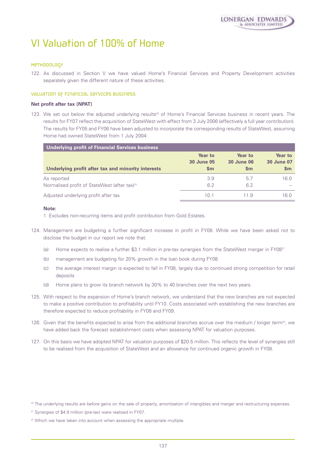# VI Valuation of 100% of Home

### Methodology

122. As discussed in Section V we have valued Home's Financial Services and Property Development activities separately given the different nature of these activities.

### Valuation of Financial Services business

### **Net profit after tax (NPAT)**

123. We set out below the adjusted underlying results<sup>20</sup> of Home's Financial Services business in recent years. The results for FY07 reflect the acquisition of StateWest with effect from 3 July 2006 (effectively a full year contribution). The results for FY05 and FY06 have been adjusted to incorporate the corresponding results of StateWest, assuming Home had owned StateWest from 1 July 2004:

| Underlying profit of Financial Services business          |                |                   |                   |
|-----------------------------------------------------------|----------------|-------------------|-------------------|
| Underlying profit after tax and minority interests        | <b>Year to</b> | Year to           | Year to           |
|                                                           | 30 June 05     | <b>30 June 06</b> | <b>30 June 07</b> |
|                                                           | $\mathsf{sm}$  | $\mathbf{Sm}$     | $\mathsf{Sm}$     |
| As reported                                               | 3.9            | 5.7               | 16.0              |
| Normalised profit of StateWest (after tax) <sup>(1)</sup> | 6.2            | 6.2               |                   |
| Adjusted underlying profit after tax                      | 10.1           | 11.9              | 16.0              |

### **Note:**

1 Excludes non-recurring items and profit contribution from Gold Estates.

- 124. Management are budgeting a further significant increase in profit in FY08. While we have been asked not to disclose the budget in our report we note that:
	- (a) Home expects to realise a further \$3.1 million in pre-tax synergies from the StateWest merger in FY08<sup>21</sup>
	- (b) management are budgeting for 20% growth in the loan book during FY08
	- (c) the average interest margin is expected to fall in FY08, largely due to continued strong competition for retail deposits
	- (d) Home plans to grow its branch network by 30% to 40 branches over the next two years.
- 125. With respect to the expansion of Home's branch network, we understand that the new branches are not expected to make a positive contribution to profitability until FY10. Costs associated with establishing the new branches are therefore expected to reduce profitability in FY08 and FY09.
- 126. Given that the benefits expected to arise from the additional branches accrue over the medium / longer term<sup>22</sup>, we have added back the forecast establishment costs when assessing NPAT for valuation purposes.
- 127. On this basis we have adopted NPAT for valuation purposes of \$20.5 million. This reflects the level of synergies still to be realised from the acquisition of StateWest and an allowance for continued organic growth in FY08.

<sup>&</sup>lt;sup>20</sup> The underlying results are before gains on the sale of property, amortisation of intangibles and merger and restructuring expenses.

<sup>&</sup>lt;sup>21</sup> Synergies of \$4.9 million (pre-tax) were realised in FY07.

<sup>&</sup>lt;sup>22</sup> Which we have taken into account when assessing the appropriate multiple.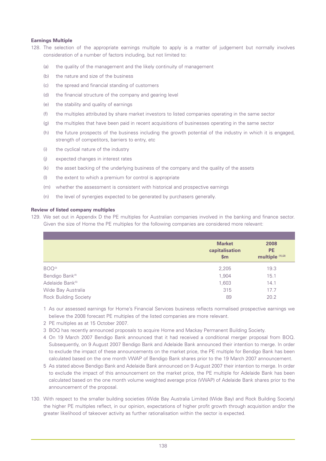### **Earnings Multiple**

- 128. The selection of the appropriate earnings multiple to apply is a matter of judgement but normally involves consideration of a number of factors including, but not limited to:
	- (a) the quality of the management and the likely continuity of management
	- (b) the nature and size of the business
	- (c) the spread and financial standing of customers
	- (d) the financial structure of the company and gearing level
	- (e) the stability and quality of earnings
	- (f) the multiples attributed by share market investors to listed companies operating in the same sector
	- (g) the multiples that have been paid in recent acquisitions of businesses operating in the same sector
	- (h) the future prospects of the business including the growth potential of the industry in which it is engaged, strength of competitors, barriers to entry, etc
	- (i) the cyclical nature of the industry
	- (j) expected changes in interest rates
	- (k) the asset backing of the underlying business of the company and the quality of the assets
	- (l) the extent to which a premium for control is appropriate
	- (m) whether the assessment is consistent with historical and prospective earnings
	- (n) the level of synergies expected to be generated by purchasers generally.

### **Review of listed company multiples**

129. We set out in Appendix D the PE multiples for Australian companies involved in the banking and finance sector. Given the size of Home the PE multiples for the following companies are considered more relevant:

|                              | <b>Market</b>  | 2008             |
|------------------------------|----------------|------------------|
|                              | capitalisation | <b>PE</b>        |
|                              | \$m\$          | multiple (1),(2) |
| BOQ <sup>(3)</sup>           | 2,205          | 19.3             |
| Bendigo Bank <sup>(4)</sup>  | 1,904          | 15.1             |
| Adelaide Bank <sup>(5)</sup> | 1,603          | 14.1             |
| Wide Bay Australia           | 315            | 17.7             |
| <b>Rock Building Society</b> | 89             | 20.2             |

- 1 As our assessed earnings for Home's Financial Services business reflects normalised prospective earnings we believe the 2008 forecast PE multiples of the listed companies are more relevant.
- 2 PE multiples as at 15 October 2007.
- 3 BOQ has recently announced proposals to acquire Home and Mackay Permanent Building Society.
- 4 On 19 March 2007 Bendigo Bank announced that it had received a conditional merger proposal from BOQ. Subsequently, on 9 August 2007 Bendigo Bank and Adelaide Bank announced their intention to merge. In order to exclude the impact of these announcements on the market price, the PE multiple for Bendigo Bank has been calculated based on the one month VWAP of Bendigo Bank shares prior to the 19 March 2007 announcement.
- 5 As stated above Bendigo Bank and Adelaide Bank announced on 9 August 2007 their intention to merge. In order to exclude the impact of this announcement on the market price, the PE multiple for Adelaide Bank has been calculated based on the one month volume weighted average price (VWAP) of Adelaide Bank shares prior to the announcement of the proposal.
- 130. With respect to the smaller building societies (Wide Bay Australia Limited (Wide Bay) and Rock Building Society) the higher PE multiples reflect, in our opinion, expectations of higher profit growth through acquisition and/or the greater likelihood of takeover activity as further rationalisation within the sector is expected.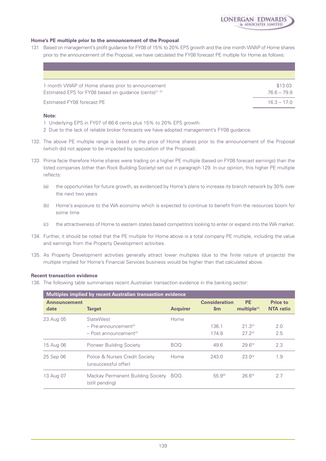

### **Home's PE multiple prior to the announcement of the Proposal**

131 Based on management's profit guidance for FY08 of 15% to 20% EPS growth and the one month VWAP of Home shares prior to the announcement of the Proposal, we have calculated the FY08 forecast PE multiple for Home as follows:

| 1 month VWAP of Home shares prior to announcement                    | \$13.03       |
|----------------------------------------------------------------------|---------------|
| Estimated EPS for FY08 based on quidance (cents) <sup>(1), (2)</sup> | 766-799       |
| Estimated FY08 forecast PE                                           | $16.3 - 17.0$ |

### **Note:**

- 1 Underlying EPS in FY07 of 66.6 cents plus 15% to 20% EPS growth.
- 2 Due to the lack of reliable broker forecasts we have adopted management's FY08 guidance.
- 132. The above PE multiple range is based on the price of Home shares prior to the announcement of the Proposal (which did not appear to be impacted by speculation of the Proposal).
- 133. Prima facie therefore Home shares were trading on a higher PE multiple (based on FY08 forecast earnings) than the listed companies (other than Rock Building Society) set out in paragraph 129. In our opinion, this higher PE multiple reflects:
	- (a) the opportunities for future growth, as evidenced by Home's plans to increase its branch network by 30% over the next two years
	- (b) Home's exposure to the WA economy which is expected to continue to benefit from the resources boom for some time
	- (c) the attractiveness of Home to eastern states based competitors looking to enter or expand into the WA market.
- 134. Further, it should be noted that the PE multiple for Home above is a total company PE multiple, including the value and earnings from the Property Development activities.
- 135. As Property Development activities generally attract lower multiples (due to the finite nature of projects) the multiple implied for Home's Financial Services business would be higher than that calculated above.

### **Recent transaction evidence**

136. The following table summarises recent Australian transaction evidence in the banking sector:

|                             | Multiples implied by recent Australian transaction evidence                                     |                 |                                       |                                      |                                     |
|-----------------------------|-------------------------------------------------------------------------------------------------|-----------------|---------------------------------------|--------------------------------------|-------------------------------------|
| <b>Announcement</b><br>date | <b>Target</b>                                                                                   | <b>Acquirer</b> | <b>Consideration</b><br>$\mathsf{Sm}$ | <b>PE</b><br>multiple <sup>(1)</sup> | <b>Price to</b><br><b>NTA</b> ratio |
| 23 Aug 05                   | <b>StateWest</b><br>$-$ Pre-announcement <sup>(2)</sup><br>$-$ Post announcement <sup>(2)</sup> | Home            | 136.1<br>174.8                        | $21.3^{(3)}$<br>$27.2^{(3)}$         | 2.0<br>2.5                          |
| 15 Aug 06                   | Pioneer Building Society                                                                        | <b>BOQ</b>      | 49.6                                  | $29.6^{(3)}$                         | 2.3                                 |
| 25 Sep 06                   | Police & Nurses Credit Society<br>(unsuccessful offer)                                          | Home            | 243.0                                 | $23.0^{(4)}$                         | 1.9                                 |
| 13 Aug 07                   | Mackay Permanent Building Society<br>(still pending)                                            | <b>BOQ</b>      | 55.9(5)                               | $26.6^{(3)}$                         | 2.7                                 |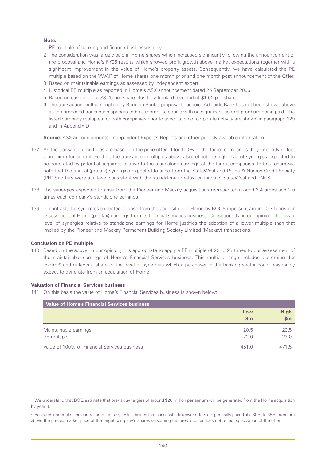### **Note:**

- 1 PE multiple of banking and finance businesses only.
- 2 The consideration was largely paid in Home shares which increased significantly following the announcement of the proposal and Home's FY05 results which showed profit growth above market expectations together with a significant improvement in the value of Home's property assets. Consequently, we have calculated the PE multiple based on the VWAP of Home shares one month prior and one month post announcement of the Offer.
- 3 Based on maintainable earnings as assessed by independent expert.
- 4 Historical PE multiple as reported in Home's ASX announcement dated 25 September 2006.
- 5 Based on cash offer of \$8.25 per share plus fully franked dividend of \$1.00 per share.
- 6 The transaction multiple implied by Bendigo Bank's proposal to acquire Adelaide Bank has not been shown above as the proposed transaction appears to be a merger of equals with no significant control premium being paid. The listed company multiples for both companies prior to speculation of corporate activity are shown in paragraph 129 and in Appendix D.

**Source:** ASX announcements, Independent Expert's Reports and other publicly available information.

- 137. As the transaction multiples are based on the price offered for 100% of the target companies they implicitly reflect a premium for control. Further, the transaction multiples above also reflect the high level of synergies expected to be generated by potential acquirers relative to the standalone earnings of the target companies. In this regard we note that the annual (pre-tax) synergies expected to arise from the StateWest and Police & Nurses Credit Society (PNCS) offers were at a level consistent with the standalone (pre-tax) earnings of StateWest and PNCS.
- 138. The synergies expected to arise from the Pioneer and Mackay acquisitions represented around 3.4 times and 2.0 times each company's standalone earnings.
- 139. In contrast, the synergies expected to arise from the acquisition of Home by  $BOQ^{23}$  represent around 0.7 times our assessment of Home (pre-tax) earnings from its financial services business. Consequently, in our opinion, the lower level of synergies relative to standalone earnings for Home justifies the adoption of a lower multiple than that implied by the Pioneer and Mackay Permanent Building Society Limited (Mackay) transactions.

### **Conclusion on PE multiple**

140. Based on the above, in our opinion, it is appropriate to apply a PE multiple of 22 to 23 times to our assessment of the maintainable earnings of Home's Financial Services business. This multiple range includes a premium for control<sup>24</sup> and reflects a share of the level of synergies which a purchaser in the banking sector could reasonably expect to generate from an acquisition of Home.

### **Valuation of Financial Services business**

141. On this basis the value of Home's Financial Services business is shown below:

| <b>Value of Home's Financial Services business</b> |                      |                    |
|----------------------------------------------------|----------------------|--------------------|
|                                                    | Low<br>$\mathbf{Sm}$ | <b>High</b><br>\$m |
| Maintainable earnings                              | 20.5                 | 20.5               |
| PE multiple                                        | 22.0                 | 23.0               |
| Value of 100% of Financial Services business       | 451.0                | 471.5              |

<sup>23</sup> We understand that BOQ estimate that pre-tax synergies of around \$20 million per annum will be generated from the Home acquisition by year 3.

<sup>24</sup> Research undertaken on control premiums by LEA indicates that successful takeover offers are generally priced at a 30% to 35% premium above the pre-bid market price of the target company's shares (assuming the pre-bid price does not reflect speculation of the offer).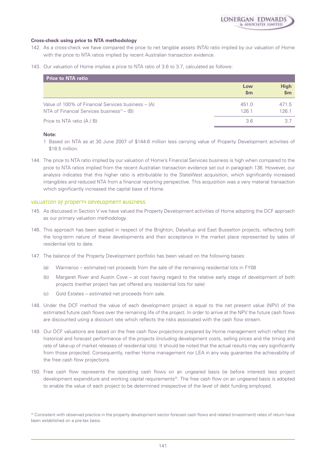### **Cross-check using price to NTA methodology**

- 142. As a cross-check we have compared the price to net tangible assets (NTA) ratio implied by our valuation of Home with the price to NTA ratios implied by recent Australian transaction evidence.
- 143. Our valuation of Home implies a price to NTA ratio of 3.6 to 3.7, calculated as follows:

| <b>Price to NTA ratio</b>                                                                            |                      |                      |
|------------------------------------------------------------------------------------------------------|----------------------|----------------------|
|                                                                                                      | Low<br>$\mathsf{sm}$ | <b>High</b><br>\$m\$ |
| Value of 100% of Financial Services business – (A)<br>NTA of Financial Services business $(1)$ – (B) | 451.0<br>126.1       | 471.5<br>126.1       |
| Price to NTA ratio (A / B)                                                                           | 36                   | 37                   |

### **Note:**

- 1 Based on NTA as at 30 June 2007 of \$144.6 million less carrying value of Property Development activities of \$18.5 million.
- 144. The price to NTA ratio implied by our valuation of Home's Financial Services business is high when compared to the price to NTA ratios implied from the recent Australian transaction evidence set out in paragraph 136. However, our analysis indicates that this higher ratio is attributable to the StateWest acquisition, which significantly increased intangibles and reduced NTA from a financial reporting perspective. This acquisition was a very material transaction which significantly increased the capital base of Home.

### VaLuation of property Development business

- 145. As discussed in Section V we have valued the Property Development activities of Home adopting the DCF approach as our primary valuation methodology.
- 146. This approach has been applied in respect of the Brighton, Dalyellup and East Busselton projects, reflecting both the long-term nature of these developments and their acceptance in the market place represented by sales of residential lots to date.
- 147. The balance of the Property Development portfolio has been valued on the following bases:
	- (a) Wanneroo estimated net proceeds from the sale of the remaining residential lots in FY08
	- (b) Margaret River and Austin Cove at cost having regard to the relative early stage of development of both projects (neither project has yet offered any residential lots for sale)
	- (c) Gold Estates estimated net proceeds from sale.
- 148. Under the DCF method the value of each development project is equal to the net present value (NPV) of the estimated future cash flows over the remaining life of the project. In order to arrive at the NPV the future cash flows are discounted using a discount rate which reflects the risks associated with the cash flow stream.
- 149. Our DCF valuations are based on the free cash flow projections prepared by Home management which reflect the historical and forecast performance of the projects (including development costs, selling prices and the timing and rate of take-up of market releases of residential lots). It should be noted that the actual results may vary significantly from those projected. Consequently, neither Home management nor LEA in any way guarantee the achievability of the free cash flow projections.
- 150. Free cash flow represents the operating cash flows on an ungeared basis (ie before interest) less project development expenditure and working capital requirements<sup>25</sup>. The free cash flow on an ungeared basis is adopted to enable the value of each project to be determined irrespective of the level of debt funding employed.

<sup>&</sup>lt;sup>25</sup> Consistent with observed practice in the property development sector forecast cash flows and related (investment) rates of return have been established on a pre-tax basis.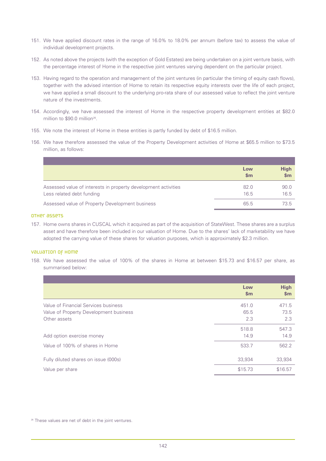- 151. We have applied discount rates in the range of 16.0% to 18.0% per annum (before tax) to assess the value of individual development projects.
- 152. As noted above the projects (with the exception of Gold Estates) are being undertaken on a joint venture basis, with the percentage interest of Home in the respective joint ventures varying dependent on the particular project.
- 153. Having regard to the operation and management of the joint ventures (in particular the timing of equity cash flows), together with the advised intention of Home to retain its respective equity interests over the life of each project, we have applied a small discount to the underlying pro-rata share of our assessed value to reflect the joint venture nature of the investments.
- 154. Accordingly, we have assessed the interest of Home in the respective property development entities at \$82.0 million to \$90.0 million<sup>26</sup>.
- 155. We note the interest of Home in these entities is partly funded by debt of \$16.5 million.
- 156. We have therefore assessed the value of the Property Development activities of Home at \$65.5 million to \$73.5 million, as follows:

|                                                                                             | Low<br>$\mathsf{Sm}$ | <b>High</b><br>\$m\$ |
|---------------------------------------------------------------------------------------------|----------------------|----------------------|
| Assessed value of interests in property development activities<br>Less related debt funding | 82.0<br>16.5         | 90.0<br>16.5         |
| Assessed value of Property Development business                                             | 65.5                 | 73.5                 |

### Other assets

157. Home owns shares in CUSCAL which it acquired as part of the acquisition of StateWest. These shares are a surplus asset and have therefore been included in our valuation of Home. Due to the shares' lack of marketability we have adopted the carrying value of these shares for valuation purposes, which is approximately \$2.3 million.

### Valuation of Home

158. We have assessed the value of 100% of the shares in Home at between \$15.73 and \$16.57 per share, as summarised below:

|                                        | Low           | <b>High</b> |
|----------------------------------------|---------------|-------------|
|                                        | $\mathsf{Sm}$ | \$m\$       |
| Value of Financial Services business   | 451.0         | 471.5       |
| Value of Property Development business | 65.5          | 73.5        |
| Other assets                           | 2.3           | 2.3         |
|                                        | 518.8         | 547.3       |
| Add option exercise money              | 14.9          | 14.9        |
| Value of 100% of shares in Home        | 533.7         | 562.2       |
| Fully diluted shares on issue (000s)   | 33,934        | 33,934      |
| Value per share                        | \$15.73       | \$16.57     |

<sup>26</sup> These values are net of debt in the joint ventures.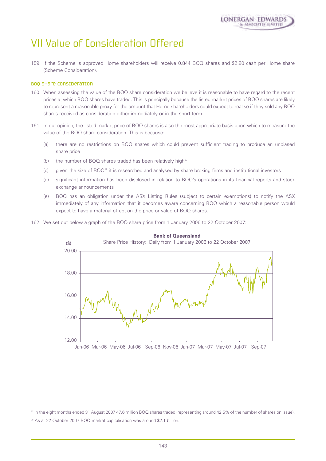## VII Value of Consideration Offered

159. If the Scheme is approved Home shareholders will receive 0.844 BOQ shares and \$2.80 cash per Home share (Scheme Consideration).

### BOQ share consideration

- 160. When assessing the value of the BOQ share consideration we believe it is reasonable to have regard to the recent prices at which BOQ shares have traded. This is principally because the listed market prices of BOQ shares are likely to represent a reasonable proxy for the amount that Home shareholders could expect to realise if they sold any BOQ shares received as consideration either immediately or in the short-term.
- 161. In our opinion, the listed market price of BOQ shares is also the most appropriate basis upon which to measure the value of the BOQ share consideration. This is because:
	- (a) there are no restrictions on BOQ shares which could prevent sufficient trading to produce an unbiased share price
	- (b) the number of BOQ shares traded has been relatively high $^{27}$
	- (c) given the size of BOQ28 it is researched and analysed by share broking firms and institutional investors
	- (d) significant information has been disclosed in relation to BOQ's operations in its financial reports and stock exchange announcements
	- (e) BOQ has an obligation under the ASX Listing Rules (subject to certain exemptions) to notify the ASX immediately of any information that it becomes aware concerning BOQ which a reasonable person would expect to have a material effect on the price or value of BOQ shares.
- 162. We set out below a graph of the BOQ share price from 1 January 2006 to 22 October 2007:



## **Bank of Queensland**

Jan-06 Mar-06 May-06 Jul-06 Sep-06 Nov-06 Jan-07 Mar-07 May-07 Jul-07 Sep-07

<sup>27</sup> In the eight months ended 31 August 2007 47.6 million BOQ shares traded (representing around 42.5% of the number of shares on issue). <sup>28</sup> As at 22 October 2007 BOQ market capitalisation was around \$2.1 billion.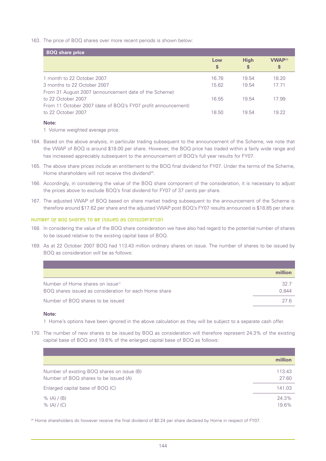163. The price of BOQ shares over more recent periods is shown below:

| <b>BOQ</b> share price                                        |           |                  |                                 |
|---------------------------------------------------------------|-----------|------------------|---------------------------------|
|                                                               | Low<br>\$ | <b>High</b><br>S | <b>VWAP<sup>(1)</sup></b><br>\$ |
| 1 month to 22 October 2007                                    | 16.78     | 19.54            | 18.20                           |
| 3 months to 22 October 2007                                   | 15.62     | 19.54            | 17.71                           |
| From 31 August 2007 (announcement date of the Scheme)         |           |                  |                                 |
| to 22 October 2007                                            | 16.55     | 19.54            | 17.99                           |
| From 11 October 2007 (date of BOQ's FY07 profit announcement) |           |                  |                                 |
| to 22 October 2007                                            | 18.50     | 19.54            | 19.22                           |
|                                                               |           |                  |                                 |

## **Note:**

1 Volume weighted average price.

- 164. Based on the above analysis, in particular trading subsequent to the announcement of the Scheme, we note that the VWAP of BOQ is around \$18.00 per share. However, the BOQ price has traded within a fairly wide range and has increased appreciably subsequent to the announcement of BOQ's full year results for FY07.
- 165. The above share prices include an entitlement to the BOQ final dividend for FY07. Under the terms of the Scheme, Home shareholders will not receive this dividend<sup>29</sup>.
- 166. Accordingly, in considering the value of the BOQ share component of the consideration, it is necessary to adjust the prices above to exclude BOQ's final dividend for FY07 of 37 cents per share.
- 167. The adjusted VWAP of BOQ based on share market trading subsequent to the announcement of the Scheme is therefore around \$17.62 per share and the adjusted VWAP post BOQ's FY07 results announced is \$18.85 per share.

## Number of BOQ shares to be issued as consideration

- 168. In considering the value of the BOQ share consideration we have also had regard to the potential number of shares to be issued relative to the existing capital base of BOQ.
- 169. As at 22 October 2007 BOQ had 113.43 million ordinary shares on issue. The number of shares to be issued by BOQ as consideration will be as follows:

|                                                                                                         | million       |
|---------------------------------------------------------------------------------------------------------|---------------|
| Number of Home shares on issue <sup>(1)</sup><br>BOQ shares issued as consideration for each Home share | 32.7<br>N 844 |
| Number of BOQ shares to be issued                                                                       | 27 R          |

#### **Note:**

1 Home's options have been ignored in the above calculation as they will be subject to a separate cash offer.

170. The number of new shares to be issued by BOQ as consideration will therefore represent 24.3% of the existing capital base of BOQ and 19.6% of the enlarged capital base of BOQ as follows:

|                                                                                     | million         |
|-------------------------------------------------------------------------------------|-----------------|
| Number of existing BOQ shares on issue (B)<br>Number of BOQ shares to be issued (A) | 113.43<br>27.60 |
| Enlarged capital base of BOQ (C)                                                    | 141.03          |
| $\%$ (A) / (B)<br>$\%$ (A) / (C)                                                    | 24.3%<br>19.6%  |

<sup>29</sup> Home shareholders do however receive the final dividend of \$0.24 per share declared by Home in respect of FY07.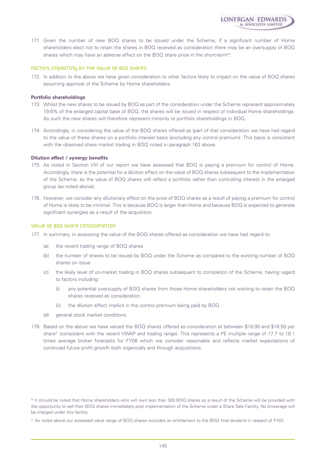

:RGAN EDWARDS

#### Factors impacting on the value of BOQ shares

172. In addition to the above we have given consideration to other factors likely to impact on the value of BOQ shares assuming approval of the Scheme by Home shareholders.

#### **Portfolio shareholdings**

- 173. Whilst the new shares to be issued by BOQ as part of the consideration under the Scheme represent approximately 19.6% of the enlarged capital base of BOQ, the shares will be issued in respect of individual Home shareholdings. As such the new shares will therefore represent minority or portfolio shareholdings in BOQ.
- 174. Accordingly, in considering the value of the BOQ shares offered as (part of the) consideration we have had regard to the value of these shares on a portfolio interest basis (excluding any control premium). This basis is consistent with the observed share market trading in BOQ noted in paragraph 163 above.

#### **Dilution effect / synergy benefits**

- 175. As noted in Section VIII of our report we have assessed that BOQ is paying a premium for control of Home. Accordingly, there is the potential for a dilution effect on the value of BOQ shares subsequent to the implementation of the Scheme, as the value of BOQ shares will reflect a portfolio rather than controlling interest in the enlarged group (as noted above).
- 176. However, we consider any dilutionary effect on the price of BOQ shares as a result of paying a premium for control of Home is likely to be minimal. This is because BOQ is larger than Home and because BOQ is expected to generate significant synergies as a result of the acquisition.

#### Value of BOQ share consideration

- 177. In summary, in assessing the value of the BOQ shares offered as consideration we have had regard to:
	- (a) the recent trading range of BOQ shares
	- (b) the number of shares to be issued by BOQ under the Scheme as compared to the existing number of BOQ shares on issue
	- (c) the likely level of on-market trading in BOQ shares subsequent to completion of the Scheme, having regard to factors including:
		- (i) any potential oversupply of BOQ shares from those Home shareholders not wishing to retain the BOQ shares received as consideration
		- (ii) the dilution effect implicit in the control premium being paid by BOQ
	- (d) general stock market conditions.
- 178. Based on the above we have valued the BOQ shares offered as consideration at between \$18.00 and \$18.50 per share<sup>31</sup> (consistent with the recent VWAP and trading range). This represents a PE multiple range of 17.7 to 18.1 times average broker forecasts for FY08 which we consider reasonable and reflects market expectations of continued future profit growth both organically and through acquisitions.

<sup>30</sup> It should be noted that Home shareholders who will own less than 300 BOQ shares as a result of the Scheme will be provided with the opportunity to sell their BOQ shares immediately post implementation of the Scheme under a Share Sale Facility. No brokerage will be charged under this facility.

<sup>&</sup>lt;sup>31</sup> As noted above our assessed value range of BOQ shares excludes an entitlement to the BOQ final dividend in respect of FY07.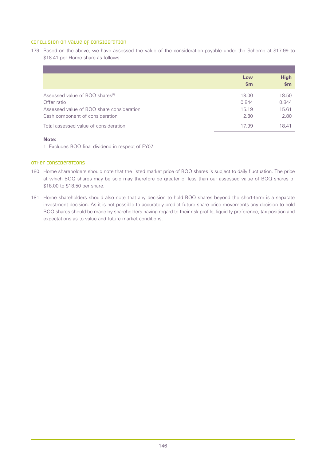## Conclusion on value of consideration

179. Based on the above, we have assessed the value of the consideration payable under the Scheme at \$17.99 to \$18.41 per Home share as follows:

|                                             | Low<br>$\mathbf{Sm}$ | <b>High</b><br>\$m\$ |
|---------------------------------------------|----------------------|----------------------|
| Assessed value of BOQ shares <sup>(1)</sup> | 18.00                | 18.50                |
| Offer ratio                                 | 0.844                | 0.844                |
| Assessed value of BOQ share consideration   | 15.19                | 15.61                |
| Cash component of consideration             | 2.80                 | 2.80                 |
| Total assessed value of consideration       | 17.99                | 18.41                |

### **Note:**

1 Excludes BOQ final dividend in respect of FY07.

# Other considerations

- 180. Home shareholders should note that the listed market price of BOQ shares is subject to daily fluctuation. The price at which BOQ shares may be sold may therefore be greater or less than our assessed value of BOQ shares of \$18.00 to \$18.50 per share.
- 181. Home shareholders should also note that any decision to hold BOQ shares beyond the short-term is a separate investment decision. As it is not possible to accurately predict future share price movements any decision to hold BOQ shares should be made by shareholders having regard to their risk profile, liquidity preference, tax position and expectations as to value and future market conditions.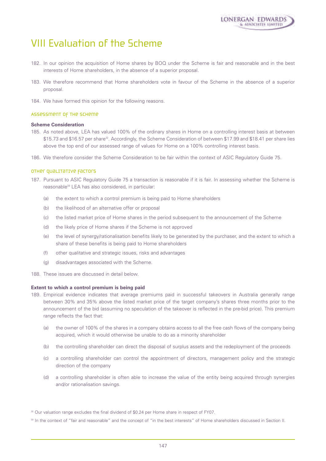

# VIII Evaluation of the Scheme

- 182. In our opinion the acquisition of Home shares by BOQ under the Scheme is fair and reasonable and in the best interests of Home shareholders, in the absence of a superior proposal.
- 183. We therefore recommend that Home shareholders vote in favour of the Scheme in the absence of a superior proposal.
- 184. We have formed this opinion for the following reasons.

#### Assessment of the Scheme

### **Scheme Consideration**

- 185. As noted above, LEA has valued 100% of the ordinary shares in Home on a controlling interest basis at between \$15.73 and \$16.57 per share<sup>32</sup>. Accordingly, the Scheme Consideration of between \$17.99 and \$18.41 per share lies above the top end of our assessed range of values for Home on a 100% controlling interest basis.
- 186. We therefore consider the Scheme Consideration to be fair within the context of ASIC Regulatory Guide 75.

## Other qualitative factors

- 187. Pursuant to ASIC Regulatory Guide 75 a transaction is reasonable if it is fair. In assessing whether the Scheme is reasonable<sup>33</sup> LEA has also considered, in particular:
	- (a) the extent to which a control premium is being paid to Home shareholders
	- (b) the likelihood of an alternative offer or proposal
	- (c) the listed market price of Home shares in the period subsequent to the announcement of the Scheme
	- (d) the likely price of Home shares if the Scheme is not approved
	- (e) the level of synergy/rationalisation benefits likely to be generated by the purchaser, and the extent to which a share of these benefits is being paid to Home shareholders
	- (f) other qualitative and strategic issues, risks and advantages
	- (g) disadvantages associated with the Scheme.
- 188. These issues are discussed in detail below.

#### **Extent to which a control premium is being paid**

- 189. Empirical evidence indicates that average premiums paid in successful takeovers in Australia generally range between 30% and 35% above the listed market price of the target company's shares three months prior to the announcement of the bid (assuming no speculation of the takeover is reflected in the pre-bid price). This premium range reflects the fact that:
	- (a) the owner of 100% of the shares in a company obtains access to all the free cash flows of the company being acquired, which it would otherwise be unable to do as a minority shareholder
	- (b) the controlling shareholder can direct the disposal of surplus assets and the redeployment of the proceeds
	- (c) a controlling shareholder can control the appointment of directors, management policy and the strategic direction of the company
	- (d) a controlling shareholder is often able to increase the value of the entity being acquired through synergies and/or rationalisation savings.

<sup>&</sup>lt;sup>32</sup> Our valuation range excludes the final dividend of \$0.24 per Home share in respect of FY07.

<sup>&</sup>lt;sup>33</sup> In the context of "fair and reasonable" and the concept of "in the best interests" of Home shareholders discussed in Section II.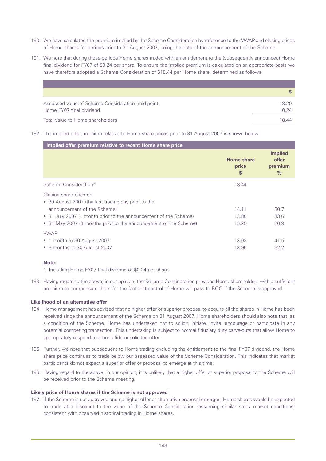- 190. We have calculated the premium implied by the Scheme Consideration by reference to the VWAP and closing prices of Home shares for periods prior to 31 August 2007, being the date of the announcement of the Scheme.
- 191. We note that during these periods Home shares traded with an entitlement to the (subsequently announced) Home final dividend for FY07 of \$0.24 per share. To ensure the implied premium is calculated on an appropriate basis we have therefore adopted a Scheme Consideration of \$18.44 per Home share, determined as follows:

| Assessed value of Scheme Consideration (mid-point) | 18.20 |
|----------------------------------------------------|-------|
| Home FY07 final dividend                           | 0.24  |
| Total value to Home shareholders                   | 1844  |

192. The implied offer premium relative to Home share prices prior to 31 August 2007 is shown below:

| Implied offer premium relative to recent Home share price                                                                                                                                                                                            |                                  |                                                     |
|------------------------------------------------------------------------------------------------------------------------------------------------------------------------------------------------------------------------------------------------------|----------------------------------|-----------------------------------------------------|
|                                                                                                                                                                                                                                                      | <b>Home share</b><br>price<br>\$ | <b>Implied</b><br>offer<br>premium<br>$\frac{9}{6}$ |
| Scheme Consideration <sup>(1)</sup>                                                                                                                                                                                                                  | 18.44                            |                                                     |
| Closing share price on<br>• 30 August 2007 (the last trading day prior to the<br>announcement of the Scheme)<br>• 31 July 2007 (1 month prior to the announcement of the Scheme)<br>• 31 May 2007 (3 months prior to the announcement of the Scheme) | 14.11<br>13.80<br>15.25          | 30.7<br>33.6<br>20.9                                |
| <b>VWAP</b><br>• 1 month to 30 August 2007<br>• 3 months to 30 August 2007                                                                                                                                                                           | 13.03<br>13.95                   | 41.5<br>32.2                                        |

# **Note:**

1 Including Home FY07 final dividend of \$0.24 per share.

193. Having regard to the above, in our opinion, the Scheme Consideration provides Home shareholders with a sufficient premium to compensate them for the fact that control of Home will pass to BOQ if the Scheme is approved.

# **Likelihood of an alternative offer**

- 194. Home management has advised that no higher offer or superior proposal to acquire all the shares in Home has been received since the announcement of the Scheme on 31 August 2007. Home shareholders should also note that, as a condition of the Scheme, Home has undertaken not to solicit, initiate, invite, encourage or participate in any potential competing transaction. This undertaking is subject to normal fiduciary duty carve-outs that allow Home to appropriately respond to a bona fide unsolicited offer.
- 195. Further, we note that subsequent to Home trading excluding the entitlement to the final FY07 dividend, the Home share price continues to trade below our assessed value of the Scheme Consideration. This indicates that market participants do not expect a superior offer or proposal to emerge at this time.
- 196. Having regard to the above, in our opinion, it is unlikely that a higher offer or superior proposal to the Scheme will be received prior to the Scheme meeting.

# **Likely price of Home shares if the Scheme is not approved**

197. If the Scheme is not approved and no higher offer or alternative proposal emerges, Home shares would be expected to trade at a discount to the value of the Scheme Consideration (assuming similar stock market conditions) consistent with observed historical trading in Home shares.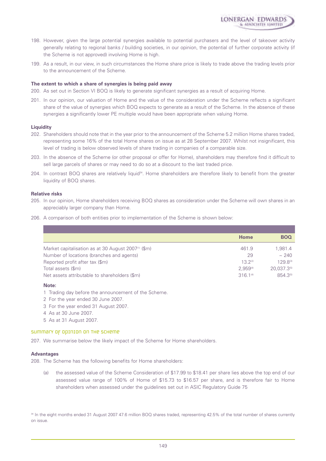

- 198. However, given the large potential synergies available to potential purchasers and the level of takeover activity generally relating to regional banks / building societies, in our opinion, the potential of further corporate activity (if the Scheme is not approved) involving Home is high.
- 199. As a result, in our view, in such circumstances the Home share price is likely to trade above the trading levels prior to the announcement of the Scheme.

#### **The extent to which a share of synergies is being paid away**

- 200. As set out in Section VI BOQ is likely to generate significant synergies as a result of acquiring Home.
- 201. In our opinion, our valuation of Home and the value of the consideration under the Scheme reflects a significant share of the value of synergies which BOQ expects to generate as a result of the Scheme. In the absence of these synergies a significantly lower PE multiple would have been appropriate when valuing Home.

#### **Liquidity**

- 202. Shareholders should note that in the year prior to the announcement of the Scheme 5.2 million Home shares traded, representing some 16% of the total Home shares on issue as at 28 September 2007. Whilst not insignificant, this level of trading is below observed levels of share trading in companies of a comparable size.
- 203. In the absence of the Scheme (or other proposal or offer for Home), shareholders may therefore find it difficult to sell large parcels of shares or may need to do so at a discount to the last traded price.
- 204. In contrast BOQ shares are relatively liquid34. Home shareholders are therefore likely to benefit from the greater liquidity of BOQ shares.

#### **Relative risks**

- 205. In our opinion, Home shareholders receiving BOQ shares as consideration under the Scheme will own shares in an appreciably larger company than Home.
- 206. A comparison of both entities prior to implementation of the Scheme is shown below:

|                                                                 | Home          | <b>BOQ</b>  |
|-----------------------------------------------------------------|---------------|-------------|
| Market capitalisation as at 30 August 2007 <sup>(1)</sup> (\$m) | 461.9         | 1.981.4     |
| Number of locations (branches and agents)                       | 29            | ~240        |
| Reported profit after tax (\$m)                                 | $13.2^{(2)}$  | 129.8(3)    |
| Total assets (\$m)                                              | $2.959^{(4)}$ | 20.037.3(5) |
| Net assets attributable to shareholders (\$m)                   | $316.1^{(4)}$ | 854.3(5)    |

#### **Note:**

- 1 Trading day before the announcement of the Scheme.
- 2 For the year ended 30 June 2007.
- 3 For the year ended 31 August 2007.
- 4 As at 30 June 2007.
- 5 As at 31 August 2007.

# Summary of opinion on the Scheme

207. We summarise below the likely impact of the Scheme for Home shareholders.

#### **Advantages**

208. The Scheme has the following benefits for Home shareholders:

(a) the assessed value of the Scheme Consideration of \$17.99 to \$18.41 per share lies above the top end of our assessed value range of 100% of Home of \$15.73 to \$16.57 per share, and is therefore fair to Home shareholders when assessed under the guidelines set out in ASIC Regulatory Guide 75

<sup>34</sup> In the eight months ended 31 August 2007 47.6 million BOQ shares traded, representing 42.5% of the total number of shares currently on issue.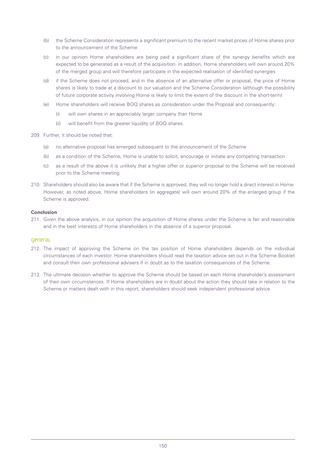- (b) the Scheme Consideration represents a significant premium to the recent market prices of Home shares prior to the announcement of the Scheme
- (c) in our opinion Home shareholders are being paid a significant share of the synergy benefits which are expected to be generated as a result of the acquisition. In addition, Home shareholders will own around 20% of the merged group and will therefore participate in the expected realisation of identified synergies
- (d) if the Scheme does not proceed, and in the absence of an alternative offer or proposal, the price of Home shares is likely to trade at a discount to our valuation and the Scheme Consideration (although the possibility of future corporate activity involving Home is likely to limit the extent of the discount in the short-term)
- (e) Home shareholders will receive BOQ shares as consideration under the Proposal and consequently:
	- (i) will own shares in an appreciably larger company than Home
	- (ii) will benefit from the greater liquidity of BOQ shares.
- 209. Further, it should be noted that:
	- (a) no alternative proposal has emerged subsequent to the announcement of the Scheme
	- (b) as a condition of the Scheme, Home is unable to solicit, encourage or initiate any competing transaction
	- (c) as a result of the above it is unlikely that a higher offer or superior proposal to the Scheme will be received prior to the Scheme meeting.
- 210. Shareholders should also be aware that if the Scheme is approved, they will no longer hold a direct interest in Home. However, as noted above, Home shareholders (in aggregate) will own around 20% of the enlarged group if the Scheme is approved.

# **Conclusion**

211. Given the above analysis, in our opinion the acquisition of Home shares under the Scheme is fair and reasonable and in the best interests of Home shareholders in the absence of a superior proposal.

### General

- 212. The impact of approving the Scheme on the tax position of Home shareholders depends on the individual circumstances of each investor. Home shareholders should read the taxation advice set out in the Scheme Booklet and consult their own professional advisers if in doubt as to the taxation consequences of the Scheme.
- 213. The ultimate decision whether to approve the Scheme should be based on each Home shareholder's assessment of their own circumstances. If Home shareholders are in doubt about the action they should take in relation to the Scheme or matters dealt with in this report, shareholders should seek independent professional advice.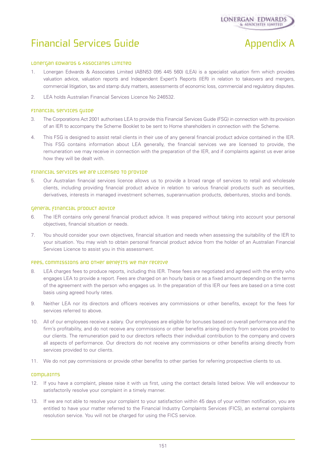

# Financial Services Guide Appendix A

#### Lonergan Edwards & Associates Limited

- 1. Lonergan Edwards & Associates Limited (ABN53 095 445 560) (LEA) is a specialist valuation firm which provides valuation advice, valuation reports and Independent Expert's Reports (IER) in relation to takeovers and mergers, commercial litigation, tax and stamp duty matters, assessments of economic loss, commercial and regulatory disputes.
- 2. LEA holds Australian Financial Services Licence No 246532.

# Financial Services Guide

- 3. The Corporations Act 2001 authorises LEA to provide this Financial Services Guide (FSG) in connection with its provision of an IER to accompany the Scheme Booklet to be sent to Home shareholders in connection with the Scheme.
- 4. This FSG is designed to assist retail clients in their use of any general financial product advice contained in the IER. This FSG contains information about LEA generally, the financial services we are licensed to provide, the remuneration we may receive in connection with the preparation of the IER, and if complaints against us ever arise how they will be dealt with.

#### Financial services we are licensed to provide

5. Our Australian financial services licence allows us to provide a broad range of services to retail and wholesale clients, including providing financial product advice in relation to various financial products such as securities, derivatives, interests in managed investment schemes, superannuation products, debentures, stocks and bonds.

#### General financial product advice

- 6. The IER contains only general financial product advice. It was prepared without taking into account your personal objectives, financial situation or needs.
- 7. You should consider your own objectives, financial situation and needs when assessing the suitability of the IER to your situation. You may wish to obtain personal financial product advice from the holder of an Australian Financial Services Licence to assist you in this assessment.

#### Fees, commissions and other benefits we may receive

- 8. LEA charges fees to produce reports, including this IER. These fees are negotiated and agreed with the entity who engages LEA to provide a report. Fees are charged on an hourly basis or as a fixed amount depending on the terms of the agreement with the person who engages us. In the preparation of this IER our fees are based on a time cost basis using agreed hourly rates.
- 9. Neither LEA nor its directors and officers receives any commissions or other benefits, except for the fees for services referred to above.
- 10. All of our employees receive a salary. Our employees are eligible for bonuses based on overall performance and the firm's profitability, and do not receive any commissions or other benefits arising directly from services provided to our clients. The remuneration paid to our directors reflects their individual contribution to the company and covers all aspects of performance. Our directors do not receive any commissions or other benefits arising directly from services provided to our clients.
- 11. We do not pay commissions or provide other benefits to other parties for referring prospective clients to us.

#### **COMPLAINTS**

- 12. If you have a complaint, please raise it with us first, using the contact details listed below. We will endeavour to satisfactorily resolve your complaint in a timely manner.
- 13. If we are not able to resolve your complaint to your satisfaction within 45 days of your written notification, you are entitled to have your matter referred to the Financial Industry Complaints Services (FICS), an external complaints resolution service. You will not be charged for using the FICS service.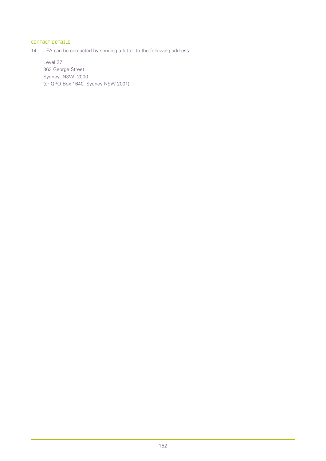# Contact details

14. LEA can be contacted by sending a letter to the following address:

Level 27 363 George Street Sydney NSW 2000 (or GPO Box 1640, Sydney NSW 2001)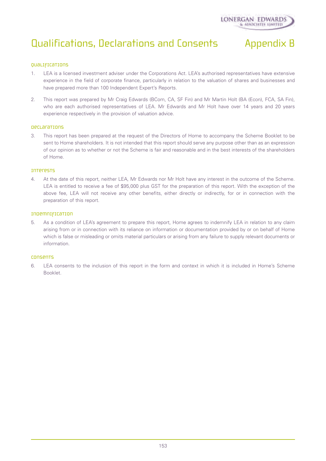# Qualifications, Declarations and Consents Appendix B



# Qualifications

- 1. LEA is a licensed investment adviser under the Corporations Act. LEA's authorised representatives have extensive experience in the field of corporate finance, particularly in relation to the valuation of shares and businesses and have prepared more than 100 Independent Expert's Reports.
- 2. This report was prepared by Mr Craig Edwards (BCom, CA, SF Fin) and Mr Martin Holt (BA (Econ), FCA, SA Fin), who are each authorised representatives of LEA. Mr Edwards and Mr Holt have over 14 years and 20 years experience respectively in the provision of valuation advice.

### Declarations

3. This report has been prepared at the request of the Directors of Home to accompany the Scheme Booklet to be sent to Home shareholders. It is not intended that this report should serve any purpose other than as an expression of our opinion as to whether or not the Scheme is fair and reasonable and in the best interests of the shareholders of Home.

### Interests

4. At the date of this report, neither LEA, Mr Edwards nor Mr Holt have any interest in the outcome of the Scheme. LEA is entitled to receive a fee of \$95,000 plus GST for the preparation of this report. With the exception of the above fee, LEA will not receive any other benefits, either directly or indirectly, for or in connection with the preparation of this report.

## Indemnification

5. As a condition of LEA's agreement to prepare this report, Home agrees to indemnify LEA in relation to any claim arising from or in connection with its reliance on information or documentation provided by or on behalf of Home which is false or misleading or omits material particulars or arising from any failure to supply relevant documents or information.

# Consents

6. LEA consents to the inclusion of this report in the form and context in which it is included in Home's Scheme Booklet.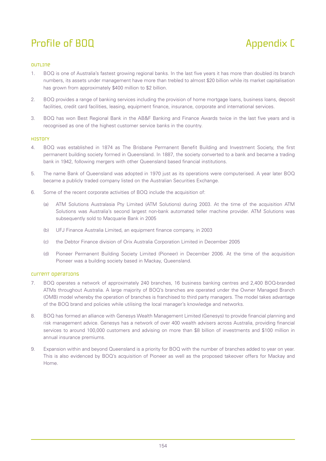# Profile of BOQ Appendix C

# Outline

- 1. BOQ is one of Australia's fastest growing regional banks. In the last five years it has more than doubled its branch numbers, its assets under management have more than trebled to almost \$20 billion while its market capitalisation has grown from approximately \$400 million to \$2 billion.
- 2. BOQ provides a range of banking services including the provision of home mortgage loans, business loans, deposit facilities, credit card facilities, leasing, equipment finance, insurance, corporate and international services.
- 3. BOQ has won Best Regional Bank in the AB&F Banking and Finance Awards twice in the last five years and is recognised as one of the highest customer service banks in the country.

# **HISTOLY**

- 4. BOQ was established in 1874 as The Brisbane Permanent Benefit Building and Investment Society, the first permanent building society formed in Queensland. In 1887, the society converted to a bank and became a trading bank in 1942, following mergers with other Queensland based financial institutions.
- 5. The name Bank of Queensland was adopted in 1970 just as its operations were computerised. A year later BOQ became a publicly traded company listed on the Australian Securities Exchange.
- 6. Some of the recent corporate activities of BOQ include the acquisition of:
	- (a) ATM Solutions Australasia Pty Limited (ATM Solutions) during 2003. At the time of the acquisition ATM Solutions was Australia's second largest non-bank automated teller machine provider. ATM Solutions was subsequently sold to Macquarie Bank in 2005
	- (b) UFJ Finance Australia Limited, an equipment finance company, in 2003
	- (c) the Debtor Finance division of Orix Australia Corporation Limited in December 2005
	- (d) Pioneer Permanent Building Society Limited (Pioneer) in December 2006. At the time of the acquisition Pioneer was a building society based in Mackay, Queensland.

# Current operations

- 7. BOQ operates a network of approximately 240 branches, 16 business banking centres and 2,400 BOQ-branded ATMs throughout Australia. A large majority of BOQ's branches are operated under the Owner Managed Branch (OMB) model whereby the operation of branches is franchised to third party managers. The model takes advantage of the BOQ brand and policies while utilising the local manager's knowledge and networks.
- 8. BOQ has formed an alliance with Genesys Wealth Management Limited (Genesys) to provide financial planning and risk management advice. Genesys has a network of over 400 wealth advisers across Australia, providing financial services to around 100,000 customers and advising on more than \$8 billion of investments and \$100 million in annual insurance premiums.
- 9. Expansion within and beyond Queensland is a priority for BOQ with the number of branches added to year on year. This is also evidenced by BOQ's acquisition of Pioneer as well as the proposed takeover offers for Mackay and Home.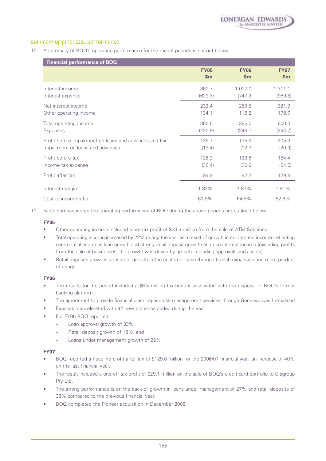# summary of financial performance

10. A summary of BOQ's operating performance for the recent periods is set out below:

| Financial performance of BOQ                           |               |             |             |
|--------------------------------------------------------|---------------|-------------|-------------|
|                                                        | <b>FY05</b>   | <b>FY06</b> | <b>FY07</b> |
|                                                        | $\mathsf{Sm}$ | \$m\$       | \$m\$       |
| Interest income                                        | 861.7         | 1,017.0     | 1,311.1     |
| Interest expense                                       | (629.3)       | (747.2)     | (989.8)     |
| Net interest income                                    | 232.4         | 269.8       | 321.3       |
| Other operating income                                 | 134.1         | 115.2       | 178.7       |
| Total operating income                                 | 366.5         | 385.0       | 500.0       |
| Expenses                                               | (226.8)       | (249.1)     | (294.7)     |
| Profit before impairment on loans and advances and tax | 139.7         | 135.9       | 205.3       |
| Impairment on loans and advances                       | (13.4)        | (12.3)      | (20.9)      |
| Profit before tax                                      | 126.3         | 123.6       | 184.4       |
| Income tax expense                                     | (36.4)        | (30.9)      | (54.6)      |
| Profit after tax                                       | 89.9          | 92.7        | 129.8       |
| Interest margin                                        | 1.83%         | 1.83%       | 1.81%       |
| Cost to income ratio                                   | 61.9%         | 64.5%       | 62.6%       |

11. Factors impacting on the operating performance of BOQ during the above periods are outlined below:

### **FY05**

- Other operating income included a pre-tax profit of \$23.6 million from the sale of ATM Solutions
- Total operating income increased by 22% during the year as a result of growth in net interest income (reflecting commercial and retail loan growth and strong retail deposit growth) and non-interest income (excluding profits from the sale of businesses, the growth was driven by growth in lending approvals and assets)
- Retail deposits grew as a result of growth in the customer base through branch expansion and more product offerings

#### **FY06**

- The results for the period included a \$6.5 million tax benefit associated with the disposal of BOQ's former banking platform
- The agreement to provide financial planning and risk management services through Genesys was formalised
- Expansion accelerated with 42 new branches added during the year
- For FY06 BOQ reported:
	- Loan approval growth of 33%
	- Retail deposit growth of 18%, and
	- Loans under management growth of 22%

# **FY07**

- BOQ reported a headline profit after tax of \$129.8 million for the 2006/07 financial year, an increase of 40% on the last financial year.
- The result included a one-off tax profit of \$29.1 million on the sale of BOQ's credit card portfolio to Citigroup Pty Ltd.
- The strong performance is on the back of growth in loans under management of 27% and retail deposits of 33% compared to the previous financial year.
- BOQ completed the Pioneer acquisition in December 2006.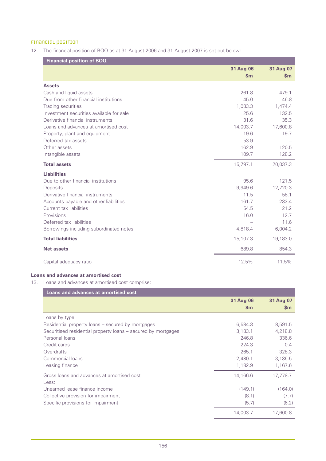# Financial position

12. The financial position of BOQ as at 31 August 2006 and 31 August 2007 is set out below:

| <b>Financial position of BOQ</b>         |                            |                            |
|------------------------------------------|----------------------------|----------------------------|
|                                          | 31 Aug 06<br>$\mathsf{Sm}$ | 31 Aug 07<br>$\mathsf{Sm}$ |
| <b>Assets</b>                            |                            |                            |
| Cash and liquid assets                   | 261.8                      | 479.1                      |
| Due from other financial institutions    | 45.0                       | 46.8                       |
| Trading securities                       | 1,083.3                    | 1,474.4                    |
| Investment securities available for sale | 25.6                       | 132.5                      |
| Derivative financial instruments         | 31.6                       | 35.3                       |
| Loans and advances at amortised cost     | 14,003.7                   | 17,600.8                   |
| Property, plant and equipment            | 19.6                       | 19.7                       |
| Deferred tax assets                      | 53.9                       |                            |
| Other assets                             | 162.9                      | 120.5                      |
| Intangible assets                        | 109.7                      | 128.2                      |
| <b>Total assets</b>                      | 15,797.1                   | 20,037.3                   |
| <b>Liabilities</b>                       |                            |                            |
| Due to other financial institutions      | 95.6                       | 121.5                      |
| Deposits                                 | 9,949.6                    | 12,720.3                   |
| Derivative financial instruments         | 11.5                       | 58.1                       |
| Accounts payable and other liabilities   | 161.7                      | 233.4                      |
| Current tax liabilities                  | 54.5                       | 21.2                       |
| Provisions                               | 16.0                       | 12.7                       |
| Deferred tax liabilities                 |                            | 11.6                       |
| Borrowings including subordinated notes  | 4,818.4                    | 6,004.2                    |
| <b>Total liabilities</b>                 | 15,107.3                   | 19,183.0                   |
| <b>Net assets</b>                        | 689.8                      | 854.3                      |
| Capital adequacy ratio                   | 12.5%                      | 11.5%                      |

# **Loans and advances at amortised cost**

13. Loans and advances at amortised cost comprise:

| Loans and advances at amortised cost                          |               |               |
|---------------------------------------------------------------|---------------|---------------|
|                                                               | 31 Aug 06     | 31 Aug 07     |
|                                                               | $\mathsf{Sm}$ | $\mathsf{sm}$ |
| Loans by type                                                 |               |               |
| Residential property loans – secured by mortgages             | 6,584.3       | 8,591.5       |
| Securitised residential property loans – secured by mortgages | 3,183.1       | 4,218.8       |
| Personal loans                                                | 246.8         | 336.6         |
| Credit cards                                                  | 224.3         | 0.4           |
| Overdrafts                                                    | 265.1         | 328.3         |
| Commercial loans                                              | 2,480.1       | 3,135.5       |
| Leasing finance                                               | 1,182.9       | 1,167.6       |
| Gross loans and advances at amortised cost<br>Less:           | 14,166.6      | 17,778.7      |
| Unearned lease finance income                                 | (149.1)       | (164.0)       |
| Collective provision for impairment                           | (8.1)         | (7.7)         |
| Specific provisions for impairment                            | (5.7)         | (6.2)         |
|                                                               | 14,003.7      | 17.600.8      |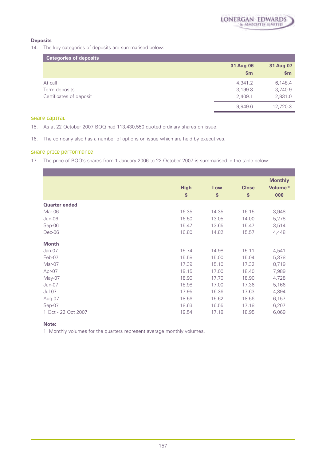

# **Deposits**

14. The key categories of deposits are summarised below:

| <b>Categories of deposits</b> |                    |                    |
|-------------------------------|--------------------|--------------------|
|                               | 31 Aug 06<br>\$m\$ | 31 Aug 07<br>\$m\$ |
| At call                       | 4,341.2            | 6,148.4            |
| Term deposits                 | 3,199.3            | 3,740.9            |
| Certificates of deposit       | 2,409.1            | 2,831.0            |
|                               | 9,949.6            | 12,720.3           |

# Share capital

- 15. As at 22 October 2007 BOQ had 113,430,550 quoted ordinary shares on issue.
- 16. The company also has a number of options on issue which are held by executives.

# Share price performance

17. The price of BOQ's shares from 1 January 2006 to 22 October 2007 is summarised in the table below:

|                      | <b>High</b><br>\$ | Low<br>\$ | <b>Close</b><br>\$ | <b>Monthly</b><br>Volume <sup>(1)</sup><br>000 |
|----------------------|-------------------|-----------|--------------------|------------------------------------------------|
| <b>Quarter ended</b> |                   |           |                    |                                                |
| Mar-06               | 16.35             | 14.35     | 16.15              | 3,948                                          |
| Jun-06               | 16.50             | 13.05     | 14.00              | 5,278                                          |
| Sep-06               | 15.47             | 13.65     | 15.47              | 3,514                                          |
| Dec-06               | 16.80             | 14.82     | 15.57              | 4,448                                          |
| <b>Month</b>         |                   |           |                    |                                                |
| Jan-07               | 15.74             | 14.98     | 15.11              | 4,541                                          |
| Feb-07               | 15.58             | 15.00     | 15.04              | 5,378                                          |
| Mar-07               | 17.39             | 15.10     | 17.32              | 8,719                                          |
| Apr-07               | 19.15             | 17.00     | 18.40              | 7,989                                          |
| May-07               | 18.90             | 17.70     | 18.90              | 4,728                                          |
| Jun-07               | 18.98             | 17.00     | 17.36              | 5,166                                          |
| $Jul-07$             | 17.95             | 16.36     | 17.63              | 4,894                                          |
| Aug-07               | 18.56             | 15.62     | 18.56              | 6,157                                          |
| Sep-07               | 18.63             | 16.55     | 17.18              | 6,207                                          |
| 1 Oct - 22 Oct 2007  | 19.54             | 17.18     | 18.95              | 6,069                                          |

# **Note:**

1 Monthly volumes for the quarters represent average monthly volumes.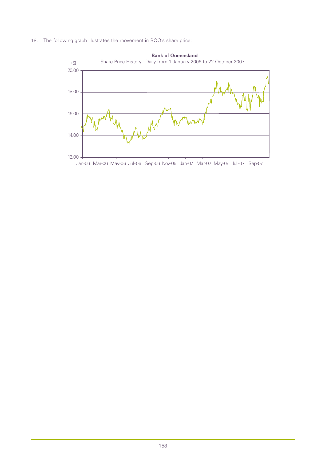18. The following graph illustrates the movement in BOQ's share price:

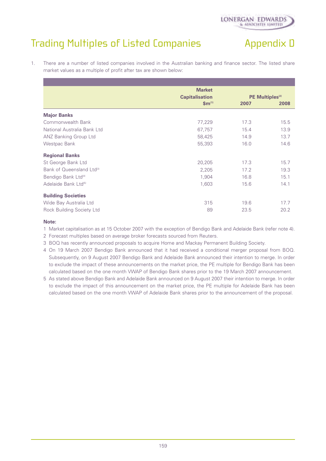# Trading Multiples of Listed Companies Trading Multiples of Listed Companies

1. There are a number of listed companies involved in the Australian banking and finance sector. The listed share market values as a multiple of profit after tax are shown below:

|                                       | <b>Market</b>         |                             |      |
|---------------------------------------|-----------------------|-----------------------------|------|
|                                       | <b>Capitalisation</b> | PE Multiples <sup>(2)</sup> |      |
|                                       | $\mathbf{Sm}^{(1)}$   | 2007                        | 2008 |
| <b>Major Banks</b>                    |                       |                             |      |
| Commonwealth Bank                     | 77,229                | 17.3                        | 15.5 |
| National Australia Bank Ltd           | 67,757                | 15.4                        | 13.9 |
| <b>ANZ Banking Group Ltd</b>          | 58,425                | 14.9                        | 13.7 |
| Westpac Bank                          | 55,393                | 16.0                        | 14.6 |
| <b>Regional Banks</b>                 |                       |                             |      |
| St George Bank Ltd                    | 20,205                | 17.3                        | 15.7 |
| Bank of Queensland Ltd <sup>(3)</sup> | 2,205                 | 17.2                        | 19.3 |
| Bendigo Bank Ltd <sup>(4)</sup>       | 1,904                 | 16.8                        | 15.1 |
| Adelaide Bank Ltd <sup>(5)</sup>      | 1,603                 | 15.6                        | 14.1 |
| <b>Building Societies</b>             |                       |                             |      |
| Wide Bay Australia Ltd                | 315                   | 19.6                        | 17.7 |
| Rock Building Society Ltd             | 89                    | 23.5                        | 20.2 |

# **Note:**

1 Market capitalisation as at 15 October 2007 with the exception of Bendigo Bank and Adelaide Bank (refer note 4).

2 Forecast multiples based on average broker forecasts sourced from Reuters.

- 3 BOQ has recently announced proposals to acquire Home and Mackay Permanent Building Society.
- 4 On 19 March 2007 Bendigo Bank announced that it had received a conditional merger proposal from BOQ. Subsequently, on 9 August 2007 Bendigo Bank and Adelaide Bank announced their intention to merge. In order to exclude the impact of these announcements on the market price, the PE multiple for Bendigo Bank has been calculated based on the one month VWAP of Bendigo Bank shares prior to the 19 March 2007 announcement.
- 5 As stated above Bendigo Bank and Adelaide Bank announced on 9 August 2007 their intention to merge. In order to exclude the impact of this announcement on the market price, the PE multiple for Adelaide Bank has been calculated based on the one month VWAP of Adelaide Bank shares prior to the announcement of the proposal.